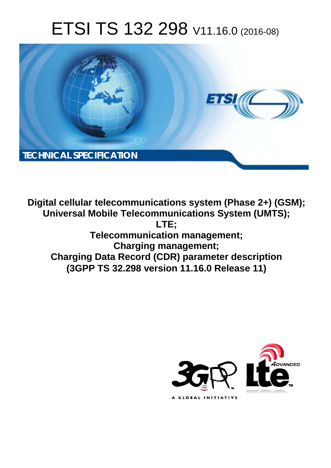# ETSI TS 132 298 V11.16.0 (2016-08)



**Digital cellular telecommunications system (Phase 2+) (GSM); Universal Mobile Tel elecommunications System ( (UMTS); Telecomm munication management; Char arging management; Charging Data Rec ecord (CDR) parameter descri cription (3GPP TS 32.29 .298 version 11.16.0 Release 1 11) LTE;** 

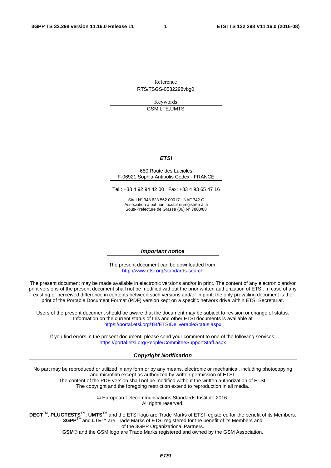Reference RTS/TSGS-0532298vbg0

> Keywords GSM,LTE,UMTS

#### *ETSI*

#### 650 Route des Lucioles F-06921 Sophia Antipolis Cedex - FRANCE

Tel.: +33 4 92 94 42 00 Fax: +33 4 93 65 47 16

Siret N° 348 623 562 00017 - NAF 742 C Association à but non lucratif enregistrée à la Sous-Préfecture de Grasse (06) N° 7803/88

#### *Important notice*

The present document can be downloaded from: <http://www.etsi.org/standards-search>

The present document may be made available in electronic versions and/or in print. The content of any electronic and/or print versions of the present document shall not be modified without the prior written authorization of ETSI. In case of any existing or perceived difference in contents between such versions and/or in print, the only prevailing document is the print of the Portable Document Format (PDF) version kept on a specific network drive within ETSI Secretariat.

Users of the present document should be aware that the document may be subject to revision or change of status. Information on the current status of this and other ETSI documents is available at <https://portal.etsi.org/TB/ETSIDeliverableStatus.aspx>

If you find errors in the present document, please send your comment to one of the following services: <https://portal.etsi.org/People/CommiteeSupportStaff.aspx>

#### *Copyright Notification*

No part may be reproduced or utilized in any form or by any means, electronic or mechanical, including photocopying and microfilm except as authorized by written permission of ETSI.

The content of the PDF version shall not be modified without the written authorization of ETSI. The copyright and the foregoing restriction extend to reproduction in all media.

> © European Telecommunications Standards Institute 2016. All rights reserved.

**DECT**TM, **PLUGTESTS**TM, **UMTS**TM and the ETSI logo are Trade Marks of ETSI registered for the benefit of its Members. **3GPP**TM and **LTE**™ are Trade Marks of ETSI registered for the benefit of its Members and of the 3GPP Organizational Partners.

**GSM**® and the GSM logo are Trade Marks registered and owned by the GSM Association.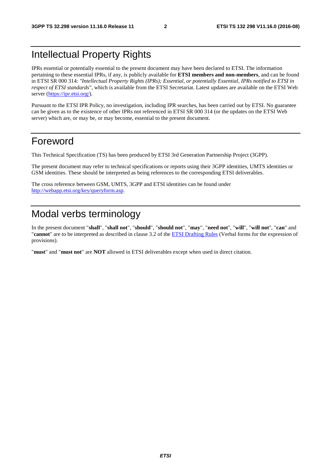### Intellectual Property Rights

IPRs essential or potentially essential to the present document may have been declared to ETSI. The information pertaining to these essential IPRs, if any, is publicly available for **ETSI members and non-members**, and can be found in ETSI SR 000 314: *"Intellectual Property Rights (IPRs); Essential, or potentially Essential, IPRs notified to ETSI in respect of ETSI standards"*, which is available from the ETSI Secretariat. Latest updates are available on the ETSI Web server [\(https://ipr.etsi.org/](https://ipr.etsi.org/)).

Pursuant to the ETSI IPR Policy, no investigation, including IPR searches, has been carried out by ETSI. No guarantee can be given as to the existence of other IPRs not referenced in ETSI SR 000 314 (or the updates on the ETSI Web server) which are, or may be, or may become, essential to the present document.

### Foreword

This Technical Specification (TS) has been produced by ETSI 3rd Generation Partnership Project (3GPP).

The present document may refer to technical specifications or reports using their 3GPP identities, UMTS identities or GSM identities. These should be interpreted as being references to the corresponding ETSI deliverables.

The cross reference between GSM, UMTS, 3GPP and ETSI identities can be found under [http://webapp.etsi.org/key/queryform.asp.](http://webapp.etsi.org/key/queryform.asp)

### Modal verbs terminology

In the present document "**shall**", "**shall not**", "**should**", "**should not**", "**may**", "**need not**", "**will**", "**will not**", "**can**" and "**cannot**" are to be interpreted as described in clause 3.2 of the [ETSI Drafting Rules](https://portal.etsi.org/Services/editHelp!/Howtostart/ETSIDraftingRules.aspx) (Verbal forms for the expression of provisions).

"**must**" and "**must not**" are **NOT** allowed in ETSI deliverables except when used in direct citation.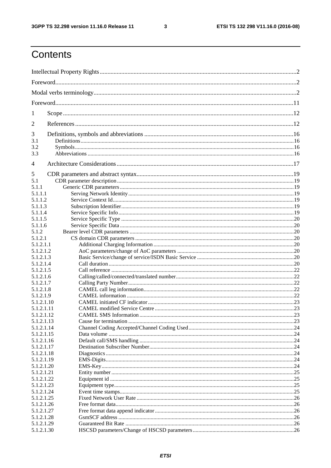$\mathbf{3}$ 

## Contents

| 1                        |  |      |  |
|--------------------------|--|------|--|
| 2                        |  |      |  |
| 3                        |  |      |  |
| 3.1<br>3.2               |  |      |  |
| 3.3                      |  |      |  |
| 4                        |  |      |  |
|                          |  |      |  |
| 5                        |  |      |  |
| 5.1<br>5.1.1             |  |      |  |
| 5.1.1.1                  |  |      |  |
| 5.1.1.2                  |  |      |  |
| 5.1.1.3                  |  |      |  |
| 5.1.1.4                  |  |      |  |
| 5.1.1.5                  |  |      |  |
| 5.1.1.6                  |  |      |  |
| 5.1.2                    |  |      |  |
| 5.1.2.1                  |  |      |  |
| 5.1.2.1.1                |  |      |  |
| 5.1.2.1.2                |  |      |  |
| 5.1.2.1.3                |  |      |  |
| 5.1.2.1.4                |  |      |  |
| 5.1.2.1.5                |  |      |  |
| 5.1.2.1.6                |  |      |  |
| 5.1.2.1.7                |  |      |  |
| 5.1.2.1.8                |  |      |  |
| 5.1.2.1.9                |  |      |  |
| 5.1.2.1.10               |  |      |  |
| 5.1.2.1.11               |  |      |  |
| 5.1.2.1.12               |  |      |  |
| 5.1.2.1.13               |  |      |  |
| 5.1.2.1.14<br>5.1.2.1.15 |  |      |  |
| 5.1.2.1.16               |  |      |  |
| 5.1.2.1.17               |  |      |  |
| 5.1.2.1.18               |  |      |  |
| 5.1.2.1.19               |  |      |  |
| 5.1.2.1.20               |  |      |  |
| 5.1.2.1.21               |  |      |  |
| 5.1.2.1.22               |  |      |  |
| 5.1.2.1.23               |  |      |  |
| 5.1.2.1.24               |  | 25   |  |
| 5.1.2.1.25               |  | . 26 |  |
| 5.1.2.1.26               |  |      |  |
| 5.1.2.1.27               |  |      |  |
| 5.1.2.1.28               |  |      |  |
| 5.1.2.1.29               |  |      |  |
| 5.1.2.1.30               |  |      |  |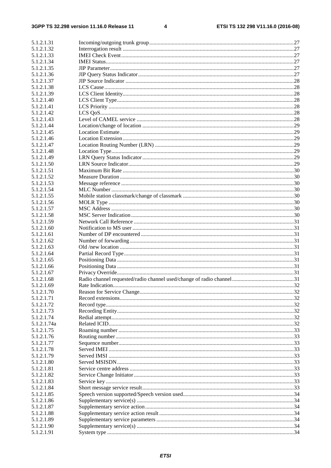$\overline{\mathbf{4}}$ 

| 5.1.2.1.31                |  |
|---------------------------|--|
| 5.1.2.1.32                |  |
| 5.1.2.1.33                |  |
| 5.1.2.1.34                |  |
| 5.1.2.1.35                |  |
| 5.1.2.1.36                |  |
| 5.1.2.1.37                |  |
| 5.1.2.1.38                |  |
| 5.1.2.1.39                |  |
| 5.1.2.1.40                |  |
| 5.1.2.1.41                |  |
| 5.1.2.1.42                |  |
| 5.1.2.1.43                |  |
| 5.1.2.1.44                |  |
| 5.1.2.1.45<br>5.1.2.1.46  |  |
| 5.1.2.1.47                |  |
| 5.1.2.1.48                |  |
| 5.1.2.1.49                |  |
| 5.1.2.1.50                |  |
| 5.1.2.1.51                |  |
| 5.1.2.1.52                |  |
| 5.1.2.1.53                |  |
| 5.1.2.1.54                |  |
| 5.1.2.1.55                |  |
| 5.1.2.1.56                |  |
| 5.1.2.1.57                |  |
| 5.1.2.1.58                |  |
| 5.1.2.1.59                |  |
| 5.1.2.1.60                |  |
| 5.1.2.1.61                |  |
| 5.1.2.1.62                |  |
| 5.1.2.1.63                |  |
| 5.1.2.1.64                |  |
| 5.1.2.1.65                |  |
| 5.1.2.1.66                |  |
| 5.1.2.1.67                |  |
| 5.1.2.1.68                |  |
| 5.1.2.1.69                |  |
| 5.1.2.1.70                |  |
| 5.1.2.1.71                |  |
| 5.1.2.1.72                |  |
| 5.1.2.1.73                |  |
| 5.1.2.1.74<br>5.1.2.1.74a |  |
|                           |  |
| 5.1.2.1.75<br>5.1.2.1.76  |  |
| 5.1.2.1.77                |  |
| 5.1.2.1.78                |  |
| 5.1.2.1.79                |  |
| 5.1.2.1.80                |  |
| 5.1.2.1.81                |  |
| 5.1.2.1.82                |  |
| 5.1.2.1.83                |  |
| 5.1.2.1.84                |  |
| 5.1.2.1.85                |  |
| 5.1.2.1.86                |  |
| 5.1.2.1.87                |  |
| 5.1.2.1.88                |  |
| 5.1.2.1.89                |  |
| 5.1.2.1.90                |  |
| 5.1.2.1.91                |  |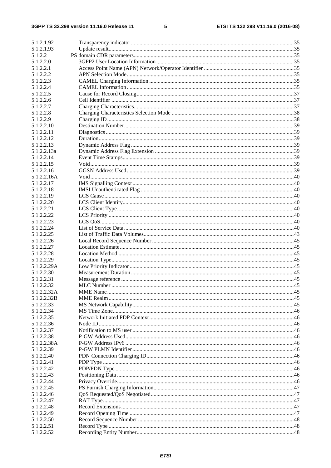#### $5\phantom{a}$

| 5.1.2.1.92  |  |
|-------------|--|
|             |  |
| 5.1.2.1.93  |  |
| 5.1.2.2     |  |
| 5.1.2.2.0   |  |
| 5.1.2.2.1   |  |
| 5.1.2.2.2   |  |
| 5.1.2.2.3   |  |
| 5.1.2.2.4   |  |
| 5.1.2.2.5   |  |
| 5.1.2.2.6   |  |
| 5.1.2.2.7   |  |
| 5.1.2.2.8   |  |
| 5.1.2.2.9   |  |
| 5.1.2.2.10  |  |
|             |  |
| 5.1.2.2.11  |  |
| 5.1.2.2.12  |  |
| 5.1.2.2.13  |  |
| 5.1.2.2.13a |  |
| 5.1.2.2.14  |  |
| 5.1.2.2.15  |  |
| 5.1.2.2.16  |  |
| 5.1.2.2.16A |  |
| 5.1.2.2.17  |  |
| 5.1.2.2.18  |  |
| 5.1.2.2.19  |  |
| 5.1.2.2.20  |  |
| 5.1.2.2.21  |  |
| 5.1.2.2.22  |  |
| 5.1.2.2.23  |  |
| 5.1.2.2.24  |  |
| 5.1.2.2.25  |  |
| 5.1.2.2.26  |  |
|             |  |
| 5.1.2.2.27  |  |
| 5.1.2.2.28  |  |
| 5.1.2.2.29  |  |
| 5.1.2.2.29A |  |
| 5.1.2.2.30  |  |
| 5.1.2.2.31  |  |
| 5.1.2.2.32  |  |
| 5.1.2.2.32A |  |
| 5.1.2.2.32B |  |
| 5.1.2.2.33  |  |
| 5.1.2.2.34  |  |
| 5.1.2.2.35  |  |
| 5.1.2.2.36  |  |
| 5.1.2.2.37  |  |
| 5.1.2.2.38  |  |
| 5.1.2.2.38A |  |
| 5.1.2.2.39  |  |
|             |  |
| 5.1.2.2.40  |  |
| 5.1.2.2.41  |  |
| 5.1.2.2.42  |  |
| 5.1.2.2.43  |  |
| 5.1.2.2.44  |  |
| 5.1.2.2.45  |  |
| 5.1.2.2.46  |  |
| 5.1.2.2.47  |  |
| 5.1.2.2.48  |  |
| 5.1.2.2.49  |  |
| 5.1.2.2.50  |  |
| 5.1.2.2.51  |  |
| 5.1.2.2.52  |  |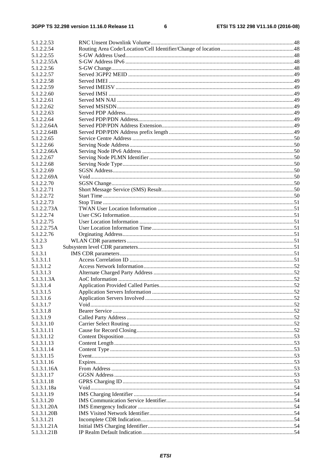$\bf 6$ 

| 5.1.2.2.53  |                                     |  |
|-------------|-------------------------------------|--|
| 5.1.2.2.54  |                                     |  |
| 5.1.2.2.55  |                                     |  |
| 5.1.2.2.55A |                                     |  |
| 5.1.2.2.56  |                                     |  |
|             |                                     |  |
| 5.1.2.2.57  |                                     |  |
| 5.1.2.2.58  |                                     |  |
| 5.1.2.2.59  |                                     |  |
| 5.1.2.2.60  |                                     |  |
| 5.1.2.2.61  |                                     |  |
| 5.1.2.2.62  |                                     |  |
| 5.1.2.2.63  |                                     |  |
| 5.1.2.2.64  |                                     |  |
|             |                                     |  |
| 5.1.2.2.64A |                                     |  |
| 5.1.2.2.64B |                                     |  |
| 5.1.2.2.65  |                                     |  |
| 5.1.2.2.66  |                                     |  |
| 5.1.2.2.66A |                                     |  |
| 5.1.2.2.67  |                                     |  |
| 5.1.2.2.68  |                                     |  |
| 5.1.2.2.69  |                                     |  |
| 5.1.2.2.69A |                                     |  |
|             |                                     |  |
| 5.1.2.2.70  |                                     |  |
| 5.1.2.2.71  |                                     |  |
| 5.1.2.2.72  |                                     |  |
| 5.1.2.2.73  |                                     |  |
| 5.1.2.2.73A |                                     |  |
| 5.1.2.2.74  |                                     |  |
| 5.1.2.2.75  |                                     |  |
| 5.1.2.2.75A |                                     |  |
|             |                                     |  |
| 5.1.2.2.76  |                                     |  |
| 5.1.2.3     |                                     |  |
| 5.1.3       |                                     |  |
| 5.1.3.1     |                                     |  |
| 5.1.3.1.1   |                                     |  |
| 5.1.3.1.2   |                                     |  |
| 5.1.3.1.3   |                                     |  |
| 5.1.3.1.3A  |                                     |  |
| 5.1.3.1.4   | Application Provided Called Parties |  |
|             |                                     |  |
| 5.1.3.1.5   |                                     |  |
| 5.1.3.1.6   |                                     |  |
| 5.1.3.1.7   |                                     |  |
| 5.1.3.1.8   |                                     |  |
| 5.1.3.1.9   |                                     |  |
| 5.1.3.1.10  |                                     |  |
| 5.1.3.1.11  |                                     |  |
| 5.1.3.1.12  |                                     |  |
| 5.1.3.1.13  |                                     |  |
|             |                                     |  |
| 5.1.3.1.14  |                                     |  |
| 5.1.3.1.15  |                                     |  |
| 5.1.3.1.16  |                                     |  |
| 5.1.3.1.16A |                                     |  |
| 5.1.3.1.17  |                                     |  |
| 5.1.3.1.18  |                                     |  |
| 5.1.3.1.18a |                                     |  |
| 5.1.3.1.19  |                                     |  |
| 5.1.3.1.20  |                                     |  |
|             |                                     |  |
| 5.1.3.1.20A |                                     |  |
|             |                                     |  |
| 5.1.3.1.20B |                                     |  |
| 5.1.3.1.21  |                                     |  |
| 5.1.3.1.21A |                                     |  |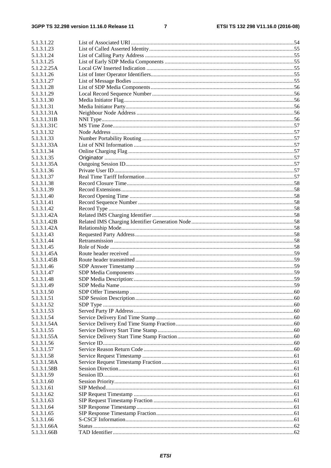$\overline{7}$ 

| 5.1.3.1.22               |  |
|--------------------------|--|
| 5.1.3.1.23               |  |
| 5.1.3.1.24               |  |
| 5.1.3.1.25               |  |
| 5.1.2.2.25A              |  |
| 5.1.3.1.26               |  |
| 5.1.3.1.27               |  |
| 5.1.3.1.28               |  |
| 5.1.3.1.29               |  |
| 5.1.3.1.30               |  |
| 5.1.3.1.31               |  |
| 5.1.3.1.31A              |  |
| 5.1.3.1.31B              |  |
| 5.1.3.1.31C              |  |
| 5.1.3.1.32               |  |
| 5.1.3.1.33               |  |
| 5.1.3.1.33A              |  |
| 5.1.3.1.34               |  |
| 5.1.3.1.35               |  |
| 5.1.3.1.35A              |  |
| 5.1.3.1.36               |  |
| 5.1.3.1.37               |  |
| 5.1.3.1.38               |  |
| 5.1.3.1.39               |  |
| 5.1.3.1.40               |  |
| 5.1.3.1.41               |  |
| 5.1.3.1.42               |  |
| 5.1.3.1.42A              |  |
| 5.1.3.1.42B              |  |
| 5.1.3.1.42A              |  |
| 5.1.3.1.43               |  |
| 5.1.3.1.44               |  |
| 5.1.3.1.45               |  |
| 5.1.3.1.45A              |  |
| 5.1.3.1.45B              |  |
| 5.1.3.1.46               |  |
| 5.1.3.1.47               |  |
| 5.1.3.1.48               |  |
| 5.1.3.1.49<br>5.1.3.1.50 |  |
| 5.1.3.1.51               |  |
| 5.1.3.1.52               |  |
| 5.1.3.1.53               |  |
| 5.1.3.1.54               |  |
| 5.1.3.1.54A              |  |
| 5.1.3.1.55               |  |
| 5.1.3.1.55A              |  |
| 5.1.3.1.56               |  |
| 5.1.3.1.57               |  |
| 5.1.3.1.58               |  |
| 5.1.3.1.58A              |  |
| 5.1.3.1.58B              |  |
| 5.1.3.1.59               |  |
| 5.1.3.1.60               |  |
| 5.1.3.1.61               |  |
| 5.1.3.1.62               |  |
| 5.1.3.1.63               |  |
| 5.1.3.1.64               |  |
| 5.1.3.1.65               |  |
| 5.1.3.1.66               |  |
| 5.1.3.1.66A              |  |
| 5.1.3.1.66B              |  |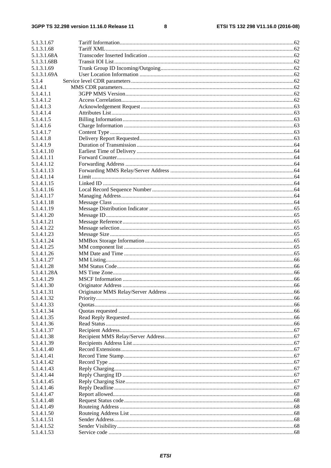#### $\bf{8}$

| 5.1.3.1.67  |  |
|-------------|--|
| 5.1.3.1.68  |  |
| 5.1.3.1.68A |  |
| 5.1.3.1.68B |  |
| 5.1.3.1.69  |  |
| 5.1.3.1.69A |  |
|             |  |
| 5.1.4       |  |
| 5.1.4.1     |  |
| 5.1.4.1.1   |  |
| 5.1.4.1.2   |  |
| 5.1.4.1.3   |  |
| 5.1.4.1.4   |  |
| 5.1.4.1.5   |  |
|             |  |
| 5.1.4.1.6   |  |
| 5.1.4.1.7   |  |
| 5.1.4.1.8   |  |
| 5.1.4.1.9   |  |
| 5.1.4.1.10  |  |
| 5.1.4.1.11  |  |
| 5.1.4.1.12  |  |
|             |  |
| 5.1.4.1.13  |  |
| 5.1.4.1.14  |  |
| 5.1.4.1.15  |  |
| 5.1.4.1.16  |  |
| 5.1.4.1.17  |  |
| 5.1.4.1.18  |  |
|             |  |
| 5.1.4.1.19  |  |
| 5.1.4.1.20  |  |
| 5.1.4.1.21  |  |
| 5.1.4.1.22  |  |
| 5.1.4.1.23  |  |
| 5.1.4.1.24  |  |
| 5.1.4.1.25  |  |
| 5.1.4.1.26  |  |
|             |  |
| 5.1.4.1.27  |  |
| 5.1.4.1.28  |  |
| 5.1.4.1.28A |  |
| 5.1.4.1.29  |  |
| 5.1.4.1.30  |  |
| 5.1.4.1.31  |  |
| 5.1.4.1.32  |  |
|             |  |
| 5.1.4.1.33  |  |
| 5.1.4.1.34  |  |
| 5.1.4.1.35  |  |
| 5.1.4.1.36  |  |
| 5.1.4.1.37  |  |
| 5.1.4.1.38  |  |
| 5.1.4.1.39  |  |
|             |  |
| 5.1.4.1.40  |  |
| 5.1.4.1.41  |  |
| 5.1.4.1.42  |  |
| 5.1.4.1.43  |  |
| 5.1.4.1.44  |  |
| 5.1.4.1.45  |  |
| 5.1.4.1.46  |  |
|             |  |
| 5.1.4.1.47  |  |
| 5.1.4.1.48  |  |
| 5.1.4.1.49  |  |
| 5.1.4.1.50  |  |
| 5.1.4.1.51  |  |
| 5.1.4.1.52  |  |
| 5.1.4.1.53  |  |
|             |  |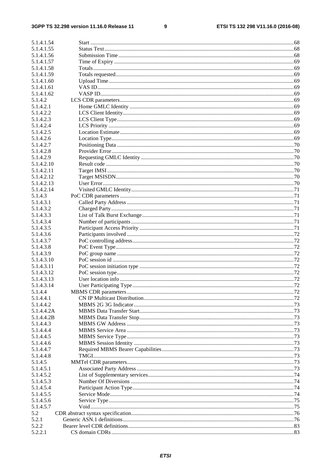$\boldsymbol{9}$ 

| 5.1.4.1.54 |  |
|------------|--|
| 5.1.4.1.55 |  |
|            |  |
| 5.1.4.1.56 |  |
| 5.1.4.1.57 |  |
| 5.1.4.1.58 |  |
| 5.1.4.1.59 |  |
| 5.1.4.1.60 |  |
| 5.1.4.1.61 |  |
| 5.1.4.1.62 |  |
|            |  |
| 5.1.4.2    |  |
| 5.1.4.2.1  |  |
| 5.1.4.2.2  |  |
| 5.1.4.2.3  |  |
| 5.1.4.2.4  |  |
| 5.1.4.2.5  |  |
| 5.1.4.2.6  |  |
| 5.1.4.2.7  |  |
|            |  |
| 5.1.4.2.8  |  |
| 5.1.4.2.9  |  |
| 5.1.4.2.10 |  |
| 5.1.4.2.11 |  |
| 5.1.4.2.12 |  |
| 5.1.4.2.13 |  |
| 5.1.4.2.14 |  |
|            |  |
| 5.1.4.3    |  |
| 5.1.4.3.1  |  |
| 5.1.4.3.2  |  |
| 5.1.4.3.3  |  |
| 5.1.4.3.4  |  |
| 5.1.4.3.5  |  |
| 5.1.4.3.6  |  |
| 5.1.4.3.7  |  |
|            |  |
| 5.1.4.3.8  |  |
| 5.1.4.3.9  |  |
| 5.1.4.3.10 |  |
| 5.1.4.3.11 |  |
| 5.1.4.3.12 |  |
| 5.1.4.3.13 |  |
| 5.1.4.3.14 |  |
| 5.1.4.4    |  |
| 5.1.4.4.1  |  |
|            |  |
| 5.1.4.4.2  |  |
| 5.1.4.4.2A |  |
| 5.1.4.4.2B |  |
| 5.1.4.4.3  |  |
| 5.1.4.4.4  |  |
| 5.1.4.4.5  |  |
| 5.1.4.4.6  |  |
| 5.1.4.4.7  |  |
|            |  |
| 5.1.4.4.8  |  |
| 5.1.4.5    |  |
| 5.1.4.5.1  |  |
| 5.1.4.5.2  |  |
| 5.1.4.5.3  |  |
| 5.1.4.5.4  |  |
| 5.1.4.5.5  |  |
| 5.1.4.5.6  |  |
|            |  |
| 5.1.4.5.7  |  |
| 5.2        |  |
| 5.2.1      |  |
| 5.2.2      |  |
| 5.2.2.1    |  |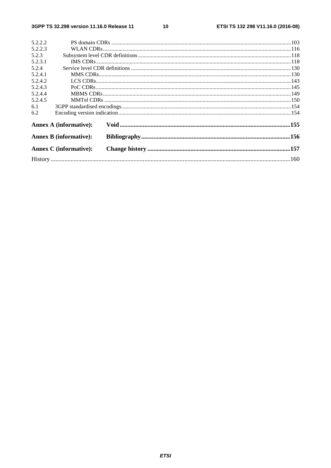$10$ 

| 5.2.2.2 |                               |  |
|---------|-------------------------------|--|
| 5.2.2.3 |                               |  |
| 5.2.3   |                               |  |
| 5.2.3.1 |                               |  |
| 5.2.4   |                               |  |
| 5.2.4.1 |                               |  |
| 5.2.4.2 |                               |  |
| 5.2.4.3 |                               |  |
| 5.2.4.4 |                               |  |
| 5.2.4.5 |                               |  |
| 6.1     |                               |  |
| 6.2     |                               |  |
|         | <b>Annex A (informative):</b> |  |
|         | <b>Annex B (informative):</b> |  |
|         | <b>Annex C</b> (informative): |  |
|         |                               |  |
|         |                               |  |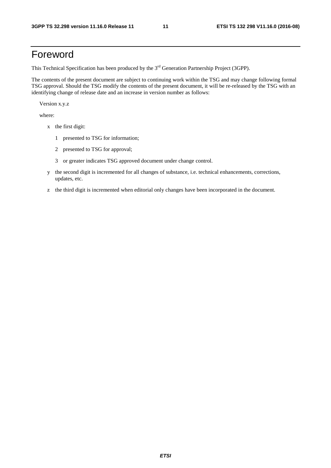### Foreword

This Technical Specification has been produced by the 3<sup>rd</sup> Generation Partnership Project (3GPP).

The contents of the present document are subject to continuing work within the TSG and may change following formal TSG approval. Should the TSG modify the contents of the present document, it will be re-released by the TSG with an identifying change of release date and an increase in version number as follows:

Version x.y.z

where:

- x the first digit:
	- 1 presented to TSG for information;
	- 2 presented to TSG for approval;
	- 3 or greater indicates TSG approved document under change control.
- y the second digit is incremented for all changes of substance, i.e. technical enhancements, corrections, updates, etc.
- z the third digit is incremented when editorial only changes have been incorporated in the document.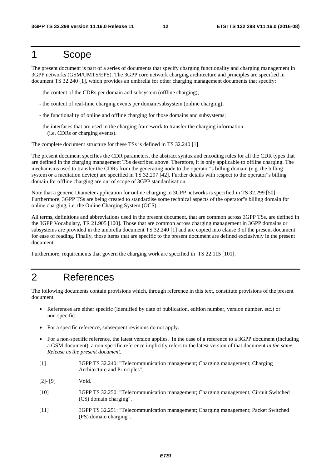### 1 Scope

The present document is part of a series of documents that specify charging functionality and charging management in 3GPP networks (GSM/UMTS/EPS). The 3GPP core network charging architecture and principles are specified in document TS 32.240 [1], which provides an umbrella for other charging management documents that specify:

- the content of the CDRs per domain and subsystem (offline charging);
- the content of real-time charging events per domain/subsystem (online charging);
- the functionality of online and offline charging for those domains and subsystems;
- the interfaces that are used in the charging framework to transfer the charging information (i.e. CDRs or charging events).

The complete document structure for these TSs is defined in TS 32.240 [1].

The present document specifies the CDR parameters, the abstract syntax and encoding rules for all the CDR types that are defined in the charging management TSs described above. Therefore, it is only applicable to offline charging. The mechanisms used to transfer the CDRs from the generating node to the operator"s billing domain (e.g. the billing system or a mediation device) are specified in TS 32.297 [42]. Further details with respect to the operator"s billing domain for offline charging are out of scope of 3GPP standardisation.

Note that a generic Diameter application for online charging in 3GPP networks is specified in TS 32.299 [50]. Furthermore, 3GPP TSs are being created to standardise some technical aspects of the operator"s billing domain for online charging, i.e. the Online Charging System (OCS).

All terms, definitions and abbreviations used in the present document, that are common across 3GPP TSs, are defined in the 3GPP Vocabulary, TR 21.905 [100]. Those that are common across charging management in 3GPP domains or subsystems are provided in the umbrella document TS 32.240 [1] and are copied into clause 3 of the present document for ease of reading. Finally, those items that are specific to the present document are defined exclusively in the present document.

Furthermore, requirements that govern the charging work are specified in TS 22.115 [101].

### 2 References

The following documents contain provisions which, through reference in this text, constitute provisions of the present document.

- References are either specific (identified by date of publication, edition number, version number, etc.) or non-specific.
- For a specific reference, subsequent revisions do not apply.
- For a non-specific reference, the latest version applies. In the case of a reference to a 3GPP document (including a GSM document), a non-specific reference implicitly refers to the latest version of that document *in the same Release as the present document*.
- [1] 3GPP TS 32.240: "Telecommunication management; Charging management; Charging Architecture and Principles".
- [2]- [9] Void.
- [10] 3GPP TS 32.250: "Telecommunication management; Charging management; Circuit Switched (CS) domain charging".
- [11] 3GPP TS 32.251: "Telecommunication management; Charging management; Packet Switched (PS) domain charging".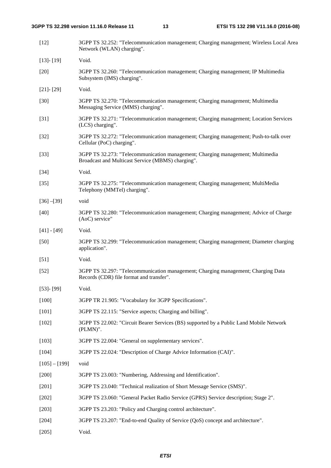| $[12]$          | 3GPP TS 32.252: "Telecommunication management; Charging management; Wireless Local Area<br>Network (WLAN) charging".                |
|-----------------|-------------------------------------------------------------------------------------------------------------------------------------|
| $[13] - [19]$   | Void.                                                                                                                               |
| $[20]$          | 3GPP TS 32.260: "Telecommunication management; Charging management; IP Multimedia<br>Subsystem (IMS) charging".                     |
| $[21] - [29]$   | Void.                                                                                                                               |
| $[30]$          | 3GPP TS 32.270: "Telecommunication management; Charging management; Multimedia<br>Messaging Service (MMS) charging".                |
| $[31]$          | 3GPP TS 32.271: "Telecommunication management; Charging management; Location Services<br>(LCS) charging".                           |
| $[32]$          | 3GPP TS 32.272: "Telecommunication management; Charging management; Push-to-talk over<br>Cellular (PoC) charging".                  |
| $[33]$          | 3GPP TS 32.273: "Telecommunication management; Charging management; Multimedia<br>Broadcast and Multicast Service (MBMS) charging". |
| $[34]$          | Void.                                                                                                                               |
| $[35]$          | 3GPP TS 32.275: "Telecommunication management; Charging management; MultiMedia<br>Telephony (MMTel) charging".                      |
| $[36] - [39]$   | void                                                                                                                                |
| $[40]$          | 3GPP TS 32.280: "Telecommunication management; Charging management; Advice of Charge<br>(AoC) service"                              |
| $[41] - [49]$   | Void.                                                                                                                               |
| $[50]$          | 3GPP TS 32.299: "Telecommunication management; Charging management; Diameter charging<br>application".                              |
| $[51]$          | Void.                                                                                                                               |
| $[52]$          | 3GPP TS 32.297: "Telecommunication management; Charging management; Charging Data<br>Records (CDR) file format and transfer".       |
| $[53]$ - $[99]$ | Void.                                                                                                                               |
| $[100]$         | 3GPP TR 21.905: "Vocabulary for 3GPP Specifications".                                                                               |
| $[101]$         | 3GPP TS 22.115: "Service aspects; Charging and billing".                                                                            |
| [102]           | 3GPP TS 22.002: "Circuit Bearer Services (BS) supported by a Public Land Mobile Network<br>$(PLMN)$ ".                              |
| $[103]$         | 3GPP TS 22.004: "General on supplementary services".                                                                                |
| [104]           | 3GPP TS 22.024: "Description of Charge Advice Information (CAI)".                                                                   |
| $[105] - [199]$ | void                                                                                                                                |
| $[200]$         | 3GPP TS 23.003: "Numbering, Addressing and Identification".                                                                         |
| $[201]$         | 3GPP TS 23.040: "Technical realization of Short Message Service (SMS)".                                                             |
| $[202]$         | 3GPP TS 23.060: "General Packet Radio Service (GPRS) Service description; Stage 2".                                                 |
| $[203]$         | 3GPP TS 23.203: "Policy and Charging control architecture".                                                                         |
| [204]           | 3GPP TS 23.207: "End-to-end Quality of Service (QoS) concept and architecture".                                                     |
| $[205]$         | Void.                                                                                                                               |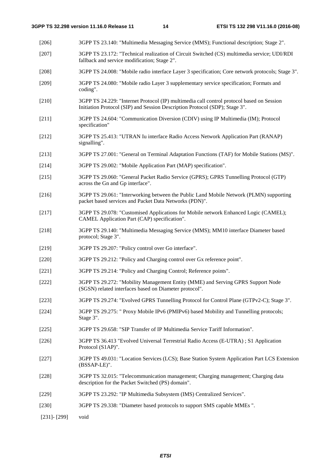- [206] 3GPP TS 23.140: "Multimedia Messaging Service (MMS); Functional description; Stage 2".
- [207] 3GPP TS 23.172: "Technical realization of Circuit Switched (CS) multimedia service; UDI/RDI fallback and service modification; Stage 2".
- [208] 3GPP TS 24.008: "Mobile radio interface Layer 3 specification; Core network protocols; Stage 3".
- [209] 3GPP TS 24.080: "Mobile radio Layer 3 supplementary service specification; Formats and coding".
- [210] 3GPP TS 24.229: "Internet Protocol (IP) multimedia call control protocol based on Session Initiation Protocol (SIP) and Session Description Protocol (SDP); Stage 3".
- [211] 3GPP TS 24.604: "Communication Diversion (CDIV) using IP Multimedia (IM); Protocol specification"
- [212] 3GPP TS 25.413: "UTRAN Iu interface Radio Access Network Application Part (RANAP) signalling".
- [213] 3GPP TS 27.001: "General on Terminal Adaptation Functions (TAF) for Mobile Stations (MS)".
- [214] 3GPP TS 29.002: "Mobile Application Part (MAP) specification".
- [215] 3GPP TS 29.060: "General Packet Radio Service (GPRS); GPRS Tunnelling Protocol (GTP) across the Gn and Gp interface".
- [216] 3GPP TS 29.061: "Interworking between the Public Land Mobile Network (PLMN) supporting packet based services and Packet Data Networks (PDN)".
- [217] 3GPP TS 29.078: "Customised Applications for Mobile network Enhanced Logic (CAMEL); CAMEL Application Part (CAP) specification".
- [218] 3GPP TS 29.140: "Multimedia Messaging Service (MMS); MM10 interface Diameter based protocol; Stage 3".
- [219] 3GPP TS 29.207: "Policy control over Go interface".
- [220] 3GPP TS 29.212: "Policy and Charging control over Gx reference point".
- [221] 3GPP TS 29.214: "Policy and Charging Control; Reference points".
- [222] 3GPP TS 29.272: "Mobility Management Entity (MME) and Serving GPRS Support Node (SGSN) related interfaces based on Diameter protocol".
- [223] 3GPP TS 29.274: "Evolved GPRS Tunnelling Protocol for Control Plane (GTPv2-C); Stage 3".
- [224] 3GPP TS 29.275: " Proxy Mobile IPv6 (PMIPv6) based Mobility and Tunnelling protocols; Stage 3".
- [225] 3GPP TS 29.658: "SIP Transfer of IP Multimedia Service Tariff Information".
- [226] 3GPP TS 36.413 "Evolved Universal Terrestrial Radio Access (E-UTRA) ; S1 Application Protocol (S1AP)".
- [227] 3GPP TS 49.031: "Location Services (LCS); Base Station System Application Part LCS Extension (BSSAP-LE)".
- [228] 3GPP TS 32.015: "Telecommunication management; Charging management; Charging data description for the Packet Switched (PS) domain".
- [229] 3GPP TS 23.292: "IP Multimedia Subsystem (IMS) Centralized Services".
- [230] 3GPP TS 29.338: "Diameter based protocols to support SMS capable MMEs ".
- [231]- [299] void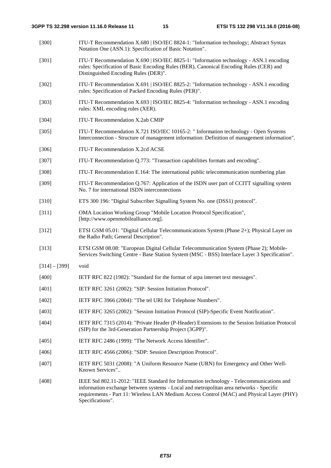| $[300]$         | ITU-T Recommendation X.680   ISO/IEC 8824-1: "Information technology; Abstract Syntax<br>Notation One (ASN.1): Specification of Basic Notation".                                                                                                                                                    |
|-----------------|-----------------------------------------------------------------------------------------------------------------------------------------------------------------------------------------------------------------------------------------------------------------------------------------------------|
| $[301]$         | ITU-T Recommendation X.690   ISO/IEC 8825-1: "Information technology - ASN.1 encoding<br>rules: Specification of Basic Encoding Rules (BER), Canonical Encoding Rules (CER) and<br>Distinguished Encoding Rules (DER)".                                                                             |
| [302]           | ITU-T Recommendation X.691   ISO/IEC 8825-2: "Information technology - ASN.1 encoding<br>rules: Specification of Packed Encoding Rules (PER)".                                                                                                                                                      |
| [303]           | ITU-T Recommendation X.693   ISO/IEC 8825-4: "Information technology - ASN.1 encoding<br>rules: XML encoding rules (XER).                                                                                                                                                                           |
| [304]           | ITU-T Recommendation X.2ab CMIP                                                                                                                                                                                                                                                                     |
| [305]           | ITU-T Recommendation X.721 ISO/IEC 10165-2: "Information technology - Open Systems<br>Interconnection - Structure of management information: Definition of management information".                                                                                                                 |
| $[306]$         | ITU-T Recommendation X.2cd ACSE                                                                                                                                                                                                                                                                     |
| $[307]$         | ITU-T Recommendation Q.773: "Transaction capabilities formats and encoding".                                                                                                                                                                                                                        |
| $[308]$         | ITU-T Recommendation E.164: The international public telecommunication numbering plan                                                                                                                                                                                                               |
| [309]           | ITU-T Recommendation Q.767: Application of the ISDN user part of CCITT signalling system<br>No. 7 for international ISDN interconnections                                                                                                                                                           |
| $[310]$         | ETS 300 196: "Digital Subscriber Signalling System No. one (DSS1) protocol".                                                                                                                                                                                                                        |
| $[311]$         | OMA Location Working Group "Mobile Location Protocol Specification",<br>[http://www.openmobilealliance.org].                                                                                                                                                                                        |
| $[312]$         | ETSI GSM 05.01: "Digital Cellular Telecommunications System (Phase 2+); Physical Layer on<br>the Radio Path; General Description".                                                                                                                                                                  |
| [313]           | ETSI GSM 08.08: "European Digital Cellular Telecommunication System (Phase 2); Mobile-<br>Services Switching Centre - Base Station System (MSC - BSS) Interface Layer 3 Specification".                                                                                                             |
| $[314] - [399]$ | void                                                                                                                                                                                                                                                                                                |
| [400]           | IETF RFC 822 (1982): "Standard for the format of arpa internet text messages".                                                                                                                                                                                                                      |
| [401]           | IETF RFC 3261 (2002): "SIP: Session Initiation Protocol".                                                                                                                                                                                                                                           |
| [402]           | IETF RFC 3966 (2004): "The tel URI for Telephone Numbers".                                                                                                                                                                                                                                          |
| [403]           | IETF RFC 3265 (2002): "Session Initiation Protocol (SIP)-Specific Event Notification".                                                                                                                                                                                                              |
| [404]           | IETF RFC 7315 (2014): "Private Header (P-Header) Extensions to the Session Initiation Protocol<br>(SIP) for the 3rd-Generation Partnership Project (3GPP)".                                                                                                                                         |
| [405]           | IETF RFC 2486 (1999): "The Network Access Identifier".                                                                                                                                                                                                                                              |
| [406]           | IETF RFC 4566 (2006): "SDP: Session Description Protocol".                                                                                                                                                                                                                                          |
| [407]           | IETF RFC 5031 (2008): "A Uniform Resource Name (URN) for Emergency and Other Well-<br>Known Services"                                                                                                                                                                                               |
| [408]           | IEEE Std 802.11-2012: "IEEE Standard for Information technology - Telecommunications and<br>information exchange between systems - Local and metropolitan area networks - Specific<br>requirements - Part 11: Wireless LAN Medium Access Control (MAC) and Physical Layer (PHY)<br>Specifications". |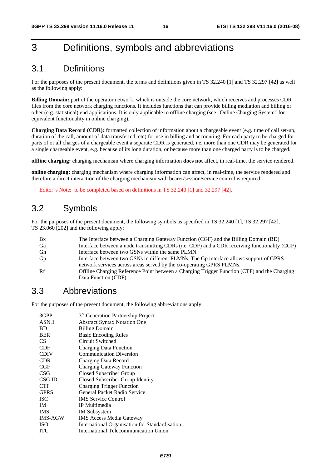### 3 Definitions, symbols and abbreviations

### 3.1 Definitions

For the purposes of the present document, the terms and definitions given in TS 32.240 [1] and TS 32.297 [42] as well as the following apply:

**Billing Domain:** part of the operator network, which is outside the core network, which receives and processes CDR files from the core network charging functions. It includes functions that can provide billing mediation and billing or other (e.g. statistical) end applications. It is only applicable to offline charging (see "Online Charging System" for equivalent functionality in online charging).

**Charging Data Record (CDR):** formatted collection of information about a chargeable event (e.g. time of call set-up, duration of the call, amount of data transferred, etc) for use in billing and accounting. For each party to be charged for parts of or all charges of a chargeable event a separate CDR is generated, i.e. more than one CDR may be generated for a single chargeable event, e.g. because of its long duration, or because more than one charged party is to be charged.

**offline charging:** charging mechanism where charging information **does not** affect, in real-time, the service rendered.

**online charging:** charging mechanism where charging information can affect, in real-time, the service rendered and therefore a direct interaction of the charging mechanism with bearer/session/service control is required.

Editor"s Note: to be completed based on definitions in TS 32.240 [1] and 32.297 [42].

### 3.2 Symbols

For the purposes of the present document, the following symbols as specified in TS 32.240 [1], TS 32.297 [42], TS 23.060 [202] and the following apply:

| Bx | The Interface between a Charging Gateway Function (CGF) and the Billing Domain (BD)           |
|----|-----------------------------------------------------------------------------------------------|
| Ga | Interface between a node transmitting CDRs (i.e. CDF) and a CDR receiving functionality (CGF) |
| Gn | Interface between two GSNs within the same PLMN.                                              |
| Gp | Interface between two GSNs in different PLMNs. The Gp interface allows support of GPRS        |
|    | network services across areas served by the co-operating GPRS PLMNs.                          |
| Rf | Offline Charging Reference Point between a Charging Trigger Function (CTF) and the Charging   |
|    | Data Function (CDF)                                                                           |

### 3.3 Abbreviations

For the purposes of the present document, the following abbreviations apply:

| 3GPP           | 3 <sup>rd</sup> Generation Partnership Project |
|----------------|------------------------------------------------|
| ASN.1          | <b>Abstract Syntax Notation One</b>            |
| <b>BD</b>      | <b>Billing Domain</b>                          |
| <b>BER</b>     | <b>Basic Encoding Rules</b>                    |
| CS.            | Circuit Switched                               |
| <b>CDF</b>     | <b>Charging Data Function</b>                  |
| <b>CDIV</b>    | <b>Communication Diversion</b>                 |
| <b>CDR</b>     | Charging Data Record                           |
| CGF            | <b>Charging Gateway Function</b>               |
| CSG            | Closed Subscriber Group                        |
| CSG ID         | Closed Subscriber Group Identity               |
| <b>CTF</b>     | <b>Charging Trigger Function</b>               |
| <b>GPRS</b>    | General Packet Radio Service                   |
| <b>ISC</b>     | <b>IMS</b> Service Control                     |
| IM             | IP Multimedia                                  |
| <b>IMS</b>     | <b>IM</b> Subsystem                            |
| <b>IMS-AGW</b> | <b>IMS</b> Access Media Gateway                |
| <b>ISO</b>     | International Organisation for Standardisation |
| ITU            | <b>International Telecommunication Union</b>   |
|                |                                                |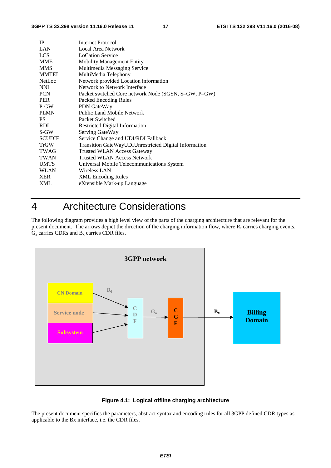| <b>IP</b>     | <b>Internet Protocol</b>                              |
|---------------|-------------------------------------------------------|
| LAN           | Local Area Network                                    |
| <b>LCS</b>    | <b>LoCation Service</b>                               |
| <b>MME</b>    | <b>Mobility Management Entity</b>                     |
| <b>MMS</b>    | Multimedia Messaging Service                          |
| <b>MMTEL</b>  | MultiMedia Telephony                                  |
| <b>NetLoc</b> | Network provided Location information                 |
| <b>NNI</b>    | Network to Network Interface                          |
| <b>PCN</b>    | Packet switched Core network Node (SGSN, S–GW, P–GW)  |
| <b>PER</b>    | Packed Encoding Rules                                 |
| P-GW          | PDN GateWay                                           |
| <b>PLMN</b>   | <b>Public Land Mobile Network</b>                     |
| PS.           | Packet Switched                                       |
| RDI.          | <b>Restricted Digital Information</b>                 |
| S-GW          | Serving GateWay                                       |
| <b>SCUDIF</b> | Service Change and UDI/RDI Fallback                   |
| <b>TrGW</b>   | Transition GateWayUDIUnrestricted Digital Information |
| <b>TWAG</b>   | Trusted WLAN Access Gateway                           |
| <b>TWAN</b>   | <b>Trusted WLAN Access Network</b>                    |
| <b>UMTS</b>   | Universal Mobile Telecommunications System            |
| <b>WLAN</b>   | Wireless LAN                                          |
| <b>XER</b>    | <b>XML</b> Encoding Rules                             |
| XML           | eXtensible Mark-up Language                           |
|               |                                                       |

### 4 Architecture Considerations

The following diagram provides a high level view of the parts of the charging architecture that are relevant for the present document. The arrows depict the direction of the charging information flow, where  $R_f$  carries charging events,  $G_a$  carries CDRs and  $B_x$  carries CDR files.



#### **Figure 4.1: Logical offline charging architecture**

The present document specifies the parameters, abstract syntax and encoding rules for all 3GPP defined CDR types as applicable to the Bx interface, i.e. the CDR files.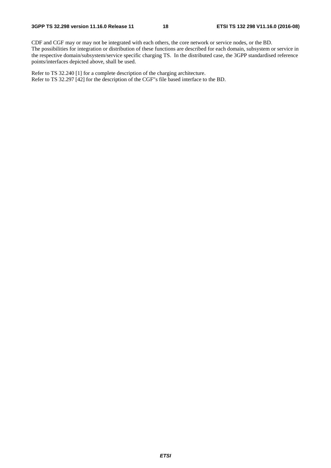CDF and CGF may or may not be integrated with each others, the core network or service nodes, or the BD. The possibilities for integration or distribution of these functions are described for each domain, subsystem or service in the respective domain/subsystem/service specific charging TS. In the distributed case, the 3GPP standardised reference points/interfaces depicted above, shall be used.

Refer to TS 32.240 [1] for a complete description of the charging architecture. Refer to TS 32.297 [42] for the description of the CGF"s file based interface to the BD.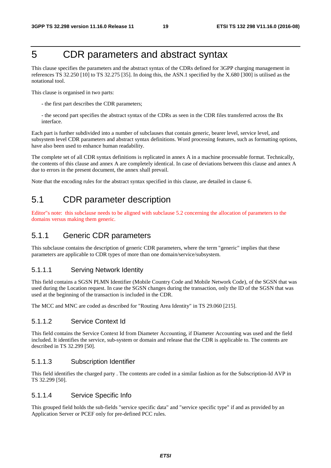### 5 CDR parameters and abstract syntax

This clause specifies the parameters and the abstract syntax of the CDRs defined for 3GPP charging management in references TS 32.250 [10] to TS 32.275 [35]. In doing this, the ASN.1 specified by the X.680 [300] is utilised as the notational tool.

This clause is organised in two parts:

- the first part describes the CDR parameters;
- the second part specifies the abstract syntax of the CDRs as seen in the CDR files transferred across the Bx interface.

Each part is further subdivided into a number of subclauses that contain generic, bearer level, service level, and subsystem level CDR parameters and abstract syntax definitions. Word processing features, such as formatting options, have also been used to enhance human readability.

The complete set of all CDR syntax definitions is replicated in annex A in a machine processable format. Technically, the contents of this clause and annex A are completely identical. In case of deviations between this clause and annex A due to errors in the present document, the annex shall prevail.

Note that the encoding rules for the abstract syntax specified in this clause, are detailed in clause 6.

### 5.1 CDR parameter description

Editor"s note: this subclause needs to be aligned with subclause 5.2 concerning the allocation of parameters to the domains versus making them generic.

### 5.1.1 Generic CDR parameters

This subclause contains the description of generic CDR parameters, where the term "generic" implies that these parameters are applicable to CDR types of more than one domain/service/subsystem.

#### 5.1.1.1 Serving Network Identity

This field contains a SGSN PLMN Identifier (Mobile Country Code and Mobile Network Code), of the SGSN that was used during the Location request. In case the SGSN changes during the transaction, only the ID of the SGSN that was used at the beginning of the transaction is included in the CDR.

The MCC and MNC are coded as described for "Routing Area Identity" in TS 29.060 [215].

#### 5.1.1.2 Service Context Id

This field contains the Service Context Id from Diameter Accounting, if Diameter Accounting was used and the field included. It identifies the service, sub-system or domain and release that the CDR is applicable to. The contents are described in TS 32.299 [50].

#### 5.1.1.3 Subscription Identifier

This field identifies the charged party . The contents are coded in a similar fashion as for the Subscription-Id AVP in TS 32.299 [50].

#### 5.1.1.4 Service Specific Info

This grouped field holds the sub-fields "service specific data" and "service specific type" if and as provided by an Application Server or PCEF only for pre-defined PCC rules.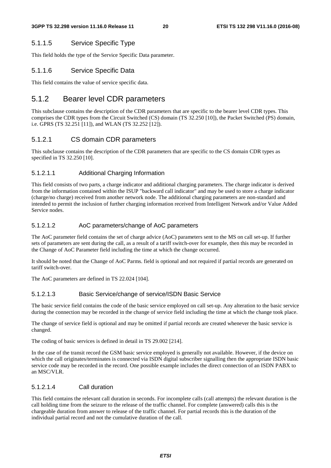#### 5.1.1.5 Service Specific Type

This field holds the type of the Service Specific Data parameter.

#### 5.1.1.6 Service Specific Data

This field contains the value of service specific data.

#### 5.1.2 Bearer level CDR parameters

This subclause contains the description of the CDR parameters that are specific to the bearer level CDR types. This comprises the CDR types from the Circuit Switched (CS) domain (TS 32.250 [10]), the Packet Switched (PS) domain, i.e. GPRS (TS 32.251 [11]), and WLAN (TS 32.252 [12]).

#### 5.1.2.1 CS domain CDR parameters

This subclause contains the description of the CDR parameters that are specific to the CS domain CDR types as specified in TS 32.250 [10].

#### 5.1.2.1.1 Additional Charging Information

This field consists of two parts, a charge indicator and additional charging parameters. The charge indicator is derived from the information contained within the ISUP "backward call indicator" and may be used to store a charge indicator (charge/no charge) received from another network node. The additional charging parameters are non-standard and intended to permit the inclusion of further charging information received from Intelligent Network and/or Value Added Service nodes.

#### 5.1.2.1.2 AoC parameters/change of AoC parameters

The AoC parameter field contains the set of charge advice (AoC) parameters sent to the MS on call set-up. If further sets of parameters are sent during the call, as a result of a tariff switch-over for example, then this may be recorded in the Change of AoC Parameter field including the time at which the change occurred.

It should be noted that the Change of AoC Parms. field is optional and not required if partial records are generated on tariff switch-over.

The AoC parameters are defined in TS 22.024 [104].

#### 5.1.2.1.3 Basic Service/change of service/ISDN Basic Service

The basic service field contains the code of the basic service employed on call set-up. Any alteration to the basic service during the connection may be recorded in the change of service field including the time at which the change took place.

The change of service field is optional and may be omitted if partial records are created whenever the basic service is changed.

The coding of basic services is defined in detail in TS 29.002 [214].

In the case of the transit record the GSM basic service employed is generally not available. However, if the device on which the call originates/terminates is connected via ISDN digital subscriber signalling then the appropriate ISDN basic service code may be recorded in the record. One possible example includes the direct connection of an ISDN PABX to an MSC/VLR.

#### 5.1.2.1.4 Call duration

This field contains the relevant call duration in seconds. For incomplete calls (call attempts) the relevant duration is the call holding time from the seizure to the release of the traffic channel. For complete (answered) calls this is the chargeable duration from answer to release of the traffic channel. For partial records this is the duration of the individual partial record and not the cumulative duration of the call.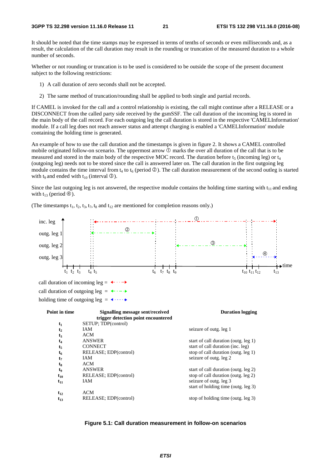It should be noted that the time stamps may be expressed in terms of tenths of seconds or even milliseconds and, as a result, the calculation of the call duration may result in the rounding or truncation of the measured duration to a whole number of seconds.

Whether or not rounding or truncation is to be used is considered to be outside the scope of the present document subject to the following restrictions:

- 1) A call duration of zero seconds shall not be accepted.
- 2) The same method of truncation/rounding shall be applied to both single and partial records.

If CAMEL is invoked for the call and a control relationship is existing, the call might continue after a RELEASE or a DISCONNECT from the called party side received by the gsmSSF. The call duration of the incoming leg is stored in the main body of the call record. For each outgoing leg the call duration is stored in the respective 'CAMELInformation' module. If a call leg does not reach answer status and attempt charging is enabled a 'CAMELInformation' module containing the holding time is generated.

An example of how to use the call duration and the timestamps is given in figure 2. It shows a CAMEL controlled mobile originated follow-on scenario. The uppermost arrow  $\mathbb O$  marks the over all duration of the call that is to be measured and stored in the main body of the respective MOC record. The duration before  $t_5$  (incoming leg) or  $t_4$ (outgoing leg) needs not to be stored since the call is answered later on. The call duration in the first outgoing leg module contains the time interval from  $t_4$  to  $t_6$  (period  $\circled{2}$ ). The call duration measurement of the second outleg is started with the interval  $\circled{3}$ ) with  $t_9$  and ended with  $t_{10}$  (interval  $\circled{3}$ ).

Since the last outgoing leg is not answered, the respective module contains the holding time starting with  $t_{11}$  and ending with  $t_{13}$  (period  $\circled{4}$ ).



(The timestamps  $t_1$ ,  $t_2$ ,  $t_3$ ,  $t_7$ ,  $t_8$  and  $t_{12}$  are mentioned for completion reasons only.)

**Figure 5.1: Call duration measurement in follow-on scenarios**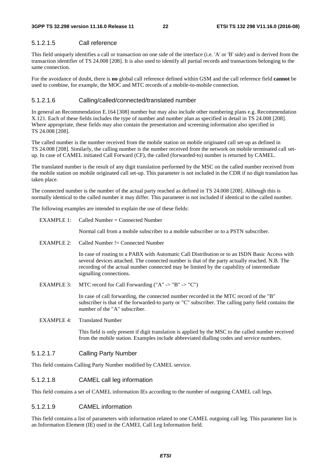#### 5.1.2.1.5 Call reference

This field uniquely identifies a call or transaction on one side of the interface (i.e. 'A' or 'B' side) and is derived from the transaction identifier of TS 24.008 [208]. It is also used to identify all partial records and transactions belonging to the same connection.

For the avoidance of doubt, there is **no** global call reference defined within GSM and the call reference field **cannot** be used to combine, for example, the MOC and MTC records of a mobile-to-mobile connection.

#### 5.1.2.1.6 Calling/called/connected/translated number

In general an Recommendation E.164 [308] number but may also include other numbering plans e.g. Recommendation X.121. Each of these fields includes the type of number and number plan as specified in detail in TS 24.008 [208]. Where appropriate, these fields may also contain the presentation and screening information also specified in TS 24.008 [208].

The called number is the number received from the mobile station on mobile originated call set-up as defined in TS 24.008 [208]. Similarly, the calling number is the number received from the network on mobile terminated call setup. In case of CAMEL initiated Call Forward (CF), the called (forwarded-to) number is returned by CAMEL.

The translated number is the result of any digit translation performed by the MSC on the called number received from the mobile station on mobile originated call set-up. This parameter is not included in the CDR if no digit translation has taken place.

The connected number is the number of the actual party reached as defined in TS 24.008 [208]. Although this is normally identical to the called number it may differ. This parameter is not included if identical to the called number.

The following examples are intended to explain the use of these fields:

| EXAMPLE 1:        | Called Number = Connected Number                                                                                                                                                                                                                                                                                        |
|-------------------|-------------------------------------------------------------------------------------------------------------------------------------------------------------------------------------------------------------------------------------------------------------------------------------------------------------------------|
|                   | Normal call from a mobile subscriber to a mobile subscriber or to a PSTN subscriber.                                                                                                                                                                                                                                    |
| EXAMPLE 2:        | Called Number $!=$ Connected Number                                                                                                                                                                                                                                                                                     |
|                   | In case of routing to a PABX with Automatic Call Distribution or to an ISDN Basic Access with<br>several devices attached. The connected number is that of the party actually reached. N.B. The<br>recording of the actual number connected may be limited by the capability of intermediate<br>signalling connections. |
| EXAMPLE 3.        | MTC record for Call Forwarding ("A" -> "B" -> "C")                                                                                                                                                                                                                                                                      |
|                   | In case of call forwarding, the connected number recorded in the MTC record of the "B"<br>subscriber is that of the forwarded-to party or "C" subscriber. The calling party field contains the<br>number of the "A" subscriber.                                                                                         |
| <b>EXAMPLE 4:</b> | <b>Translated Number</b>                                                                                                                                                                                                                                                                                                |
|                   | This field is only present if digit translation is applied by the MSC to the called number received                                                                                                                                                                                                                     |

from the mobile station. Examples include abbreviated dialling codes and service numbers.

5.1.2.1.7 Calling Party Number

This field contains Calling Party Number modified by CAMEL service.

#### 5.1.2.1.8 CAMEL call leg information

This field contains a set of CAMEL information IEs according to the number of outgoing CAMEL call legs.

#### 5.1.2.1.9 CAMEL information

This field contains a list of parameters with information related to one CAMEL outgoing call leg. This parameter list is an Information Element (IE) used in the CAMEL Call Leg Information field.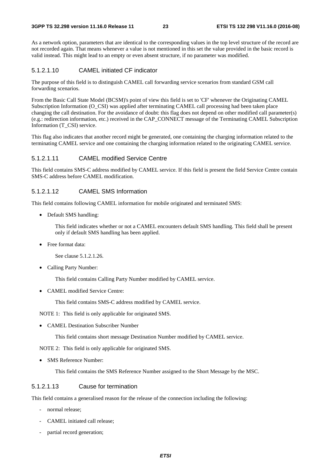As a network option, parameters that are identical to the corresponding values in the top level structure of the record are not recorded again. That means whenever a value is not mentioned in this set the value provided in the basic record is valid instead. This might lead to an empty or even absent structure, if no parameter was modified.

#### 5.1.2.1.10 CAMEL initiated CF indicator

The purpose of this field is to distinguish CAMEL call forwarding service scenarios from standard GSM call forwarding scenarios.

From the Basic Call State Model (BCSM)'s point of view this field is set to 'CF' whenever the Originating CAMEL Subscription Information (O\_CSI) was applied after terminating CAMEL call processing had been taken place changing the call destination. For the avoidance of doubt: this flag does not depend on other modified call parameter(s) (e.g.: redirection information, etc.) received in the CAP\_CONNECT message of the Terminating CAMEL Subscription Information (T\_CSI) service.

This flag also indicates that another record might be generated, one containing the charging information related to the terminating CAMEL service and one containing the charging information related to the originating CAMEL service.

#### 5.1.2.1.11 CAMEL modified Service Centre

This field contains SMS-C address modified by CAMEL service. If this field is present the field Service Centre contain SMS-C address before CAMEL modification.

#### 5.1.2.1.12 CAMEL SMS Information

This field contains following CAMEL information for mobile originated and terminated SMS:

• Default SMS handling:

 This field indicates whether or not a CAMEL encounters default SMS handling. This field shall be present only if default SMS handling has been applied.

• Free format data:

See clause 5.1.2.1.26.

• Calling Party Number:

This field contains Calling Party Number modified by CAMEL service.

• CAMEL modified Service Centre:

This field contains SMS-C address modified by CAMEL service.

NOTE 1: This field is only applicable for originated SMS.

• CAMEL Destination Subscriber Number

This field contains short message Destination Number modified by CAMEL service.

NOTE 2: This field is only applicable for originated SMS.

• SMS Reference Number:

This field contains the SMS Reference Number assigned to the Short Message by the MSC.

#### 5.1.2.1.13 Cause for termination

This field contains a generalised reason for the release of the connection including the following:

- normal release:
- CAMEL initiated call release;
- partial record generation;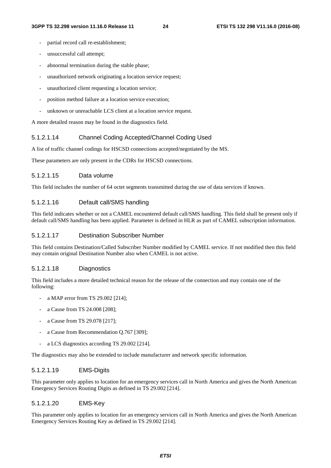- partial record call re-establishment;
- unsuccessful call attempt;
- abnormal termination during the stable phase;
- unauthorized network originating a location service request;
- unauthorized client requesting a location service;
- position method failure at a location service execution;
- unknown or unreachable LCS client at a location service request.

A more detailed reason may be found in the diagnostics field.

#### 5.1.2.1.14 Channel Coding Accepted/Channel Coding Used

A list of traffic channel codings for HSCSD connections accepted/negotiated by the MS.

These parameters are only present in the CDRs for HSCSD connections.

#### 5.1.2.1.15 Data volume

This field includes the number of 64 octet segments transmitted during the use of data services if known.

#### 5.1.2.1.16 Default call/SMS handling

This field indicates whether or not a CAMEL encountered default call/SMS handling. This field shall be present only if default call/SMS handling has been applied. Parameter is defined in HLR as part of CAMEL subscription information.

#### 5.1.2.1.17 Destination Subscriber Number

This field contains Destination/Called Subscriber Number modified by CAMEL service. If not modified then this field may contain original Destination Number also when CAMEL is not active.

#### 5.1.2.1.18 Diagnostics

This field includes a more detailed technical reason for the release of the connection and may contain one of the following:

- a MAP error from TS 29.002 [214];
- a Cause from TS 24.008 [208];
- a Cause from TS 29.078 [217];
- a Cause from Recommendation Q.767 [309];
- a LCS diagnostics according TS 29.002 [214].

The diagnostics may also be extended to include manufacturer and network specific information.

#### 5.1.2.1.19 EMS-Digits

This parameter only applies to location for an emergency services call in North America and gives the North American Emergency Services Routing Digits as defined in TS 29.002 [214].

#### 5.1.2.1.20 EMS-Key

This parameter only applies to location for an emergency services call in North America and gives the North American Emergency Services Routing Key as defined in TS 29.002 [214].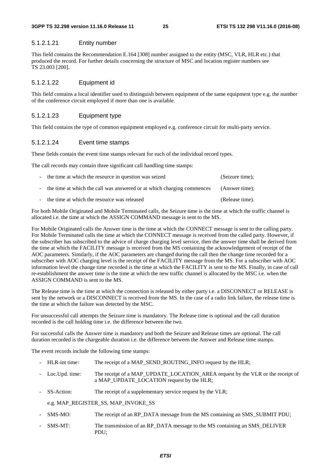#### 5.1.2.1.21 Entity number

This field contains the Recommendation E.164 [308] number assigned to the entity (MSC, VLR, HLR etc.) that produced the record. For further details concerning the structure of MSC and location register numbers see TS 23.003 [200].

#### 5.1.2.1.22 Equipment id

This field contains a local identifier used to distinguish between equipment of the same equipment type e.g. the number of the conference circuit employed if more than one is available.

#### 5.1.2.1.23 Equipment type

This field contains the type of common equipment employed e.g. conference circuit for multi-party service.

#### 5.1.2.1.24 Event time stamps

These fields contain the event time stamps relevant for each of the individual record types.

The call records may contain three significant call handling time stamps:

| - the time at which the resource in question was seized                  | (Seizure time); |
|--------------------------------------------------------------------------|-----------------|
| - the time at which the call was answered or at which charging commences | (Answer time);  |
| - the time at which the resource was released                            | (Release time). |

For both Mobile Originated and Mobile Terminated calls, the Seizure time is the time at which the traffic channel is allocated i.e. the time at which the ASSIGN COMMAND message is sent to the MS.

For Mobile Originated calls the Answer time is the time at which the CONNECT message is sent to the calling party. For Mobile Terminated calls the time at which the CONNECT message is received from the called party. However, if the subscriber has subscribed to the advice of charge charging level service, then the answer time shall be derived from the time at which the FACILITY message is received from the MS containing the acknowledgement of receipt of the AOC parameters. Similarly, if the AOC parameters are changed during the call then the change time recorded for a subscriber with AOC charging level is the receipt of the FACILITY message from the MS. For a subscriber with AOC information level the change time recorded is the time at which the FACILITY is sent to the MS. Finally, in case of call re-establishment the answer time is the time at which the new traffic channel is allocated by the MSC i.e. when the ASSIGN COMMAND is sent to the MS.

The Release time is the time at which the connection is released by either party i.e. a DISCONNECT or RELEASE is sent by the network or a DISCONNECT is received from the MS. In the case of a radio link failure, the release time is the time at which the failure was detected by the MSC.

For unsuccessful call attempts the Seizure time is mandatory. The Release time is optional and the call duration recorded is the call holding time i.e. the difference between the two.

For successful calls the Answer time is mandatory and both the Seizure and Release times are optional. The call duration recorded is the chargeable duration i.e. the difference between the Answer and Release time stamps.

The event records include the following time stamps:

- HLR-int time: The receipt of a MAP\_SEND\_ROUTING\_INFO request by the HLR;
- Loc.Upd. time: The receipt of a MAP\_UPDATE\_LOCATION\_AREA request by the VLR or the receipt of a MAP\_UPDATE\_LOCATION request by the HLR;
- SS-Action: The receipt of a supplementary service request by the VLR;

e.g. MAP\_REGISTER\_SS, MAP\_INVOKE\_SS

- SMS-MO: The receipt of an RP\_DATA message from the MS containing an SMS\_SUBMIT PDU;
- SMS-MT: The transmission of an RP\_DATA message to the MS containing an SMS\_DELIVER PDU;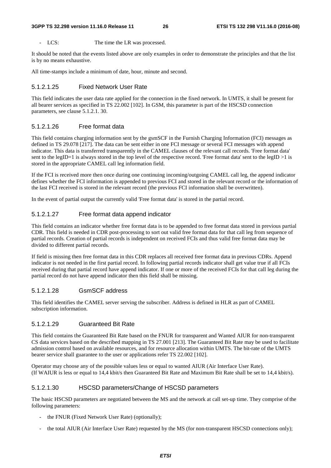LCS: The time the LR was processed.

It should be noted that the events listed above are only examples in order to demonstrate the principles and that the list is by no means exhaustive.

All time-stamps include a minimum of date, hour, minute and second.

#### 5.1.2.1.25 Fixed Network User Rate

This field indicates the user data rate applied for the connection in the fixed network. In UMTS, it shall be present for all bearer services as specified in TS 22.002 [102]. In GSM, this parameter is part of the HSCSD connection parameters, see clause 5.1.2.1. 30.

#### 5.1.2.1.26 Free format data

This field contains charging information sent by the gsmSCF in the Furnish Charging Information (FCI) messages as defined in TS 29.078 [217]. The data can be sent either in one FCI message or several FCI messages with append indicator. This data is transferred transparently in the CAMEL clauses of the relevant call records. 'Free format data' sent to the legID=1 is always stored in the top level of the respective record. 'Free format data' sent to the legID >1 is stored in the appropriate CAMEL call leg information field.

If the FCI is received more then once during one continuing incoming/outgoing CAMEL call leg, the append indicator defines whether the FCI information is appended to previous FCI and stored in the relevant record or the information of the last FCI received is stored in the relevant record (the previous FCI information shall be overwritten).

In the event of partial output the currently valid 'Free format data' is stored in the partial record.

#### 5.1.2.1.27 Free format data append indicator

This field contains an indicator whether free format data is to be appended to free format data stored in previous partial CDR. This field is needed in CDR post-processing to sort out valid free format data for that call leg from sequence of partial records. Creation of partial records is independent on received FCIs and thus valid free format data may be divided to different partial records.

If field is missing then free format data in this CDR replaces all received free format data in previous CDRs. Append indicator is not needed in the first partial record. In following partial records indicator shall get value true if all FCIs received during that partial record have append indicator. If one or more of the received FCIs for that call leg during the partial record do not have append indicator then this field shall be missing.

#### 5.1.2.1.28 GsmSCF address

This field identifies the CAMEL server serving the subscriber. Address is defined in HLR as part of CAMEL subscription information.

#### 5.1.2.1.29 Guaranteed Bit Rate

This field contains the Guaranteed Bit Rate based on the FNUR for transparent and Wanted AIUR for non-transparent CS data services based on the described mapping in TS 27.001 [213]. The Guaranteed Bit Rate may be used to facilitate admission control based on available resources, and for resource allocation within UMTS. The bit-rate of the UMTS bearer service shall guarantee to the user or applications refer TS 22.002 [102].

Operator may choose any of the possible values less or equal to wanted AIUR (Air Interface User Rate). (If WAIUR is less or equal to 14,4 kbit/s then Guaranteed Bit Rate and Maximum Bit Rate shall be set to 14,4 kbit/s).

#### 5.1.2.1.30 HSCSD parameters/Change of HSCSD parameters

The basic HSCSD parameters are negotiated between the MS and the network at call set-up time. They comprise ofthe following parameters:

- the FNUR (Fixed Network User Rate) (optionally);
- the total AIUR (Air Interface User Rate) requested by the MS (for non-transparent HSCSD connections only);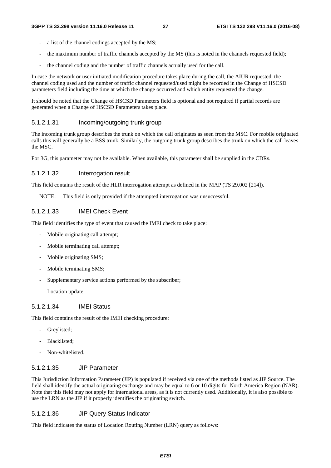- a list of the channel codings accepted by the MS;
- the maximum number of traffic channels accepted by the MS (this is noted in the channels requested field);
- the channel coding and the number of traffic channels actually used for the call.

In case the network or user initiated modification procedure takes place during the call, the AIUR requested, the channel coding used and the number of traffic channel requested/used might be recorded in the Change of HSCSD parameters field including the time at which the change occurred and which entity requested the change.

It should be noted that the Change of HSCSD Parameters field is optional and not required if partial records are generated when a Change of HSCSD Parameters takes place.

#### 5.1.2.1.31 Incoming/outgoing trunk group

The incoming trunk group describes the trunk on which the call originates as seen from the MSC. For mobile originated calls this will generally be a BSS trunk. Similarly, the outgoing trunk group describes the trunk on which the call leaves the MSC.

For 3G, this parameter may not be available. When available, this parameter shall be supplied in the CDRs.

#### 5.1.2.1.32 Interrogation result

This field contains the result of the HLR interrogation attempt as defined in the MAP (TS 29.002 [214]).

NOTE: This field is only provided if the attempted interrogation was unsuccessful.

#### 5.1.2.1.33 IMEI Check Event

This field identifies the type of event that caused the IMEI check to take place:

- Mobile originating call attempt;
- Mobile terminating call attempt;
- Mobile originating SMS;
- Mobile terminating SMS;
- Supplementary service actions performed by the subscriber;
- Location update.

#### 5.1.2.1.34 IMEI Status

This field contains the result of the IMEI checking procedure:

- Grevlisted:
- Blacklisted;
- Non-whitelisted.

#### 5.1.2.1.35 JIP Parameter

This Jurisdiction Information Parameter (JIP) is populated if received via one of the methods listed as JIP Source. The field shall identify the actual originating exchange and may be equal to 6 or 10 digits for North America Region (NAR). Note that this field may not apply for international areas, as it is not currently used. Additionally, it is also possible to use the LRN as the JIP if it properly identifies the originating switch.

#### 5.1.2.1.36 JIP Query Status Indicator

This field indicates the status of Location Routing Number (LRN) query as follows: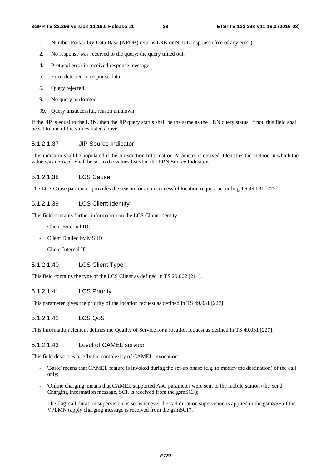- 1. Number Portability Data Base (NPDB) returns LRN or NULL response (free of any error).
- 2. No response was received to the query; the query timed out.
- 4. Protocol error in received response message.
- 5. Error detected in response data.
- 6. Query rejected
- 9. No query performed
- 99. Query unsuccessful, reason unknown

If the JIP is equal to the LRN, then the JIP query status shall be the same as the LRN query status. If not, this field shall be set to one of the values listed above.

#### 5.1.2.1.37 JIP Source Indicator

This indicator shall be populated if the Jurisdiction Information Parameter is derived. Identifies the method in which the value was derived. Shall be set to the values listed in the LRN Source Indicator.

#### 5.1.2.1.38 LCS Cause

The LCS Cause parameter provides the reason for an unsuccessful location request according TS 49.031 [227].

#### 5.1.2.1.39 LCS Client Identity

This field contains further information on the LCS Client identity:

- Client External ID;
- Client Dialled by MS ID;
- Client Internal ID.

#### 5.1.2.1.40 LCS Client Type

This field contains the type of the LCS Client as defined in TS 29.002 [214].

#### 5.1.2.1.41 LCS Priority

This parameter gives the priority of the location request as defined in TS 49.031 [227]

#### 5.1.2.1.42 LCS QoS

This information element defines the Quality of Service for a location request as defined in TS 49.031 [227].

#### 5.1.2.1.43 Level of CAMEL service

This field describes briefly the complexity of CAMEL invocation:

- 'Basic' means that CAMEL feature is invoked during the set-up phase (e.g. to modify the destination) of the call only;
- 'Online charging' means that CAMEL supported AoC parameter were sent to the mobile station (the Send Charging Information message, SCI, is received from the gsmSCF);
- The flag 'call duration supervision' is set whenever the call duration supervision is applied in the gsmSSF of the VPLMN (apply charging message is received from the gsmSCF).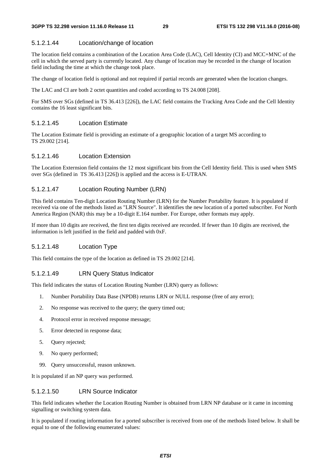#### 5.1.2.1.44 Location/change of location

The location field contains a combination of the Location Area Code (LAC), Cell Identity (CI) and MCC+MNC of the cell in which the served party is currently located. Any change of location may be recorded in the change of location field including the time at which the change took place.

The change of location field is optional and not required if partial records are generated when the location changes.

The LAC and CI are both 2 octet quantities and coded according to TS 24.008 [208].

For SMS over SGs (defined in TS 36.413 [226]), the LAC field contains the Tracking Area Code and the Cell Identity contains the 16 least significant bits.

#### 5.1.2.1.45 Location Estimate

The Location Estimate field is providing an estimate of a geographic location of a target MS according to TS 29.002 [214].

#### 5.1.2.1.46 Location Extension

The Location Externsion field contains the 12 most significant bits from the Cell Identity field. This is used when SMS over SGs (defined in TS 36.413 [226]) is applied and the access is E-UTRAN.

#### 5.1.2.1.47 Location Routing Number (LRN)

This field contains Ten-digit Location Routing Number (LRN) for the Number Portability feature. It is populated if received via one of the methods listed as "LRN Source". It identifies the new location of a ported subscriber. For North America Region (NAR) this may be a 10-digit E.164 number. For Europe, other formats may apply.

If more than 10 digits are received, the first ten digits received are recorded. If fewer than 10 digits are received, the information is left justified in the field and padded with 0xF.

#### 5.1.2.1.48 Location Type

This field contains the type of the location as defined in TS 29.002 [214].

#### 5.1.2.1.49 LRN Query Status Indicator

This field indicates the status of Location Routing Number (LRN) query as follows:

- 1. Number Portability Data Base (NPDB) returns LRN or NULL response (free of any error);
- 2. No response was received to the query; the query timed out;
- 4. Protocol error in received response message;
- 5. Error detected in response data;
- 5. Query rejected;
- 9. No query performed;
- 99. Query unsuccessful, reason unknown.

It is populated if an NP query was performed.

#### 5.1.2.1.50 LRN Source Indicator

This field indicates whether the Location Routing Number is obtained from LRN NP database or it came in incoming signalling or switching system data.

It is populated if routing information for a ported subscriber is received from one of the methods listed below. It shall be equal to one of the following enumerated values: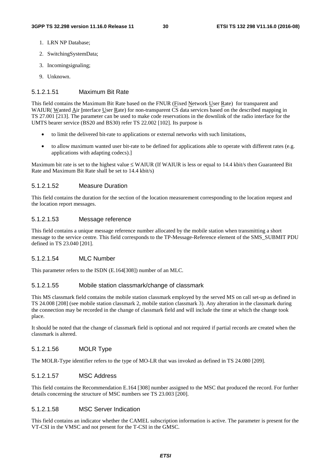- 1. LRN NP Database;
- 2. SwitchingSystemData;
- 3. Incomingsignaling;
- 9. Unknown.

#### 5.1.2.1.51 Maximum Bit Rate

This field contains the Maximum Bit Rate based on the FNUR (Fixed Network User Rate) for transparent and WAIUR( Wanted Air Interface User Rate) for non-transparent CS data services based on the described mapping in TS 27.001 [213]. The parameter can be used to make code reservations in the downlink of the radio interface for the UMTS bearer service (BS20 and BS30) refer TS 22.002 [102]. Its purpose is

- to limit the delivered bit-rate to applications or external networks with such limitations,
- to allow maximum wanted user bit-rate to be defined for applications able to operate with different rates (e.g. applications with adapting codecs).]

Maximum bit rate is set to the highest value ≤ WAIUR (If WAIUR is less or equal to 14.4 kbit/s then Guaranteed Bit Rate and Maximum Bit Rate shall be set to 14.4 kbit/s)

#### 5.1.2.1.52 Measure Duration

This field contains the duration for the section of the location measurement corresponding to the location request and the location report messages.

#### 5.1.2.1.53 Message reference

This field contains a unique message reference number allocated by the mobile station when transmitting a short message to the service centre. This field corresponds to the TP-Message-Reference element of the SMS\_SUBMIT PDU defined in TS 23.040 [201].

#### 5.1.2.1.54 MLC Number

This parameter refers to the ISDN (E.164[308]) number of an MLC.

#### 5.1.2.1.55 Mobile station classmark/change of classmark

This MS classmark field contains the mobile station classmark employed by the served MS on call set-up as defined in TS 24.008 [208] (see mobile station classmark 2, mobile station classmark 3). Any alteration in the classmark during the connection may be recorded in the change of classmark field and will include the time at which the change took place.

It should be noted that the change of classmark field is optional and not required if partial records are created when the classmark is altered.

#### 5.1.2.1.56 MOLR Type

The MOLR-Type identifier refers to the type of MO-LR that was invoked as defined in TS 24.080 [209].

#### 5.1.2.1.57 MSC Address

This field contains the Recommendation E.164 [308] number assigned to the MSC that produced the record. For further details concerning the structure of MSC numbers see TS 23.003 [200].

#### 5.1.2.1.58 MSC Server Indication

This field contains an indicator whether the CAMEL subscription information is active. The parameter is present for the VT-CSI in the VMSC and not present for the T-CSI in the GMSC.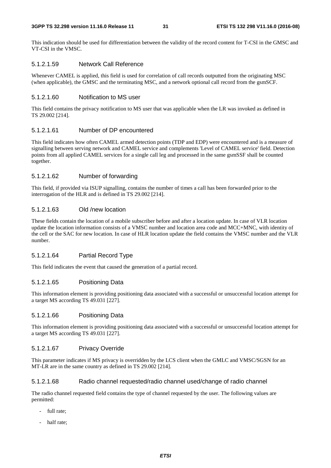This indication should be used for differentiation between the validity of the record content for T-CSI in the GMSC and VT-CSI in the VMSC.

#### 5.1.2.1.59 Network Call Reference

Whenever CAMEL is applied, this field is used for correlation of call records outputted from the originating MSC (when applicable), the GMSC and the terminating MSC, and a network optional call record from the gsmSCF.

#### 5.1.2.1.60 Notification to MS user

This field contains the privacy notification to MS user that was applicable when the LR was invoked as defined in TS 29.002 [214].

#### 5.1.2.1.61 Number of DP encountered

This field indicates how often CAMEL armed detection points (TDP and EDP) were encountered and is a measure of signalling between serving network and CAMEL service and complements 'Level of CAMEL service' field. Detection points from all applied CAMEL services for a single call leg and processed in the same gsmSSF shall be counted together.

#### 5.1.2.1.62 Number of forwarding

This field, if provided via ISUP signalling, contains the number of times a call has been forwarded prior to the interrogation of the HLR and is defined in TS 29.002 [214].

#### 5.1.2.1.63 Old /new location

These fields contain the location of a mobile subscriber before and after a location update. In case of VLR location update the location information consists of a VMSC number and location area code and MCC+MNC, with identity of the cell or the SAC for new location. In case of HLR location update the field contains the VMSC number and the VLR number.

#### 5.1.2.1.64 Partial Record Type

This field indicates the event that caused the generation of a partial record.

#### 5.1.2.1.65 Positioning Data

This information element is providing positioning data associated with a successful or unsuccessful location attempt for a target MS according TS 49.031 [227].

#### 5.1.2.1.66 Positioning Data

This information element is providing positioning data associated with a successful or unsuccessful location attempt for a target MS according TS 49.031 [227].

#### 5.1.2.1.67 Privacy Override

This parameter indicates if MS privacy is overridden by the LCS client when the GMLC and VMSC/SGSN for an MT-LR are in the same country as defined in TS 29.002 [214].

#### 5.1.2.1.68 Radio channel requested/radio channel used/change of radio channel

The radio channel requested field contains the type of channel requested by the user. The following values are permitted:

- full rate:
- half rate;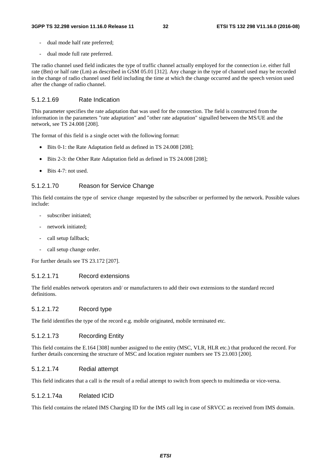- dual mode half rate preferred;
- dual mode full rate preferred.

The radio channel used field indicates the type of traffic channel actually employed for the connection i.e. either full rate (Bm) or half rate (Lm) as described in GSM 05.01 [312]. Any change in the type of channel used may be recorded in the change of radio channel used field including the time at which the change occurred and the speech version used after the change of radio channel.

#### 5.1.2.1.69 Rate Indication

This parameter specifies the rate adaptation that was used for the connection. The field is constructed from the information in the parameters "rate adaptation" and "other rate adaptation" signalled between the MS/UE and the network, see TS 24.008 [208].

The format of this field is a single octet with the following format:

- Bits 0-1: the Rate Adaptation field as defined in TS 24.008 [208];
- Bits 2-3: the Other Rate Adaptation field as defined in TS 24.008 [208];
- Bits 4-7: not used.

#### 5.1.2.1.70 Reason for Service Change

This field contains the type of service change requested by the subscriber or performed by the network. Possible values include:

- subscriber initiated;
- network initiated;
- call setup fallback;
- call setup change order.

For further details see TS 23.172 [207].

#### 5.1.2.1.71 Record extensions

The field enables network operators and/ or manufacturers to add their own extensions to the standard record definitions.

#### 5.1.2.1.72 Record type

The field identifies the type of the record e.g. mobile originated, mobile terminated etc.

#### 5.1.2.1.73 Recording Entity

This field contains the E.164 [308] number assigned to the entity (MSC, VLR, HLR etc.) that produced the record. For further details concerning the structure of MSC and location register numbers see TS 23.003 [200].

#### 5.1.2.1.74 Redial attempt

This field indicates that a call is the result of a redial attempt to switch from speech to multimedia or vice-versa.

#### 5.1.2.1.74a Related ICID

This field contains the related IMS Charging ID for the IMS call leg in case of SRVCC as received from IMS domain.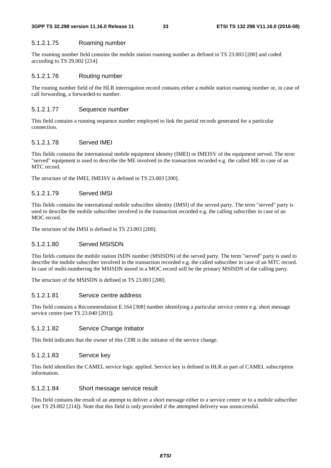#### 5.1.2.1.75 Roaming number

The roaming number field contains the mobile station roaming number as defined in TS 23.003 [200] and coded according to TS 29.002 [214].

#### 5.1.2.1.76 Routing number

The routing number field of the HLR interrogation record contains either a mobile station roaming number or, in case of call forwarding, a forwarded-to number.

#### 5.1.2.1.77 Sequence number

This field contains a running sequence number employed to link the partial records generated for a particular connection.

#### 5.1.2.1.78 Served IMEI

This fields contains the international mobile equipment identity (IMEI) or IMEISV of the equipment served. The term "served" equipment is used to describe the ME involved in the transaction recorded e.g. the called ME in case of an MTC record.

The structure of the IMEI, IMEISV is defined in TS 23.003 [200].

#### 5.1.2.1.79 Served IMSI

This fields contains the international mobile subscriber identity (IMSI) of the served party. The term "served" party is used to describe the mobile subscriber involved in the transaction recorded e.g. the calling subscriber in case of an MOC record.

The structure of the IMSI is defined in TS 23.003 [200].

#### 5.1.2.1.80 Served MSISDN

This fields contains the mobile station ISDN number (MSISDN) of the served party. The term "served" party is used to describe the mobile subscriber involved in the transaction recorded e.g. the called subscriber in case of an MTC record. In case of multi-numbering the MSISDN stored in a MOC record will be the primary MSISDN of the calling party.

The structure of the MSISDN is defined in TS 23.003 [200].

#### 5.1.2.1.81 Service centre address

This field contains a Recommendation E.164 [308] number identifying a particular service centre e.g. short message service centre (see TS 23.040 [201]).

#### 5.1.2.1.82 Service Change Initiator

This field indicates that the owner of this CDR is the initiator of the service change.

#### 5.1.2.1.83 Service key

This field identifies the CAMEL service logic applied. Service key is defined in HLR as part of CAMEL subscription information.

#### 5.1.2.1.84 Short message service result

This field contains the result of an attempt to deliver a short message either to a service centre or to a mobile subscriber (see TS 29.002 [214]). Note that this field is only provided if the attempted delivery was unsuccessful.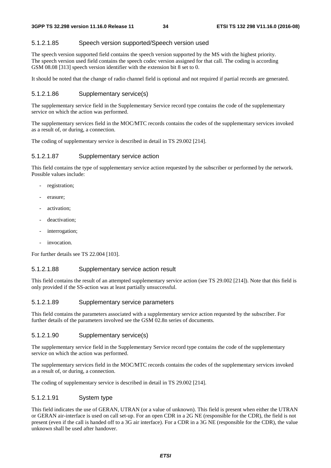#### 5.1.2.1.85 Speech version supported/Speech version used

The speech version supported field contains the speech version supported by the MS with the highest priority. The speech version used field contains the speech codec version assigned for that call. The coding is according GSM 08.08 [313] speech version identifier with the extension bit 8 set to 0.

It should be noted that the change of radio channel field is optional and not required if partial records are generated.

#### 5.1.2.1.86 Supplementary service(s)

The supplementary service field in the Supplementary Service record type contains the code of the supplementary service on which the action was performed.

The supplementary services field in the MOC/MTC records contains the codes of the supplementary services invoked as a result of, or during, a connection.

The coding of supplementary service is described in detail in TS 29.002 [214].

#### 5.1.2.1.87 Supplementary service action

This field contains the type of supplementary service action requested by the subscriber or performed by the network. Possible values include:

- registration;
- erasure:
- activation;
- deactivation;
- interrogation;
- invocation.

For further details see TS 22.004 [103].

#### 5.1.2.1.88 Supplementary service action result

This field contains the result of an attempted supplementary service action (see TS 29.002 [214]). Note that this field is only provided if the SS-action was at least partially unsuccessful.

#### 5.1.2.1.89 Supplementary service parameters

This field contains the parameters associated with a supplementary service action requested by the subscriber. For further details of the parameters involved see the GSM 02.8n series of documents.

#### 5.1.2.1.90 Supplementary service(s)

The supplementary service field in the Supplementary Service record type contains the code of the supplementary service on which the action was performed.

The supplementary services field in the MOC/MTC records contains the codes of the supplementary services invoked as a result of, or during, a connection.

The coding of supplementary service is described in detail in TS 29.002 [214].

#### 5.1.2.1.91 System type

This field indicates the use of GERAN, UTRAN (or a value of unknown). This field is present when either the UTRAN or GERAN air-interface is used on call set-up. For an open CDR in a 2G NE (responsible for the CDR), the field is not present (even if the call is handed off to a 3G air interface). For a CDR in a 3G NE (responsible for the CDR), the value unknown shall be used after handover.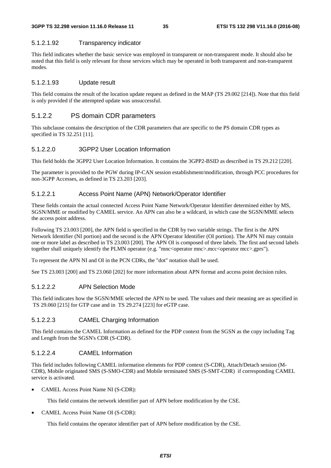#### 5.1.2.1.92 Transparency indicator

This field indicates whether the basic service was employed in transparent or non-transparent mode. It should also be noted that this field is only relevant for those services which may be operated in both transparent and non-transparent modes.

#### 5.1.2.1.93 Update result

This field contains the result of the location update request as defined in the MAP (TS 29.002 [214]). Note that this field is only provided if the attempted update was unsuccessful.

#### 5.1.2.2 PS domain CDR parameters

This subclause contains the description of the CDR parameters that are specific to the PS domain CDR types as specified in TS 32.251 [11].

#### 5.1.2.2.0 3GPP2 User Location Information

This field holds the 3GPP2 User Location Information. It contains the 3GPP2-BSID as described in TS 29.212 [220].

The parameter is provided to the PGW during IP-CAN session establishment/modification, through PCC procedures for non-3GPP Accesses, as defined in TS 23.203 [203].

#### 5.1.2.2.1 Access Point Name (APN) Network/Operator Identifier

These fields contain the actual connected Access Point Name Network/Operator Identifier determined either by MS, SGSN/MME or modified by CAMEL service. An APN can also be a wildcard, in which case the SGSN/MME selects the access point address.

Following TS 23.003 [200], the APN field is specified in the CDR by two variable strings. The first is the APN Network Identifier (NI portion) and the second is the APN Operator Identifier (OI portion). The APN NI may contain one or more label as described in TS 23.003 [200]. The APN OI is composed of three labels. The first and second labels together shall uniquely identify the PLMN operator (e.g. "mnc<operator mnc>.mcc<operator mcc>.gprs").

To represent the APN NI and OI in the PCN CDRs, the "dot" notation shall be used.

See TS 23.003 [200] and TS 23.060 [202] for more information about APN format and access point decision rules.

#### 5.1.2.2.2 APN Selection Mode

This field indicates how the SGSN/MME selected the APN to be used. The values and their meaning are as specified in TS 29.060 [215] for GTP case and in TS 29.274 [223] for eGTP case.

#### 5.1.2.2.3 CAMEL Charging Information

This field contains the CAMEL Information as defined for the PDP context from the SGSN as the copy including Tag and Length from the SGSN's CDR (S-CDR).

#### 5.1.2.2.4 CAMEL Information

This field includes following CAMEL information elements for PDP context (S-CDR), Attach/Detach session (M-CDR), Mobile originated SMS (S-SMO-CDR) and Mobile terminated SMS (S-SMT-CDR) if corresponding CAMEL service is activated.

• CAMEL Access Point Name NI (S-CDR):

This field contains the network identifier part of APN before modification by the CSE.

• CAMEL Access Point Name OI (S-CDR):

This field contains the operator identifier part of APN before modification by the CSE.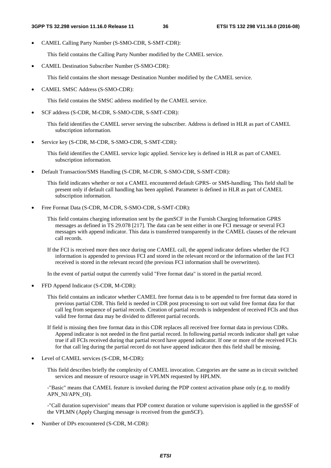• CAMEL Calling Party Number (S-SMO-CDR, S-SMT-CDR):

This field contains the Calling Party Number modified by the CAMEL service.

• CAMEL Destination Subscriber Number (S-SMO-CDR):

This field contains the short message Destination Number modified by the CAMEL service.

• CAMEL SMSC Address (S-SMO-CDR):

This field contains the SMSC address modified by the CAMEL service.

• SCF address (S-CDR, M-CDR, S-SMO-CDR, S-SMT-CDR):

This field identifies the CAMEL server serving the subscriber. Address is defined in HLR as part of CAMEL subscription information.

• Service key (S-CDR, M-CDR, S-SMO-CDR, S-SMT-CDR):

This field identifies the CAMEL service logic applied. Service key is defined in HLR as part of CAMEL subscription information.

• Default Transaction/SMS Handling (S-CDR, M-CDR, S-SMO-CDR, S-SMT-CDR):

This field indicates whether or not a CAMEL encountered default GPRS- or SMS-handling. This field shall be present only if default call handling has been applied. Parameter is defined in HLR as part of CAMEL subscription information.

• Free Format Data (S-CDR, M-CDR, S-SMO-CDR, S-SMT-CDR):

This field contains charging information sent by the gsmSCF in the Furnish Charging Information GPRS messages as defined in TS 29.078 [217]. The data can be sent either in one FCI message or several FCI messages with append indicator. This data is transferred transparently in the CAMEL clauses of the relevant call records.

If the FCI is received more then once during one CAMEL call, the append indicator defines whether the FCI information is appended to previous FCI and stored in the relevant record or the information of the last FCI received is stored in the relevant record (the previous FCI information shall be overwritten).

In the event of partial output the currently valid "Free format data" is stored in the partial record.

• FFD Append Indicator (S-CDR, M-CDR):

This field contains an indicator whether CAMEL free format data is to be appended to free format data stored in previous partial CDR. This field is needed in CDR post processing to sort out valid free format data for that call leg from sequence of partial records. Creation of partial records is independent of received FCIs and thus valid free format data may be divided to different partial records.

- If field is missing then free format data in this CDR replaces all received free format data in previous CDRs. Append indicator is not needed in the first partial record. In following partial records indicator shall get value true if all FCIs received during that partial record have append indicator. If one or more of the received FCIs for that call leg during the partial record do not have append indicator then this field shall be missing.
- Level of CAMEL services (S-CDR, M-CDR):

This field describes briefly the complexity of CAMEL invocation. Categories are the same as in circuit switched services and measure of resource usage in VPLMN requested by HPLMN.

-"Basic" means that CAMEL feature is invoked during the PDP context activation phase only (e.g. to modify APN\_NI/APN\_OI).

-"Call duration supervision" means that PDP context duration or volume supervision is applied in the gprsSSF of the VPLMN (Apply Charging message is received from the gsmSCF).

• Number of DPs encountered (S-CDR, M-CDR):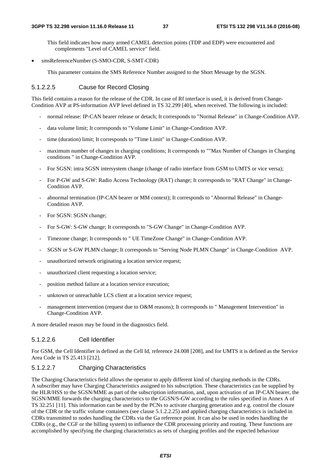This field indicates how many armed CAMEL detection points (TDP and EDP) were encountered and complements "Level of CAMEL service" field.

• smsReferenceNumber (S-SMO-CDR, S-SMT-CDR)

This parameter contains the SMS Reference Number assigned to the Short Message by the SGSN.

#### 5.1.2.2.5 Cause for Record Closing

This field contains a reason for the release of the CDR. In case of Rf interface is used, it is derived from Change-Condition AVP at PS-information AVP level defined in TS 32.299 [40], when received. The following is included:

- normal release: IP-CAN bearer release or detach; It corresponds to "Normal Release" in Change-Condition AVP.
- data volume limit; It corresponds to "Volume Limit" in Change-Condition AVP.
- time (duration) limit; It corresponds to "Time Limit" in Change-Condition AVP.
- maximum number of changes in charging conditions; It corresponds to ""Max Number of Changes in Charging conditions " in Change-Condition AVP.
- For SGSN: intra SGSN intersystem change (change of radio interface from GSM to UMTS or vice versa);
- For P-GW and S-GW: Radio Access Technology (RAT) change; It corresponds to "RAT Change" in Change-Condition AVP.
- abnormal termination (IP-CAN bearer or MM context); It corresponds to "Abnormal Release" in Change-Condition AVP.
- For SGSN: SGSN change;
- For S-GW: S-GW change; It corresponds to "S-GW Change" in Change-Condition AVP.
- Timezone change; It corresponds to " UE TimeZone Change" in Change-Condition AVP.
- SGSN or S-GW PLMN change; It corresponds to "Serving Node PLMN Change" in Change-Condition AVP.
- unauthorized network originating a location service request;
- unauthorized client requesting a location service;
- position method failure at a location service execution;
- unknown or unreachable LCS client at a location service request;
- management intervention (request due to O&M reasons); It corresponds to " Management Intervention" in Change-Condition AVP.

A more detailed reason may be found in the diagnostics field.

#### 5.1.2.2.6 Cell Identifier

For GSM, the Cell Identifier is defined as the Cell Id, reference 24.008 [208], and for UMTS it is defined as the Service Area Code in TS 25.413 [212].

#### 5.1.2.2.7 Charging Characteristics

The Charging Characteristics field allows the operator to apply different kind of charging methods in the CDRs. A subscriber may have Charging Characteristics assigned to his subscription. These characteristics can be supplied by the HLR/HSS to the SGSN/MME as part of the subscription information, and, upon activation of an IP-CAN bearer, the SGSN/MME forwards the charging characteristics to the GGSN/S-GW according to the rules specified in Annex A of TS 32.251 [11]. This information can be used by the PCNs to activate charging generation and e.g. control the closure of the CDR or the traffic volume containers (see clause 5.1.2.2.25) and applied charging characteristics is included in CDRs transmitted to nodes handling the CDRs via the Ga reference point. It can also be used in nodes handling the CDRs (e.g., the CGF or the billing system) to influence the CDR processing priority and routing. These functions are accomplished by specifying the charging characteristics as sets of charging profiles and the expected behaviour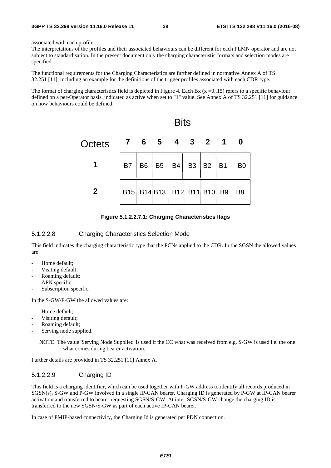associated with each profile.

The interpretations of the profiles and their associated behaviours can be different for each PLMN operator and are not subject to standardisation. In the present document only the charging characteristic formats and selection modes are specified.

The functional requirements for the Charging Characteristics are further defined in normative Annex A of TS 32.251 [11], including an example for the definitions of the trigger profiles associated with each CDR type.

The format of charging characteristics field is depicted in Figure 4. Each Bx  $(x=0.15)$  refers to a specific behaviour defined on a per-Operator basis, indicated as active when set to "1" value. See Annex A of TS 32.251 [11] for guidance on how behaviours could be defined.



**Figure 5.1.2.2.7.1: Charging Characteristics flags** 

### 5.1.2.2.8 Charging Characteristics Selection Mode

This field indicates the charging characteristic type that the PCNs applied to the CDR. In the SGSN the allowed values are:

- Home default;
- Visiting default;
- Roaming default;
- APN specific;
- Subscription specific.

In the S-GW/P-GW the allowed values are:

- Home default:
- Visiting default;
- Roaming default;
- Serving node supplied.

NOTE: The value 'Serving Node Supplied' is used if the CC what was received from e.g. S-GW is used i.e. the one what comes during bearer activation.

Further details are provided in TS 32.251 [11] Annex A.

## 5.1.2.2.9 Charging ID

This field is a charging identifier, which can be used together with P-GW address to identify all records produced in SGSN(s), S-GW and P-GW involved in a single IP-CAN bearer. Charging ID is generated by P-GW at IP-CAN bearer activation and transferred to bearer requesting SGSN/S-GW. At inter-SGSN/S-GW change the charging ID is transferred to the new SGSN/S-GW as part of each active IP-CAN bearer.

In case of PMIP-based connectivity, the Charging Id is generated per PDN connection.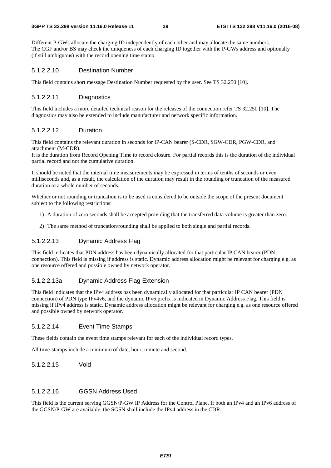#### **3GPP TS 32.298 version 11.16.0 Release 11 39 ETSI TS 132 298 V11.16.0 (2016-08)**

Different P-GWs allocate the charging ID independently of each other and may allocate the same numbers. The CGF and/or BS may check the uniqueness of each charging ID together with the P-GWs address and optionally (if still ambiguous) with the record opening time stamp.

# 5.1.2.2.10 Destination Number

This field contains short message Destination Number requested by the user. See TS 32.250 [10].

# 5.1.2.2.11 Diagnostics

This field includes a more detailed technical reason for the releases of the connection refer TS 32.250 [10]. The diagnostics may also be extended to include manufacturer and network specific information.

# 5.1.2.2.12 Duration

This field contains the relevant duration in seconds for IP-CAN bearer (S-CDR, SGW-CDR, PGW-CDR, and attachment (M-CDR).

It is the duration from Record Opening Time to record closure. For partial records this is the duration of the individual partial record and not the cumulative duration.

It should be noted that the internal time measurements may be expressed in terms of tenths of seconds or even milliseconds and, as a result, the calculation of the duration may result in the rounding or truncation of the measured duration to a whole number of seconds.

Whether or not rounding or truncation is to be used is considered to be outside the scope of the present document subject to the following restrictions:

- 1) A duration of zero seconds shall be accepted providing that the transferred data volume is greater than zero.
- 2) The same method of truncation/rounding shall be applied to both single and partial records.

# 5.1.2.2.13 Dynamic Address Flag

This field indicates that PDN address has been dynamically allocated for that particular IP CAN bearer (PDN connection). This field is missing if address is static. Dynamic address allocation might be relevant for charging e.g. as one resource offered and possible owned by network operator.

# 5.1.2.2.13a Dynamic Address Flag Extension

This field indicates that the IPv4 address has been dynamically allocated for that particular IP CAN bearer (PDN connection) of PDN type IPv4v6, and the dynamic IPv6 prefix is indicated in Dynamic Address Flag. This field is missing if IPv4 address is static. Dynamic address allocation might be relevant for charging e.g. as one resource offered and possible owned by network operator.

# 5.1.2.2.14 Event Time Stamps

These fields contain the event time stamps relevant for each of the individual record types.

All time-stamps include a minimum of date, hour, minute and second.

# 5.1.2.2.15 Void

# 5.1.2.2.16 GGSN Address Used

This field is the current serving GGSN/P-GW IP Address for the Control Plane. If both an IPv4 and an IPv6 address of the GGSN/P-GW are available, the SGSN shall include the IPv4 address in the CDR.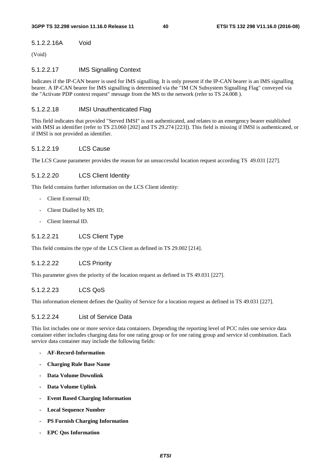# 5.1.2.2.16A Void

(Void)

# 5.1.2.2.17 IMS Signalling Context

Indicates if the IP-CAN bearer is used for IMS signalling. It is only present if the IP-CAN bearer is an IMS signalling bearer. A IP-CAN bearer for IMS signalling is determined via the "IM CN Subsystem Signalling Flag" conveyed via the "Activate PDP context request" message from the MS to the network (refer to TS 24.008 ).

# 5.1.2.2.18 IMSI Unauthenticated Flag

This field indicates that provided "Served IMSI" is not authenticated, and relates to an emergency bearer established with IMSI as identifier (refer to TS 23.060 [202] and TS 29.274 [223]). This field is missing if IMSI is authenticated, or if IMSI is not provided as identifier.

# 5.1.2.2.19 LCS Cause

The LCS Cause parameter provides the reason for an unsuccessful location request according TS 49.031 [227].

# 5.1.2.2.20 LCS Client Identity

This field contains further information on the LCS Client identity:

- Client External ID;
- Client Dialled by MS ID;
- Client Internal ID.

# 5.1.2.2.21 LCS Client Type

This field contains the type of the LCS Client as defined in TS 29.002 [214].

# 5.1.2.2.22 LCS Priority

This parameter gives the priority of the location request as defined in TS 49.031 [227].

# 5.1.2.2.23 LCS QoS

This information element defines the Quality of Service for a location request as defined in TS 49.031 [227].

# 5.1.2.2.24 List of Service Data

This list includes one or more service data containers. Depending the reporting level of PCC rules one service data container either includes charging data for one rating group or for one rating group and service id combination. Each service data container may include the following fields:

- **AF-Record-Information**
- **Charging Rule Base Name**
- **Data Volume Downlink**
- **Data Volume Uplink**
- **Event Based Charging Information**
- **Local Sequence Number**
- **PS Furnish Charging Information**
- **EPC Qos Information**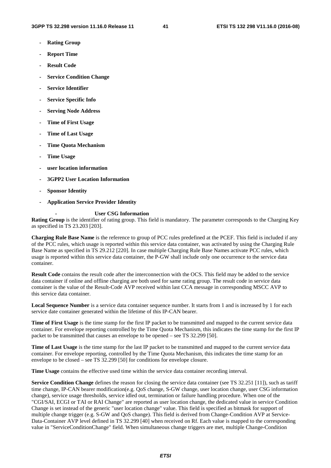- **Rating Group**
- **Report Time**
- **Result Code**
- **Service Condition Change**
- **Service Identifier**
- **Service Specific Info**
- **Serving Node Address**
- **Time of First Usage**
- **Time of Last Usage**
- **Time Quota Mechanism**
- **Time Usage**
- **user location information**
- **3GPP2 User Location Information**
- **Sponsor Identity**
- **Application Service Provider Identity**

#### **- User CSG Information**

**Rating Group** is the identifier of rating group. This field is mandatory. The parameter corresponds to the Charging Key as specified in TS 23.203 [203].

**Charging Rule Base Name** is the reference to group of PCC rules predefined at the PCEF. This field is included if any of the PCC rules, which usage is reported within this service data container, was activated by using the Charging Rule Base Name as specified in TS 29.212 [220]. In case multiple Charging Rule Base Names activate PCC rules, which usage is reported within this service data container, the P-GW shall include only one occurrence to the service data container.

**Result Code** contains the result code after the interconnection with the OCS. This field may be added to the service data container if online and offline charging are both used for same rating group. The result code in service data container is the value of the Result-Code AVP received within last CCA message in corresponding MSCC AVP to this service data container.

**Local Sequence Number** is a service data container sequence number. It starts from 1 and is increased by 1 for each service date container generated within the lifetime of this IP-CAN bearer.

**Time of First Usage** is the time stamp for the first IP packet to be transmitted and mapped to the current service data container. For envelope reporting controlled by the Time Quota Mechanism, this indicates the time stamp for the first IP packet to be transmitted that causes an envelope to be opened – see TS 32.299 [50].

**Time of Last Usage** is the time stamp for the last IP packet to be transmitted and mapped to the current service data container. For envelope reporting, controlled by the Time Quota Mechanism, this indicates the time stamp for an envelope to be closed – see TS 32.299 [50] for conditions for envelope closure.

**Time Usage** contains the effective used time within the service data container recording interval.

**Service Condition Change** defines the reason for closing the service data container (see TS 32.251 [11]), such as tariff time change, IP-CAN bearer modification(e.g. QoS change, S-GW change, user location change, user CSG information change), service usage thresholds, service idled out, termination or failure handling procedure. When one of the "CGI/SAI, ECGI or TAI or RAI Change" are reported as user location change, the dedicated value in service Condition Change is set instead of the generic "user location change" value. This field is specified as bitmask for support of multiple change trigger (e.g. S-GW and QoS change). This field is derived from Change-Condition AVP at Service-Data-Container AVP level defined in TS 32.299 [40] when received on Rf. Each value is mapped to the corresponding value in "ServiceConditionChange" field. When simultaneous change triggers are met, multiple Change-Condition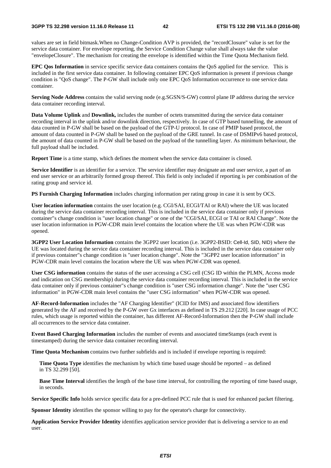values are set in field bitmask.When no Change-Condition AVP is provided, the "recordClosure" value is set for the service data container. For envelope reporting, the Service Condition Change value shall always take the value "envelopeClosure". The mechanism for creating the envelope is identified within the Time Quota Mechanism field.

**EPC Qos Information** in service specific service data containers contains the QoS applied for the service. This is included in the first service data container. In following container EPC QoS information is present if previous change condition is "QoS change". The P-GW shall include only one EPC QoS Information occurrence to one service data container.

**Serving Node Address** contains the valid serving node (e.g.SGSN/S-GW) control plane IP address during the service data container recording interval.

**Data Volume Uplink** and **Downlink,** includes the number of octets transmitted during the service data container recording interval in the uplink and/or downlink direction, respectively. In case of GTP based tunnelling, the amount of data counted in P-GW shall be based on the payload of the GTP-U protocol. In case of PMIP based protocol, the amount of data counted in P-GW shall be based on the payload of the GRE tunnel. In case of DSMIPv6 based protocol, the amount of data counted in P-GW shall be based on the payload of the tunnelling layer. As minimum behaviour, the full payload shall be included.

**Report Time** is a time stamp, which defines the moment when the service data container is closed.

**Service Identifier** is an identifier for a service. The service identifier may designate an end user service, a part of an end user service or an arbitrarily formed group thereof. This field is only included if reporting is per combination of the rating group and service id.

**PS Furnish Charging Information** includes charging information per rating group in case it is sent by OCS.

**User location information** contains the user location (e.g. CGI/SAI, ECGI/TAI or RAI) where the UE was located during the service data container recording interval. This is included in the service data container only if previous container"s change condition is "user location change" or one of the "CGI/SAI, ECGI or TAI or RAI Change". Note the user location information in PGW-CDR main level contains the location where the UE was when PGW-CDR was opened.

**3GPP2 User Location Information** contains the 3GPP2 user location (i.e. 3GPP2-BSID: Cell-Id, SID, NID) where the UE was located during the service data container recording interval. This is included in the service data container only if previous container"s change condition is "user location change". Note the "3GPP2 user location information" in PGW-CDR main level contains the location where the UE was when PGW-CDR was opened.

**User CSG information** contains the status of the user accessing a CSG cell (CSG ID within the PLMN, Access mode and indication on CSG membership) during the service data container recording interval. This is included in the service data container only if previous container"s change condition is "user CSG information change". Note the "user CSG information" in PGW-CDR main level contains the "user CSG information" when PGW-CDR was opened.

**AF-Record-Information** includes the "AF Charging Identifier" (ICID for IMS) and associated flow identifiers generated by the AF and received by the P-GW over Gx interfaces as defined in TS 29.212 [220]. In case usage of PCC rules, which usage is reported within the container, has different AF-Record-Information then the P-GW shall include all occurrences to the service data container.

**Event Based Charging Information** includes the number of events and associated timeStamps (each event is timestamped) during the service data container recording interval.

**Time Quota Mechanism** contains two further subfields and is included if envelope reporting is required:

**Time Quota Type** identifies the mechanism by which time based usage should be reported – as defined in TS 32.299 [50].

**Base Time Interval** identifies the length of the base time interval, for controlling the reporting of time based usage, in seconds.

**Service Specific Info** holds service specific data for a pre-defined PCC rule that is used for enhanced packet filtering.

**Sponsor Identity** identifies the sponsor willing to pay for the operator's charge for connectivity.

**Application Service Provider Identity** identifies application service provider that is delivering a service to an end user.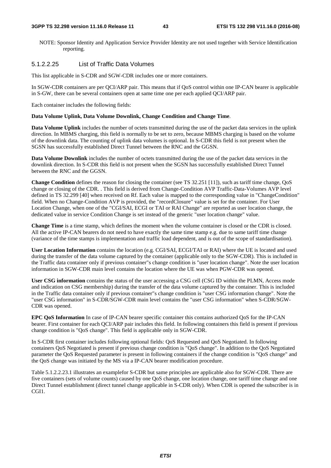NOTE: Sponsor Identity and Application Service Provider Identity are not used together with Service Identification reporting.

# 5.1.2.2.25 List of Traffic Data Volumes

This list applicable in S-CDR and SGW-CDR includes one or more containers.

In SGW-CDR containers are per QCI/ARP pair. This means that if QoS control within one IP-CAN bearer is applicable in S-GW, there can be several containers open at same time one per each applied QCI/ARP pair.

Each container includes the following fields:

#### **Data Volume Uplink, Data Volume Downlink, Change Condition and Change Time**.

**Data Volume Uplink** includes the number of octets transmitted during the use of the packet data services in the uplink direction. In MBMS charging, this field is normally to be set to zero, because MBMS charging is based on the volume of the downlink data. The counting of uplink data volumes is optional. In S-CDR this field is not present when the SGSN has successfully established Direct Tunnel between the RNC and the GGSN.

**Data Volume Downlink** includes the number of octets transmitted during the use of the packet data services in the downlink direction. In S-CDR this field is not present when the SGSN has successfully established Direct Tunnel between the RNC and the GGSN.

**Change Condition** defines the reason for closing the container (see TS 32.251 [11]), such as tariff time change, QoS change or closing of the CDR. . This field is derived from Change-Condition AVP Traffic-Data-Volumes AVP level defined in TS 32.299 [40] when received on Rf. Each value is mapped to the corresponding value in "ChangeCondition" field. When no Change-Condition AVP is provided, the "recordClosure" value is set for the container. For User Location Change, when one of the "CGI/SAI, ECGI or TAI or RAI Change" are reported as user location change, the dedicated value in service Condition Change is set instead of the generic "user location change" value.

**Change Time** is a time stamp, which defines the moment when the volume container is closed or the CDR is closed. All the active IP-CAN bearers do not need to have exactly the same time stamp e.g. due to same tariff time change (variance of the time stamps is implementation and traffic load dependent, and is out of the scope of standardisation).

**User Location Information** contains the location (e.g. CGI/SAI, ECGI/TAI or RAI) where the UE is located and used during the transfer of the data volume captured by the container (applicable only to the SGW-CDR). This is included in the Traffic data container only if previous container"s change condition is "user location change". Note the user location information in SGW-CDR main level contains the location where the UE was when PGW-CDR was opened.

**User CSG information** contains the status of the user accessing a CSG cell (CSG ID within the PLMN, Access mode and indication on CSG membership) during the transfer of the data volume captured by the container. This is included in the Traffic data container only if previous container"s change condition is "user CSG information change". Note the "user CSG information" in S-CDR/SGW-CDR main level contains the "user CSG information" when S-CDR/SGW-CDR was opened.

**EPC QoS Information** In case of IP-CAN bearer specific container this contains authorized QoS for the IP-CAN bearer. First container for each QCI/ARP pair includes this field. In following containers this field is present if previous change condition is "QoS change". This field is applicable only in SGW-CDR.

In S-CDR first container includes following optional fields: QoS Requested and QoS Negotiated. In following containers QoS Negotiated is present if previous change condition is "QoS change". In addition to the QoS Negotiated parameter the QoS Requested parameter is present in following containers if the change condition is "QoS change" and the QoS change was initiated by the MS via a IP-CAN bearer modification procedure.

Table 5.1.2.2.23.1 illustrates an examplefor S-CDR but same principles are applicable also for SGW-CDR. There are five containers (sets of volume counts) caused by one QoS change, one location change, one tariff time change and one Direct Tunnel establishment (direct tunnel change applicable in S-CDR only). When CDR is opened the subscriber is in CGI1.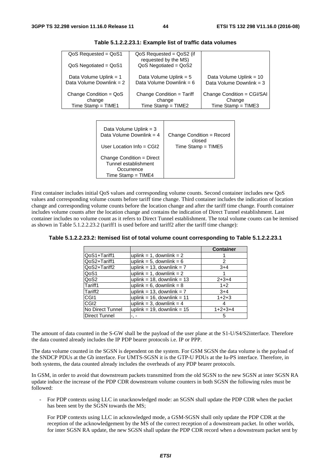| $QoS$ Requested = $QoS1$                           | $QoS$ Requested = $QoS$ 2 (if<br>requested by the MS)  |                                                     |
|----------------------------------------------------|--------------------------------------------------------|-----------------------------------------------------|
| $QoS$ Negotiated = $QoS1$                          | $QoS$ Negotiated = $QoS2$                              |                                                     |
| Data Volume Uplink = 1<br>Data Volume Downlink = 2 | Data Volume Uplink = $5$<br>Data Volume Downlink = $6$ | Data Volume Uplink = 10<br>Data Volume Downlink = 3 |
| Change Condition = $QoS$<br>change                 | Change Condition = Tariff<br>change                    | Change Condition = CGI/SAI<br>Change                |
| $Time$ Stamp = $TIME1$                             | Time Stamp = $TIME2$                                   | $Time$ Stamp = $TIME3$                              |

**Table 5.1.2.2.23.1: Example list of traffic data volumes** 

| Data Volume Uplink = 3                                                                  | Change Condition = Record |
|-----------------------------------------------------------------------------------------|---------------------------|
| Data Volume Downlink = $4$                                                              | closed                    |
| User Location Info = $CGI2$                                                             | $Time$ Stamp = $TIME5$    |
| Change Condition = Direct<br>Tunnel establishment<br>Occurrence<br>$Time$ Stamp = TIME4 |                           |

First container includes initial QoS values and corresponding volume counts. Second container includes new QoS values and corresponding volume counts before tariff time change. Third container includes the indication of location change and corresponding volume counts before the location change and after the tariff time change. Fourth container includes volume counts after the location change and contains the indication of Direct Tunnel establishment. Last container includes no volume count as it refers to Direct Tunnel establishment. The total volume counts can be itemised as shown in Table 5.1.2.2.23.2 (tariff1 is used before and tariff2 after the tariff time change):

|                      |                                 | <b>Container</b> |
|----------------------|---------------------------------|------------------|
| QoS1+Tariff1         | uplink = 1, downlink = $2$      |                  |
| QoS2+Tariff1         | uplink = $5$ , downlink = $6$   | 2                |
| QoS2+Tariff2         | uplink = $13$ , downlink = $7$  | $3+4$            |
| QoS1                 | uplink = 1, downlink = $2$      |                  |
| QoS2                 | uplink = $18$ , downlink = $13$ | $2+3+4$          |
| Tariff1              | uplink = $6$ , downlink = $8$   | $1+2$            |
| Tariff <sub>2</sub>  | uplink = $13$ , downlink = $7$  | $3+4$            |
| CGI <sub>1</sub>     | uplink = $16$ , downlink = $11$ | $1+2+3$          |
| CGI <sub>2</sub>     | uplink = 3, downlink = $4$      | 4                |
| No Direct Tunnel     | uplink = $19$ , downlink = $15$ | $1+2+3+4$        |
| <b>Direct Tunnel</b> |                                 | 5                |

**Table 5.1.2.2.23.2: Itemised list of total volume count corresponding to Table 5.1.2.2.23.1** 

The amount of data counted in the S-GW shall be the payload of the user plane at the S1-U/S4/S2interface. Therefore the data counted already includes the IP PDP bearer protocols i.e. IP or PPP.

The data volume counted in the SGSN is dependent on the system. For GSM SGSN the data volume is the payload of the SNDCP PDUs at the Gb interface. For UMTS-SGSN it is the GTP-U PDUs at the Iu-PS interface. Therefore, in both systems, the data counted already includes the overheads of any PDP bearer protocols.

In GSM, in order to avoid that downstream packets transmitted from the old SGSN to the new SGSN at inter SGSN RA update induce the increase of the PDP CDR downstream volume counters in both SGSN the following rules must be followed:

- For PDP contexts using LLC in unacknowledged mode: an SGSN shall update the PDP CDR when the packet has been sent by the SGSN towards the MS;

 For PDP contexts using LLC in acknowledged mode, a GSM-SGSN shall only update the PDP CDR at the reception of the acknowledgement by the MS of the correct reception of a downstream packet. In other worlds, for inter SGSN RA update, the new SGSN shall update the PDP CDR record when a downstream packet sent by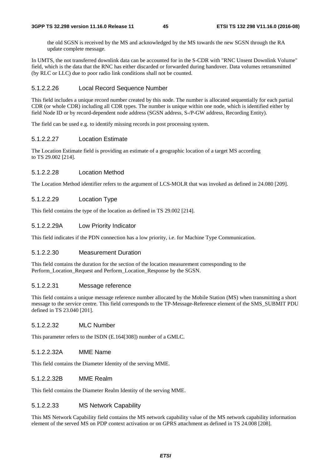the old SGSN is received by the MS and acknowledged by the MS towards the new SGSN through the RA update complete message.

In UMTS, the not transferred downlink data can be accounted for in the S-CDR with "RNC Unsent Downlink Volume" field, which is the data that the RNC has either discarded or forwarded during handover. Data volumes retransmitted (by RLC or LLC) due to poor radio link conditions shall not be counted.

#### 5.1.2.2.26 Local Record Sequence Number

This field includes a unique record number created by this node. The number is allocated sequentially for each partial CDR (or whole CDR) including all CDR types. The number is unique within one node, which is identified either by field Node ID or by record-dependent node address (SGSN address, S-/P-GW address, Recording Entity).

The field can be used e.g. to identify missing records in post processing system.

#### 5.1.2.2.27 Location Estimate

The Location Estimate field is providing an estimate of a geographic location of a target MS according to TS 29.002 [214].

#### 5.1.2.2.28 Location Method

The Location Method identifier refers to the argument of LCS-MOLR that was invoked as defined in 24.080 [209].

#### 5.1.2.2.29 Location Type

This field contains the type of the location as defined in TS 29.002 [214].

#### 5.1.2.2.29A Low Priority Indicator

This field indicates if the PDN connection has a low priority, i.e. for Machine Type Communication.

#### 5.1.2.2.30 Measurement Duration

This field contains the duration for the section of the location measurement corresponding to the Perform\_Location\_Request and Perform\_Location\_Response by the SGSN.

### 5.1.2.2.31 Message reference

This field contains a unique message reference number allocated by the Mobile Station (MS) when transmitting a short message to the service centre. This field corresponds to the TP-Message-Reference element of the SMS\_SUBMIT PDU defined in TS 23.040 [201].

## 5.1.2.2.32 MLC Number

This parameter refers to the ISDN (E.164[308]) number of a GMLC.

# 5.1.2.2.32A MME Name

This field contains the Diameter Identity of the serving MME.

#### 5.1.2.2.32B MME Realm

This field contains the Diameter Realm Identity of the serving MME.

# 5.1.2.2.33 MS Network Capability

This MS Network Capability field contains the MS network capability value of the MS network capability information element of the served MS on PDP context activation or on GPRS attachment as defined in TS 24.008 [208].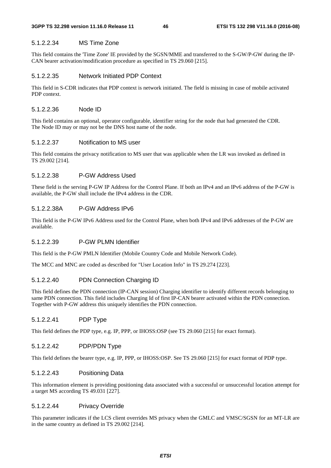### 5.1.2.2.34 MS Time Zone

This field contains the 'Time Zone' IE provided by the SGSN/MME and transferred to the S-GW/P-GW during the IP-CAN bearer activation/modification procedure as specified in TS 29.060 [215].

#### 5.1.2.2.35 Network Initiated PDP Context

This field in S-CDR indicates that PDP context is network initiated. The field is missing in case of mobile activated PDP context.

### 5.1.2.2.36 Node ID

This field contains an optional, operator configurable, identifier string for the node that had generated the CDR. The Node ID may or may not be the DNS host name of the node.

### 5.1.2.2.37 Notification to MS user

This field contains the privacy notification to MS user that was applicable when the LR was invoked as defined in TS 29.002 [214].

#### 5.1.2.2.38 P-GW Address Used

These field is the serving P-GW IP Address for the Control Plane. If both an IPv4 and an IPv6 address of the P-GW is available, the P-GW shall include the IPv4 address in the CDR.

# 5.1.2.2.38A P-GW Address IPv6

This field is the P-GW IPv6 Address used for the Control Plane, when both IPv4 and IPv6 addresses of the P-GW are available.

#### 5.1.2.2.39 P-GW PLMN Identifier

This field is the P-GW PMLN Identifier (Mobile Country Code and Mobile Network Code).

The MCC and MNC are coded as described for "User Location Info" in TS 29.274 [223].

# 5.1.2.2.40 PDN Connection Charging ID

This field defines the PDN connection (IP-CAN session) Charging identifier to identify different records belonging to same PDN connection. This field includes Charging Id of first IP-CAN bearer activated within the PDN connection. Together with P-GW address this uniquely identifies the PDN connection.

#### 5.1.2.2.41 PDP Type

This field defines the PDP type, e.g. IP, PPP, or IHOSS:OSP (see TS 29.060 [215] for exact format).

# 5.1.2.2.42 PDP/PDN Type

This field defines the bearer type, e.g. IP, PPP, or IHOSS:OSP. See TS 29.060 [215] for exact format of PDP type.

#### 5.1.2.2.43 Positioning Data

This information element is providing positioning data associated with a successful or unsuccessful location attempt for a target MS according TS 49.031 [227].

#### 5.1.2.2.44 Privacy Override

This parameter indicates if the LCS client overrides MS privacy when the GMLC and VMSC/SGSN for an MT-LR are in the same country as defined in TS 29.002 [214].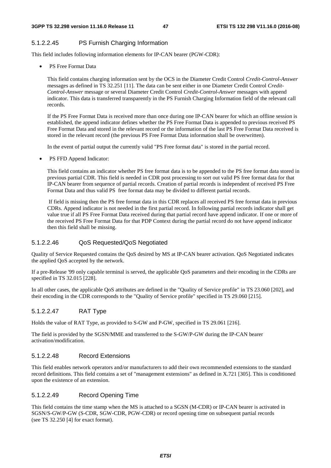# 5.1.2.2.45 PS Furnish Charging Information

This field includes following information elements for IP-CAN bearer (PGW-CDR):

• PS Free Format Data

This field contains charging information sent by the OCS in the Diameter Credit Control *Credit-Control-Answer* messages as defined in TS 32.251 [11]. The data can be sent either in one Diameter Credit Control *Credit-Control-Answer* message or several Diameter Credit Control *Credit-Control-Answer* messages with append indicator. This data is transferred transparently in the PS Furnish Charging Information field of the relevant call records.

If the PS Free Format Data is received more than once during one IP-CAN bearer for which an offline session is established, the append indicator defines whether the PS Free Format Data is appended to previous received PS Free Format Data and stored in the relevant record or the information of the last PS Free Format Data received is stored in the relevant record (the previous PS Free Format Data information shall be overwritten).

In the event of partial output the currently valid "PS Free format data" is stored in the partial record.

• PS FFD Append Indicator:

This field contains an indicator whether PS free format data is to be appended to the PS free format data stored in previous partial CDR. This field is needed in CDR post processing to sort out valid PS free format data for that IP-CAN bearer from sequence of partial records. Creation of partial records is independent of received PS Free Format Data and thus valid PS free format data may be divided to different partial records.

 If field is missing then the PS free format data in this CDR replaces all received PS free format data in previous CDRs. Append indicator is not needed in the first partial record. In following partial records indicator shall get value true if all PS Free Format Data received during that partial record have append indicator. If one or more of the received PS Free Format Data for that PDP Context during the partial record do not have append indicator then this field shall be missing.

# 5.1.2.2.46 QoS Requested/QoS Negotiated

Quality of Service Requested contains the QoS desired by MS at IP-CAN bearer activation. QoS Negotiated indicates the applied QoS accepted by the network.

If a pre-Release '99 only capable terminal is served, the applicable QoS parameters and their encoding in the CDRs are specified in TS 32.015 [228].

In all other cases, the applicable QoS attributes are defined in the "Quality of Service profile" in TS 23.060 [202], and their encoding in the CDR corresponds to the "Quality of Service profile" specified in TS 29.060 [215].

## 5.1.2.2.47 RAT Type

Holds the value of RAT Type, as provided to S-GW and P-GW, specified in TS 29.061 [216].

The field is provided by the SGSN/MME and transferred to the S-GW/P-GW during the IP-CAN bearer activation/modification.

#### 5.1.2.2.48 Record Extensions

This field enables network operators and/or manufacturers to add their own recommended extensions to the standard record definitions. This field contains a set of "management extensions" as defined in X.721 [305]. This is conditioned upon the existence of an extension.

#### 5.1.2.2.49 Record Opening Time

This field contains the time stamp when the MS is attached to a SGSN (M-CDR) or IP-CAN bearer is activated in SGSN/S-GW/P-GW (S-CDR, SGW-CDR, PGW-CDR) or record opening time on subsequent partial records (see TS 32.250 [4] for exact format).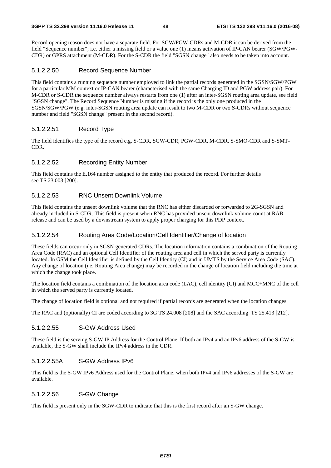Record opening reason does not have a separate field. For SGW/PGW-CDRs and M-CDR it can be derived from the field "Sequence number"; i.e. either a missing field or a value one (1) means activation of IP-CAN bearer (SGW/PGW-CDR) or GPRS attachment (M-CDR). For the S-CDR the field "SGSN change" also needs to be taken into account.

### 5.1.2.2.50 Record Sequence Number

This field contains a running sequence number employed to link the partial records generated in the SGSN/SGW/PGW for a particular MM context or IP-CAN bearer (characterised with the same Charging ID and PGW address pair). For M-CDR or S-CDR the sequence number always restarts from one (1) after an inter-SGSN routing area update, see field "SGSN change". The Record Sequence Number is missing if the record is the only one produced in the SGSN/SGW/PGW (e.g. inter-SGSN routing area update can result to two M-CDR or two S-CDRs without sequence number and field "SGSN change" present in the second record).

### 5.1.2.2.51 Record Type

The field identifies the type of the record e.g. S-CDR, SGW-CDR, PGW-CDR, M-CDR, S-SMO-CDR and S-SMT-CDR.

### 5.1.2.2.52 Recording Entity Number

This field contains the E.164 number assigned to the entity that produced the record. For further details see TS 23.003 [200].

## 5.1.2.2.53 RNC Unsent Downlink Volume

This field contains the unsent downlink volume that the RNC has either discarded or forwarded to 2G-SGSN and already included in S-CDR. This field is present when RNC has provided unsent downlink volume count at RAB release and can be used by a downstream system to apply proper charging for this PDP context.

#### 5.1.2.2.54 Routing Area Code/Location/Cell Identifier/Change of location

These fields can occur only in SGSN generated CDRs. The location information contains a combination of the Routing Area Code (RAC) and an optional Cell Identifier of the routing area and cell in which the served party is currently located. In GSM the Cell Identifier is defined by the Cell Identity (CI) and in UMTS by the Service Area Code (SAC). Any change of location (i.e. Routing Area change) may be recorded in the change of location field including the time at which the change took place.

The location field contains a combination of the location area code (LAC), cell identity (CI) and MCC+MNC of the cell in which the served party is currently located.

The change of location field is optional and not required if partial records are generated when the location changes.

The RAC and (optionally) CI are coded according to 3G TS 24.008 [208] and the SAC according TS 25.413 [212].

# 5.1.2.2.55 S-GW Address Used

These field is the serving S-GW IP Address for the Control Plane. If both an IPv4 and an IPv6 address of the S-GW is available, the S-GW shall include the IPv4 address in the CDR.

#### 5.1.2.2.55A S-GW Address IPv6

This field is the S-GW IPv6 Address used for the Control Plane, when both IPv4 and IPv6 addresses of the S-GW are available.

#### 5.1.2.2.56 S-GW Change

This field is present only in the SGW-CDR to indicate that this is the first record after an S-GW change.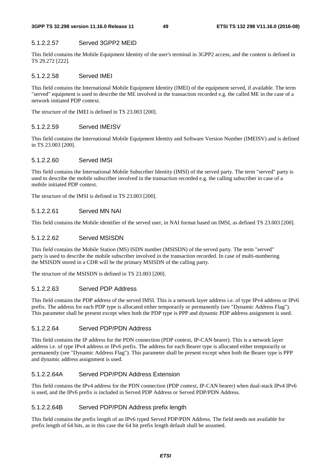# 5.1.2.2.57 Served 3GPP2 MEID

This field contains the Mobile Equipment Identity of the user's terminal in 3GPP2 access, and the content is defined in TS 29.272 [222].

# 5.1.2.2.58 Served IMEI

This field contains the International Mobile Equipment Identity (IMEI) of the equipment served, if available. The term "served" equipment is used to describe the ME involved in the transaction recorded e.g. the called ME in the case of a network initiated PDP context.

The structure of the IMEI is defined in TS 23.003 [200].

# 5.1.2.2.59 Served IMEISV

This field contains the International Mobile Equipment Identity and Software Version Number (IMEISV) and is defined in TS 23.003 [200].

# 5.1.2.2.60 Served IMSI

This field contains the International Mobile Subscriber Identity (IMSI) of the served party. The term "served" party is used to describe the mobile subscriber involved in the transaction recorded e.g. the calling subscriber in case of a mobile initiated PDP context.

The structure of the IMSI is defined in TS 23.003 [200].

# 5.1.2.2.61 Served MN NAI

This field contains the Mobile identifier of the served user, in NAI format based on IMSI, as defined TS 23.003 [200].

# 5.1.2.2.62 Served MSISDN

This field contains the Mobile Station (MS) ISDN number (MSISDN) of the served party. The term "served" party is used to describe the mobile subscriber involved in the transaction recorded. In case of multi-numbering the MSISDN stored in a CDR will be the primary MSISDN of the calling party.

The structure of the MSISDN is defined in TS 23.003 [200].

# 5.1.2.2.63 Served PDP Address

This field contains the PDP address of the served IMSI. This is a network layer address i.e. of type IPv4 address or IPv6 prefix. The address for each PDP type is allocated either temporarily or permanently (see "Dynamic Address Flag"). This parameter shall be present except when both the PDP type is PPP and dynamic PDP address assignment is used.

# 5.1.2.2.64 Served PDP/PDN Address

This field contains the IP address for the PDN connection (PDP context, IP-CAN bearer). This is a network layer address i.e. of type IPv4 address or IPv6 prefix. The address for each Bearer type is allocated either temporarily or permanently (see "Dynamic Address Flag"). This parameter shall be present except when both the Bearer type is PPP and dynamic address assignment is used.

# 5.1.2.2.64A Served PDP/PDN Address Extension

This field contains the IPv4 address for the PDN connection (PDP context, IP-CAN bearer) when dual-stack IPv4 IPv6 is used, and the IPv6 prefix is included in Served PDP Address or Served PDP/PDN Address.

# 5.1.2.2.64B Served PDP/PDN Address prefix length

This field contains the prefix length of an IPv6 typed Served PDP/PDN Address. The field needs not available for prefix length of 64 bits, as in this case the 64 bit prefix length default shall be assumed.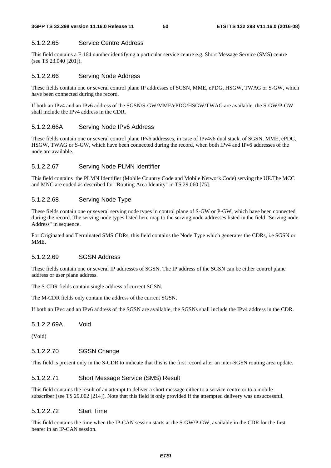# 5.1.2.2.65 Service Centre Address

This field contains a E.164 number identifying a particular service centre e.g. Short Message Service (SMS) centre (see TS 23.040 [201]).

# 5.1.2.2.66 Serving Node Address

These fields contain one or several control plane IP addresses of SGSN, MME, ePDG, HSGW, TWAG or S-GW, which have been connected during the record.

If both an IPv4 and an IPv6 address of the SGSN/S-GW/MME/ePDG/HSGW/TWAG are available, the S-GW/P-GW shall include the IPv4 address in the CDR.

# 5.1.2.2.66A Serving Node IPv6 Address

These fields contain one or several control plane IPv6 addresses, in case of IPv4v6 dual stack, of SGSN, MME, ePDG, HSGW, TWAG or S-GW, which have been connected during the record, when both IPv4 and IPv6 addresses of the node are available.

# 5.1.2.2.67 Serving Node PLMN Identifier

This field contains the PLMN Identifier (Mobile Country Code and Mobile Network Code) serving the UE.The MCC and MNC are coded as described for "Routing Area Identity" in TS 29.060 [75].

# 5.1.2.2.68 Serving Node Type

These fields contain one or several serving node types in control plane of S-GW or P-GW, which have been connected during the record. The serving node types listed here map to the serving node addresses listed in the field "Serving node Address" in sequence.

For Originated and Terminated SMS CDRs, this field contains the Node Type which generates the CDRs, i.e SGSN or MME.

# 5.1.2.2.69 SGSN Address

These fields contain one or several IP addresses of SGSN. The IP address of the SGSN can be either control plane address or user plane address.

The S-CDR fields contain single address of current SGSN.

The M-CDR fields only contain the address of the current SGSN.

If both an IPv4 and an IPv6 address of the SGSN are available, the SGSNs shall include the IPv4 address in the CDR.

# 5.1.2.2.69A Void

(Void)

# 5.1.2.2.70 SGSN Change

This field is present only in the S-CDR to indicate that this is the first record after an inter-SGSN routing area update.

# 5.1.2.2.71 Short Message Service (SMS) Result

This field contains the result of an attempt to deliver a short message either to a service centre or to a mobile subscriber (see TS 29.002 [214]). Note that this field is only provided if the attempted delivery was unsuccessful.

#### 5.1.2.2.72 Start Time

This field contains the time when the IP-CAN session starts at the S-GW/P-GW, available in the CDR for the first bearer in an IP-CAN session.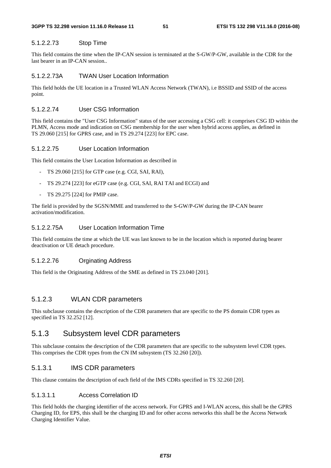#### 5.1.2.2.73 Stop Time

This field contains the time when the IP-CAN session is terminated at the S-GW/P-GW, available in the CDR for the last bearer in an IP-CAN session..

### 5.1.2.2.73A TWAN User Location Information

This field holds the UE location in a Trusted WLAN Access Network (TWAN), i.e BSSID and SSID of the access point.

# 5.1.2.2.74 User CSG Information

This field contains the "User CSG Information" status of the user accessing a CSG cell: it comprises CSG ID within the PLMN, Access mode and indication on CSG membership for the user when hybrid access applies, as defined in TS 29.060 [215] for GPRS case, and in TS 29.274 [223] for EPC case.

### 5.1.2.2.75 User Location Information

This field contains the User Location Information as described in

- TS 29.060 [215] for GTP case (e.g. CGI, SAI, RAI),
- TS 29.274 [223] for eGTP case (e.g. CGI, SAI, RAI TAI and ECGI) and
- TS 29.275 [224] for PMIP case.

The field is provided by the SGSN/MME and transferred to the S-GW/P-GW during the IP-CAN bearer activation/modification.

# 5.1.2.2.75A User Location Information Time

This field contains the time at which the UE was last known to be in the location which is reported during bearer deactivation or UE detach procedure.

# 5.1.2.2.76 Orginating Address

This field is the Originating Address of the SME as defined in TS 23.040 [201].

# 5.1.2.3 WLAN CDR parameters

This subclause contains the description of the CDR parameters that are specific to the PS domain CDR types as specified in TS 32.252 [12].

# 5.1.3 Subsystem level CDR parameters

This subclause contains the description of the CDR parameters that are specific to the subsystem level CDR types. This comprises the CDR types from the CN IM subsystem (TS 32.260 [20]).

# 5.1.3.1 IMS CDR parameters

This clause contains the description of each field of the IMS CDRs specified in TS 32.260 [20].

# 5.1.3.1.1 Access Correlation ID

This field holds the charging identifier of the access network. For GPRS and I-WLAN access, this shall be the GPRS Charging ID, for EPS, this shall be the charging ID and for other access networks this shall be the Access Network Charging Identifier Value.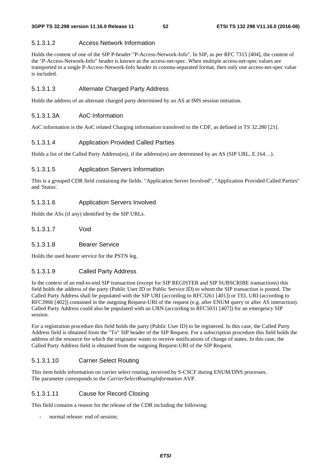# 5.1.3.1.2 Access Network Information

Holds the content of one of the SIP P-header "P-Access-Network-Info". In SIP, as per RFC 7315 [404], the content of the "P-Access-Network-Info" header is known as the access-net-spec. When multiple access-net-spec values are transported in a single P-Access-Network-Info header in comma-separated format, then only one access-net-spec value is included.

# 5.1.3.1.3 Alternate Charged Party Address

Holds the address of an alternate charged party determined by an AS at IMS session initiation.

# 5.1.3.1.3A AoC Information

AoC information is the AoC related Charging information transfered to the CDF, as defined in TS 32.280 [21].

# 5.1.3.1.4 Application Provided Called Parties

Holds a list of the Called Party Address(es), if the address(es) are determined by an AS (SIP URL, E.164…).

# 5.1.3.1.5 Application Servers Information

This is a grouped CDR field containing the fields: "Application Server Involved", "Application Provided Called Parties" and 'Status'.

# 5.1.3.1.6 Application Servers Involved

Holds the ASs (if any) identified by the SIP URLs.

- 5.1.3.1.7 Void
- 5.1.3.1.8 Bearer Service

Holds the used bearer service for the PSTN leg.

# 5.1.3.1.9 Called Party Address

In the context of an end-to-end SIP transaction (except for SIP REGISTER and SIP SUBSCRIBE transactions) this field holds the address of the party (Public User ID or Public Service ID) to whom the SIP transaction is posted. The Called Party Address shall be populated with the SIP URI (according to RFC3261 [401]) or TEL URI (according to RFC3966 [402]) contained in the outgoing Request-URI of the request (e.g. after ENUM query or after AS interaction). Called Party Address could also be populated with an URN (according to RFC5031 [407]) for an emergency SIP session.

For a registration procedure this field holds the party (Public User ID) to be registered. In this case, the Called Party Address field is obtained from the "To" SIP header of the SIP Request. For a subscription procedure this field holds the address of the resource for which the originator wants to receive notifications of change of states. In this case, the Called Party Address field is obtained from the outgoing Request-URI of the SIP Request.

# 5.1.3.1.10 Carrier Select Routing

This item holds information on carrier select routing, received by S-CSCF during ENUM/DNS processes. The parameter corresponds to the *CarrierSelectRoutingInformation* AVP.

# 5.1.3.1.11 Cause for Record Closing

This field contains a reason for the release of the CDR including the following:

normal release: end of session: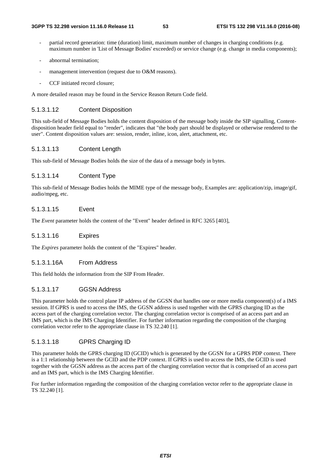- partial record generation: time (duration) limit, maximum number of changes in charging conditions (e.g. maximum number in 'List of Message Bodies' exceeded) or service change (e.g. change in media components);
- abnormal termination;
- management intervention (request due to  $O&M$  reasons).
- CCF initiated record closure:

A more detailed reason may be found in the Service Reason Return Code field.

### 5.1.3.1.12 Content Disposition

This sub-field of Message Bodies holds the content disposition of the message body inside the SIP signalling, Contentdisposition header field equal to "render", indicates that "the body part should be displayed or otherwise rendered to the user". Content disposition values are: session, render, inline, icon, alert, attachment, etc.

### 5.1.3.1.13 Content Length

This sub-field of Message Bodies holds the size of the data of a message body in bytes.

### 5.1.3.1.14 Content Type

This sub-field of Message Bodies holds the MIME type of the message body, Examples are: application/zip, image/gif, audio/mpeg, etc.

## 5.1.3.1.15 Event

The *Event* parameter holds the content of the "Event" header defined in RFC 3265 [403],

### 5.1.3.1.16 Expires

The *Expires* parameter holds the content of the "Expires" header.

#### 5.1.3.1.16A From Address

This field holds the information from the SIP From Header.

# 5.1.3.1.17 GGSN Address

This parameter holds the control plane IP address of the GGSN that handles one or more media component(s) of a IMS session. If GPRS is used to access the IMS, the GGSN address is used together with the GPRS charging ID as the access part of the charging correlation vector. The charging correlation vector is comprised of an access part and an IMS part, which is the IMS Charging Identifier. For further information regarding the composition of the charging correlation vector refer to the appropriate clause in TS 32.240 [1].

# 5.1.3.1.18 GPRS Charging ID

This parameter holds the GPRS charging ID (GCID) which is generated by the GGSN for a GPRS PDP context. There is a 1:1 relationship between the GCID and the PDP context. If GPRS is used to access the IMS, the GCID is used together with the GGSN address as the access part of the charging correlation vector that is comprised of an access part and an IMS part, which is the IMS Charging Identifier.

For further information regarding the composition of the charging correlation vector refer to the appropriate clause in TS 32.240 [1].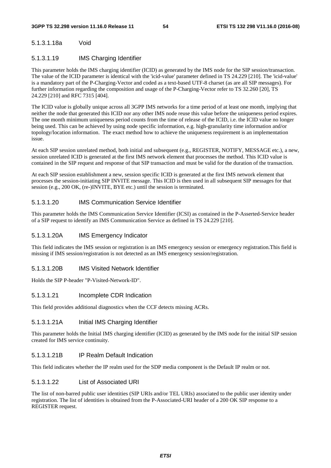# 5.1.3.1.18a Void

### 5.1.3.1.19 IMS Charging Identifier

This parameter holds the IMS charging identifier (ICID) as generated by the IMS node for the SIP session/transaction. The value of the ICID parameter is identical with the 'icid-value' parameter defined in TS 24.229 [210]. The 'icid-value' is a mandatory part of the P-Charging-Vector and coded as a text-based UTF-8 charset (as are all SIP messages). For further information regarding the composition and usage of the P-Charging-Vector refer to TS 32.260 [20], TS 24.229 [210] and RFC 7315 [404].

The ICID value is globally unique across all 3GPP IMS networks for a time period of at least one month, implying that neither the node that generated this ICID nor any other IMS node reuse this value before the uniqueness period expires. The one month minimum uniqueness period counts from the time of release of the ICID, i.e. the ICID value no longer being used. This can be achieved by using node specific information, e.g. high-granularity time information and/or topology/location information. The exact method how to achieve the uniqueness requirement is an implementation issue.

At each SIP session unrelated method, both initial and subsequent (e.g., REGISTER, NOTIFY, MESSAGE etc.), a new, session unrelated ICID is generated at the first IMS network element that processes the method. This ICID value is contained in the SIP request and response of that SIP transaction and must be valid for the duration of the transaction.

At each SIP session establishment a new, session specific ICID is generated at the first IMS network element that processes the session-initiating SIP INVITE message. This ICID is then used in all subsequent SIP messages for that session (e.g., 200 OK, (re-)INVITE, BYE etc.) until the session is terminated.

### 5.1.3.1.20 IMS Communication Service Identifier

This parameter holds the IMS Communication Service Identifier (ICSI) as contained in the P-Asserted-Service header of a SIP request to identify an IMS Communication Service as defined in TS 24.229 [210].

#### 5.1.3.1.20A IMS Emergency Indicator

This field indicates the IMS session or registration is an IMS emergency session or emergency registration.This field is missing if IMS session/registration is not detected as an IMS emergency session/registration.

#### 5.1.3.1.20B IMS Visited Network Identifier

Holds the SIP P-header "P-Visited-Network-ID".

### 5.1.3.1.21 Incomplete CDR Indication

This field provides additional diagnostics when the CCF detects missing ACRs.

#### 5.1.3.1.21A Initial IMS Charging Identifier

This parameter holds the Initial IMS charging identifier (ICID) as generated by the IMS node for the initial SIP session created for IMS service continuity.

# 5.1.3.1.21B IP Realm Default Indication

This field indicates whether the IP realm used for the SDP media component is the Default IP realm or not.

#### 5.1.3.1.22 List of Associated URI

The list of non-barred public user identities (SIP URIs and/or TEL URIs) associated to the public user identity under registration. The list of identities is obtained from the P-Associated-URI header of a 200 OK SIP response to a REGISTER request.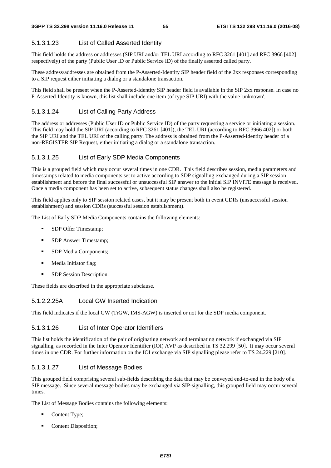# 5.1.3.1.23 List of Called Asserted Identity

This field holds the address or addresses (SIP URI and/or TEL URI according to RFC 3261 [401] and RFC 3966 [402] respectively) of the party (Public User ID or Public Service ID) of the finally asserted called party.

These address/addresses are obtained from the P-Asserted-Identity SIP header field of the 2xx responses corresponding to a SIP request either initiating a dialog or a standalone transaction.

This field shall be present when the P-Asserted-Identity SIP header field is available in the SIP 2xx response. In case no P-Asserted-Identity is known, this list shall include one item (of type SIP URI) with the value 'unknown'.

# 5.1.3.1.24 List of Calling Party Address

The address or addresses (Public User ID or Public Service ID) of the party requesting a service or initiating a session. This field may hold the SIP URI (according to RFC 3261 [401]), the TEL URI (according to RFC 3966 402]) or both the SIP URI and the TEL URI of the calling party. The address is obtained from the P-Asserted-Identity header of a non-REGISTER SIP Request, either initiating a dialog or a standalone transaction.

# 5.1.3.1.25 List of Early SDP Media Components

This is a grouped field which may occur several times in one CDR. This field describes session, media parameters and timestamps related to media components set to active according to SDP signalling exchanged during a SIP session establishment and before the final successful or unsuccessful SIP answer to the initial SIP INVITE message is received. Once a media component has been set to active, subsequent status changes shall also be registered.

This field applies only to SIP session related cases, but it may be present both in event CDRs (unsuccessful session establishment) and session CDRs (successful session establishment).

The List of Early SDP Media Components contains the following elements:

- **SDP** Offer Timestamp;
- **SDP** Answer Timestamp;
- **SDP** Media Components;
- **Media Initiator flag;**
- **SDP** Session Description.

These fields are described in the appropriate subclause.

# 5.1.2.2.25A Local GW Inserted Indication

This field indicates if the local GW (TrGW, IMS-AGW) is inserted or not for the SDP media component.

# 5.1.3.1.26 List of Inter Operator Identifiers

This list holds the identification of the pair of originating network and terminating network if exchanged via SIP signalling, as recorded in the Inter Operator Identifier (IOI) AVP as described in TS 32.299 [50]. It may occur several times in one CDR. For further information on the IOI exchange via SIP signalling please refer to TS 24.229 [210].

# 5.1.3.1.27 List of Message Bodies

This grouped field comprising several sub-fields describing the data that may be conveyed end-to-end in the body of a SIP message. Since several message bodies may be exchanged via SIP-signalling, this grouped field may occur several times.

The List of Message Bodies contains the following elements:

- Content Type;
- Content Disposition;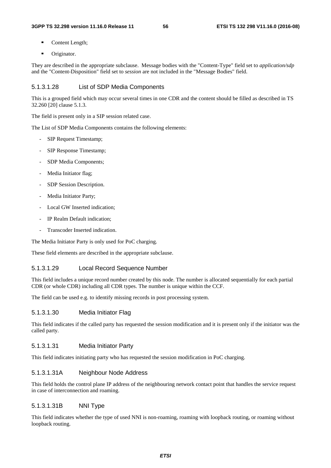- Content Length;
- **•** Originator.

They are described in the appropriate subclause. Message bodies with the "Content-Type" field set to *application/sdp* and the "Content-Disposition" field set to *session* are not included in the "Message Bodies" field.

#### 5.1.3.1.28 List of SDP Media Components

This is a grouped field which may occur several times in one CDR and the content should be filled as described in TS 32.260 [20] clause 5.1.3.

The field is present only in a SIP session related case.

The List of SDP Media Components contains the following elements:

- SIP Request Timestamp;
- SIP Response Timestamp;
- SDP Media Components;
- Media Initiator flag;
- SDP Session Description.
- Media Initiator Party;
- Local GW Inserted indication;
- IP Realm Default indication:
- Transcoder Inserted indication.

The Media Initiator Party is only used for PoC charging.

These field elements are described in the appropriate subclause.

#### 5.1.3.1.29 Local Record Sequence Number

This field includes a unique record number created by this node. The number is allocated sequentially for each partial CDR (or whole CDR) including all CDR types. The number is unique within the CCF.

The field can be used e.g. to identify missing records in post processing system.

### 5.1.3.1.30 Media Initiator Flag

This field indicates if the called party has requested the session modification and it is present only if the initiator was the called party.

#### 5.1.3.1.31 Media Initiator Party

This field indicates initiating party who has requested the session modification in PoC charging.

#### 5.1.3.1.31A Neighbour Node Address

This field holds the control plane IP address of the neighbouring network contact point that handles the service request in case of interconnection and roaming.

## 5.1.3.1.31B NNI Type

This field indicates whether the type of used NNI is non-roaming, roaming with loopback routing, or roaming without loopback routing.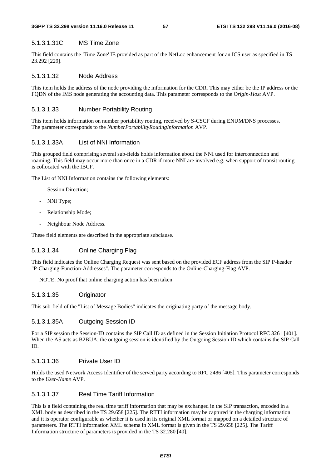#### 5.1.3.1.31C MS Time Zone

This field contains the 'Time Zone' IE provided as part of the NetLoc enhancement for an ICS user as specified in TS 23.292 [229].

## 5.1.3.1.32 Node Address

This item holds the address of the node providing the information for the CDR. This may either be the IP address or the FQDN of the IMS node generating the accounting data. This parameter corresponds to the O*rigin-Host* AVP.

### 5.1.3.1.33 Number Portability Routing

This item holds information on number portability routing, received by S-CSCF during ENUM/DNS processes. The parameter corresponds to the *NumberPortabilityRoutingInformation* AVP.

## 5.1.3.1.33A List of NNI Information

This grouped field comprising several sub-fields holds information about the NNI used for interconnection and roaming. This field may occur more than once in a CDR if more NNI are involved e.g. when support of transit routing is collocated with the IBCF.

The List of NNI Information contains the following elements:

- Session Direction;
- NNI Type;
- Relationship Mode;
- Neighbour Node Address.

These field elements are described in the appropriate subclause.

# 5.1.3.1.34 Online Charging Flag

This field indicates the Online Charging Request was sent based on the provided ECF address from the SIP P-header "P-Charging-Function-Addresses". The parameter corresponds to the Online-Charging-Flag AVP.

NOTE: No proof that online charging action has been taken

## 5.1.3.1.35 Originator

This sub-field of the "List of Message Bodies" indicates the originating party of the message body.

#### 5.1.3.1.35A Outgoing Session ID

For a SIP session the Session-ID contains the SIP Call ID as defined in the Session Initiation Protocol RFC 3261 [401]. When the AS acts as B2BUA, the outgoing session is identified by the Outgoing Session ID which contains the SIP Call ID.

#### 5.1.3.1.36 Private User ID

Holds the used Network Access Identifier of the served party according to RFC 2486 [405]*.* This parameter corresponds to the *User-Name* AVP.

#### 5.1.3.1.37 Real Time Tariff Information

This is a field containing the real time tariff information that may be exchanged in the SIP transaction, encoded in a XML body as described in the TS 29.658 [225]. The RTTI information may be captured in the charging information and it is operator configurable as whether it is used in its original XML format or mapped on a detailed structure of parameters. The RTTI information XML schema in XML format is given in the TS 29.658 [225]. The Tariff Information structure of parameters is provided in the TS 32.280 [40].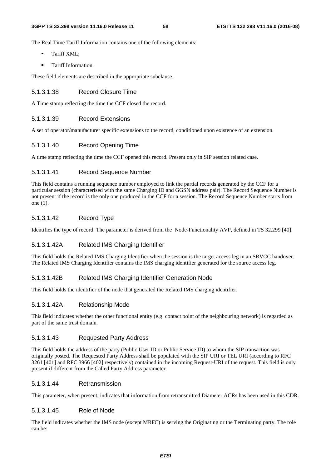The Real Time Tariff Information contains one of the following elements:

- **Tariff XML:**
- **Tariff Information.**

These field elements are described in the appropriate subclause.

# 5.1.3.1.38 Record Closure Time

A Time stamp reflecting the time the CCF closed the record.

# 5.1.3.1.39 Record Extensions

A set of operator/manufacturer specific extensions to the record, conditioned upon existence of an extension.

# 5.1.3.1.40 Record Opening Time

A time stamp reflecting the time the CCF opened this record. Present only in SIP session related case.

# 5.1.3.1.41 Record Sequence Number

This field contains a running sequence number employed to link the partial records generated by the CCF for a particular session (characterised with the same Charging ID and GGSN address pair). The Record Sequence Number is not present if the record is the only one produced in the CCF for a session. The Record Sequence Number starts from one (1).

# 5.1.3.1.42 Record Type

Identifies the type of record. The parameter is derived from the Node-Functionality AVP, defined in TS 32.299 [40].

# 5.1.3.1.42A Related IMS Charging Identifier

This field holds the Related IMS Charging Identifier when the session is the target access leg in an SRVCC handover. The Related IMS Charging Identifier contains the IMS charging identifier generated for the source access leg.

# 5.1.3.1.42B Related IMS Charging Identifier Generation Node

This field holds the identifier of the node that generated the Related IMS charging identifier.

#### 5.1.3.1.42A Relationship Mode

This field indicates whether the other functional entity (e.g. contact point of the neighbouring network) is regarded as part of the same trust domain.

#### 5.1.3.1.43 Requested Party Address

This field holds the address of the party (Public User ID or Public Service ID) to whom the SIP transaction was originally posted. The Requested Party Address shall be populated with the SIP URI or TEL URI (according to RFC 3261 [401] and RFC 3966 [402] respectively) contained in the incoming Request-URI of the request. This field is only present if different from the Called Party Address parameter.

#### 5.1.3.1.44 Retransmission

This parameter, when present, indicates that information from retransmitted Diameter ACRs has been used in this CDR.

#### 5.1.3.1.45 Role of Node

The field indicates whether the IMS node (except MRFC) is serving the Originating or the Terminating party. The role can be: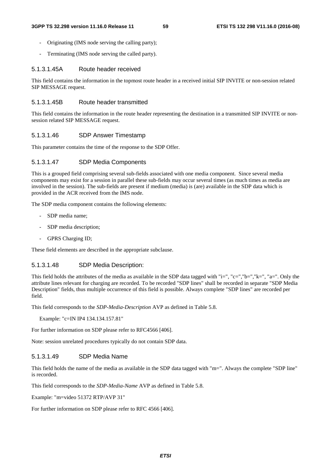- Originating (IMS node serving the calling party);
- Terminating (IMS node serving the called party).

#### 5.1.3.1.45A Route header received

This field contains the information in the topmost route header in a received initial SIP INVITE or non-session related SIP MESSAGE request.

### 5.1.3.1.45B Route header transmitted

This field contains the information in the route header representing the destination in a transmitted SIP INVITE or nonsession related SIP MESSAGE request.

#### 5.1.3.1.46 SDP Answer Timestamp

This parameter contains the time of the response to the SDP Offer.

#### 5.1.3.1.47 SDP Media Components

This is a grouped field comprising several sub-fields associated with one media component. Since several media components may exist for a session in parallel these sub-fields may occur several times (as much times as media are involved in the session). The sub-fields are present if medium (media) is (are) available in the SDP data which is provided in the ACR received from the IMS node.

The SDP media component contains the following elements:

- SDP media name;
- SDP media description;
- GPRS Charging ID;

These field elements are described in the appropriate subclause.

#### 5.1.3.1.48 SDP Media Description:

This field holds the attributes of the media as available in the SDP data tagged with "i=", "c=","b=","k=", "a=". Only the attribute lines relevant for charging are recorded. To be recorded "SDP lines" shall be recorded in separate "SDP Media Description" fields, thus multiple occurrence of this field is possible. Always complete "SDP lines" are recorded per field.

This field corresponds to the *SDP-Media-Description* AVP as defined in Table 5.8.

Example: "c=IN IP4 134.134.157.81"

For further information on SDP please refer to RFC4566 [406].

Note: session unrelated procedures typically do not contain SDP data.

### 5.1.3.1.49 SDP Media Name

This field holds the name of the media as available in the SDP data tagged with "m=". Always the complete "SDP line" is recorded.

This field corresponds to the *SDP-Media-Name* AVP as defined in Table 5.8.

Example: "m=video 51372 RTP/AVP 31"

For further information on SDP please refer to RFC 4566 [406].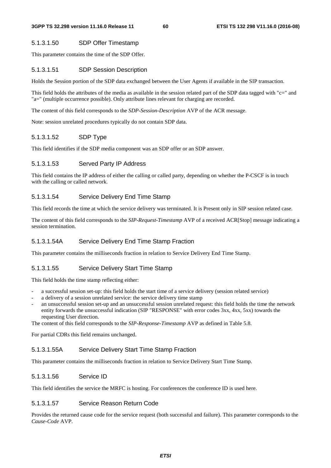# 5.1.3.1.50 SDP Offer Timestamp

This parameter contains the time of the SDP Offer.

## 5.1.3.1.51 SDP Session Description

Holds the Session portion of the SDP data exchanged between the User Agents if available in the SIP transaction.

This field holds the attributes of the media as available in the session related part of the SDP data tagged with "c=" and "a=" (multiple occurrence possible). Only attribute lines relevant for charging are recorded.

The content of this field corresponds to the *SDP-Session-Description* AVP of the ACR message.

Note: session unrelated procedures typically do not contain SDP data.

# 5.1.3.1.52 SDP Type

This field identifies if the SDP media component was an SDP offer or an SDP answer.

### 5.1.3.1.53 Served Party IP Address

This field contains the IP address of either the calling or called party, depending on whether the P-CSCF is in touch with the calling or called network.

# 5.1.3.1.54 Service Delivery End Time Stamp

This field records the time at which the service delivery was terminated. It is Present only in SIP session related case.

The content of this field corresponds to the *SIP-Request-Timestamp* AVP of a received ACR[Stop] message indicating a session termination.

# 5.1.3.1.54A Service Delivery End Time Stamp Fraction

This parameter contains the milliseconds fraction in relation to Service Delivery End Time Stamp.

# 5.1.3.1.55 Service Delivery Start Time Stamp

This field holds the time stamp reflecting either:

- a successful session set-up: this field holds the start time of a service delivery (session related service)
- a delivery of a session unrelated service: the service delivery time stamp
- an unsuccessful session set-up and an unsuccessful session unrelated request: this field holds the time the network entity forwards the unsuccessful indication (SIP "RESPONSE" with error codes 3xx, 4xx, 5xx) towards the requesting User direction.

The content of this field corresponds to the *SIP-Response-Timestamp* AVP as defined in Table 5.8.

For partial CDRs this field remains unchanged.

### 5.1.3.1.55A Service Delivery Start Time Stamp Fraction

This parameter contains the milliseconds fraction in relation to Service Delivery Start Time Stamp.

# 5.1.3.1.56 Service ID

This field identifies the service the MRFC is hosting. For conferences the conference ID is used here.

# 5.1.3.1.57 Service Reason Return Code

Provides the returned cause code for the service request (both successful and failure). This parameter corresponds to the *Cause-Code* AVP.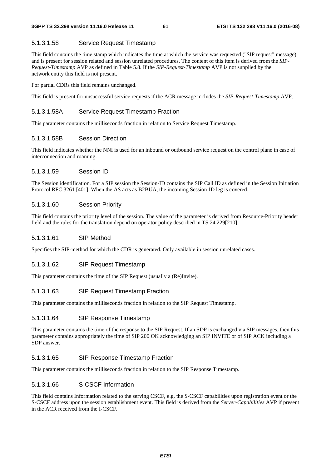## 5.1.3.1.58 Service Request Timestamp

This field contains the time stamp which indicates the time at which the service was requested ("SIP request" message) and is present for session related and session unrelated procedures. The content of this item is derived from the *SIP-Request-Timestamp* AVP as defined in Table 5.8. If the *SIP-Request-Timestamp* AVP is not supplied by the network entity this field is not present.

For partial CDRs this field remains unchanged.

This field is present for unsuccessful service requests if the ACR message includes the *SIP-Request-Timestamp* AVP.

# 5.1.3.1.58A Service Request Timestamp Fraction

This parameter contains the milliseconds fraction in relation to Service Request Timestamp.

### 5.1.3.1.58B Session Direction

This field indicates whether the NNI is used for an inbound or outbound service request on the control plane in case of interconnection and roaming.

### 5.1.3.1.59 Session ID

The Session identification. For a SIP session the Session-ID contains the SIP Call ID as defined in the Session Initiation Protocol RFC 3261 [401]. When the AS acts as B2BUA, the incoming Session-ID leg is covered.

#### 5.1.3.1.60 Session Priority

This field contains the priority level of the session. The value of the parameter is derived from Resource-Priority header field and the rules for the translation depend on operator policy described in TS 24.229[210].

#### 5.1.3.1.61 SIP Method

Specifies the SIP-method for which the CDR is generated. Only available in session unrelated cases.

### 5.1.3.1.62 SIP Request Timestamp

This parameter contains the time of the SIP Request (usually a (Re)Invite).

#### 5.1.3.1.63 SIP Request Timestamp Fraction

This parameter contains the milliseconds fraction in relation to the SIP Request Timestamp.

#### 5.1.3.1.64 SIP Response Timestamp

This parameter contains the time of the response to the SIP Request. If an SDP is exchanged via SIP messages, then this parameter contains appropriately the time of SIP 200 OK acknowledging an SIP INVITE or of SIP ACK including a SDP answer.

# 5.1.3.1.65 SIP Response Timestamp Fraction

This parameter contains the milliseconds fraction in relation to the SIP Response Timestamp.

# 5.1.3.1.66 S-CSCF Information

This field contains Information related to the serving CSCF, e.g. the S-CSCF capabilities upon registration event or the S-CSCF address upon the session establishment event. This field is derived from the *Server-Capabilities* AVP if present in the ACR received from the I-CSCF.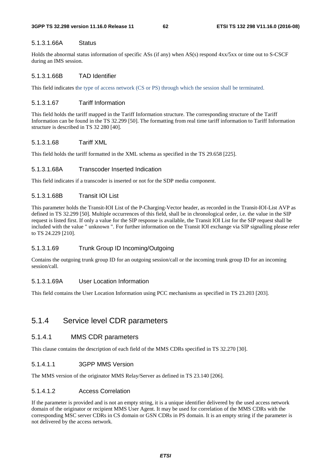# 5.1.3.1.66A Status

Holds the abnormal status information of specific ASs (if any) when AS(s) respond 4xx/5xx or time out to S-CSCF during an IMS session.

# 5.1.3.1.66B TAD Identifier

This field indicates the type of access network (CS or PS) through which the session shall be terminated.

# 5.1.3.1.67 Tariff Information

This field holds the tariff mapped in the Tariff Information structure. The corresponding structure of the Tariff Information can be found in the TS 32.299 [50]. The formatting from real time tariff information to Tariff Information structure is described in TS 32 280 [40].

# 5.1.3.1.68 Tariff XML

This field holds the tariff formatted in the XML schema as specified in the TS 29.658 [225].

# 5.1.3.1.68A Transcoder Inserted Indication

This field indicates if a transcoder is inserted or not for the SDP media component.

# 5.1.3.1.68B Transit IOI List

This parameter holds the Transit-IOI List of the P-Charging-Vector header, as recorded in the Transit-IOI-List AVP as defined in TS 32.299 [50]. Multiple occurrences of this field, shall be in chronological order, i.e. the value in the SIP request is listed first. If only a value for the SIP response is available, the Transit IOI List for the SIP request shall be included with the value " unknown ". For further information on the Transit IOI exchange via SIP signalling please refer to TS 24.229 [210].

# 5.1.3.1.69 Trunk Group ID Incoming/Outgoing

Contains the outgoing trunk group ID for an outgoing session/call or the incoming trunk group ID for an incoming session/call.

# 5.1.3.1.69A User Location Information

This field contains the User Location Information using PCC mechanisms as specified in TS 23.203 [203].

# 5.1.4 Service level CDR parameters

# 5.1.4.1 MMS CDR parameters

This clause contains the description of each field of the MMS CDRs specified in TS 32.270 [30].

# 5.1.4.1.1 3GPP MMS Version

The MMS version of the originator MMS Relay/Server as defined in TS 23.140 [206].

# 5.1.4.1.2 Access Correlation

If the parameter is provided and is not an empty string, it is a unique identifier delivered by the used access network domain of the originator or recipient MMS User Agent. It may be used for correlation of the MMS CDRs with the corresponding MSC server CDRs in CS domain or GSN CDRs in PS domain. It is an empty string if the parameter is not delivered by the access network.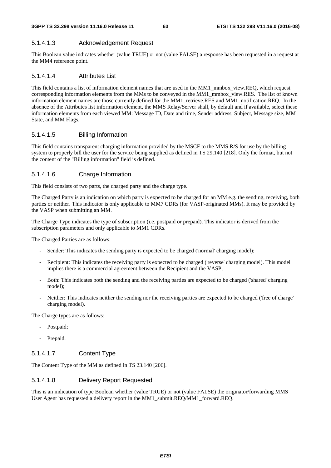# 5.1.4.1.3 Acknowledgement Request

This Boolean value indicates whether (value TRUE) or not (value FALSE) a response has been requested in a request at the MM4 reference point.

# 5.1.4.1.4 Attributes List

This field contains a list of information element names that are used in the MM1\_mmbox\_view.REQ, which request corresponding information elements from the MMs to be conveyed in the MM1\_mmbox\_view.RES. The list of known information element names are those currently defined for the MM1\_retrieve.RES and MM1\_notification.REQ. In the absence of the Attributes list information element, the MMS Relay/Server shall, by default and if available, select these information elements from each viewed MM: Message ID, Date and time, Sender address, Subject, Message size, MM State, and MM Flags.

# 5.1.4.1.5 Billing Information

This field contains transparent charging information provided by the MSCF to the MMS R/S for use by the billing system to properly bill the user for the service being supplied as defined in TS 29.140 [218]. Only the format, but not the content of the "Billing information" field is defined.

# 5.1.4.1.6 Charge Information

This field consists of two parts, the charged party and the charge type.

The Charged Party is an indication on which party is expected to be charged for an MM e.g. the sending, receiving, both parties or neither. This indicator is only applicable to MM7 CDRs (for VASP-originated MMs). It may be provided by the VASP when submitting an MM.

The Charge Type indicates the type of subscription (i.e. postpaid or prepaid). This indicator is derived from the subscription parameters and only applicable to MM1 CDRs.

The Charged Parties are as follows:

- Sender: This indicates the sending party is expected to be charged ('normal' charging model);
- Recipient: This indicates the receiving party is expected to be charged ('reverse' charging model). This model implies there is a commercial agreement between the Recipient and the VASP;
- Both: This indicates both the sending and the receiving parties are expected to be charged ('shared' charging model);
- Neither: This indicates neither the sending nor the receiving parties are expected to be charged ('free of charge' charging model).

The Charge types are as follows:

- Postpaid;
- Prepaid.

# 5.1.4.1.7 Content Type

The Content Type of the MM as defined in TS 23.140 [206].

# 5.1.4.1.8 Delivery Report Requested

This is an indication of type Boolean whether (value TRUE) or not (value FALSE) the originator/forwarding MMS User Agent has requested a delivery report in the MM1\_submit.REQ/MM1\_forward.REQ.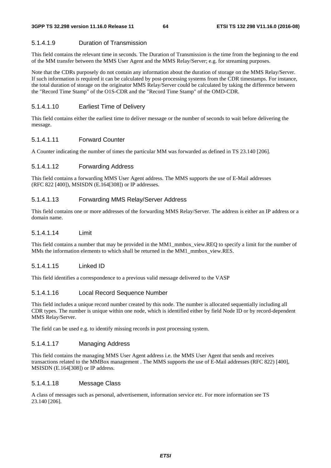### 5.1.4.1.9 Duration of Transmission

This field contains the relevant time in seconds. The Duration of Transmission is the time from the beginning to the end of the MM transfer between the MMS User Agent and the MMS Relay/Server; e.g. for streaming purposes.

Note that the CDRs purposely do not contain any information about the duration of storage on the MMS Relay/Server. If such information is required it can be calculated by post-processing systems from the CDR timestamps. For instance, the total duration of storage on the originator MMS Relay/Server could be calculated by taking the difference between the "Record Time Stamp" of the O1S-CDR and the "Record Time Stamp" of the OMD-CDR.

#### 5.1.4.1.10 Earliest Time of Delivery

This field contains either the earliest time to deliver message or the number of seconds to wait before delivering the message.

### 5.1.4.1.11 Forward Counter

A Counter indicating the number of times the particular MM was forwarded as defined in TS 23.140 [206].

### 5.1.4.1.12 Forwarding Address

This field contains a forwarding MMS User Agent address. The MMS supports the use of E-Mail addresses (RFC 822 [400]), MSISDN (E.164[308]) or IP addresses.

### 5.1.4.1.13 Forwarding MMS Relay/Server Address

This field contains one or more addresses of the forwarding MMS Relay/Server. The address is either an IP address or a domain name.

#### 5.1.4.1.14 Limit

This field contains a number that may be provided in the MM1\_mmbox\_view.REQ to specify a limit for the number of MMs the information elements to which shall be returned in the MM1\_mmbox\_view.RES.

#### 5.1.4.1.15 Linked ID

This field identifies a correspondence to a previous valid message delivered to the VASP

### 5.1.4.1.16 Local Record Sequence Number

This field includes a unique record number created by this node. The number is allocated sequentially including all CDR types. The number is unique within one node, which is identified either by field Node ID or by record-dependent MMS Relay/Server.

The field can be used e.g. to identify missing records in post processing system.

### 5.1.4.1.17 Managing Address

This field contains the managing MMS User Agent address i.e. the MMS User Agent that sends and receives transactions related to the MMBox management . The MMS supports the use of E-Mail addresses (RFC 822) [400], MSISDN (E.164[308]) or IP address.

#### 5.1.4.1.18 Message Class

A class of messages such as personal, advertisement, information service etc. For more information see TS 23.140 [206].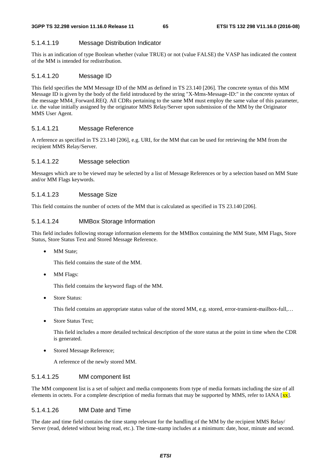## 5.1.4.1.19 Message Distribution Indicator

This is an indication of type Boolean whether (value TRUE) or not (value FALSE) the VASP has indicated the content of the MM is intended for redistribution.

### 5.1.4.1.20 Message ID

This field specifies the MM Message ID of the MM as defined in TS 23.140 [206]. The concrete syntax of this MM Message ID is given by the body of the field introduced by the string "X-Mms-Message-ID:" in the concrete syntax of the message MM4\_Forward.REQ. All CDRs pertaining to the same MM must employ the same value of this parameter, i.e. the value initially assigned by the originator MMS Relay/Server upon submission of the MM by the Originator MMS User Agent.

## 5.1.4.1.21 Message Reference

A reference as specified in TS 23.140 [206], e.g. URI, for the MM that can be used for retrieving the MM from the recipient MMS Relay/Server.

### 5.1.4.1.22 Message selection

Messages which are to be viewed may be selected by a list of Message References or by a selection based on MM State and/or MM Flags keywords.

### 5.1.4.1.23 Message Size

This field contains the number of octets of the MM that is calculated as specified in TS 23.140 [206].

### 5.1.4.1.24 MMBox Storage Information

This field includes following storage information elements for the MMBox containing the MM State, MM Flags, Store Status, Store Status Text and Stored Message Reference.

**MM** State:

This field contains the state of the MM.

MM Flags:

This field contains the keyword flags of the MM.

• Store Status:

This field contains an appropriate status value of the stored MM, e.g. stored, error-transient-mailbox-full,…

Store Status Text:

This field includes a more detailed technical description of the store status at the point in time when the CDR is generated.

Stored Message Reference;

A reference of the newly stored MM.

#### 5.1.4.1.25 MM component list

The MM component list is a set of subject and media components from type of media formats including the size of all elements in octets. For a complete description of media formats that may be supported by MMS, refer to IANA  $[xx]$ .

#### 5.1.4.1.26 MM Date and Time

The date and time field contains the time stamp relevant for the handling of the MM by the recipient MMS Relay/ Server (read, deleted without being read, etc.). The time-stamp includes at a minimum: date, hour, minute and second.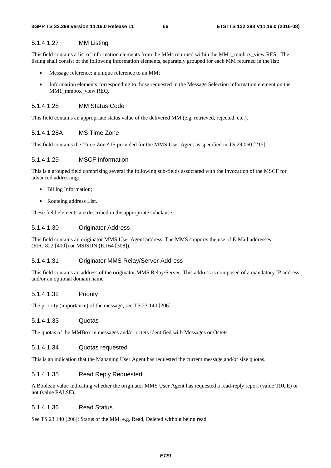### 5.1.4.1.27 MM Listing

This field contains a list of information elements from the MMs returned within the MM1\_mmbox\_view.RES. The listing shall consist of the following information elements, separately grouped for each MM returned in the list:

- Message reference: a unique reference to an MM;
- Information elements corresponding to those requested in the Message Selection information element on the MM1\_mmbox\_view.REQ.

#### 5.1.4.1.28 MM Status Code

This field contains an appropriate status value of the delivered MM (e.g. retrieved, rejected, etc.).

#### 5.1.4.1.28A MS Time Zone

This field contains the 'Time Zone' IE provided for the MMS User Agent as specified in TS 29.060 [215].

#### 5.1.4.1.29 MSCF Information

This is a grouped field comprising several the following sub-fields associated with the invocation of the MSCF for advanced addressing:

- Billing Information;
- Routeing address List.

These field elements are described in the appropriate subclause.

# 5.1.4.1.30 Originator Address

This field contains an originator MMS User Agent address. The MMS supports the use of E-Mail addresses (RFC 822 [400]) or MSISDN (E.164 [308]).

# 5.1.4.1.31 Originator MMS Relay/Server Address

This field contains an address of the originator MMS Relay/Server. This address is composed of a mandatory IP address and/or an optional domain name.

#### 5.1.4.1.32 Priority

The priority (importance) of the message, see TS 23.140 [206].

#### 5.1.4.1.33 Quotas

The quotas of the MMBox in messages and/or octets identified with Messages or Octets

#### 5.1.4.1.34 Quotas requested

This is an indication that the Managing User Agent has requested the current message and/or size quotas.

# 5.1.4.1.35 Read Reply Requested

A Boolean value indicating whether the originator MMS User Agent has requested a read-reply report (value TRUE) or not (value FALSE).

#### 5.1.4.1.36 Read Status

See TS 23.140 [206]: Status of the MM, e.g. Read, Deleted without being read.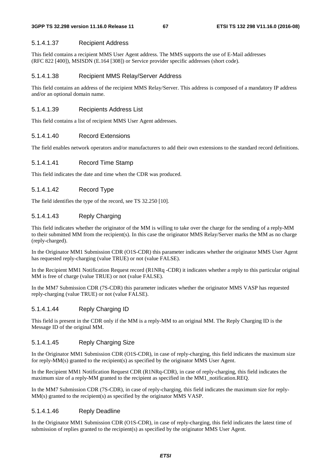### 5.1.4.1.37 Recipient Address

This field contains a recipient MMS User Agent address. The MMS supports the use of E-Mail addresses (RFC 822 [400]), MSISDN (E.164 [308]) or Service provider specific addresses (short code).

### 5.1.4.1.38 Recipient MMS Relay/Server Address

This field contains an address of the recipient MMS Relay/Server. This address is composed of a mandatory IP address and/or an optional domain name.

### 5.1.4.1.39 Recipients Address List

This field contains a list of recipient MMS User Agent addresses.

### 5.1.4.1.40 Record Extensions

The field enables network operators and/or manufacturers to add their own extensions to the standard record definitions.

# 5.1.4.1.41 Record Time Stamp

This field indicates the date and time when the CDR was produced.

# 5.1.4.1.42 Record Type

The field identifies the type of the record, see TS 32.250 [10].

# 5.1.4.1.43 Reply Charging

This field indicates whether the originator of the MM is willing to take over the charge for the sending of a reply-MM to their submitted MM from the recipient(s). In this case the originator MMS Relay/Server marks the MM as no charge (reply-charged).

In the Originator MM1 Submission CDR (O1S-CDR) this parameter indicates whether the originator MMS User Agent has requested reply-charging (value TRUE) or not (value FALSE).

In the Recipient MM1 Notification Request record (R1NRq -CDR) it indicates whether a reply to this particular original MM is free of charge (value TRUE) or not (value FALSE).

In the MM7 Submission CDR (7S-CDR) this parameter indicates whether the originator MMS VASP has requested reply-charging (value TRUE) or not (value FALSE).

# 5.1.4.1.44 Reply Charging ID

This field is present in the CDR only if the MM is a reply-MM to an original MM. The Reply Charging ID is the Message ID of the original MM.

# 5.1.4.1.45 Reply Charging Size

In the Originator MM1 Submission CDR (O1S-CDR), in case of reply-charging, this field indicates the maximum size for reply-MM(s) granted to the recipient(s) as specified by the originator MMS User Agent.

In the Recipient MM1 Notification Request CDR (R1NRq-CDR), in case of reply-charging, this field indicates the maximum size of a reply-MM granted to the recipient as specified in the MM1\_notification.REQ.

In the MM7 Submission CDR (7S-CDR), in case of reply-charging, this field indicates the maximum size for reply-MM(s) granted to the recipient(s) as specified by the originator MMS VASP.

### 5.1.4.1.46 Reply Deadline

In the Originator MM1 Submission CDR (O1S-CDR), in case of reply-charging, this field indicates the latest time of submission of replies granted to the recipient(s) as specified by the originator MMS User Agent.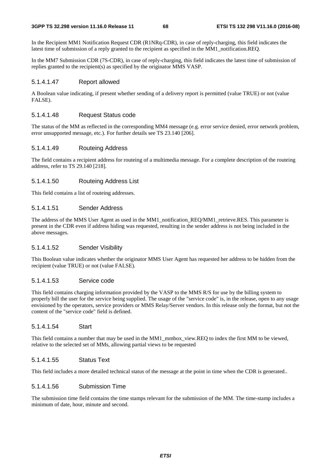In the Recipient MM1 Notification Request CDR (R1NRq-CDR), in case of reply-charging, this field indicates the latest time of submission of a reply granted to the recipient as specified in the MM1\_notification.REQ.

In the MM7 Submission CDR (7S-CDR), in case of reply-charging, this field indicates the latest time of submission of replies granted to the recipient(s) as specified by the originator MMS VASP.

# 5.1.4.1.47 Report allowed

A Boolean value indicating, if present whether sending of a delivery report is permitted (value TRUE) or not (value FALSE).

## 5.1.4.1.48 Request Status code

The status of the MM as reflected in the corresponding MM4 message (e.g. error service denied, error network problem, error unsupported message, etc.). For further details see TS 23.140 [206].

### 5.1.4.1.49 Routeing Address

The field contains a recipient address for routeing of a multimedia message. For a complete description of the routeing address, refer to TS 29.140 [218].

### 5.1.4.1.50 Routeing Address List

This field contains a list of routeing addresses.

## 5.1.4.1.51 Sender Address

The address of the MMS User Agent as used in the MM1 notification REQ/MM1 retrieve.RES. This parameter is present in the CDR even if address hiding was requested, resulting in the sender address is not being included in the above messages.

## 5.1.4.1.52 Sender Visibility

This Boolean value indicates whether the originator MMS User Agent has requested her address to be hidden from the recipient (value TRUE) or not (value FALSE).

#### 5.1.4.1.53 Service code

This field contains charging information provided by the VASP to the MMS R/S for use by the billing system to properly bill the user for the service being supplied. The usage of the "service code" is, in the release, open to any usage envisioned by the operators, service providers or MMS Relay/Server vendors. In this release only the format, but not the content of the "service code" field is defined.

### 5.1.4.1.54 Start

This field contains a number that may be used in the MM1\_mmbox\_view.REQ to index the first MM to be viewed, relative to the selected set of MMs, allowing partial views to be requested

#### 5.1.4.1.55 Status Text

This field includes a more detailed technical status of the message at the point in time when the CDR is generated..

## 5.1.4.1.56 Submission Time

The submission time field contains the time stamps relevant for the submission of the MM. The time-stamp includes a minimum of date, hour, minute and second.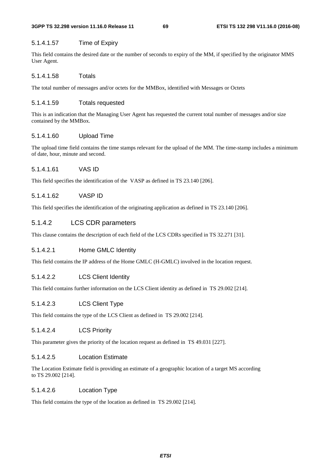#### **3GPP TS 32.298 version 11.16.0 Release 11 69 ETSI TS 132 298 V11.16.0 (2016-08)**

# 5.1.4.1.57 Time of Expiry

This field contains the desired date or the number of seconds to expiry of the MM, if specified by the originator MMS User Agent.

# 5.1.4.1.58 Totals

The total number of messages and/or octets for the MMBox, identified with Messages or Octets

# 5.1.4.1.59 Totals requested

This is an indication that the Managing User Agent has requested the current total number of messages and/or size contained by the MMBox.

# 5.1.4.1.60 Upload Time

The upload time field contains the time stamps relevant for the upload of the MM. The time-stamp includes a minimum of date, hour, minute and second.

# 5.1.4.1.61 VAS ID

This field specifies the identification of the VASP as defined in TS 23.140 [206].

# 5.1.4.1.62 VASP ID

This field specifies the identification of the originating application as defined in TS 23.140 [206].

# 5.1.4.2 LCS CDR parameters

This clause contains the description of each field of the LCS CDRs specified in TS 32.271 [31].

# 5.1.4.2.1 Home GMLC Identity

This field contains the IP address of the Home GMLC (H-GMLC) involved in the location request.

# 5.1.4.2.2 LCS Client Identity

This field contains further information on the LCS Client identity as defined in TS 29.002 [214].

# 5.1.4.2.3 LCS Client Type

This field contains the type of the LCS Client as defined in TS 29.002 [214].

# 5.1.4.2.4 LCS Priority

This parameter gives the priority of the location request as defined in TS 49.031 [227].

# 5.1.4.2.5 Location Estimate

The Location Estimate field is providing an estimate of a geographic location of a target MS according to TS 29.002 [214].

# 5.1.4.2.6 Location Type

This field contains the type of the location as defined in TS 29.002 [214].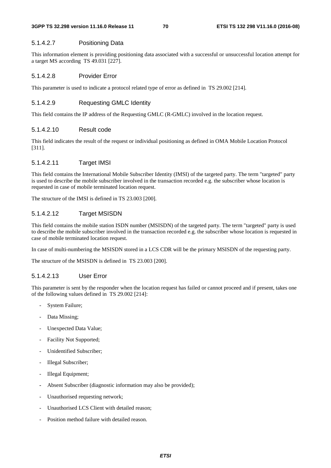## 5.1.4.2.7 Positioning Data

This information element is providing positioning data associated with a successful or unsuccessful location attempt for a target MS according TS 49.031 [227].

## 5.1.4.2.8 Provider Error

This parameter is used to indicate a protocol related type of error as defined in TS 29.002 [214].

## 5.1.4.2.9 Requesting GMLC Identity

This field contains the IP address of the Requesting GMLC (R-GMLC) involved in the location request.

#### 5.1.4.2.10 Result code

This field indicates the result of the request or individual positioning as defined in OMA Mobile Location Protocol [311].

### 5.1.4.2.11 Target IMSI

This field contains the International Mobile Subscriber Identity (IMSI) of the targeted party. The term "targeted" party is used to describe the mobile subscriber involved in the transaction recorded e.g. the subscriber whose location is requested in case of mobile terminated location request.

The structure of the IMSI is defined in TS 23.003 [200].

# 5.1.4.2.12 Target MSISDN

This field contains the mobile station ISDN number (MSISDN) of the targeted party. The term "targeted" party is used to describe the mobile subscriber involved in the transaction recorded e.g. the subscriber whose location is requested in case of mobile terminated location request.

In case of multi-numbering the MSISDN stored in a LCS CDR will be the primary MSISDN of the requesting party.

The structure of the MSISDN is defined in TS 23.003 [200].

# 5.1.4.2.13 User Error

This parameter is sent by the responder when the location request has failed or cannot proceed and if present, takes one of the following values defined in TS 29.002 [214]:

- System Failure;
- Data Missing;
- Unexpected Data Value;
- Facility Not Supported:
- Unidentified Subscriber:
- Illegal Subscriber;
- Illegal Equipment;
- Absent Subscriber (diagnostic information may also be provided);
- Unauthorised requesting network;
- Unauthorised LCS Client with detailed reason;
- Position method failure with detailed reason.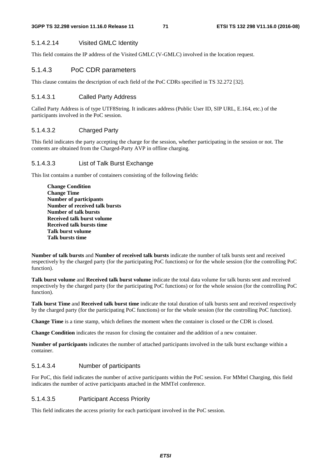# 5.1.4.2.14 Visited GMLC Identity

This field contains the IP address of the Visited GMLC (V-GMLC) involved in the location request.

# 5.1.4.3 PoC CDR parameters

This clause contains the description of each field of the PoC CDRs specified in TS 32.272 [32].

# 5.1.4.3.1 Called Party Address

Called Party Address is of type UTF8String. It indicates address (Public User ID, SIP URL, E.164, etc.) of the participants involved in the PoC session.

# 5.1.4.3.2 Charged Party

This field indicates the party accepting the charge for the session, whether participating in the session or not. The contents are obtained from the Charged-Party AVP in offline charging.

# 5.1.4.3.3 List of Talk Burst Exchange

This list contains a number of containers consisting of the following fields:

**Change Condition Change Time Number of participants Number of received talk bursts Number of talk bursts Received talk burst volume Received talk bursts time Talk burst volume Talk bursts time** 

**Number of talk bursts** and **Number of received talk bursts** indicate the number of talk bursts sent and received respectively by the charged party (for the participating PoC functions) or for the whole session (for the controlling PoC function).

**Talk burst volume** and **Received talk burst volume** indicate the total data volume for talk bursts sent and received respectively by the charged party (for the participating PoC functions) or for the whole session (for the controlling PoC function).

**Talk burst Time** and **Received talk burst time** indicate the total duration of talk bursts sent and received respectively by the charged party (for the participating PoC functions) or for the whole session (for the controlling PoC function).

**Change Time** is a time stamp, which defines the moment when the container is closed or the CDR is closed.

**Change Condition** indicates the reason for closing the container and the addition of a new container.

**Number of participants** indicates the number of attached participants involved in the talk burst exchange within a container.

# 5.1.4.3.4 Number of participants

For PoC, this field indicates the number of active participants within the PoC session. For MMtel Charging, this field indicates the number of active participants attached in the MMTel conference.

# 5.1.4.3.5 Participant Access Priority

This field indicates the access priority for each participant involved in the PoC session.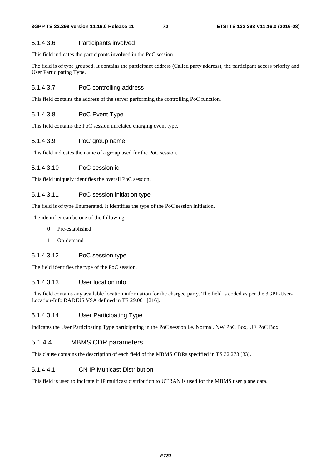#### 5.1.4.3.6 Participants involved

This field indicates the participants involved in the PoC session.

The field is of type grouped. It contains the participant address (Called party address), the participant access priority and User Participating Type.

### 5.1.4.3.7 PoC controlling address

This field contains the address of the server performing the controlling PoC function.

### 5.1.4.3.8 PoC Event Type

This field contains the PoC session unrelated charging event type.

### 5.1.4.3.9 PoC group name

This field indicates the name of a group used for the PoC session.

### 5.1.4.3.10 PoC session id

This field uniquely identifies the overall PoC session.

#### 5.1.4.3.11 PoC session initiation type

The field is of type Enumerated. It identifies the type of the PoC session initiation.

The identifier can be one of the following:

- 0 Pre-established
- 1 On-demand

### 5.1.4.3.12 PoC session type

The field identifies the type of the PoC session.

#### 5.1.4.3.13 User location info

This field contains any available location information for the charged party. The field is coded as per the 3GPP-User-Location-Info RADIUS VSA defined in TS 29.061 [216].

#### 5.1.4.3.14 User Participating Type

Indicates the User Participating Type participating in the PoC session i.e. Normal, NW PoC Box, UE PoC Box.

## 5.1.4.4 MBMS CDR parameters

This clause contains the description of each field of the MBMS CDRs specified in TS 32.273 [33].

#### 5.1.4.4.1 CN IP Multicast Distribution

This field is used to indicate if IP multicast distribution to UTRAN is used for the MBMS user plane data.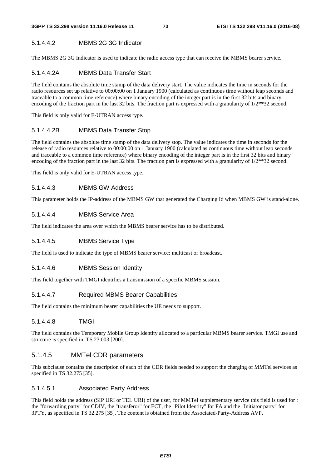### 5.1.4.4.2 MBMS 2G 3G Indicator

The MBMS 2G 3G Indicator is used to indicate the radio access type that can receive the MBMS bearer service.

### 5.1.4.4.2A MBMS Data Transfer Start

The field contains the absolute time stamp of the data delivery start. The value indicates the time in seconds for the radio resources set up relative to 00:00:00 on 1 January 1900 (calculated as continuous time without leap seconds and traceable to a common time reference) where binary encoding of the integer part is in the first 32 bits and binary encoding of the fraction part in the last 32 bits. The fraction part is expressed with a granularity of  $1/2**32$  second.

This field is only valid for E-UTRAN access type.

#### 5.1.4.4.2B MBMS Data Transfer Stop

The field contains the absolute time stamp of the data delivery stop. The value indicates the time in seconds for the release of radio resources relative to 00:00:00 on 1 January 1900 (calculated as continuous time without leap seconds and traceable to a common time reference) where binary encoding of the integer part is in the first 32 bits and binary encoding of the fraction part in the last 32 bits. The fraction part is expressed with a granularity of  $1/2**32$  second.

This field is only valid for E-UTRAN access type.

#### 5.1.4.4.3 MBMS GW Address

This parameter holds the IP-address of the MBMS GW that generated the Charging Id when MBMS GW is stand-alone.

#### 5.1.4.4.4 MBMS Service Area

The field indicates the area over which the MBMS bearer service has to be distributed.

#### 5.1.4.4.5 MBMS Service Type

The field is used to indicate the type of MBMS bearer service: multicast or broadcast.

#### 5.1.4.4.6 MBMS Session Identity

This field together with TMGI identifies a transmission of a specific MBMS session.

#### 5.1.4.4.7 Required MBMS Bearer Capabilities

The field contains the minimum bearer capabilities the UE needs to support.

#### 5.1.4.4.8 TMGI

The field contains the Temporary Mobile Group Identity allocated to a particular MBMS bearer service. TMGI use and structure is specified in TS 23.003 [200].

#### 5.1.4.5 MMTel CDR parameters

This subclause contains the description of each of the CDR fields needed to support the charging of MMTel services as specified in TS 32.275 [35].

#### 5.1.4.5.1 Associated Party Address

This field holds the address (SIP URI or TEL URI) of the user, for MMTel supplementary service this field is used for : the "forwarding party" for CDIV, the "transferor" for ECT, the "Pilot Identity" for FA and the "Initiator party" for 3PTY, as specified in TS 32.275 [35]. The content is obtained from the Associated-Party-Address AVP.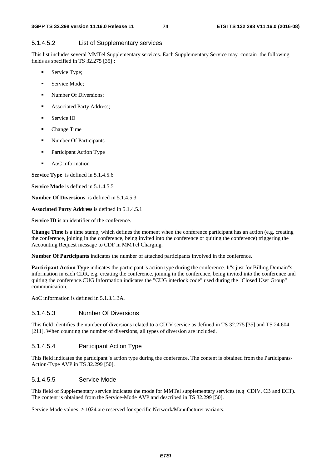#### 5.1.4.5.2 List of Supplementary services

This list includes several MMTel Supplementary services. Each Supplementary Service may contain the following fields as specified in TS 32.275 [35] :

- Service Type;
- **Service Mode:**
- **Number Of Diversions:**
- **Associated Party Address;**
- Service ID
- Change Time
- **Number Of Participants**
- **Participant Action Type**
- **AoC** information

**Service Type** is defined in 5.1.4.5.6

**Service Mode** is defined in 5.1.4.5.5

**Number Of Diversions** is defined in 5.1.4.5.3

**Associated Party Address** is defined in 5.1.4.5.1

**Service ID** is an identifier of the conference.

**Change Time** is a time stamp, which defines the moment when the conference participant has an action (e.g. creating the conference, joining in the conference, being invited into the conference or quiting the conference) triggering the Accounting Request message to CDF in MMTel Charging.

**Number Of Participants** indicates the number of attached participants involved in the conference.

**Participant Action Type** indicates the participant"s action type during the conference. It"s just for Billing Domain"s information in each CDR, e.g. creating the conference, joining in the conference, being invited into the conference and quiting the conference.CUG Information indicates the "CUG interlock code" used during the "Closed User Group" communication.

AoC information is defined in 5.1.3.1.3A.

#### 5.1.4.5.3 Number Of Diversions

This field identifies the number of diversions related to a CDIV service as defined in TS 32.275 [35] and TS 24.604 [211]. When counting the number of diversions, all types of diversion are included.

#### 5.1.4.5.4 Participant Action Type

This field indicates the participant"s action type during the conference. The content is obtained from the Participants-Action-Type AVP in TS 32.299 [50].

#### 5.1.4.5.5 Service Mode

This field of Supplementary service indicates the mode for MMTel supplementary services (e.g CDIV, CB and ECT). The content is obtained from the Service-Mode AVP and described in TS 32.299 [50].

Service Mode values  $\geq 1024$  are reserved for specific Network/Manufacturer variants.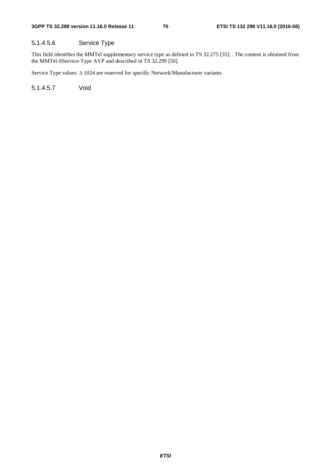### 5.1.4.5.6 Service Type

This field identifies the MMTel supplementary service type as defined in TS 32.275 [35]. . The content is obtained from the MMTel-SService-Type AVP and described in TS 32.299 [50].

Service Type values ≥ 1024 are reserved for specific Network/Manufacturer variants

5.1.4.5.7 Void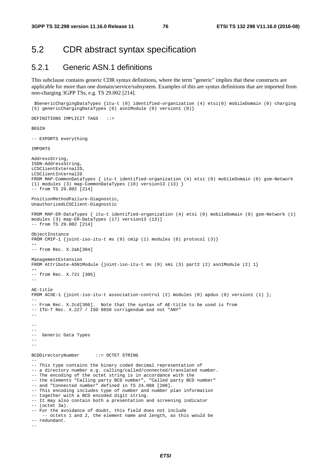$-$ 

# 5.2 CDR abstract syntax specification

# 5.2.1 Generic ASN.1 definitions

This subclause contains generic CDR syntax definitions, where the term "generic" implies that these constructs are applicable for more than one domain/service/subsystem. Examples of this are syntax definitions that are imported from non-charging 3GPP TSs, e.g. TS 29.002 [214].

\$GenericChargingDataTypes {itu-t (0) identified-organization (4) etsi(0) mobileDomain (0) charging

```
(5) genericChargingDataTypes (0) asn1Module (0) version1 (0)} 
DEFINITIONS IMPLICIT TAGS ::= 
BEGIN
-- EXPORTS everything 
IMPORTS 
AddressString, 
ISDN-AddressString, 
LCSClientExternalID, 
LCSClientInternalID 
FROM MAP-CommonDataTypes { itu-t identified-organization (4) etsi (0) mobileDomain (0) gsm-Network 
(1) modules (3) map-CommonDataTypes (18) version13 (13) } 
-- from TS 29.002 [214] 
PositionMethodFailure-Diagnostic, 
UnauthorizedLCSClient-Diagnostic 
FROM MAP-ER-DataTypes { itu-t identified-organization (4) etsi (0) mobileDomain (0) gsm-Network (1) 
modules (3) map-ER-DataTypes (17) version13 (13)} 
 -- from TS 29.002 [214] 
ObjectInstance 
FROM CMIP-1 {joint-iso-itu-t ms (9) cmip (1) modules (0) protocol (3)} 
-- 
-- from Rec. X.2ab[304] 
ManagementExtension 
FROM Attribute-ASN1Module {joint-iso-itu-t ms (9) smi (3) part2 (2) asn1Module (2) 1} 
-- 
-- from Rec. X.721 [305] 
-- 
AE-title 
FROM ACSE-1 {joint-iso-itu-t association-control (2) modules (0) apdus (0) version1 (1) }; 
-- 
-- From Rec. X.2cd[306]. Note that the syntax of AE-title to be used is from 
-- ITU-T Rec. X.227 / ISO 8650 corrigendum and not "ANY" 
-- 
-- 
-- 
-- Generic Data Types 
--BCDDirectoryNumber ::= OCTET STRING 
-- 
-- This type contains the binary coded decimal representation of 
-- a directory number e.g. calling/called/connected/translated number. 
-- The encoding of the octet string is in accordance with the 
-- the elements "Calling party BCD number", "Called party BCD number" 
-- and "Connected number" defined in TS 24.008 [208].
-- This encoding includes type of number and number plan information 
-- together with a BCD encoded digit string. 
-- It may also contain both a presentation and screening indicator 
-- (octet 3a). 
-- For the avoidance of doubt, this field does not include 
     -- octets 1 and 2, the element name and length, as this would be 
-- redundant.
```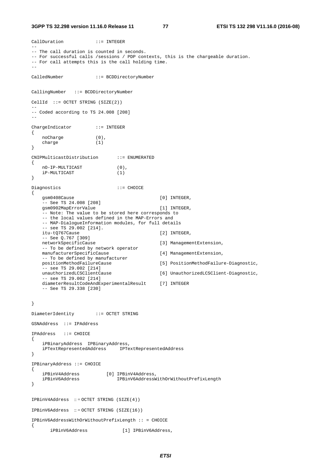#### **3GPP TS 32.298 version 11.16.0 Release 11 77 ETSI TS 132 298 V11.16.0 (2016-08)**

```
CallDuration ::= INTEGER 
-- 
-- The call duration is counted in seconds. 
-- For successful calls /sessions / PDP contexts, this is the chargeable duration. 
-- For call attempts this is the call holding time. 
-- 
CalledNumber ::= BCDDirectoryNumber 
CallingNumber ::= BCDDirectoryNumber 
CellId ::= OCTET STRING (SIZE(2))-- 
-- Coded according to TS 24.008 [208] 
-- 
ChargeIndicator ::= INTEGER 
{ 
    noCharge (0), 
    charge (1) 
} 
CNIPMulticastDistribution ::= ENUMERATED 
{ 
 nO-IP-MULTICAST (0), 
 iP-MULTICAST (1) 
} 
Diagnostics ::= CHOICE 
{ 
    gsm0408Cause [0] INTEGER, 
     -- See TS 24.008 [208] 
   qsm0902MapErrorValue [1] INTEGER,
    -- Note: The value to be stored here corresponds to 
    -- the local values defined in the MAP-Errors and 
    -- MAP-DialogueInformation modules, for full details 
    -- see TS 29.002 [214]. 
    itu-tQ767Cause [2] INTEGER, 
   -- See Q.767 [309]<br>networkSpecificCause
                                           [3] ManagementExtension,
    -- To be defined by network operator 
    manufacturerSpecificCause [4] ManagementExtension, 
    -- To be defined by manufacturer 
    positionMethodFailureCause [5] PositionMethodFailure-Diagnostic, 
   -- see TS 29.002 [214]<br>unauthorizedLCSClientCause
                                          [6] UnauthorizedLCSClient-Diagnostic,
    -- see TS 29.002 [214] 
    diameterResultCodeAndExperimentalResult [7] INTEGER 
    -- See TS 29.338 [230] 
} 
DiameterIdentity ::= OCTET STRING
GSNAddress ::= IPAddress 
IPAddress ::= CHOICE 
{ 
    iPBinaryAddress IPBinaryAddress, 
    iPTextRepresentedAddress IPTextRepresentedAddress 
} 
IPBinaryAddress ::= CHOICE 
{ 
 iPBinV4Address [0] IPBinV4Address, 
 iPBinV6Address IPBinV6AddressWithOrWithoutPrefixLength 
} 
IPBinV4Address :: = OCTET STRING (SIZE(4)) 
IPBinV6Address :: = OCTET STRING (SIZE(16)) 
IPBinV6AddressWithOrWithoutPrefixLength :: = CHOICE 
{
```
#### iPBinV6Address [1] IPBinV6Address,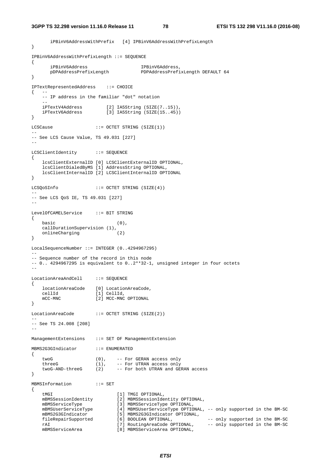```
 iPBinV6AddressWithPrefix [4] IPBinV6AddressWithPrefixLength 
} 
IPBinV6AddressWithPrefixLength ::= SEQUENCE 
{ 
 iPBinV6Address IPBinV6Address, 
 pDPAddressPrefixLength PDPAddressPrefixLength DEFAULT 64 
} 
IPTextRepresentedAddress ::= CHOICE 
\{ --
    -- IP address in the familiar "dot" notation 
 -- 
    iPTextV4Address [2] IA5String (SIZE(7..15)), 
    iPTextV6Address [3] IA5String (SIZE(15..45)) 
} 
LCSCause ::= OCTET STRING (SIZE(1))
-- 
-- See LCS Cause Value, TS 49.031 [227] 
-- 
LCSClientIdentity ::= SEQUENCE 
{ 
    lcsClientExternalID [0] LCSClientExternalID OPTIONAL, 
    lcsClientDialedByMS [1] AddressString OPTIONAL, 
    lcsClientInternalID [2] LCSClientInternalID OPTIONAL 
} 
LCSQoSInfo ::= OCTET STRING (SIZE(4)) 
-- 
-- See LCS QoS IE, TS 49.031 [227] 
-- 
LevelOfCAMELService ::= BIT STRING 
{ 
    basic (0), 
   callDurationSupervision (1), 
    onlineCharging (2) 
} 
LocalSequenceNumber ::= INTEGER (0..4294967295) 
-- 
-- Sequence number of the record in this node 
-- 0.. 4294967295 is equivalent to 0..2**32-1, unsigned integer in four octets 
\simLocationAreaAndCell ::= SEQUENCE 
{ 
    locationAreaCode [0] LocationAreaCode, 
 cellId [1] CellId, 
mCC-MNC [2] MCC-MNC OPTIONAL
} 
LocationAreaCode ::= OCTET STRING (SIZE(2)) 
-- 
-- See TS 24.008 [208] 
-- 
ManagementExtensions ::= SET OF ManagementExtension 
MBMS2G3GIndicator ::= ENUMERATED 
{ 
twoG (0), -- For GERAN access only
 threeG (1), -- For UTRAN access only 
 twoG-AND-threeG (2) -- For both UTRAN and GERAN access 
} 
MBMSInformation ::= SET 
{ 
tMGI [1] TMGI OPTIONAL,
 mBMSSessionIdentity [2] MBMSSessionIdentity OPTIONAL, 
 mBMSServiceType [3] MBMSServiceType OPTIONAL, 
                          [4] MBMSUserServiceType OPTIONAL, -- only supported in the BM-SC
 mBMS2G3GIndicator [5] MBMS2G3GIndicator OPTIONAL, 
 fileRepairSupported [6] BOOLEAN OPTIONAL, -- only supported in the BM-SC 
 rAI [7] RoutingAreaCode OPTIONAL, -- only supported in the BM-SC 
 mBMSServiceArea [8] MBMSServiceArea OPTIONAL,
```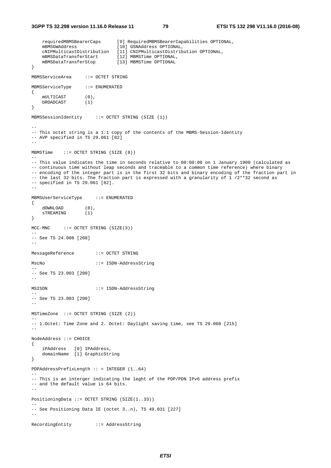```
 requiredMBMSBearerCaps [9] RequiredMBMSBearerCapabilities OPTIONAL, 
    mBMSGWAddress [10] GSNAddress OPTIONAL, 
    cNIPMulticastDistribution [11] CNIPMulticastDistribution OPTIONAL, 
   mBMSDataTransferStart
   mBMSDataTransferStart [12] MBMSTime OPTIONAL,<br>mBMSDataTransferStop [13] MBMSTime OPTIONAL
} 
MBMSServiceArea ::= OCTET STRING 
MBMSServiceType ::= ENUMERATED 
{ 
 mULTICAST (0), 
 bROADCAST (1) 
} 
MBMSSessionIdentity ::= OCTET STRING (SIZE (1)) 
-- 
-- This octet string is a 1:1 copy of the contents of the MBMS-Session-Identity 
-- AVP specified in TS 29.061 [82]
-- 
MBMSTime ::= OCTET STRING (SIZE (8)) 
-- 
-- This value indicates the time in seconds relative to 00:00:00 on 1 January 1900 (calculated as 
-- continuous time without leap seconds and traceable to a common time reference) where binary 
-- encoding of the integer part is in the first 32 bits and binary encoding of the fraction part in 
-- the last 32 bits. The fraction part is expressed with a granularity of 1/2**32 second as
-- specified in TS 29.061 [82]. 
-MBMSUserServiceType ::= ENUMERATED 
{ 
 dOWNLOAD (0), 
 sTREAMING (1) 
} 
MCC-MNC ::= OCTET STRING (SIZE(3))
-- 
-- See TS 24.008 [208] 
-- 
MessageReference ::= OCTET STRING 
MscNo ::= ISDN-AddressString 
-- 
-- See TS 23.003 [200] 
-- 
MSISDN ::= ISDN-AddressString 
-- 
-- See TS 23.003 [200] 
-- 
MSTimeZone ::= OCTET STRING (SIZE (2)) 
-- 
-- 1.Octet: Time Zone and 2. Octet: Daylight saving time, see TS 29.060 [215] 
-- 
NodeAddress ::= CHOICE 
{ 
     iPAddress [0] IPAddress, 
    domainName [1] GraphicString 
} 
PDPAddressPrefixLength :: = INTEGER (1..64) 
-- 
-- This is an interger indicating the leght of the PDP/PDN IPv6 address prefix 
-- and the default value is 64 bits. 
-- 
PositioningData ::= OCTET STRING (SIZE(1..33)) 
-- 
-- See Positioning Data IE (octet 3..n), TS 49.031 [227] 
-- 
RecordingEntity ::= AddressString
```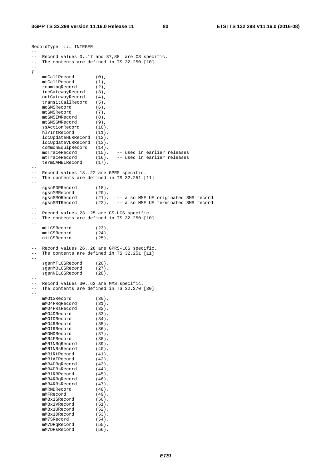```
RecordType ::= INTEGER 
-- 
-- Record values 0..17 and 87,88 are CS specific. 
-- The contents are defined in TS 32.250 [10] 
-{ 
 moCallRecord (0), 
mtCallRecord (1),
 roamingRecord (2), 
     incGatewayRecord (3), 
     outGatewayRecord (4), 
    transitCallRecord (5),
     moSMSRecord (6), 
    mtSMSRecord (7),<br>moSMSIWRecord (8),
     moSMSIWRecord (8), 
mtSMSGWRecord (9),
ssActionRecord (10),
 hlrIntRecord (11), 
 locUpdateHLRRecord (12), 
 locUpdateVLRRecord (13), 
 commonEquipRecord (14), 
    commonEquipRecord (14),<br>moTraceRecord (15), -- used in earlier releases<br>mtTraceRecord (16), -- used in earlier releases
                                   -- used in earlier releases
     termCAMELRecord (17), 
--- Record values 18..22 are GPRS specific. 
-- The contents are defined in TS 32.251 [11] 
-sgsnPDPRecord (18),
    sgsnMMRecord (20),<br>sgsnSMORecord (21),<br>sgsnSMTRecord (22),
                        (21), -- also MME UE originated SMS record<br>(22), -- also MME UE terminated SMS record
                                  -- also MME UE terminated SMS record
-- 
-- Record values 23..25 are CS-LCS specific. 
-- The contents are defined in TS 32.250 [10] 
-- 
     mtLCSRecord (23), 
     moLCSRecord (24), 
    niLCSRecord (25),
-- 
-- Record values 26..28 are GPRS-LCS specific. 
-- The contents are defined in TS 32.251 [11]
-- 
    sgsnMTLCSRecord (26),<br>sqsnMOLCSRecord (27),
    sgsnMOLCSRecord (27),<br>sgsnNILCSRecord (28),
    sgsnNILCSRecord
-- 
-- Record values 30..62 are MMS specific. 
-- The contents are defined in TS 32.270 [30]
-- 
     mMO1SRecord (30), 
mMO4FRqRecord (31),
 mMO4FRsRecord (32), 
    mMO4DRecord (33),<br>mMO1DRecord (34),
mMO1DRecord (34),
mMO4RRecord (35),
    mMO1RRecord (36),
    mMOMDRecord (37),<br>mMR4FRecord (38),
    mMR4FRecord (38),<br>mMR1NRqRecord (39),
    mMR1NRqRecord
    mMR1NRsRecord (40),
    mMR1RtRecord (41),<br>mMR1AFRecord (42),
    mMR1AFRecord (42),<br>
mMR4DRaRecord (43),
    mMR4DRqRecord
    mMR4DRsRecord (44),<br>mMR1RRRecord (45),
    mMR1RRRecord (45),<br>mMR4RRqRecord (46),
    mMR4RRqRecord (46),<br>mMR4RRsRecord (47),
    mMR4RRsRecord (47),<br>
mMRMDRecord (48),
    mMPMDP<sub>er</sub> andmMFRecord (49),
    mMBx1SRecord (50),<br>mMBx1VRecord (51),
    mMBx1VRecord (51),<br>mMBx1URecord (52),<br>mMBx1DRecord (53),
    mMBx1URecord
    mMBx1DRecord (53),<br>mM7SRecord (54),
    mM7SRecord
mM7DRqRecord (55),
mM7DRsRecord (56),
```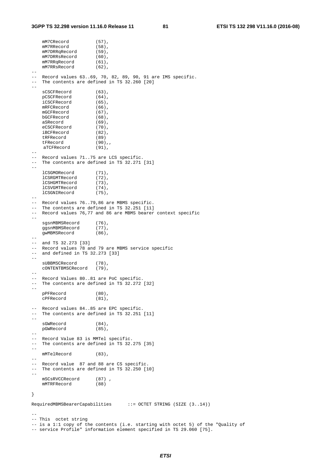```
mM7CRecord (57),
   mM7RRecord (58),<br>mM7DRRqRecord (59),
   mM7DRRqRecord
   mM7DRRsRecord (60),
   mM7RRqRecord (61),<br>mM7RRsRecord (62),
   mM7RRsRecord
-- 
-- Record values 63..69, 70, 82, 89, 90, 91 are IMS specific. 
-- The contents are defined in TS 32.260 [20]
-- 
   sCSCFRecord (63),
    pCSCFRecord (64), 
    iCSCFRecord (65), 
    mRFCRecord (66), 
    mGCFRecord (67), 
    bGCFRecord (68), 
   aSRecord (69),
   eCSCFRecord (70),<br>iBCFRecord (82),
   iBCFRecord (82)<br>tRFRecord (89)
    tRFRecord (89)<br>tFRecord (90),
   tFRecord
    aTCFRecord (91),
-- 
-- Record values 71..75 are LCS specific. 
-- The contents are defined in TS 32.271 [31]
-lCSGMORecord (71),<br>lCSRGMTRecord (72),
    lCSRGMTRecord
   lCSHGMTRecord (73),<br>lCSVGMTRecord (74),
    lCSVGMTRecord
    lCSGNIRecord (75), 
-- 
-- Record values 76..79,86 are MBMS specific. 
-- The contents are defined in TS 32.251 [11]
-- Record values 76,77 and 86 are MBMS bearer context specific 
-- 
   sgsnMBMSRecord (76),
    ggsnMBMSRecord (77), 
    gwMBMSRecord (86), 
--- and TS 32.273 [33] 
-- Record values 78 and 79 are MBMS service specific 
-- and defined in TS 32.273 [33] 
-- 
     sUBBMSCRecord (78), 
    cONTENTBMSCRecord (79), 
-- 
-- Record Values 80..81 are PoC specific. 
-- The contents are defined in TS 32.272 [32] 
-- 
    pPFRecord (80), 
    cPFRecord (81), 
-- Record values 84..85 are EPC specific. 
-- The contents are defined in TS 32.251 [11]
- sGWRecord (84), 
    pGWRecord (85), 
--- Record Value 83 is MMTel specific. 
-- The contents are defined in TS 32.275 [35] 
-- 
   mMTelRecord (83),
--- Record value 87 and 88 are CS specific.
-- The contents are defined in TS 32.250 [10] 
-- 
   mSCsRVCCRecord (87),<br>mMTRFRecord (88)
    mMTRFRecord (88) 
} 
RequiredMBMSBearerCapabilities ::= OCTET STRING (SIZE (3..14)) 
-- 
-- This octet string 
-- is a 1:1 copy of the contents (i.e. starting with octet 5) of the "Quality of 
-- service Profile" information element specified in TS 29.060 [75].
```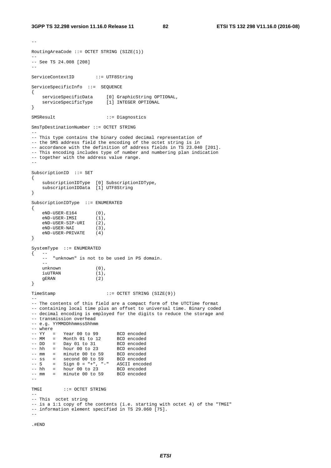$-$ 

```
RoutingAreaCode ::= OCTET STRING (SIZE(1)) 
-- 
-- See TS 24.008 [208] 
-- 
ServiceContextID ::= UTF8String 
ServiceSpecificInfo ::= SEQUENCE 
{ 
 serviceSpecificData [0] GraphicString OPTIONAL, 
 serviceSpecificType [1] INTEGER OPTIONAL 
} 
SMSResult ::= Diagnostics 
SmsTpDestinationNumber ::= OCTET STRING 
-- 
-- This type contains the binary coded decimal representation of 
-- the SMS address field the encoding of the octet string is in
-- accordance with the definition of address fields in TS 23.040 [201]. 
-- This encoding includes type of number and numbering plan indication 
-- together with the address value range. 
-SubscriptionID ::= SET 
{ 
 subscriptionIDType [0] SubscriptionIDType, 
 subscriptionIDData [1] UTF8String 
} 
SubscriptionIDType ::= ENUMERATED 
{ 
    eND-USER-E164 (0), 
    eND-USER-IMSI (1), 
    eND-USER-SIP-URI (2), 
    eND-USER-NAI (3), 
    eND-USER-PRIVATE (4) 
} 
SystemType ::= ENUMERATED 
\{ -- -- "unknown" is not to be used in PS domain. 
-unknown (0), iunknown (1), iiuUTRAN
    gERAN (2) 
} 
TimeStamp ::= OCTET STRING (SIZE(9))
-- 
-- The contents of this field are a compact form of the UTCTime format 
-- containing local time plus an offset to universal time. Binary coded 
-- decimal encoding is employed for the digits to reduce the storage and
-- transmission overhead 
-- e.g. YYMMDDhhmmssShhmm 
-- where 
-- YY = Year 00 to 99 BCD encoded
-- MM = Month 01 to 12 BCD encoded
-- DD = Day 01 to 31 BCD encoded
-- hh = hour 00 to 23 BCD encoded
-- mm = minute 00 to 59 BCD encoded
-- ss = second 00 to 59 BCD encoded
-- S = Sign 0 = "+", "-" ASCII encoded
-- hh = hour 00 to 23 BCD encoded
-- mm = minute 00 to 59 BCD encoded
-- 
TMGI ::= OCTET STRING 
-- 
-- This octet string 
-- is a 1:1 copy of the contents (i.e. starting with octet 4) of the "TMGI"
-- information element specified in TS 29.060 [75]. 
-
```

```
.#END
```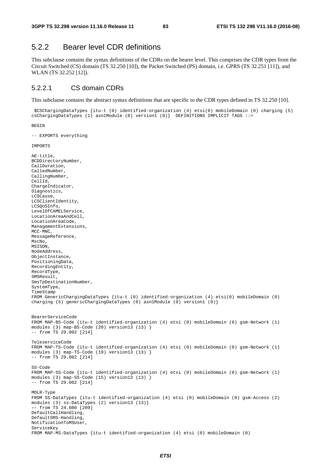# 5.2.2 Bearer level CDR definitions

This subclause contains the syntax definitions of the CDRs on the bearer level. This comprises the CDR types from the Circuit Switched (CS) domain (TS 32.250 [10]), the Packet Switched (PS) domain, i.e. GPRS (TS 32.251 [11]), and WLAN (TS 32.252 [12]).

### 5.2.2.1 CS domain CDRs

This subclause contains the abstract syntax definitions that are specific to the CDR types defined in TS 32.250 [10].

 \$CSChargingDataTypes {itu-t (0) identified-organization (4) etsi(0) mobileDomain (0) charging (5) csChargingDataTypes (1) asn1Module (0) version1 (0)} DEFINITIONS IMPLICIT TAGS ::=

```
BEGIN
```
-- EXPORTS everything

```
IMPORTS
```

```
AE-title, 
BCDDirectoryNumber, 
CallDuration, 
CalledNumber, 
CallingNumber, 
CellId, 
ChargeIndicator, 
Diagnostics, 
LCSCause, 
LCSClientIdentity, 
LCSQoSInfo, 
LevelOfCAMELService, 
LocationAreaAndCell, 
LocationAreaCode, 
ManagementExtensions, 
MCC-MNC, 
MessageReference, 
MscNo, 
MSISDN, 
NodeAddress, 
ObjectInstance,
PositioningData, 
RecordingEntity, 
RecordType, 
SMSResult, 
SmsTpDestinationNumber, 
SystemType, 
TimeStamp 
FROM GenericChargingDataTypes {itu-t (0) identified-organization (4) etsi(0) mobileDomain (0) 
charging (5) genericChargingDataTypes (0) asn1Module (0) version1 (0)} 
BearerServiceCode 
FROM MAP-BS-Code {itu-t identified-organization (4) etsi (0) mobileDomain (0) gsm-Network (1) 
modules (3) map-BS-Code (20) version13 (13) } 
-- from TS 29.002 [214] 
TeleserviceCode 
FROM MAP-TS-Code {itu-t identified-organization (4) etsi (0) mobileDomain (0) gsm-Network (1) 
modules (3) map-TS-Code (19) version13 (13) } 
-- from TS 29.002 [214] 
SS-Code 
FROM MAP-SS-Code {itu-t identified-organization (4) etsi (0) mobileDomain (0) gsm-Network (1) 
modules (3) map-SS-Code (15) version13 (13) } 
-- from TS 29.002 [214] 
MOLR-Type 
FROM SS-DataTypes {itu-t identified-organization (4) etsi (0) mobileDomain (0) gsm-Access (2) 
modules (3) ss-DataTypes (2) version13 (13)} 
-- from TS 24.080 [209] 
DefaultCallHandling, 
DefaultSMS-Handling, 
NotificationToMSUser, 
ServiceKey 
FROM MAP-MS-DataTypes {itu-t identified-organization (4) etsi (0) mobileDomain (0)
```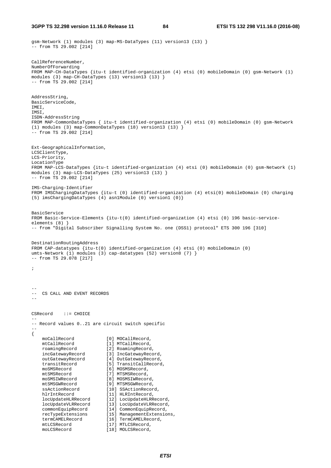gsm-Network (1) modules (3) map-MS-DataTypes (11) version13 (13) } -- from TS 29.002 [214] CallReferenceNumber, NumberOfForwarding FROM MAP-CH-DataTypes {itu-t identified-organization (4) etsi (0) mobileDomain (0) gsm-Network (1) modules (3) map-CH-DataTypes (13) version13 (13) }  $--$  from TS 29.002 [214] AddressString, BasicServiceCode, IMEI, IMSI, ISDN-AddressString FROM MAP-CommonDataTypes { itu-t identified-organization (4) etsi (0) mobileDomain (0) gsm-Network (1) modules (3) map-CommonDataTypes (18) version13 (13) } -- from TS 29.002 [214] Ext-GeographicalInformation, LCSClientType, LCS-Priority, LocationType FROM MAP-LCS-DataTypes {itu-t identified-organization (4) etsi (0) mobileDomain (0) gsm-Network (1) modules (3) map-LCS-DataTypes (25) version13 (13) } -- from TS 29.002 [214] IMS-Charging-Identifier FROM IMSChargingDataTypes {itu-t (0) identified-organization (4) etsi(0) mobileDomain (0) charging (5) imsChargingDataTypes (4) asn1Module (0) version1 (0)} BasicService FROM Basic-Service-Elements {itu-t(0) identified-organization (4) etsi (0) 196 basic-serviceelements (8) } -- from "Digital Subscriber Signalling System No. one (DSS1) protocol" ETS 300 196 [310] DestinationRoutingAddress FROM CAP-datatypes {itu-t(0) identified-organization (4) etsi (0) mobileDomain (0) umts-Network (1) modules (3) cap-datatypes (52) version8 (7) }  $-- from TS 29.078 [217]$ ; -- -- CS CALL AND EVENT RECORDS -- CSRecord ::= CHOICE -- -- Record values 0..21 are circuit switch specific -- { moCallRecord [0] MOCallRecord, mtCallRecord [1] MTCallRecord, roamingRecord [2] RoamingRecord, incGatewayRecord [3] IncGatewayRecord, outGatewayRecord [4] OutGatewayRecord, transitRecord [5] TransitCallRecord, moSMSRecord [6] MOSMSRecord,<br>mtSMSRecord [7] MTSMSRecord, mtSMSRecord [7] MTSMSRecord, moSMSIWRecord [8] MOSMSIWRecord, mtSMSGWRecord [9] MTSMSGWRecord, ssActionRecord [10] SSActionRecord, hlrIntRecord [11] HLRIntRecord, locUpdateHLRRecord [12] LocUpdateHLRRecord, locUpdateVLRRecord [13] LocUpdateVLRRecord, commonEquipRecord [14] CommonEquipRecord, commonEquipRecord [14] CommonEquipRecord,<br>
recTypeExtensions [15] ManagementExtensions,<br>
termCAMELRecord [16] TermCAMELRecord, [16] TermCAMELRecord,  $\begin{array}{ccc}\n \text{tr} & \text{tr} & \text{tr} & \text{tr} \\
 \text{tr} & \text{tr} & \text{tr} & \text{tr} \\
 \text{tr} & \text{tr} & \text{tr} & \text{tr} \\
 \text{tr} & \text{tr} & \text{tr} & \text{tr} \\
 \text{tr} & \text{tr} & \text{tr} & \text{tr} \\
 \text{tr} & \text{tr} & \text{tr} & \text{tr} \\
 \text{tr} & \text{tr} & \text{tr} & \text{tr} \\
 \text{tr} & \text{tr} & \text{tr} & \text{tr} \\
 \text{tr} & \text{tr} & \text{tr} & \text{$ [18] MOLCSRecord,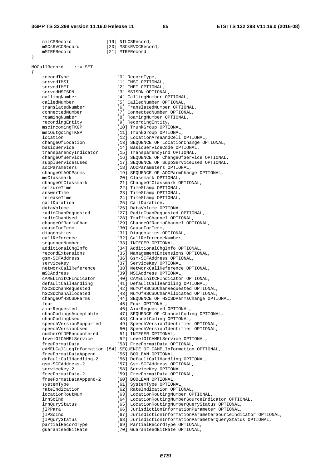}

{

niLCSRecord [19] NILCSRecord, mSCsRVCCRecord [20] MSCsRVCCRecord, mMTRFRecord [21] MTRFRecord MOCallRecord ::= SET recordType [0] RecordType,<br>servedIMSI [1] IMSI OPTION servedIMEI [2] IMEI OPTIONAL, servedMSISDN [3] MSISDN OPTIONAL,<br>callingNumber [4] CallingNumber OF calledNumber [5] CalledNumber OPTIONAL, translatedNumber [6] TranslatedNumber OPTIONAL, connectedNumber [7] ConnectedNumber OPTIONAL, roamingNumber [8] RoamingNumber OPTIONAL, recordingEntity [9] RecordingEntity, mscIncomingTKGP [10] TrunkGroup OPTIONAL, mscOutgoingTKGP [11] TrunkGroup OPTIONAL, transparencyIndicator [15] TransparencyInd OPTIONAL, aocParameters [18] AOCParameters OPTIONAL, msClassmark [20] Classmark OPTIONAL, seizureTime  $[22]$  TimeStamp OPTIONAL, answerTime [23] TimeStamp OPTIONAL, releaseTime [24] TimeStamp OPTIONAL,<br>
callDuration [25] CallDuration. dataVolume [26] DataVolume OPTIONAL, radioChanUsed [28] TrafficChannel OPTIONAL, causeForTerm [30] CauseForTerm, diagnostics [31] Diagnostics OPTIONAL, callReference [32] CallReferenceNumber, sequenceNumber [33] INTEGER OPTIONAL, gsm-SCFAddress [36] Gsm-SCFAddress OPTIONAL, serviceKey (37] ServiceKey OPTIONAL, mSCAddress [39] MSCAddress OPTIONAL, fnur [45] Fnur OPTIONAL, aiurRequested [46] AiurRequested OPTIONAL, chanCodingUsed [48] ChannelCoding OPTIONAL, numberOfDPEncountered [51] INTEGER OPTIONAL, freeFormatData [53] FreeFormatData OPTIONAL, freeFormatDataAppend [55] BOOLEAN OPTIONAL, gsm-SCFAddress-2 [57] Gsm-SCFAddress OPTIONAL, serviceKey-2 [58] ServiceKey OPTIONAL, freeFormatData-2 [59] FreeFormatData OPTIONAL, freeFormatDataAppend-2 [60] BOOLEAN OPTIONAL, systemType [61] SystemType OPTIONAL, rateIndication [62] RateIndication OPTIONAL, jIPPara [66] JurisdictionInformationParameter OPTIONAL, jIPSoInd [67] JurisdictionInformationParameterSourceIndicator OPTIONAL,

[1] IMSI OPTIONAL, eralling<br>[4] CallingNumber OPTIONAL,<br>[5] CalledNumber OPTIONAL, location [12] LocationAreaAndCell OPTIONAL, changeOfLocation [13] SEQUENCE OF LocationChange OPTIONAL, basicService [14] BasicServiceCode OPTIONAL, changeOfService [16] SEQUENCE OF ChangeOfService OPTIONAL, supplServicesUsed [17] SEQUENCE OF SuppServiceUsed OPTIONAL, changeOfAOCParms [19] SEQUENCE OF AOCParmChange OPTIONAL, changeOfClassmark [21] ChangeOfClassmark [21] ChangeOfClassmark OPTIONAL,<br>
seizureTime [22] TimeStamp OPTIONAL, [25] CallDuration,<br>[26] DataVolume OPTIONAL, radioChanRequested [27] RadioChanRequested OPTIONAL, changeOfRadioChan [29] ChangeOfRadioChannel OPTIONAL, additionalChgInfo [34] AdditionalChgInfo OPTIONAL, recordExtensions [35] ManagementExtensions OPTIONAL, networkCallReference [38] NetworkCallReference OPTIONAL, cAMELInitCFIndicator [40] CAMELInitCFIndicator OPTIONAL, defaultCallHandling [41] DefaultCallHandling OPTIONAL, hSCSDChanRequested [42] NumOfHSCSDChanRequested OPTIONAL, hSCSDChanAllocated [43] NumOfHSCSDChanAllocated OPTIONAL, changeOfHSCSDParms [44] SEQUENCE OF HSCSDParmsChange OPTIONAL, chanCodingsAcceptable [47] SEQUENCE OF ChannelCoding OPTIONAL, speechVersionSupported [49] SpeechVersionIdentifier OPTIONAL, speechVersionUsed [50] SpeechVersionIdentifier OPTIONAL, levelOfCAMELService [52] LevelOfCAMELService OPTIONAL, cAMELCallLegInformation [54] SEQUENCE OF CAMELInformation OPTIONAL, defaultCallHandling-2 [56] DefaultCallHandling OPTIONAL, locationRoutNum [63] LocationRoutingNumber OPTIONAL, lrnSoInd [64] LocationRoutingNumberSourceIndicator OPTIONAL, lrnQuryStatus [65] LocationRoutingNumberQueryStatus OPTIONAL,

 jIPQuryStatus [68] JurisdictionInformationParameterQueryStatus OPTIONAL, partialRecordType [69] PartialRecordType OPTIONAL,

guaranteedBitRate [70] GuaranteedBitRate OPTIONAL,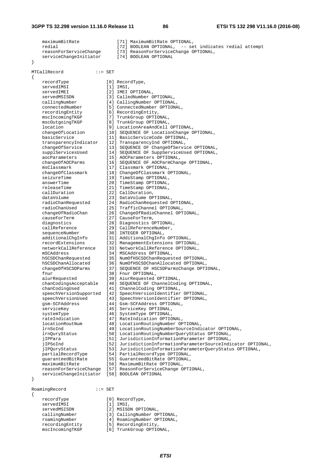```
maximumBitRate [71] MaximumBitRate OPTIONAL,
   redial [72] BOOLEAN OPTIONAL, -- set indicates redial attempt
    reasonForServiceChange [73] ReasonForServiceChange OPTIONAL, 
   serviceChangeInitiator [74] BOOLEAN OPTIONAL
} 
MTCallRecord ::= SET 
{ 
                        [0] RecordType,
   recordType [0] Recor<br>servedIMSI [1] IMSI,
   servedIMEI [2] IMEI OPTIONAL,
   servedMSISDN [3] CalledNumber OPTIONAL,<br>callingNumber [4] CallingNumber OPTIONAL,
 callingNumber [4] CallingNumber OPTIONAL, 
 connectedNumber [5] ConnectedNumber OPTIONAL, 
 recordingEntity [6] RecordingEntity, 
 mscIncomingTKGP [7] TrunkGroup OPTIONAL, 
 mscOutgoingTKGP [8] TrunkGroup OPTIONAL, 
 location [9] LocationAreaAndCell OPTIONAL, 
   location [9] LocationAreaAndCell OPTIONAL,<br>changeOfLocation [10] SEQUENCE OF LocationChange OPTIONAL,<br>basicService [11] BasicServiceCode OPTIONAL,
 basicService [11] BasicServiceCode OPTIONAL, 
 transparencyIndicator [12] TransparencyInd OPTIONAL, 
 changeOfService [13] SEQUENCE OF ChangeOfService OPTIONAL, 
 supplServicesUsed [14] SEQUENCE OF SuppServiceUsed OPTIONAL, 
 aocParameters [15] AOCParameters OPTIONAL, 
 changeOfAOCParms [16] SEQUENCE OF AOCParmChange OPTIONAL, 
 msClassmark [17] Classmark OPTIONAL, 
 changeOfClassmark [18] ChangeOfClassmark OPTIONAL, 
seizureTime [19] TimeStamp OPTIONAL,
   answerTime [19] TimeStamp OPTIONAL,<br>answerTime [20] TimeStamp OPTIONAL,
   releaseTime [21] TimeStamp OPTIONAL,<br>callDuration [22] CallDuration,
 callDuration [22] CallDuration, 
 dataVolume [23] DataVolume OPTIONAL, 
 radioChanRequested [24] RadioChanRequested OPTIONAL, 
 radioChanUsed [25] TrafficChannel OPTIONAL, 
 changeOfRadioChan [26] ChangeOfRadioChannel OPTIONAL, 
 causeForTerm [27] CauseForTerm, 
 diagnostics [28] Diagnostics OPTIONAL, 
 callReference [29] CallReferenceNumber, 
sequenceNumber [30] INTEGER OPTIONAL,
 additionalChgInfo [31] AdditionalChgInfo OPTIONAL, 
 recordExtensions [32] ManagementExtensions OPTIONAL, 
 networkCallReference [33] NetworkCallReference OPTIONAL, 
 mSCAddress [34] MSCAddress OPTIONAL, 
 hSCSDChanRequested [35] NumOfHSCSDChanRequested OPTIONAL, 
 hSCSDChanAllocated [36] NumOfHSCSDChanAllocated OPTIONAL,
 changeOfHSCSDParms [37] SEQUENCE OF HSCSDParmsChange OPTIONAL, 
fnur [38] Fnur OPTIONAL,
 aiurRequested [39] AiurRequested OPTIONAL, 
 chanCodingsAcceptable [40] SEQUENCE OF ChannelCoding OPTIONAL, 
 chanCodingUsed [41] ChannelCoding OPTIONAL, 
    speechVersionSupported [42] SpeechVersionIdentifier OPTIONAL, 
 speechVersionUsed [43] SpeechVersionIdentifier OPTIONAL, 
 gsm-SCFAddress [44] Gsm-SCFAddress OPTIONAL, 
 serviceKey [45] ServiceKey OPTIONAL, 
systemType [46] SystemType OPTIONAL,
 rateIndication [47] RateIndication OPTIONAL, 
 locationRoutNum [48] LocationRoutingNumber OPTIONAL, 
 lrnSoInd [49] LocationRoutingNumberSourceIndicator OPTIONAL, 
 lrnQuryStatus [50] LocationRoutingNumberQueryStatus OPTIONAL, 
 jIPPara [51] JurisdictionInformationParameter OPTIONAL, 
 jIPSoInd [52] JurisdictionInformationParameterSourceIndicator OPTIONAL, 
 jIPQuryStatus [53] JurisdictionInformationParameterQueryStatus OPTIONAL, 
 partialRecordType [54] PartialRecordType OPTIONAL, 
 guaranteedBitRate [55] GuaranteedBitRate OPTIONAL, 
 maximumBitRate [56] MaximumBitRate OPTIONAL, 
 reasonForServiceChange [57] ReasonForServiceChange OPTIONAL, 
 serviceChangeInitiator [58] BOOLEAN OPTIONAL 
} 
RoamingRecord ::= SET 
{ 
   recordType [0] RecordType,<br>servedIMSI [1] IMSI,
   servedIMSI
```
servedMSISDN [2] MSISDN OPTIONAL,

 recordingEntity [5] RecordingEntity, mscIncomingTKGP [6] TrunkGroup OPTIONAL,

callingNumber [3] CallingNumber OPTIONAL,<br>roamingNumber [4] RoamingNumber OPTIONAL, roamingNumber [4] RoamingNumber OPTIONAL,<br>recordingEntity [5] RecordingEntity,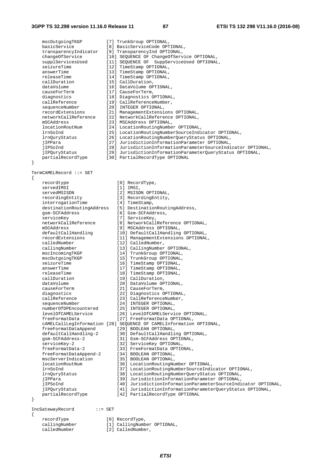mscOutgoingTKGP [7] TrunkGroup OPTIONAL, basicService [8] BasicServiceCode OPTIONAL, transparencyIndicator [9] TransparencyInd OPTIONAL, changeOfService [10] SEQUENCE OF ChangeOfService OPTIONAL, supplServicesUsed [11] SEQUENCE OF SuppServiceUsed OPTIONAL, seizureTime [12] TimeStamp OPTIONAL, answerTime [13] TimeStamp OPTIONAL, releaseTime [14] TimeStamp OPTIONAL, callDuration [15] CallDuration, dataVolume [16] DataVolume OPTIONAL, causeForTerm [17] CauseForTerm, diagnostics [18] Diagnostics OPTIONAL,<br>callReference [19] CallReferenceNumber, callReference [19] CallReferenceNumber, sequenceNumber [20] INTEGER OPTIONAL, recordExtensions [21] ManagementExtensions OPTIONAL, networkCallReference [22] NetworkCallReference OPTIONAL, mSCAddress [23] MSCAddress OPTIONAL, locationRoutNum [24] LocationRoutingNumber OPTIONAL, lrnSoInd [25] LocationRoutingNumberSourceIndicator OPTIONAL, lrnQuryStatus [26] LocationRoutingNumberQueryStatus OPTIONAL, jIPPara [27] JurisdictionInformationParameter OPTIONAL, jIPSoInd [28] JurisdictionInformationParameterSourceIndicator OPTIONAL, [29] JurisdictionInformationParameterQueryStatus OPTIONAL, jIPSoInd [28] JurisdictionInformationPara<br>jIPQuryStatus [29] JurisdictionInformationPara<br>partialRecordType [30] PartialRecordType OPTIONAL } TermCAMELRecord ::= SET { recordtype [0] RecordType,<br>servedIMSI [1] IMSI [1] IMSI,<br>[2] MSISDN OPTIONAL. servedMSISDN [2] MSISDN OPTIONAL, recordingEntity [3] RecordingEntity, interrogationTime [4] TimeStamp, destinationRoutingAddress [5] DestinationRoutingAddress, gsm-SCFAddress [6] Gsm-SCFAddress, serviceKey [7] ServiceKey, networkCallReference [8] NetworkCallReference OPTIONAL, mSCAddress [9] MSCAddress OPTIONAL, defaultCallHandling [10] DefaultCallHandling OPTIONAL, recordExtensions [11] ManagementExtensions OPTIONAL, calledNumber [12] CalledNumber, callingNumber [13] CallingNumber OPTIONAL,<br>mscIncomingTKGP [14] TrunkGroup OPTIONAL,<br>mscOutgoingTKGP [15] TrunkGroup OPTIONAL, mscIncomingTKGP [14] TrunkGroup OPTIONAL, mscOutgoingTKGP [15] TrunkGroup OPTIONAL, seizureTime [16] TimeStamp OPTIONAL, answerTime  $[17]$  TimeStamp OPTIONAL,<br>releaseTime  $[18]$  TimeStamp OPTIONAL, releaseTime [18] TimeStamp OPTIONAL,<br>callDuration [19] CallDuration, [19] CallDuration, dataVolume [20] DataVolume OPTIONAL, causeForTerm [21] CauseForTerm, diagnostics [22] Diagnostics OPTIONAL, callReference [23] CallReferenceNumber, sequenceNumber [24] INTEGER OPTIONAL, numberOfDPEncountered [25] INTEGER OPTIONAL, levelOfCAMELService [26] LevelOfCAMELService OPTIONAL, freeFormatData [27] FreeFormatData OPTIONAL, cAMELCallLegInformation [28] SEQUENCE OF CAMELInformation OPTIONAL, freeFormatDataAppend [29] BOOLEAN OPTIONAL, defaultCallHandling-2 [30] DefaultCallHandling OPTIONAL, gsm-SCFAddress-2 [31] Gsm-SCFAddress OPTIONAL, serviceKey-2 [32] ServiceKey OPTIONAL, freeFormatData-2 [33] FreeFormatData OPTIONAL, freeFormatDataAppend-2 [34] BOOLEAN OPTIONAL, mscServerIndication [35] BOOLEAN OPTIONAL, locationRoutNum [36] LocationRoutingNumber OPTIONAL, lrnSoInd [37] LocationRoutingNumberSourceIndicator OPTIONAL,<br>1rnQuryStatus [38] LocationRoutingNumberQueryStatus OPTIONAL, lrnQuryStatus [38] LocationRoutingNumberQueryStatus OPTIONAL, [39] JurisdictionInformationParameter OPTIONAL, jIPSoInd [40] JurisdictionInformationParameterSourceIndicator OPTIONAL,<br>iIPOurvStatus [41] JurisdictionInformationParameterOuervStatus OPTIONAL. [41] JurisdictionInformationParameterQueryStatus OPTIONAL, partialRecordType [42] PartialRecordType OPTIONAL } IncGatewayRecord ::= SET {

recordType [0] RecordType,

- 
- callingNumber [1] CallingNumber OPTIONAL,<br>
calledNumber [2] CalledNumber. [2] CalledNumber,
	-

*ETSI*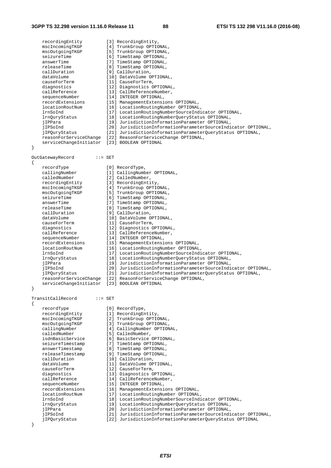recordingEntity [3] RecordingEntity, mscIncomingTKGP [4] TrunkGroup OPTIONAL, mscOutgoingTKGP [5] TrunkGroup OPTIONAL,<br>seizureTime [6] TimeStamp OPTIONAL, [6] TimeStamp OPTIONAL, answerTime [7] TimeStamp OPTIONAL,<br>releaseTime [8] TimeStamp OPTIONAL, releaseTime [8] TimeStamp OPTIONAL,<br>callDuration [9] CallDuration, callDuration [9] CallDuration, dataVolume [10] DataVolume OPTIONAL, causeForTerm [11] CauseForTerm, diagnostics [12] Diagnostics OPTIONAL, callReference [13] CallReferenceNumber, sequenceNumber [14] INTEGER OPTIONAL, recordExtensions [15] ManagementExtensions OPTIONAL, locationRoutNum [16] LocationRoutingNumber OPTIONAL, lrnSoInd [17] LocationRoutingNumberSourceIndicator OPTIONAL, lrnSoInd [17] LocationRoutingNumberSourceIndicator OPTIONAL,<br>1rnQuryStatus [18] LocationRoutingNumberQueryStatus OPTIONAL, jIPPara [19] JurisdictionInformationParameter OPTIONAL, jIPSoInd [20] JurisdictionInformationParameterSourceIndicator OPTIONAL, jIPQuryStatus [21] JurisdictionInformationParameterQueryStatus OPTIONAL, reasonForServiceChange [22] ReasonForServiceChange OPTIONAL, serviceChangeInitiator [23] BOOLEAN OPTIONAL } OutGatewayRecord ::= SET { recordType [0] RecordType, callingNumber [1] CallingNumber OPTIONAL, calledNumber [2] CalledNumber, recordingEntity [3] RecordingEntity, mscIncomingTKGP [4] TrunkGroup OPTIONAL, mscOutgoingTKGP [5] TrunkGroup OPTIONAL, seizureTime [6] TimeStamp OPTIONAL, answerTime [7] TimeStamp OPTIONAL, answerTime [7] TimeStamp OPTIONAL,<br>
releaseTime [8] TimeStamp OPTIONAL,<br>
callDuration [9] CallDuration, [9] CallDuration, dataVolume [10] DataVolume OPTIONAL, causeForTerm [11] CauseForTerm, diagnostics [12] Diagnostics OPTIONAL,<br>callReference [13] CallReferenceNumber, callReference [13] CallReferenceNumber, sequenceNumber [14] INTEGER OPTIONAL, recordExtensions [15] ManagementExtensions OPTIONAL, locationRoutNum [16] LocationRoutingNumber OPTIONAL, lrnSoInd [17] LocationRoutingNumberSourceIndicator OPTIONAL, lrnQuryStatus [18] LocationRoutingNumberQueryStatus OPTIONAL, jIPPara [19] JurisdictionInformationParameter OPTIONAL, jIPSoInd [20] JurisdictionInformationParameterSourceIndicator OPTIONAL, jIPQuryStatus [21] JurisdictionInformationParameterQueryStatus OPTIONAL, reasonForServiceChange [22] ReasonForServiceChange OPTIONAL, serviceChangeInitiator [23] BOOLEAN OPTIONAL } TransitCallRecord ::= SET { recordType [0] RecordType,<br>
recordingEntity [1] RecordingEn<br>
mscIncomingTKGP [2] TrunkGroup<br>
mscOutgoingTKGP [3] TrunkGroup recordingEntity [1] RecordingEntity, mscIncomingTKGP [2] TrunkGroup OPTIONAL, mscOutgoingTKGP [3] TrunkGroup OPTIONAL, callingNumber [4] CallingNumber OPTIONAL, calledNumber [5] CalledNumber, isdnBasicService [6] BasicService OPTIONAL, seizureTimestamp [7] TimeStamp OPTIONAL, answerTimestamp [8] TimeStamp OPTIONAL, releaseTimestamp [9] TimeStamp OPTIONAL, callDuration [10] CallDuration, dataVolume [11] DataVolume OPTIONAL, causeForTerm [12] CauseForTerm, diagnostics [13] Diagnostics OPTIONAL, callReference [14] CallReferenceNumber,<br>sequenceNumber [15] INTEGER OPTIONAL, sequenceNumber [15] INTEGER OPTIONAL, recordExtensions [16] ManagementExtensions OPTIONAL, sequenceNumber [15] INTEGER OPTIONAL,<br>
recordExtensions [16] ManagementExtensions OPTIONAL,<br>
locationRoutNum [17] LocationRoutingNumber OPTIONAL, lrnSoInd [18] LocationRoutingNumberSourceIndicator OPTIONAL, lrnQuryStatus [19] LocationRoutingNumberQueryStatus OPTIONAL, jIPPara [20] JurisdictionInformationParameter OPTIONAL, jIPSoInd [21] JurisdictionInformationParameterSourceIndicator OPTIONAL, jIPQuryStatus [22] JurisdictionInformationParameterQueryStatus OPTIONAL

}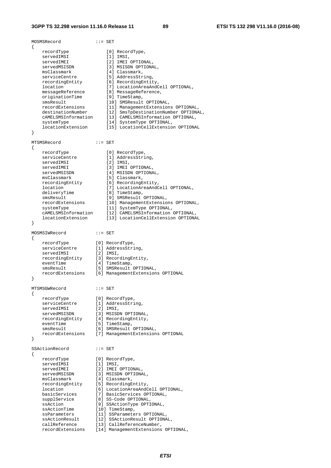MOSMSRecord ::= SET { recordType [0] RecordType, servedIMSI [1] IMSI, servedIMEI [2] IMEI OPTIONAL,<br>servedMSISDN [3] MSISDN OPTIONAL, servedMSISDN [3] MSISDN OPTIONAL, msClassmark [4] Classmark, serviceCentre [5] AddressString, recordingEntity [6] RecordingEntity, location [7] LocationAreaAndCell OPTIONAL, messageReference [8] MessageReference, originationTime [9] TimeStamp, smsResult [10] SMSResult OPTIONAL, recordExtensions [11] ManagementExtensions OPTIONAL, destinationNumber [12] SmsTpDestinationNumber OPTIONAL, cAMELSMSInformation [13] CAMELSMSInformation OPTIONAL, systemType [14] SystemType OPTIONAL, systemType [14] SystemType OPTIONAL,<br>locationExtension [15] LocationCellExtension OPTIONAL } MTSMSRecord ::= SET { recordType [0] RecordType,<br>serviceCentre [1] AddressStri [1] AddressString,<br>[2] IMSI, servedIMSI servedIMEI [3] IMEI OPTIONAL, servedMSISDN [4] MSISDN OPTIONAL, msClassmark [5] Classmark, recordingEntity [6] RecordingEntity, location [7] LocationAreaAndCell OPTIONAL, deliveryTime [8] TimeStamp, smsResult [9] SMSResult OPTIONAL, recordExtensions [10] ManagementExtensions OPTIONAL, systemType [11] SystemType OPTIONAL, cAMELSMSInformation [12] CAMELSMSInformation OPTIONAL, locationExtension [13] LocationCellExtension OPTIONAL } MOSMSIWRecord ::= SET { recordType [0] RecordType, serviceCentre [1] AddressString, servedIMSI [2] IMSI, recordingEntity [3] RecordingEntity, eventTime [4] TimeStamp, smsResult [5] SMSResult OPTIONAL, recordExtensions [6] ManagementExtensions OPTIONAL } MTSMSGWRecord ::= SET { recordType [0] RecordType, serviceCentre [1] AddressString, servedIMSI [2] IMSI, servedMSISDN [3] MSISDN OPTIONAL, recordingEntity [4] RecordingEntity, eventTime [5] TimeStamp, smsResult [6] SMSResult OPTIONAL, recordExtensions [7] ManagementExtensions OPTIONAL } SSActionRecord ::= SET { recordType [0] RecordType,<br>servedIMSI [1] IMSI, servedIMSI [1] IMSI, servedIMEI [2] IMEI OPTIONAL, servedMSISDN [3] MSISDN OPTIONAL, msClassmark [4] Classmark, recordingEntity [5] RecordingEntity, location [6] LocationAreaAndCell OPTIONAL, basicServices [7] BasicServices OPTIONAL, supplService [8] SS-Code OPTIONAL, ssAction [9] SSActionType OPTIONAL, ssActionTime [10] TimeStamp, ssParameters [11] SSParameters OPTIONAL, ssActionResult [12] SSActionResult OPTIONAL, callReference [13] CallReferenceNumber, recordExtensions [14] ManagementExtensions OPTIONAL,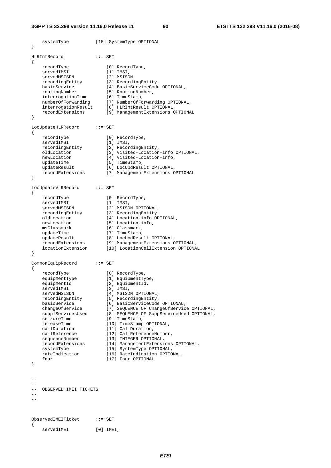systemType [15] SystemType OPTIONAL

} HLRIntRecord ::= SET { recordType [0] RecordType, servedIMSI [1] IMSI, servedMSISDN [2] MSISDN, recordingEntity [3] RecordingEntity, basicService [4] BasicServiceCode OPTIONAL, routingNumber [5] RoutingNumber, interrogationTime [6] TimeStamp, numberOfForwarding [7] NumberOfForwarding OPTIONAL, interrogationResult [8] HLRIntResult OPTIONAL, recordExtensions [9] ManagementExtensions OPTIONAL } LocUpdateHLRRecord ::= SET { recordType [0] RecordType, servedIMSI [1] IMSI, recordingEntity [2] RecordingEntity,<br>
oldLocation [3] Visited-Location<br>
[4] Visited-Location [3] Visited-Location-info OPTIONAL, [4] Visited-Location-info,<br>[5] TimeStamp, newhocation<br>updateTime<br>recordExtensions [6] LocUpdResult OPTIONAL, [7] ManagementExtensions OPTIONAL } LocUpdateVLRRecord ::= SET { recordType [0] RecordType, servedIMSI [1] IMSI, servedMSISDN [2] MSISDN OPTIONAL, recordingEntity [3] RecordingEntity, oldLocation [4] Location-info OPTIONAL, newLocation [5] Location-info, msClassmark [6] Classmark, updateTime [7] TimeStamp, updateResult [8] LocUpdResult OPTIONAL, recordExtensions [9] ManagementExtensions OPTIONAL, locationExtension [10] LocationCellExtension OPTIONAL } CommonEquipRecord ::= SET { recordType [0] RecordType, equipmentType [1] EquipmentType, equipmentId [2] EquipmentId, servedIMSI [3] IMSI, servedMSISDN [4] MSISDN OPTIONAL, recordingEntity [5] RecordingEntity, basicService [6] BasicServiceCode OPTIONAL, changeOfService [7] SEQUENCE OF ChangeOfService OPTIONAL, supplServicesUsed [8] SEQUENCE OF SuppServiceUsed OPTIONAL, seizureTime [9] TimeStamp, releaseTime [10] TimeStamp OPTIONAL, callDuration [11] CallDuration, callReference [12] CallReferenceNumber, sequenceNumber [13] INTEGER OPTIONAL, recordExtensions [14] ManagementExtensions OPTIONAL, systemType [15] SystemType OPTIONAL, rateIndication [16] RateIndication OPTIONAL, fnur [17] Fnur OPTIONAL } -- -- -- OBSERVED IMEI TICKETS  $-$ ObservedIMEITicket ::= SET { servedIMEI [0] IMEI,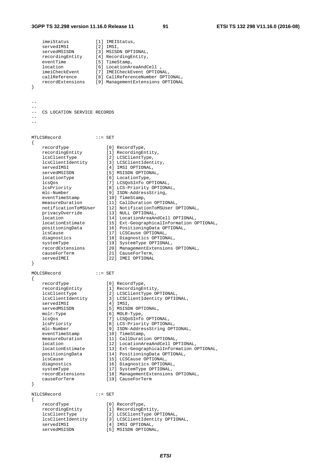#### **3GPP TS 32.298 version 11.16.0 Release 11 91 ETSI TS 132 298 V11.16.0 (2016-08)**

 imeiStatus [1] IMEIStatus, servedIMSI [2] IMSI, servedMSISDN [3] MSISDN OPTIONAL, recordingEntity [4] RecordingEntity, eventTime [5] TimeStamp, location [6] LocationAreaAndCell , imeiCheckEvent [7] IMEICheckEvent OPTIONAL, callReference [8] CallReferenceNumber OPTIONAL, recordExtensions [9] ManagementExtensions OPTIONAL } -- -- CS LOCATION SERVICE RECORDS  $-$ -- MTLCSRecord ::= SET { recordType [0] RecordType, recordingEntity [1] RecordingEntity, lcsClientType [2] LCSClientType, lcsClientIdentity [3] LCSClientIdentity, servedIMSI [4] IMSI OPTIONAL, servedMSISDN [5] MSISDN OPTIONAL, locationType [6] LocationType, lcsQos [7] LCSQoSInfo OPTIONAL, lcsPriority [8] LCS-Priority OPTIONAL, mlc-Number [9] ISDN-AddressString, eventTimeStamp [10] TimeStamp, measureDuration [11] CallDuration OPTIONAL, notificationToMSUser [12] NotificationToMSUser OPTIONAL, privacyOverride [13] NULL OPTIONAL, location [14] LocationAreaAndCell OPTIONAL, locationEstimate [15] Ext-GeographicalInformation OPTIONAL, positioningData [16] PositioningData OPTIONAL, lcsCause [17] LCSCause OPTIONAL, diagnostics [18] Diagnostics OPTIONAL, systemType [19] SystemType OPTIONAL, recordExtensions [20] ManagementExtensions OPTIONAL, causeForTerm [21] CauseForTerm, servedIMEI [22] IMEI OPTIONAL } MOLCSRecord ::= SET { recordType [0] RecordType, recordingEntity [1] RecordingEntity, lcsClientType [2] LCSClientType OPTIONAL, lcsClientIdentity [3] LCSClientIdentity OPTIONAL, servedIMSI [4] IMSI, servedMSISDN [5] MSISDN OPTIONAL, molr-Type [6] MOLR-Type, lcsQos [7] LCSQoSInfo OPTIONAL, lcsPriority [8] LCS-Priority OPTIONAL, mlc-Number [9] ISDN-AddressString OPTIONAL, eventTimeStamp [10] TimeStamp, measureDuration [11] CallDuration OPTIONAL, location [12] LocationAreaAndCell OPTIONAL, locationEstimate [13] Ext-GeographicalInformation OPTIONAL, positioningData [14] PositioningData OPTIONAL, lcsCause [15] LCSCause OPTIONAL, diagnostics [16] Diagnostics OPTIONAL, systemType [17] SystemType OPTIONAL, recordExtensions [18] ManagementExtensions OPTIONAL, causeForTerm [19] CauseForTerm } NILCSRecord ::= SET  $\left\{ \right.$  recordType [0] RecordType, recordingEntity [1] RecordingEntity, lcsClientType [2] LCSClientType OPTIONAL, lcsClientIdentity [3] LCSClientIdentity OPTIONAL, servedIMSI [4] IMSI OPTIONAL, servedMSISDN [5] MSISDN OPTIONAL,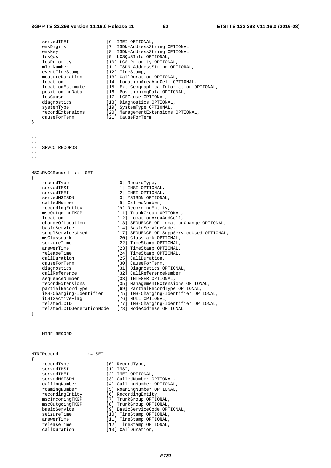#### **3GPP TS 32.298 version 11.16.0 Release 11 92 ETSI TS 132 298 V11.16.0 (2016-08)**

servedIMEI [6] IMEI OPTIONAL,<br>emsDiqits [7] ISDN-AddressSt: [7] ISDN-AddressString OPTIONAL, emsKey [8] ISDN-AddressString OPTIONAL, lcsQos<br>
lcsPriority [9] LCSQoSInfo OPTIONAL,<br>
[10] LCS-Priority OPTIONAL, lcsPriority [10] LCS-Priority OPTIONAL, mlc-Number [11] ISDN-AddressString OPTIONAL, eventTimeStamp [12] TimeStamp, measureDuration [13] CallDuration OPTIONAL, location [14] LocationAreaAndCell OPTIONAL, locationEstimate [15] Ext-GeographicalInformation OPTIONAL, positioningData [16] PositioningData OPTIONAL, lcsCause [17] LCSCause OPTIONAL, diagnostics [18] Diagnostics OPTIONAL, systemType [19] SystemType OPTIONAL, recordExtensions [20] ManagementExtensions OPTIONAL, causeForTerm [21] CauseForTerm } -- -- -- SRVCC RECORDS --  $-$ MSCsRVCCRecord ::= SET { recordType  $[0]$  RecordType,<br>servedIMSI  $[1]$  IMSI OPTIONAL,<br>servedIMEI  $[2]$  IMEI OPTIONAL, servedIMSI [1] IMSI OPTIONAL, servedIMEI [2] IMEI OPTIONAL, servedMSISDN [3] MSISDN OPTIONAL, calledNumber [5] CalledNumber, recordingEntity [9] RecordingEntity, mscOutgoingTKGP [11] TrunkGroup OPTIONAL, location [12] LocationAreaAndCell, changeOfLocation [13] SEQUENCE OF LocationChange OPTIONAL, basicService [14] BasicServiceCode, supplServicesUsed [17] SEQUENCE OF SuppServiceUsed OPTIONAL, msClassmark [20] Classmark OPTIONAL, seizureTime [22] TimeStamp OPTIONAL, answerTime [23] TimeStamp OPTIONAL, releaseTime [24] TimeStamp OPTIONAL, callDuration [25] CallDuration, causeForTerm [30] CauseForTerm, diagnostics [31] Diagnostics OPTIONAL, callReference [32] CallReferenceNumber, sequenceNumber [33] INTEGER OPTIONAL, recordExtensions [35] ManagementExtensions OPTIONAL, partialRecordType [69] PartialRecordType OPTIONAL, iMS-Charging-Identifier [75] IMS-Charging-Identifier OPTIONAL, iCSI2ActiveFlag [76] NULL OPTIONAL, relatedICID [77] IMS-Charging-Identifier OPTIONAL, relatedICID (77) IMS-Charging-Identifier OPTIONAL,<br>relatedICIDGenerationNode [78] NodeAddress OPTIONAL } -- -- -- MTRF RECORD  $-$ MTRFRecord ::= SET { recordType [0] RecordType, servedIMSI [1] IMSI,<br>servedIMEI [2] IMEI servedIMEI [2] IMEI OPTIONAL,<br>servedMSISDN [3] CalledNumber O servedMSISDN [3] CalledNumber OPTIONAL,<br>callingNumber [4] CallingNumber OPTIONAL,<br>roamingNumber [5] RoamingNumber OPTIONAL, callingNumber [4] CallingNumber OPTIONAL, roamingNumber [5] RoamingNumber OPTIONAL, recordingEntity [6] RecordingEntity, mscIncomingTKGP [7] TrunkGroup OPTIONAL, mscOutgoingTKGP [8] TrunkGroup OPTIONAL, basicService [9] BasicServiceCode OPTIONAL, seizureTime [10] TimeStamp OPTIONAL, answerTime [11] TimeStamp OPTIONAL, releaseTime [10] TimeStamp OPTIONAL,<br>answerTime [12] TimeStamp OPTIONAL,<br>releaseTime [12] TimeStamp OPTIONAL,<br>callDuration [13] CallDuration, ....<br>[13] CallDuration,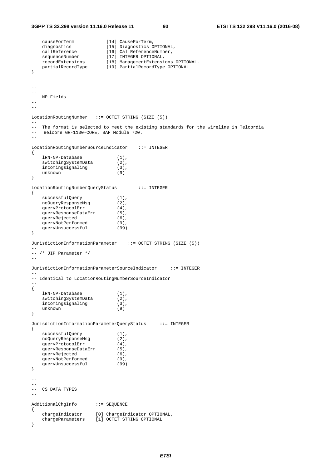#### **3GPP TS 32.298 version 11.16.0 Release 11 93 ETSI TS 132 298 V11.16.0 (2016-08)**

```
 causeForTerm [14] CauseForTerm, 
 diagnostics [15] Diagnostics OPTIONAL, 
 callReference [16] CallReferenceNumber, 
sequenceNumber [17] INTEGER OPTIONAL,
 recordExtensions [18] ManagementExtensions OPTIONAL, 
 partialRecordType [19] PartialRecordType OPTIONAL 
} 
-- 
-- 
-- NP Fields 
\sim-- 
LocationRoutingNumber ::= OCTET STRING (SIZE (5)) 
--- The format is selected to meet the existing standards for the wireline in Telcordia<br>-- Belcore GR-1100-CORE, BAE Module 720
   Belcore GR-1100-CORE, BAF Module 720.
-- 
LocationRoutingNumberSourceIndicator ::= INTEGER 
{ 
 lRN-NP-Database (1), 
 switchingSystemData (2), 
incomingsignaling (3),
   incomingsignaling (3)<br>unknown (9)
} 
LocationRoutingNumberQueryStatus ::= INTEGER 
{ 
   successfulQuery (1),<br>noQueryResponseMsg (2),
   noQueryResponseMsg
   queryProtocolErr (4),
    queryResponseDataErr (5), 
   queryRejected (6),
   queryNotPerformed (9),
   queryUnsuccessful (99)
} 
JurisdictionInformationParameter ::= OCTET STRING (SIZE (5))
-- 
-- /* JIP Parameter */ 
-- 
JurisdictionInformationParameterSourceIndicator ::= INTEGER 
-- 
-- Identical to LocationRoutingNumberSourceIndicator 
-- 
{ 
    lRN-NP-Database (1), 
   switchingSystemData (2),
   incomingsignaling (3),<br>unknown (9)
   unknown
} 
JurisdictionInformationParameterQueryStatus ::= INTEGER 
{ 
successfulQuery (1),
 noQueryResponseMsg (2), 
   queryProtocolErr (4),
   queryResponseDataErr (5),
   queryRejected (6),<br>queryNotPerformed (9),<br>queryUnsuccessful (99)
   queryNotPerformed
    queryUnsuccessful (99) 
} 
-- 
-- 
-- CS DATA TYPES 
-- 
AdditionalChgInfo ::= SEQUENCE 
{ 
 chargeIndicator [0] ChargeIndicator OPTIONAL, 
 chargeParameters [1] OCTET STRING OPTIONAL 
}
```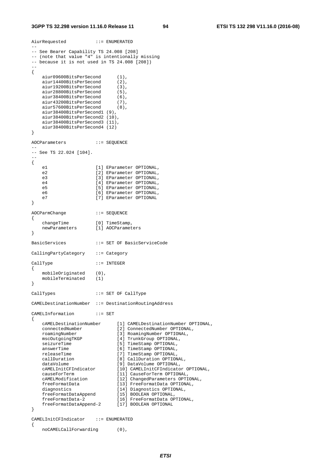```
AiurRequested ::= ENUMERATED 
--- See Bearer Capability TS 24.008 [208] 
-- (note that value "4" is intentionally missing 
-- because it is not used in TS 24.008 [208]) 
-- 
{ 
    aiur09600BitsPerSecond (1), 
   aiur14400BitsPerSecond (2),
    aiur19200BitsPerSecond (3), 
    aiur28800BitsPerSecond (5), 
   aiur28800BitsPerSecond (6),<br>aiur38400BitsPerSecond (6),<br>aiur43200BitsPerSecond (7),<br>aiur57600BitsPerSecond (8),
    aiur43200BitsPerSecond (7), 
    aiur57600BitsPerSecond (8), 
    aiur38400BitsPerSecond1 (9), 
    aiur38400BitsPerSecond2 (10), 
    aiur38400BitsPerSecond3 (11), 
    aiur38400BitsPerSecond4 (12) 
} 
AOCParameters ::= SEQUENCE 
-- 
-- See TS 22.024 [104]. 
-- 
{ 
   e1 [1] EParameter OPTIONAL,
   e2 [2] EParameter OPTIONAL,
   e3 [3] EParameter OPTIONAL,<br>e4 [4] EParameter OPTIONAL,
    e4 [4] EParameter OPTIONAL,<br>e5 [5] EParameter OPTIONAL,
                        e5 [5] EParameter OPTIONAL, 
    e6 [6] EParameter OPTIONAL,<br>e7 [7] EParameter OPTIONAL
                      [7] EParameter OPTIONAL
} 
AOCParmChange ::= SEQUENCE 
{ 
 changeTime [0] TimeStamp, 
 newParameters [1] AOCParameters 
} 
BasicServices ::= SET OF BasicServiceCode 
CallingPartyCategory ::= Category 
CallType ::= INTEGER 
{ 
   mobileOriginated (0),
    mobileTerminated (1) 
} 
CallTypes ::= SET OF CallType 
CAMELDestinationNumber ::= DestinationRoutingAddress 
CAMELInformation ::= SET 
{ 
 cAMELDestinationNumber [1] CAMELDestinationNumber OPTIONAL, 
 connectedNumber [2] ConnectedNumber OPTIONAL, 
 roamingNumber [3] RoamingNumber OPTIONAL, 
 mscOutgoingTKGP [4] TrunkGroup OPTIONAL, 
   roamingNumber [13] Noumangrissies = 1<br>mscOutgoingTKGP [4] TrunkGroup OPTIONAL<br>seizureTime [5] TimeStamp OPTIONAL,
   answerTime [6] TimeStamp OPTIONAL,
   releaseTime [7] TimeStamp OPTIONAL,<br>callDuration [8] CallDuration OPTION
                              callDuration OPTIONAL,<br>[8] CallDuration OPTIONAL,<br>[9] DataVolume OPTIONAL,
 dataVolume [9] DataVolume OPTIONAL, 
 cAMELInitCFIndicator [10] CAMELInitCFIndicator OPTIONAL, 
 causeForTerm [11] CauseForTerm OPTIONAL, 
 cAMELModification [12] ChangedParameters OPTIONAL, 
 freeFormatData [13] FreeFormatData OPTIONAL, 
 diagnostics [14] Diagnostics OPTIONAL, 
 freeFormatDataAppend [15] BOOLEAN OPTIONAL, 
 freeFormatData-2 [16] FreeFormatData OPTIONAL, 
 freeFormatDataAppend-2 [17] BOOLEAN OPTIONAL 
} 
CAMELInitCFIndicator ::= ENUMERATED 
{
```
noCAMELCallForwarding (0),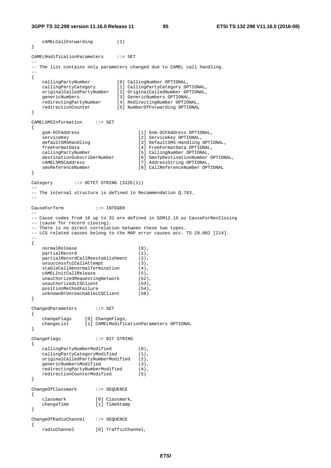**3GPP TS 32.298 version 11.16.0 Release 11 95 ETSI TS 132 298 V11.16.0 (2016-08)**

```
 cAMELCallForwarding (1) 
} 
CAMELModificationParameters ::= SET 
-- 
-- The list contains only parameters changed due to CAMEL call handling. 
-- 
{ 
 callingPartyNumber [0] CallingNumber OPTIONAL, 
 callingPartyCategory [1] CallingPartyCategory OPTIONAL, 
    originalCalledPartyNumber [2] OriginalCalledNumber OPTIONAL, 
 genericNumbers [3] GenericNumbers OPTIONAL, 
 redirectingPartyNumber [4] RedirectingNumber OPTIONAL, 
   redirectionCounter [5] NumberOfForwarding OPTIONAL
} 
CAMELSMSInformation ::= SET 
{ 
   gsm-SCFAddress [1] Gsm-SCFAddress OPTIONAL,<br>serviceKey [2] ServiceKey OPTIONAL,
   serviceKey [2] ServiceKey OPTIONAL,<br>defaultSMSHandling [3] DefaultSMS-Handling
                                     [3] DefaultSMS-Handling OPTIONAL,
   freeFormatData [4] FreeFormatData OPTIONAL,<br>callingPartyNumber [5] CallingNumber OPTIONAL,
 callingPartyNumber [5] CallingNumber OPTIONAL, 
 destinationSubscriberNumber [6] SmsTpDestinationNumber OPTIONAL, 
    cAMELSMSCAddress [7] AddressString OPTIONAL, 
    smsReferenceNumber [8] CallReferenceNumber OPTIONAL 
} 
Category ::= OCTET STRING (SIZE(1))
-- 
-- The internal structure is defined in Recommendation Q.763. 
-- 
CauseForTerm ::= INTEGER 
--- Cause codes from 16 up to 31 are defined in GSM12.15 as CauseForRecClosing 
-- (cause for record closing). 
-- There is no direct correlation between these two types. 
-- LCS related causes belong to the MAP error causes acc. TS 29.002 [214]. 
-- 
{ 
   normalRelease (0),
   partialRecord (1),
   partialRecordCallReestablishment (2),
   unsuccessfulCallAttempt (3),<br>stableCallAbnormalTermination (4),
    stableCallAbnormalTermination (4), 
    cAMELInitCallRelease (5), 
   unauthorizedRequestingNetwork (52),
   unauthorizedLCSClient (53),
   positionMethodFailure (54),
   unknownOrUnreachableLCSClient (58)
} 
ChangedParameters ::= SET 
{ 
   changeFlags [0] ChangeFlags,<br>changeList [1] CAMELModific
                  [1] CAMELModificationParameters OPTIONAL
} 
ChangeFlags ::= BIT STRING 
{ 
 callingPartyNumberModified (0), 
 callingPartyCategoryModified (1), 
   originalCalledPartyNumberModified (2),<br>qenericNumbersModified (3).
 genericNumbersModified (3), 
 redirectingPartyNumberModified (4), 
   redirectingPartyNumberModified (4),<br>redirectionCounterModified (5)
} 
ChangeOfClassmark ::= SEQUENCE 
{ 
    classmark [0] Classmark, 
    changeTime [1] TimeStamp 
} 
ChangeOfRadioChannel ::= SEQUENCE 
{ 
    radioChannel [0] TrafficChannel,
```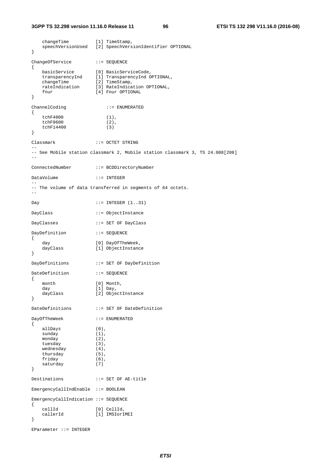#### **3GPP TS 32.298 version 11.16.0 Release 11 96 ETSI TS 132 298 V11.16.0 (2016-08)**

 changeTime [1] TimeStamp, speechVersionUsed [2] SpeechVersionIdentifier OPTIONAL } ChangeOfService ::= SEQUENCE { basicService [0] BasicServiceCode, transparencyInd [1] TransparencyInd OPTIONAL, changeTime [2] TimeStamp, rateIndication [3] RateIndication OPTIONAL, fnur [4] Fnur OPTIONAL } ChannelCoding ::= ENUMERATED { tchF4800 (1), tchF9600 (2), tchF14400 (3) } Classmark ::= OCTET STRING -- -- See Mobile station classmark 2, Mobile station classmark 3, TS 24.008[208] -- ConnectedNumber ::= BCDDirectoryNumber DataVolume ::= INTEGER -- -- The volume of data transferred in segments of 64 octets. --  $Day$  ::= INTEGER  $(1..31)$ DayClass ::= ObjectInstance DayClasses ::= SET OF DayClass DayDefinition ::= SEQUENCE { day [0] DayOfTheWeek,<br>dayClass [1] ObjectInstanc [1] ObjectInstance } DayDefinitions ::= SET OF DayDefinition DateDefinition ::= SEOUENCE { month  $[0]$  Month, day (1) Day,<br>dayClass (2) Objec [2] ObjectInstance } DateDefinitions ::= SET OF DateDefinition DayOfTheWeek ::= ENUMERATED { allDays (0),  $\begin{array}{lll}\text{sinday} & (1) \, , \\ \text{monday} & (2) \, , \end{array}$ monday tuesday (3),<br>wednesday (4),  $w$ edne $sday$  thursday (5), friday (6),<br>saturday (7) saturday } Destinations ::= SET OF AE-title EmergencyCallIndEnable ::= BOOLEAN EmergencyCallIndication ::= SEQUENCE { cellId [0] CellId, callerId [1] IMSIorIMEI }

```
EParameter ::= INTEGER
```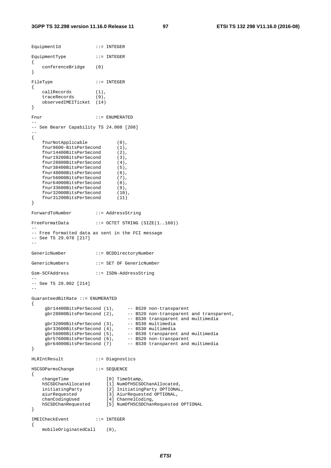```
EquipmentId ::= INTEGER
EquipmentType ::= INTEGER
{ 
    conferenceBridge (0) 
} 
FileType ::= INTEGER
{ 
    callRecords (1), 
    traceRecords (9), 
    observedIMEITicket (14) 
} 
Fnur ::= ENUMERATED
-- 
-- See Bearer Capability TS 24.008 [208] 
-- 
{ 
    fnurNotApplicable (0), 
    fnur9600-BitsPerSecond (1), 
    fnur14400BitsPerSecond (2), 
    fnur19200BitsPerSecond (3), 
    fnur28800BitsPerSecond (4), 
    fnur38400BitsPerSecond (5), 
    fnur48000BitsPerSecond (6), 
    fnur56000BitsPerSecond (7), 
   fnur64000BitsPerSecond (8),<br>fnur33600BitsPerSecond (9).
    fnur33600BitsPerSecond (9), 
   fnur32000BitsPerSecond (10),<br>fnur31200BitsPerSecond (11)
    fnur31200BitsPerSecond (11) 
} 
ForwardToNumber ::= AddressString 
FreeFormatData ::= OCTET STRING (SIZE(1..160))
--- Free formatted data as sent in the FCI message 
-- See TS 29.078 [217] 
GenericNumber ::= BCDDirectoryNumber 
GenericNumbers ::= SET OF GenericNumber 
Gsm-SCFAddress ::= ISDN-AddressString 
-- 
-- See TS 29.002 [214] 
-- 
GuaranteedBitRate ::= ENUMERATED 
{ 
 gbr14400BitsPerSecond (1), -- BS20 non-transparent 
 gbr28800BitsPerSecond (2), -- BS20 non-transparent and transparent, 
                                 -- BS30 transparent and multimedia<br>-- BS30 multimedia
    qbr32000BitsPerSecond (3),
    gbr33600BitsPerSecond (4),<br>gbr56000BitsPerSecond (5),
 gbr56000BitsPerSecond (5), -- BS30 transparent and multimedia 
 gbr57600BitsPerSecond (6), -- BS20 non-transparent 
 gbr64000BitsPerSecond (7) -- BS30 transparent and multimedia 
} 
HLRIntResult ::= Diagnostics 
HSCSDParmsChange ::= SEQUENCE 
{ 
 changeTime [0] TimeStamp, 
 hSCSDChanAllocated [1] NumOfHSCSDChanAllocated, 
 initiatingParty [2] InitiatingParty OPTIONAL, 
 aiurRequested [3] AiurRequested OPTIONAL, 
 chanCodingUsed [4] ChannelCoding, 
 hSCSDChanRequested [5] NumOfHSCSDChanRequested OPTIONAL 
} 
IMEICheckEvent ::= INTEGER 
{ 
    mobileOriginatedCall (0),
```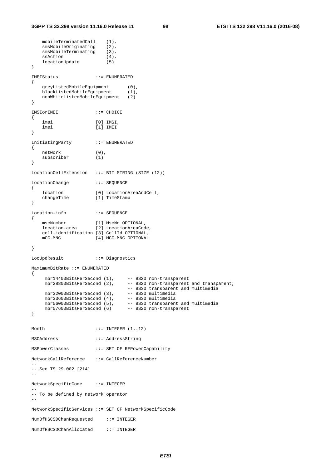```
mobileTerminatedCall (1),
   smsMobileOriginating (2),<br>smsMobileTerminating (3),
    smsMobileTerminating (3), 
   ssAction (4),
    locationUpdate (5) 
} 
IMEIStatus ::= ENUMERATED 
{ 
    greyListedMobileEquipment (0), 
   blackListedMobileEquipment (1),
    nonWhiteListedMobileEquipment (2) 
} 
IMSIorIMEI ::= CHOICE 
{ 
 imsi [0] IMSI, 
 imei [1] IMEI 
} 
InitiatingParty ::= ENUMERATED 
{ 
    network (0), 
    subscriber (1) 
} 
LocationCellExtension ::= BIT STRING (SIZE (12)) 
LocationChange ::= SEQUENCE 
{ 
   location [0] LocationAreaAndCell,<br>changeTime [1] TimeStamp
                  [1] TimeStamp
} 
Location-info ::= SEOUENCE
{ 
 mscNumber [1] MscNo OPTIONAL, 
 location-area [2] LocationAreaCode, 
    cell-identification [3] CellId OPTIONAL, 
    mCC-MNC [4] MCC-MNC OPTIONAL 
} 
LocUpdResult ::= Diagnostics 
MaximumBitRate ::= ENUMERATED 
{ 
 mbr14400BitsPerSecond (1), -- BS20 non-transparent 
 mbr28800BitsPerSecond (2), -- BS20 non-transparent and transparent, 
                                -- BS30 transparent and multimedia 
    mbr32000BitsPerSecond (3),
    mbr33600BitsPerSecond (4),
 mbr56000BitsPerSecond (5), -- BS30 transparent and multimedia 
 mbr57600BitsPerSecond (6) -- BS20 non-transparent 
} 
Month ::= INTEGER (1..12)MSCAddress ::= AddressString 
MSPowerClasses ::= SET OF RFPowerCapability 
NetworkCallReference ::= CallReferenceNumber 
-- 
-- See TS 29.002 [214] 
-- 
NetworkSpecificCode ::= INTEGER 
-- 
-- To be defined by network operator 
-- 
NetworkSpecificServices ::= SET OF NetworkSpecificCode 
NumOfHSCSDChanRequested ::= INTEGER 
NumOfHSCSDChanAllocated ::= INTEGER
```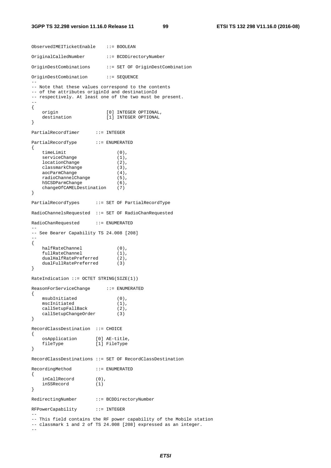#### **3GPP TS 32.298 version 11.16.0 Release 11 99 ETSI TS 132 298 V11.16.0 (2016-08)**

ObservedIMEITicketEnable ::= BOOLEAN OriginalCalledNumber ::= BCDDirectoryNumber OriginDestCombinations ::= SET OF OriginDestCombination OriginDestCombination ::= SEQUENCE -- -- Note that these values correspond to the contents -- of the attributes originId and destinationId -- respectively. At least one of the two must be present.  $-1$ { origin [0] INTEGER OPTIONAL,<br>destination [1] INTEGER OPTIONAL [1] INTEGER OPTIONAL } PartialRecordTimer ::= INTEGER PartialRecordType ::= ENUMERATED { timeLimit (0), serviceChange (1), locationChange (2), classmarkChange (3), aocParmChange (4), radioChannelChange (5), hSCSDParmChange (6), changeOfCAMELDestination (7) } PartialRecordTypes ::= SET OF PartialRecordType RadioChannelsRequested ::= SET OF RadioChanRequested RadioChanRequested ::= ENUMERATED -- -- See Bearer Capability TS 24.008 [208] -- { halfRateChannel (0), fullRateChannel (1), dualHalfRatePreferred (2), dualFullRatePreferred (3) } RateIndication ::= OCTET STRING(SIZE(1)) ReasonForServiceChange ::= ENUMERATED { msubInitiated (0), mscInitiated (1),<br>callSetupFallBack (2), callSetupFallBack (2)<br>callSetupChangeOrder (3) callSetupChangeOrder (3) } RecordClassDestination ::= CHOICE { osApplication [0] AE-title, fileType [1] FileType } RecordClassDestinations ::= SET OF RecordClassDestination RecordingMethod ::= ENUMERATED { inCallRecord (0),<br>inSSRecord (1) inSSRecord } RedirectingNumber ::= BCDDirectoryNumber RFPowerCapability ::= INTEGER -- -- This field contains the RF power capability of the Mobile station -- classmark 1 and 2 of TS 24.008 [208] expressed as an integer.

--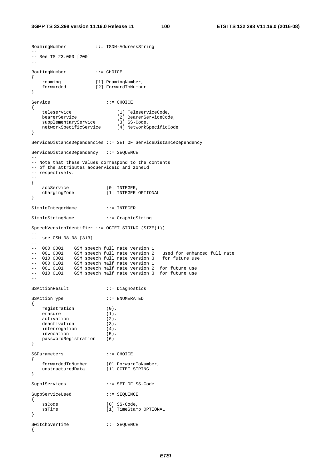```
RoamingNumber ::= ISDN-AddressString 
-- 
-- See TS 23.003 [200] 
-- 
RoutingNumber ::= CHOICE 
{ 
 roaming [1] RoamingNumber, 
 forwarded [2] ForwardToNumber 
} 
Service ::= CHOICE
{ 
 teleservice [1] TeleserviceCode, 
 bearerService [2] BearerServiceCode, 
supplementaryService [3] SS-Code,
 networkSpecificService [4] NetworkSpecificCode 
} 
ServiceDistanceDependencies ::= SET OF ServiceDistanceDependency 
ServiceDistanceDependency ::= SEQUENCE 
-- 
-- Note that these values correspond to the contents 
-- of the attributes aocServiceId and zoneId 
-- respectively.
-- 
{ 
 aocService [0] INTEGER, 
 chargingZone [1] INTEGER OPTIONAL 
} 
SimpleIntegerName ::= INTEGER 
SimpleStringName ::= GraphicString 
SpeechVersionIdentifier ::= OCTET STRING (SIZE(1)) 
-- 
-- see GSM 08.08 [313] 
-- 
-- 000 0001 GSM speech full rate version 1 
-- 001 0001 GSM speech full rate version 2 used for enhanced full rate 
-- 010 0001 GSM speech full rate version 3 for future use 
-- 000 0101 GSM speech half rate version 1 
-- 001 0101 GSM speech half rate version 2 for future use 
-- 010 0101 GSM speech half rate version 3 for future use 
-SSActionResult ::= Diagnostics 
SSActionType ::= ENUMERATED 
{ 
   registration (0),<br>erasure (1),erasure
  activation (2),
  deactivation (3),
   interrogation (4), 
    invocation (5), 
   passwordRegistration (6) 
} 
SSParameters ::= CHOICE
{ 
 forwardedToNumber [0] ForwardToNumber, 
 unstructuredData [1] OCTET STRING 
} 
SupplServices ::= SET OF SS-Code 
SuppServiceUsed ::= SEQUENCE 
{ 
   ssCode [0] SS-Code,
   ssTime [1] TimeStamp OPTIONAL
} 
SwitchoverTime ::= SEQUENCE
{
```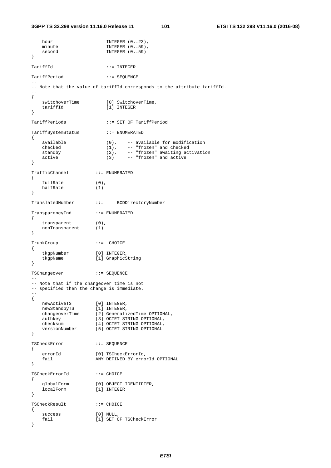```
hour INTEGER (0..23),
  minute INTEGER (0..59),
  second INTEGER (0..59)
} 
TariffId ::= INTEGER 
TariffPeriod ::= SEOUENCE
-- 
-- Note that the value of tariffId corresponds to the attribute tariffId. 
-- 
{ 
  switchoverTime [0] SwitchoverTime,
   tariffId [1] INTEGER 
} 
TariffPeriods ::= SET OF TariffPeriod 
TariffSystemStatus ::= ENUMERATED 
{ 
   available (0), -- available for modification 
 checked (1), -- "frozen" and checked 
 standby (2), -- "frozen" awaiting activation 
 active (3) -- "frozen" and active 
} 
TrafficChannel ::= ENUMERATED 
{ 
    fullRate (0), 
   halfRate (1) 
} 
TranslatedNumber ::= BCDDirectoryNumber 
TransparencyInd ::= ENUMERATED 
{ 
    transparent (0), 
   nonTransparent (1) 
} 
TrunkGroup ::= CHOICE 
{ 
   tkgpNumber [0] INTEGER,
    tkgpName [1] GraphicString 
} 
TSChangeover ::= SEQUENCE 
-- 
-- Note that if the changeover time is not 
-- specified then the change is immediate.
-{ 
 newActiveTS [0] INTEGER, 
 newStandbyTS [1] INTEGER, 
 changeoverTime [2] GeneralizedTime OPTIONAL, 
 authkey [3] OCTET STRING OPTIONAL, 
 checksum [4] OCTET STRING OPTIONAL, 
   checksum [4] OCTET STRING OPTIONAL<br>versionNumber [5] OCTET STRING OPTIONAL
} 
TSCheckError ::= SEQUENCE 
{ 
errorId [0] TSCheckErrorId,
 fail ANY DEFINED BY errorId OPTIONAL 
} 
TSCheckErrorId ::= CHOICE 
{ 
 globalForm [0] OBJECT IDENTIFIER, 
 localForm [1] INTEGER 
} 
TSCheckResult ::= CHOICE 
{ 
success [0] NULL,
fail [1] SET OF TSCheckError
}
```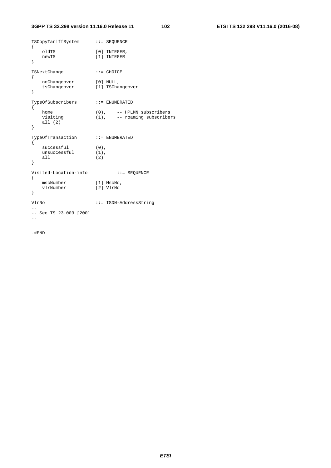### **3GPP TS 32.298 version 11.16.0 Release 11 102 ETSI TS 132 298 V11.16.0 (2016-08)**

| TSCopyTariffSystem ::= SEQUENCE<br>{ |                                   |                                                                      |
|--------------------------------------|-----------------------------------|----------------------------------------------------------------------|
| }                                    | oldTS<br>newTS                    | [0] INTEGER,<br>[1] INTEGER                                          |
| ₹                                    | TSNextChange                      | $::=$ CHOICE                                                         |
| ł                                    | noChangeover<br>tsChangeover      | $[0]$ NULL,<br>[1] TSChangeover                                      |
| ſ                                    | TypeOfSubscribers                 | $: :=$ ENUMERATED                                                    |
| ł                                    | home<br>visiting<br>all $(2)$     | $(0)$ , $-$ - HPLMN subscribers<br>$(1)$ , $-$ - roaming subscribers |
| {                                    | TypeOfTransaction                 | $\colon \colon$ = $\;$ ENUMERATED                                    |
| }                                    | successful<br>unsuccessful<br>all | $(0)$ ,<br>$(1)$ ,<br>(2)                                            |
|                                      | Visited-Location-info             | $: :=$ SEQUENCE                                                      |
| {<br>}                               | mscNumber<br>vlrNumber            | $[1]$ MscNo,<br>[2] VlrNo                                            |
| VlrNo<br>$--$ See TS 23.003 [200]    |                                   | $::=$ ISDN-AddressString                                             |
|                                      |                                   |                                                                      |

.#END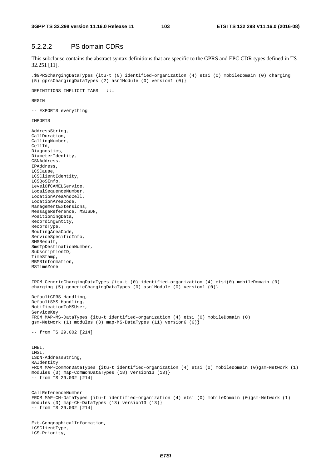# 5.2.2.2 PS domain CDRs

This subclause contains the abstract syntax definitions that are specific to the GPRS and EPC CDR types defined in TS 32.251 [11].

.\$GPRSChargingDataTypes {itu-t (0) identified-organization (4) etsi (0) mobileDomain (0) charging (5) gprsChargingDataTypes (2) asn1Module (0) version1 (0)}

DEFINITIONS IMPLICIT TAGS ::=

**BEGIN** 

-- EXPORTS everything

IMPORTS

LCS-Priority,

AddressString, CallDuration, CallingNumber, CellId, Diagnostics, DiameterIdentity, GSNAddress, IPAddress, LCSCause, LCSClientIdentity, LCSQoSInfo, LevelOfCAMELService, LocalSequenceNumber, LocationAreaAndCell, LocationAreaCode, ManagementExtensions, MessageReference, MSISDN, PositioningData, RecordingEntity, RecordType, RoutingAreaCode, ServiceSpecificInfo, SMSResult, SmsTpDestinationNumber, SubscriptionID, TimeStamp, MBMSInformation, MSTimeZone FROM GenericChargingDataTypes {itu-t (0) identified-organization (4) etsi(0) mobileDomain (0) charging (5) genericChargingDataTypes (0) asn1Module (0) version1 (0)} DefaultGPRS-Handling, DefaultSMS-Handling, NotificationToMSUser, ServiceKey FROM MAP-MS-DataTypes {itu-t identified-organization (4) etsi (0) mobileDomain (0) gsm-Network (1) modules (3) map-MS-DataTypes (11) version6 (6)} -- from TS 29.002 [214] IMEI, IMSI, ISDN-AddressString, RAIdentity FROM MAP-CommonDataTypes {itu-t identified-organization (4) etsi (0) mobileDomain (0)gsm-Network (1) modules (3) map-CommonDataTypes (18) version13 (13)} -- from TS 29.002 [214] CallReferenceNumber FROM MAP-CH-DataTypes {itu-t identified-organization (4) etsi (0) mobileDomain (0)gsm-Network (1) modules (3) map-CH-DataTypes (13) version13 (13)} -- from TS 29.002 [214] Ext-GeographicalInformation, LCSClientType,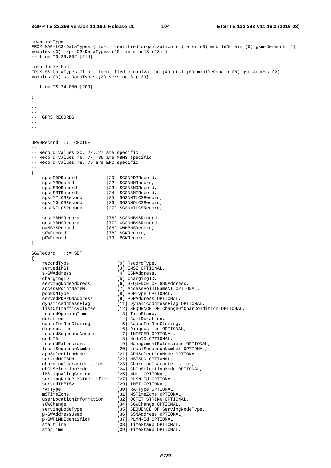```
LocationType 
FROM MAP-LCS-DataTypes {itu-t identified-organization (4) etsi (0) mobileDomain (0) gsm-Network (1) 
modules (3) map-LCS-DataTypes (25) version13 (13) } 
-- from TS 29.002 [214] 
LocationMethod 
FROM SS-DataTypes {itu-t identified-organization (4) etsi (0) mobileDomain (0) gsm-Access (2) 
modules (3) ss-DataTypes (2) version13 (13)} 
-- from TS 24.080 [209]; 
-- 
-- 
-- GPRS RECORDS 
--GPRSRecord ::= CHOICE 
-- 
-- Record values 20, 22..27 are specific 
-- Record values 76, 77, 86 are MBMS specific 
-- Record values 78..79 are EPC specific 
-- 
{ 
 sgsnPDPRecord [20] SGSNPDPRecord, 
sgsnMMRecord [22] SGSNMMRecord,
sgsnSMORecord [23] SGSNSMORecord,
 sgsnSMTRecord [24] SGSNSMTRecord, 
 sgsnMTLCSRecord [25] SGSNMTLCSRecord, 
 sgsnMOLCSRecord [26] SGSNMOLCSRecord, 
 sgsnNILCSRecord [27] SGSNNILCSRecord, 
-- 
sgsnMBMSRecord [76] SGSNMBMSRecord,
 ggsnMBMSRecord [77] GGSNMBMSRecord, 
 gwMBMSRecord [86] GWMBMSRecord, 
sGWRecord [78] SGWRecord,
    pGWRecord [79] PGWRecord 
} 
SGWRecord ::= SET 
{ 
 recordType [0] RecordType, 
servedIMSI [3] IMSI OPTIONAL,
 s-GWAddress [4] GSNAddress, 
chargingID [5] ChargingID,
 servingNodeAddress [6] SEQUENCE OF GSNAddress, 
 accessPointNameNI [7] AccessPointNameNI OPTIONAL, 
 pdpPDNType [8] PDPType OPTIONAL, 
 servedPDPPDNAddress [9] PDPAddress OPTIONAL, 
 dynamicAddressFlag [11] DynamicAddressFlag OPTIONAL, 
 listOfTrafficVolumes [12] SEQUENCE OF ChangeOfCharCondition OPTIONAL, 
 recordOpeningTime [13] TimeStamp, 
duration [14] CallDuration,
 causeForRecClosing [15] CauseForRecClosing, 
diagnostics [16] Diagnostics OPTIONAL,
 recordSequenceNumber [17] INTEGER OPTIONAL, 
   nodeID (18) NodeID (18) NodeID (18) NodeID (18) NodeID (18) NodeID (18) NodeID (18) NodeID (18) NodeID (18) NodeID (18) NodeID (18) NodeID (18) NodeID (18) NodeID (18) NodeID (18) NodeID (18) NodeID (18) NodeID (18) NodeID
 recordExtensions [19] ManagementExtensions OPTIONAL, 
 localSequenceNumber [20] LocalSequenceNumber OPTIONAL, 
 apnSelectionMode [21] APNSelectionMode OPTIONAL, 
servedMSISDN [22] MSISDN OPTIONAL,
 chargingCharacteristics [23] ChargingCharacteristics, 
 chChSelectionMode [24] ChChSelectionMode OPTIONAL, 
 iMSsignalingContext [25] NULL OPTIONAL, 
   servingNodePLMNIdentifier [27] PLMN-Id OPTIONAL,<br>servedIMEISV [29] IMEI OPTIONAL,
                            [29] IMEI OPTIONAL,
   rATType [30] RATType OPTIONAL,
mSTimeZone [31] MSTimeZone OPTIONAL,
 userLocationInformation [32] OCTET STRING OPTIONAL, 
sGWChange [34] SGWChange OPTIONAL,
 servingNodeType [35] SEQUENCE OF ServingNodeType, 
    p-GWAddressUsed [36] GSNAddress OPTIONAL, 
    p-GWPLMNIdentifier [37] PLMN-Id OPTIONAL, 
   startTime [38] TimeStamp OPTIONAL,<br>stopTime [39] TimeStamp OPTIONAL.
                            [39] TimeStamp OPTIONAL,
```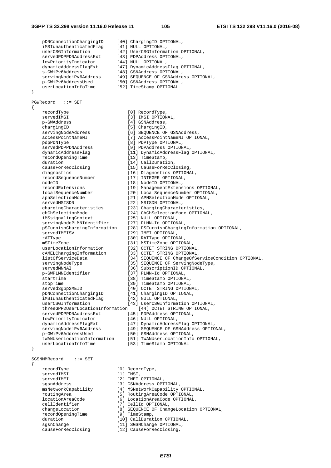#### **3GPP TS 32.298 version 11.16.0 Release 11 105 ETSI TS 132 298 V11.16.0 (2016-08)**

pDNConnectionChargingID [40] ChargingID OPTIONAL,<br>iMSIunauthenticatedFlag [41] NULL OPTIONAL,<br>userCSGInformation [42] UserCSGInformation OPTIONAL, iMSIunauthenticatedFlag userCSGInformation [42] UserCSGInformation OPTIONAL, servedPDPPDNAddressExt [43] PDPAddress OPTIONAL, lowPriorityIndicator [44] NULL OPTIONAL, dynamicAddressFlagExt [47] DynamicAddressFlag OPTIONAL, s-GWiPv6Address [48] GSNAddress OPTIONAL, servingNodeiPv6Address [49] SEQUENCE OF GSNAddress OPTIONAL, p-GWiPv6AddressUsed [50] GSNAddress OPTIONAL, userLocationInfoTime [52] TimeStamp OPTIONAL } PGWRecord ::= SET { recordType [0] RecordType, servedIMSI [3] IMSI OPTIONAL,<br>p-GWAddress [4] GSNAddress. [4] GSNAddress, chargingID [5] ChargingID,<br>servingNodeAddress [6] SEQUENCE OF servingNodeAddress [6] SEQUENCE OF GSNAddress,<br>accessPointNameNI [7] AccessPointNameNI OPTIO accessPointNameNI [7] AccessPointNameNI OPTIONAL,<br>pdpPDNType [8] PDPType OPTIONAL, pdpPDNType <br>
pdpPDNType (8) PDPType OPTIONAL,<br>
servedPDPPDNAddress (9) PDPAddress OPTION servedPDPPDNAddress [9] PDPAddress OPTIONAL,<br>dynamicAddressFlag [11] DynamicAddressFlag dynamicAddressFlag [11] DynamicAddressFlag OPTIONAL, recordOpeningTime [13] TimeStamp, duration [14] CallDuration, causeForRecClosing [15] CauseForRecClosing, diagnostics [16] Diagnostics OPTIONAL, recordSequenceNumber [17] INTEGER OPTIONAL, nodeID [18] NodeID OPTIONAL, recordExtensions [19] ManagementExtensions OPTIONAL, localSequenceNumber [20] LocalSequenceNumber OPTIONAL, apnSelectionMode [21] APNSelectionMode OPTIONAL, servedMSISDN [22] MSISDN OPTIONAL, chargingCharacteristics [23] ChargingCharacteristics, chChSelectionMode [24] ChChSelectionMode OPTIONAL, iMSsignalingContext [25] NULL OPTIONAL, servingNodePLMNIdentifier [27] PLMN-Id OPTIONAL, pSFurnishChargingInformation [28] PSFurnishChargingInformation OPTIONAL, servedIMEISV [29] IMEI OPTIONAL, rATType  $[30]$  RATType OPTIONAL, mSTimeZone [31] MSTimeZone OPTIONAL,<br>userLocationInformation [32] OCTET STRING OPTIONA userLocationInformation [32] OCTET STRING OPTIONAL, cAMELChargingInformation [33] OCTET STRING OPTIONAL, listOfServiceData [34] SEQUENCE OF ChangeOfServiceCondition OPTIONAL, servingNodeType [35] SEQUENCE OF ServingNodeType, servedMNNAI [36] SubscriptionID OPTIONAL,<br>p-GWPLMNIdentifier [37] PLMN-Id OPTIONAL, [37] PLMN-Id OPTIONAL, startTime  $[38]$  TimeStamp OPTIONAL, stopTime  $[39]$  TimeStamp OPTIONAL, served3gpp2MEID [40] OCTET STRING OPTIONAL, pDNConnectionChargingID [41] ChargingID OPTIONAL, iMSIunauthenticatedFlag [42] NULL OPTIONAL, userCSGInformation [43] UserCSGInformation OPTIONAL, threeGPP2UserLocationInformation [44] OCTET STRING OPTIONAL, servedPDPPDNAddressExt [45] PDPAddress OPTIONAL, lowPriorityIndicator [46] NULL OPTIONAL, dynamicAddressFlagExt [47] DynamicAddressFlag OPTIONAL, servingNodeiPv6Address [49] SEQUENCE OF GSNAddress OPTIONAL, p-GWiPv6AddressUsed [50] GSNAddress OPTIONAL, p-GWiPv6AddressUsed [50] GSNAddress OPTIONAL,<br>tWANUserLocationInformation [51] TWANUserLocationInfo OPTIONAL, userLocationInfoTime [53] TimeStamp OPTIONAL } SGSNMMRecord ::= SET { recordType  $[0]$  RecordType,<br>servedIMSI  $[1]$  IMSI, servedIMSI<br>servedIMEI [2] IMEI OPTIONAL, sgsnAddress [3] GSNAddress OPTIONAL, msNetworkCapability [4] MSNetworkCapability OPTIONAL, routingArea [5] RoutingAreaCode OPTIONAL, locationAreaCode [6] LocationAreaCode OPTIONAL, cellIdentifier [7] CellId OPTIONAL, changeLocation [8] SEQUENCE OF ChangeLocation OPTIONAL, recordOpeningTime [9] TimeStamp, duration  $[10]$  CallDuration OPTIONAL,

*ETSI* 

[12] CauseForRecClosing,

sgsnChange [11] SGSNChange OPTIONAL,<br>causeForRecClosing [12] CauseForRecClosing,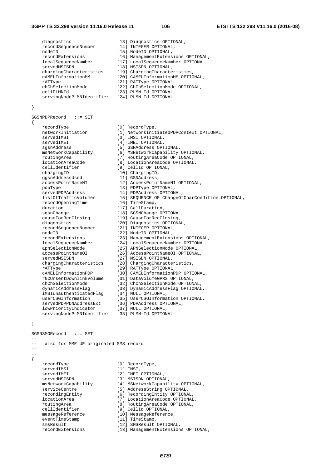#### **3GPP TS 32.298 version 11.16.0 Release 11 106 ETSI TS 132 298 V11.16.0 (2016-08)**

diagnostics [13] Diagnostics OPTIONAL,<br>recordSequenceNumber [14] INTEGER OPTIONAL, recordSequenceNumber [14] INTEGER OPTIONAL, nodeID [15] NodeID OPTIONAL, recordExtensions [16] ManagementExtensions OPTIONAL,<br>localSequenceNumber [17] LocalSequenceNumber OPTIONAL, localSequenceNumber [17] LocalSequenceNumber OPTIONAL, servedMSISDN [18] MSISDN OPTIONAL, chargingCharacteristics [19] ChargingCharacteristics, cAMELInformationMM [20] CAMELInformationMM OPTIONAL, rATType  $[21]$  RATType OPTIONAL, chChSelectionMode [22] ChChSelectionMode OPTIONAL, cellPLMNId [23] PLMN-Id OPTIONAL, servingNodePLMNIdentifier [24] PLMN-Id OPTIONAL } SGSNPDPRecord ::= SET { recordType [0] RecordType,<br>
networkInitiation [1] NetworkInit networkInitiation [1] NetworkInitiatedPDPContext OPTIONAL,<br>servedIMSI (3) IMSI OPTIONAL. servedIMSI [3] IMSI OPTIONAL, [4] IMEI OPTIONAL, sgsnAddress [5] GSNAddress OPTIONAL, msNetworkCapability [6] MSNetworkCapability OPTIONAL, routingArea [7] RoutingAreaCode OPTIONAL, locationAreaCode [9] RoutingAreaCode OPTIONAL,<br>cellIdentifier [9] CellId OPTIONAL, cellIdentifier [9] CellId OPTIONAL, chargingID [10] ChargingID, ggsnAddressUsed [11] GSNAddress, accessPointNameNI [12] AccessPointNameNI OPTIONAL, pdpType [13] PDPType OPTIONAL, servedPDPAddress [14] PDPAddress OPTIONAL, listOfTrafficVolumes [15] SEQUENCE OF ChangeOfCharCondition OPTIONAL, recordOpeningTime [16] TimeStamp, duration [17] CallDuration, sgsnChange [18] SGSNChange OPTIONAL,<br>causeForRecClosing [19] CauseForRecClosing, causeForRecClosing [19] CauseForRecClosing, diagnostics [20] Diagnostics OPTIONAL, recordSequenceNumber [21] INTEGER OPTIONAL, nodeID [22] NodeID OPTIONAL, recordExtensions [23] ManagementExtensions OPTIONAL, localSequenceNumber [24] LocalSequenceNumber OPTIONAL, apnSelectionMode [25] APNSelectionMode OPTIONAL, accessPointNameOI [26] AccessPointNameOI OPTIONAL, servedMSISDN [27] MSISDN OPTIONAL, chargingCharacteristics [28] ChargingCharacteristics, rATType  $[29]$  RATType OPTIONAL, cAMELInformationPDP [30] CAMELInformationPDP OPTIONAL, rNCUnsentDownlinkVolume [31] DataVolumeGPRS OPTIONAL, chChSelectionMode [32] ChChSelectionMode OPTIONAL, dynamicAddressFlag [33] DynamicAddressFlag OPTIONAL, iMSIunauthenticatedFlag [34] NULL OPTIONAL, userCSGInformation [35] UserCSGInformation OPTIONAL, servedPDPPDNAddressExt [36] PDPAddress OPTIONAL, lowPriorityIndicator [37] NULL OPTIONAL, servingNodePLMNIdentifier [38] PLMN-Id OPTIONAL } SGSNSMORecord ::= SET --

-- also for MME UE originated SMS record  $-$ -- { recordType [0] RecordType, servedIMSI [1] IMSI,<br>servedIMEI [2] IMEI servedIMEI [2] IMEI OPTIONAL,<br>servedMSISDN [3] MSISDN OPTIONA servedMSISDN [3] MSISDN OPTIONAL,<br>msNetworkCapability [4] MSNetworkCapabil msNetworkCapability [4] MSNetworkCapability OPTIONAL, serviceCentre [5] AddressString OPTIONAL, recordingEntity  $[6]$  RecordingEntity OPTIONAL,<br>locationArea  $[7]$  LocationAreaCode OPTIONAL, locationArea [7] LocationAreaCode OPTIONAL, routingArea [8] RoutingAreaCode OPTIONAL, cellIdentifier [9] CellId OPTIONAL,<br>
messageReference [10] MessageReference [10] MessageReference,<br>[11] TimeStamp, luessugund<br>eventTimeStamp smsResult [12] SMSResult OPTIONAL,<br>recordExtensions [13] ManaqementExtension [13] ManagementExtensions OPTIONAL,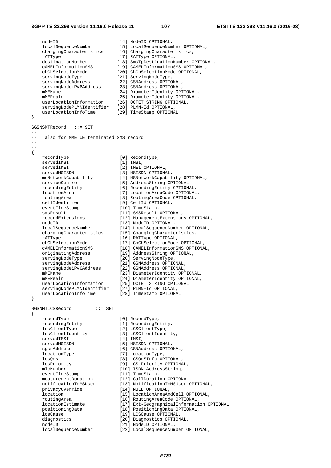}

}

nodeID [14] NodeID OPTIONAL, localSequenceNumber [15] LocalSequenceNumber OPTIONAL, chargingCharacteristics [16] ChargingCharacteristics, rATType  $[17]$  RATType OPTIONAL, destinationNumber [18] SmsTpDestinationNumber OPTIONAL, cAMELInformationSMS [19] CAMELInformationSMS OPTIONAL, chChSelectionMode [20] ChChSelectionMode OPTIONAL, servingNodeType [21] ServingNodeType, servingNodeAddress [22] GSNAddress OPTIONAL, servingNodeiPv6Address [23] GSNAddress OPTIONAL, mMEName [24] DiameterIdentity OPTIONAL, mMERealm [25] DiameterIdentity OPTIONAL, userLocationInformation [26] OCTET STRING OPTIONAL, servingNodePLMNIdentifier [28] PLMN-Id OPTIONAL, userLocationInfoTime [29] TimeStamp OPTIONAL SGSNSMTRecord ::= SET -- -- also for MME UE terminated SMS record -- -- { recordType [0] RecordType,<br>servedIMSI [1] IMSI, servedIMSI [1] IMSI, servedIMEI [2] IMEI OPTIONAL, servedMSISDN [3] MSISDN OPTIONAL, msNetworkCapability [4] MSNetworkCapability OPTIONAL, serviceCentre [5] AddressString OPTIONAL, recordingEntity [6] RecordingEntity OPTIONAL, locationArea [7] LocationAreaCode OPTIONAL, routingArea [8] RoutingAreaCode OPTIONAL, cellIdentifier [9] CellId OPTIONAL, eventTimeStamp [10] TimeStamp, smsResult [11] SMSResult OPTIONAL, recordExtensions [12] ManagementExtensions OPTIONAL, nodeID [13] NodeID OPTIONAL, localSequenceNumber [14] LocalSequenceNumber OPTIONAL, chargingCharacteristics [15] ChargingCharacteristics, rATType  $[16]$  RATType OPTIONAL, chChSelectionMode [17] ChChSelectionMode OPTIONAL, cAMELInformationSMS [18] CAMELInformationSMS OPTIONAL, originatingAddress [19] AddressString OPTIONAL, servingNodeType [20] ServingNodeType, servingNodeAddress [21] GSNAddress OPTIONAL, servingNodeiPv6Address [22] GSNAddress OPTIONAL, mMEName [23] DiameterIdentity OPTIONAL, mMERealm [24] DiameterIdentity OPTIONAL, userLocationInformation [25] OCTET STRING OPTIONAL, servingNodePLMNIdentifier [27] PLMN-Id OPTIONAL, userLocationInfoTime [28] TimeStamp OPTIONAL SGSNMTLCSRecord ::= SET { recordType [0] RecordType, recording<br>Entity [1] RecordingEntity,<br>leadingEntity [1] RecordingEntity, lcsClientType [2] LCSClientType,<br>
lcsClientIdentity [2] LCSClientType,<br>
gervedIMSI [4] IMSI, lcsClientIdentity [3] LCSClientIdentity, servedIMSI [4] IMSI, servedMSISDN [5] MSISDN OPTIONAL, sgsnAddress [6] GSNAddress OPTIONAL, locationType [7] LocationType, lcsQos [8] LCSQoSInfo OPTIONAL, lcsPriority [9] LCS-Priority OPTIONAL, mlcNumber [10] ISDN-AddressString, eventTimeStamp [11] TimeStamp, measurementDuration [12] CallDuration OPTIONAL, notificationToMSUser [13] NotificationToMSUser OPTIONAL, privacyOverride [14] NULL OPTIONAL, location [15] LocationAreaAndCell OPTIONAL, routingArea [16] RoutingAreaCode OPTIONAL, locationEstimate [17] Ext-GeographicalInformation OPTIONAL, positioningData [18] PositioningData OPTIONAL, lcsCause [19] LCSCause OPTIONAL, diagnostics [20] Diagnostics OPTIONAL, nodeID [21] NodeID OPTIONAL, localSequenceNumber [22] LocalSequenceNumber OPTIONAL,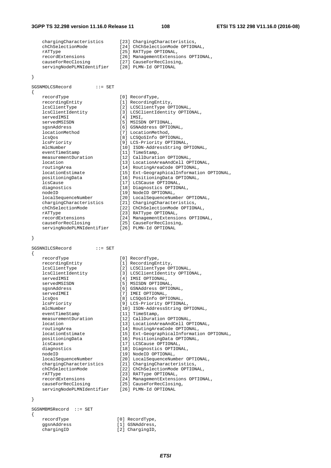chargingCharacteristics [23] ChargingCharacteristics, chChSelectionMode [24] ChChSelectionMode OPTIONAL, rattype  $[25]$  RATType OPTIONAL, recordExtensions [26] ManagementExtensions OPTIONAL, causeForRecClosing [27] CauseForRecClosing, servingNodePLMNIdentifier [28] PLMN-Id OPTIONAL

}

{

SGSNMOLCSRecord ::= SET

recordType [0] RecordType, recordingEntity [1] RecordingEntity, lcsClientType [2] LCSClientType OPTIONAL,<br>lcsClientIdentity [3] LCSClientIdentity OPTIO lcsClientIdentity [3] LCSClientIdentity OPTIONAL, servedIMSI [4] IMSI, servedMSISDN [5] MSISDN OPTIONAL, sgsnAddress [6] GSNAddress OPTIONAL, locationMethod [7] LocationMethod, lcsQos [8] LCSQoSInfo OPTIONAL, lcsPriority [9] LCS-Priority OPTIONAL, mlcNumber [10] ISDN-AddressString OPTIONAL, eventTimeStamp [11] TimeStamp, measurementDuration [12] CallDuration OPTIONAL, location [13] LocationAreaAndCell OPTIONAL, routingArea [14] RoutingAreaCode OPTIONAL, locationEstimate [15] Ext-GeographicalInformation OPTIONAL, positioningData [16] PositioningData OPTIONAL, lcsCause [17] LCSCause OPTIONAL, diagnostics [18] Diagnostics OPTIONAL, nodeID [19] NodeID OPTIONAL, localSequenceNumber [20] LocalSequenceNumber OPTIONAL, chargingCharacteristics [21] ChargingCharacteristics, chChSelectionMode [22] ChChSelectionMode OPTIONAL, rATType  $[23]$  RATType OPTIONAL, recordExtensions [24] ManagementExtensions OPTIONAL, recordExtensions [24] ManagementExtensions OPTIONAL,<br>causeForRecClosing [25] CauseForRecClosing, servingNodePLMNIdentifier [26] PLMN-Id OPTIONAL

}

| SGSNNILCSRecord<br>₹      |  | $: :=$ SET |  |
|---------------------------|--|------------|--|
| recordType                |  |            |  |
| recordingEntity           |  |            |  |
| lcsClientType             |  |            |  |
| lcsClientIdentity         |  |            |  |
| servedIMSI                |  |            |  |
| servedMSISDN              |  |            |  |
| sgsnAddress               |  |            |  |
| servedIMEI                |  |            |  |
| lcs0os                    |  |            |  |
| lcsPriority               |  |            |  |
| mlcNumber                 |  |            |  |
| eventTimeStamp            |  |            |  |
| measurementDuration       |  |            |  |
| location                  |  |            |  |
| routingArea               |  |            |  |
| locationEstimate          |  |            |  |
| positioningData           |  |            |  |
| <i>lcsCause</i>           |  |            |  |
| diagnostics               |  |            |  |
| nodeID                    |  |            |  |
| localSequenceNumber       |  |            |  |
| chargingCharacteristics   |  |            |  |
| chChSelectionMode         |  |            |  |
| rATType                   |  |            |  |
| recordExtensions          |  |            |  |
| causeForRecClosing        |  |            |  |
| servingNodePLMNIdentifier |  |            |  |

[0] RecordType, [1] RecordingEntity, [2] LCSClientType OPTIONAL, [3] LCSClientIdentity OPTIONAL, [4] IMSI OPTIONAL, [5] MSISDN OPTIONAL, [6] GSNAddress OPTIONAL, [7] IMEI OPTIONAL, [8] LCSOoSInfo OPTIONAL, [9] LCS-Priority OPTIONAL, [10] ISDN-AddressString OPTIONAL, [11] TimeStamp, [12] CallDuration OPTIONAL, [13] LocationAreaAndCell OPTIONAL, [14] RoutingAreaCode OPTIONAL, [15] Ext-GeographicalInformation OPTIONAL, [16] PositioningData OPTIONAL, [17] LCSCause OPTIONAL, [18] Diagnostics OPTIONAL, [19] NodeID OPTIONAL, [20] LocalSequenceNumber OPTIONAL, [21] ChargingCharacteristics, [22] ChChSelectionMode OPTIONAL, [23] RATType OPTIONAL, [24] ManagementExtensions OPTIONAL, [25] CauseForRecClosing, [26] PLMN-Id OPTIONAL

### }

SGSNMBMSRecord ::= SET { recordType [0] RecordType,

- ggsnAddress [1] GSNAddress,
- chargingID [2] ChargingID,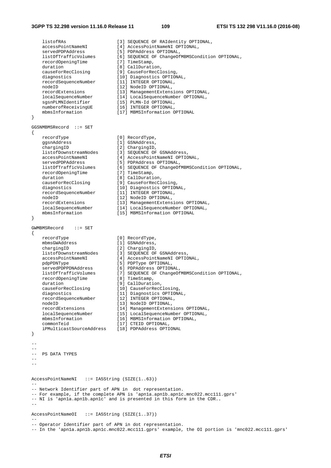{

}

{

}

 listofRAs [3] SEQUENCE OF RAIdentity OPTIONAL, accessPointNameNI [4] AccessPointNameNI OPTIONAL, servedPDPAddress [5] PDPAddress OPTIONAL,<br>listOfTrafficVolumes [6] SEQUENCE OF ChangeOf [6] SEQUENCE OF ChangeOfMBMSCondition OPTIONAL, recordOpeningTime [7] TimeStamp, duration [8] CallDuration,<br>causeForRecClosing [9] CauseForRecCl causeForRecClosing [9] CauseForRecClosing, diagnostics [10] Diagnostics OPTIONAL,<br>recordSequenceNumber [11] INTEGER OPTIONAL, recordSequenceNumber [11] INTEGER OPTIONAL, nodeID [12] NodeID OPTIONAL, recordExtensions [13] ManagementExtensions OPTIONAL,<br>localSequenceNumber [14] LocalSequenceNumber OPTIONAL,<br>sgsnPLMNIdentifier [15] PLMN-Id OPTIONAL, localSequenceNumber [14] LocalSequenceNumber OPTIONAL, sgsnPLMNIdentifier [15] PLMN-Id OPTIONAL, numberofReceivingUE [16] INTEGER OPTIONAL, mbmsInformation [17] MBMSInformation OPTIONAL GGSNMBMSRecord ::= SET recordType [0] RecordType,<br>ggsnAddress [1] GSNAddress, [1] GSNAddress, chargingID [2] ChargingID, listofDownstreamNodes [3] SEQUENCE OF GSNAddress, accessPointNameNI [4] AccessPointNameNI OPTIONAL, servedPDPAddress (1) accessPointNameNI<br>servedPDPAddress (5) PDPAddress OPTIONAL,<br>listOfTrafficVolumes (6) SEQUENCE OF ChangeOf [6] SEQUENCE OF ChangeOfMBMSCondition OPTIONAL, recordOpeningTime [7] TimeStamp, duration [8] CallDuration, causeForRecClosing [9] CauseForRecClosing, diagnostics [10] Diagnostics OPTIONAL,<br>recordSequenceNumber [11] INTEGER OPTIONAL, recordSequenceNumber [11] INTEGER OPTIONAL, nodeID [12] NodeID OPTIONAL, recordExtensions [13] ManagementExtensions OPTIONAL, localSequenceNumber [14] LocalSequenceNumber OPTIONAL, mbmsInformation [15] MBMSInformation OPTIONAL GWMBMSRecord ::= SET recordType [0] RecordType, mbmsGWAddress [1] GSNAddress,<br>chargingID [2] ChargingID, chargingID [2] ChargingID, listofDownstreamNodes [3] SEQUENCE OF GSNAddress, accessPointNameNI [4] AccessPointNameNI OPTIONAL, pdpPDNType [5] PDPType OPTIONAL, servedPDPPDNAddress [6] PDPAddress OPTIONAL,<br>
listOfTrafficVolumes [7] SEQUENCE OF ChangeOf<br>
recordOpeningTime [8] TimeStamp. liston<br>[7] SEQUENCE OF ChangeOfMBMSCondition OPTIONAL, recordOpeningTime [8] TimeStamp, duration [9] CallDuration, causeForRecClosing [10] CauseForRecClosing, diagnostics [11] Diagnostics OPTIONAL, recordSequenceNumber [12] INTEGER OPTIONAL, nodeID [13] NodeID OPTIONAL,<br>recordExtensions [14] ManagementExtensions OPTIONAL,<br>localSarrows. recordExtensions [14] ManagementExtensions OPTIONAL, localSequenceNumber [15] LocalSequenceNumber OPTIONAL, mbmsInformation [16] MBMSInformation OPTIONAL, commonTeid [17] CTEID OPTIONAL, iPMulticastSourceAddress [18] PDPAddress OPTIONAL  $-$ -- PS DATA TYPES  $-$ -- AccessPointNameNI ::= IA5String (SIZE(1..63)) -- -- Network Identifier part of APN in dot representation. -- For example, if the complete APN is 'apn1a.apn1b.apn1c.mnc022.mcc111.gprs' -- NI is 'apn1a.apn1b.apn1c' and is presented in this form in the CDR.**.**  -- AccessPointNameOI ::= IA5String (SIZE(1..37)) -- -- Operator Identifier part of APN in dot representation.

-- In the 'apn1a.apn1b.apn1c.mnc022.mcc111.gprs' example, the OI portion is 'mnc022.mcc111.gprs'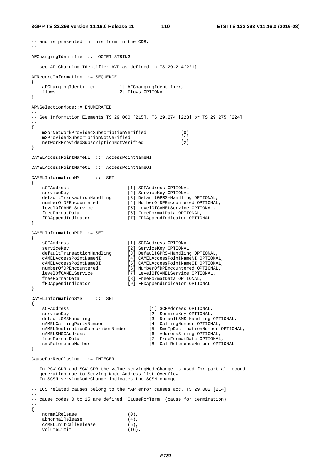#### **3GPP TS 32.298 version 11.16.0 Release 11 110 ETSI TS 132 298 V11.16.0 (2016-08)**

```
-- and is presented in this form in the CDR. 
-- 
AFChargingIdentifier ::= OCTET STRING 
-- 
-- see AF-Charging-Identifier AVP as defined in TS 29.214[221] 
-- 
AFRecordInformation ::= SEQUENCE 
{ 
   aFChargingIdentifier [1] AFChargingIdentifier,
   flows [2] Flows OPTIONAL
} 
APNSelectionMode::= ENUMERATED 
-- 
-- See Information Elements TS 29.060 [215], TS 29.274 [223] or TS 29.275 [224] 
-- 
{ 
    mSorNetworkProvidedSubscriptionVerified (0), 
    mSProvidedSubscriptionNotVerified (1), 
    networkProvidedSubscriptionNotVerified (2) 
} 
CAMELAccessPointNameNI ::= AccessPointNameNI 
CAMELAccessPointNameOI ::= AccessPointNameOI 
CAMELInformationMM ::= SET 
{ 
 sCFAddress [1] SCFAddress OPTIONAL, 
 serviceKey [2] ServiceKey OPTIONAL, 
 defaultTransactionHandling [3] DefaultGPRS-Handling OPTIONAL, 
 numberOfDPEncountered [4] NumberOfDPEncountered OPTIONAL, 
 levelOfCAMELService [5] LevelOfCAMELService OPTIONAL, 
 freeFormatData [6] FreeFormatData OPTIONAL, 
 fFDAppendIndicator [7] FFDAppendIndicator OPTIONAL 
} 
CAMELInformationPDP ::= SET 
{ 
 sCFAddress [1] SCFAddress OPTIONAL, 
 serviceKey [2] ServiceKey OPTIONAL, 
 defaultTransactionHandling [3] DefaultGPRS-Handling OPTIONAL, 
 cAMELAccessPointNameNI [4] CAMELAccessPointNameNI OPTIONAL, 
 cAMELAccessPointNameOI [5] CAMELAccessPointNameOI OPTIONAL, 
 numberOfDPEncountered [6] NumberOfDPEncountered OPTIONAL, 
 levelOfCAMELService [7] LevelOfCAMELService OPTIONAL, 
 freeFormatData [8] FreeFormatData OPTIONAL, 
 fFDAppendIndicator [9] FFDAppendIndicator OPTIONAL 
} 
CAMELInformationSMS ::= SET 
{ 
   sCFAddress [1] SCFAddress OPTIONAL,<br>serviceKey                                   [2] ServiceKey OPTIONAL,
   serviceKey [2] ServiceKey OPTIONAL,<br>defaultSMSHandling [3] DefaultSMS-Handling
                                      [3] DefaultSMS-Handling OPTIONAL,
    cAMELCallingPartyNumber [4] CallingNumber OPTIONAL, 
    cAMELDestinationSubscriberNumber [5] SmsTpDestinationNumber OPTIONAL, 
    cAMELSMSCAddress [6] AddressString OPTIONAL, 
    freeFormatData [7] FreeFormatData OPTIONAL, 
    smsReferenceNumber [8] CallReferenceNumber OPTIONAL 
} 
CauseForRecClosing ::= INTEGER 
-- 
-- In PGW-CDR and SGW-CDR the value servingNodeChange is used for partial record 
-- generation due to Serving Node Address list Overflow 
-- In SGSN servingNodeChange indicates the SGSN change 
-- 
-- LCS related causes belong to the MAP error causes acc. TS 29.002 [214] 
-- 
-- cause codes 0 to 15 are defined 'CauseForTerm' (cause for termination) 
-- 
{ 
   normalRelease (0),
   abnormalRelease (4),
    cAMELInitCallRelease (5), 
    volumeLimit (16),
```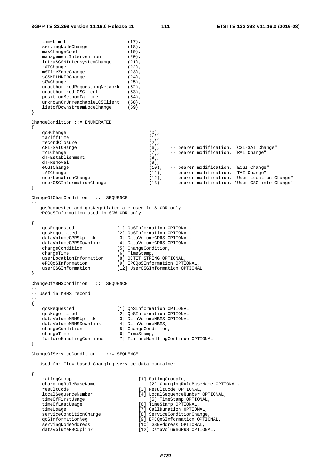```
timeLimit (17),
   servingNodeChange (18),
   maxChangeCond (19),
   managementIntervention (20),
   intraSGSNIntersystemChange (21),<br>rATChange (22),
   rATChange (22),<br>mSTimeZoneChange (23),
   mSTimeZoneChange (23),<br>sGSNPLMNIDChange (24),
   sGSNPLMNIDChange
   sGWChange (25),
   unauthorizedRequestingNetwork (52),
   unauthorizedLCSClient (53),
   positionMethodFailure (54),
   unknownOrUnreachableLCSClient (58),
    listofDownstreamNodeChange (59) 
} 
ChangeCondition ::= ENUMERATED 
{ 
   qoSChange (0),<br>tariffTime (1),\text{tariffTime} (1),<br>
\text{recordClosure} (2),
   recordClosure
    cGI-SAICHange (6), -- bearer modification. "CGI-SAI Change" 
    rAIChange (7), -- bearer modification. "RAI Change" 
    dT-Establishment (8), 
    dT-Removal (9), 
   eCGIChange (10), -- bearer modification. "ECGI Change"
   tAIChange (11), -- bearer modification. "TAI Change"
 userLocationChange (12), -- bearer modification. "User Location Change" 
 userCSGInformationChange (13) -- bearer modification. 'User CSG info Change' 
} 
ChangeOfCharCondition ::= SEQUENCE 
-- 
-- qosRequested and qosNegotiated are used in S-CDR only 
-- ePCQoSInformation used in SGW-CDR only 
-- 
{ 
 qosRequested [1] QoSInformation OPTIONAL, 
 qosNegotiated [2] QoSInformation OPTIONAL, 
 dataVolumeGPRSUplink [3] DataVolumeGPRS OPTIONAL, 
 dataVolumeGPRSDownlink [4] DataVolumeGPRS OPTIONAL, 
 changeCondition [5] ChangeCondition, 
changeTime [6] TimeStamp,
 userLocationInformation [8] OCTET STRING OPTIONAL, 
 ePCQoSInformation [9] EPCQoSInformation OPTIONAL, 
   userLocation<br>
ePCQoSInformation [9] EPCQoSInformation OPTIONAL,<br>
userCSGInformation [12] UserCSGInformation OPTIONAL
} 
ChangeOfMBMSCondition ::= SEQUENCE 
-- 
-- Used in MBMS record 
-- 
{ 
 qosRequested [1] QoSInformation OPTIONAL, 
 qosNegotiated [2] QoSInformation OPTIONAL, 
 dataVolumeMBMSUplink [3] DataVolumeMBMS OPTIONAL, 
 dataVolumeMBMSDownlink [4] DataVolumeMBMS, 
 changeCondition [5] ChangeCondition, 
changeTime [6] TimeStamp,
    failureHandlingContinue [7] FailureHandlingContinue OPTIONAL 
} 
ChangeOfServiceCondition ::= SEQUENCE 
-- 
-- Used for Flow based Charging service data container 
-{ 
   ratingGroup<br>
chargingRuleBaseName [1] RatingGroupId,<br>
[2] ChargingRu
                                    [2] ChargingRuleBaseName OPTIONAL,
    resultCode [3] ResultCode OPTIONAL, 
    localSequenceNumber [4] LocalSequenceNumber OPTIONAL, 
                                [5] TimeStamp OPTIONAL,<br>[6] TimeStamp OPTIONAL,
 timeOfLastUsage [6] TimeStamp OPTIONAL, 
 timeUsage [7] CallDuration OPTIONAL, 
 serviceConditionChange [8] ServiceConditionChange, 
 qoSInformationNeg [9] EPCQoSInformation OPTIONAL, 
 servingNodeAddress [10] GSNAddress OPTIONAL, 
   datavolumeFBCUplink [12] DataVolumeGPRS OPTIONAL,
```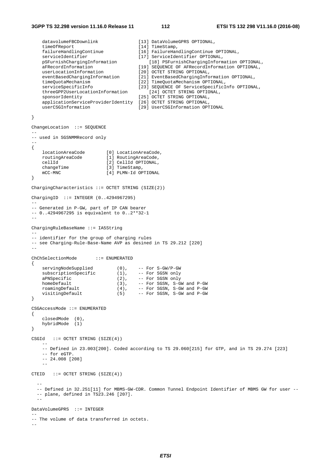```
datavolumeFBCDownlink [13] DataVolumeGPRS OPTIONAL,<br>timeOfReport [14] TimeStamp,
   timeOfReport<br>failureHandlingContinue
                                       failureHandlingContinue [16] FailureHandlingContinue OPTIONAL, 
    serviceIdentifier [17] ServiceIdentifier OPTIONAL, 
 pSFurnishChargingInformation [18] PSFurnishChargingInformation OPTIONAL, 
 aFRecordInformation [19] SEQUENCE OF AFRecordInformation OPTIONAL, 
 userLocationInformation [20] OCTET STRING OPTIONAL, 
 eventBasedChargingInformation [21] EventBasedChargingInformation OPTIONAL, 
 timeQuotaMechanism [22] TimeQuotaMechanism OPTIONAL, 
    serviceSpecificInfo [23] SEQUENCE OF ServiceSpecificInfo OPTIONAL,
    threeGPP2UserLocationInformation [24] OCTET STRING OPTIONAL, 
    sponsorIdentity [25] OCTET STRING OPTIONAL,
     applicationServiceProviderIdentity [26] OCTET STRING OPTIONAL, 
     userCSGInformation [29] UserCSGInformation OPTIONAL 
} 
ChangeLocation ::= SEQUENCE 
-- 
-- used in SGSNMMRecord only 
-- 
{ 
 locationAreaCode [0] LocationAreaCode, 
 routingAreaCode [1] RoutingAreaCode, 
    cellId [2] CellId OPTIONAL, 
   changeTime [3] TimeStamp,
    mCC-MNC [4] PLMN-Id OPTIONAL 
} 
CharginqCharacteristics ::= OCTET STRING (SIZE(2))ChargingID ::= INTEGER (0..4294967295) 
-- 
-- Generated in P-GW, part of IP CAN bearer 
-- 0..4294967295 is equivalent to 0..2**32-1 
-- 
ChargingRuleBaseName ::= IA5String 
-- 
-- identifier for the group of charging rules 
-- see Charging-Rule-Base-Name AVP as desined in TS 29.212 [220] 
-- 
ChChSelectionMode ::= ENUMERATED 
{ 
 servingNodeSupplied (0), -- For S-GW/P-GW 
subscriptionSpecific (1), -- For SGSN only
   serving Noaesuppiieu<br>
subscription Specific (1), -- For SGSN only<br>
aPNSpecific (2), -- For SGSN only<br>
home Default (3), -- For SGSN, S-GI
   homeDefault (3), -- For SGSN, S-GW and P-GW<br>roamingDefault (4), -- For SGSN, S-GW and P-GW
 roamingDefault (4), -- For SGSN, S-GW and P-GW 
 visitingDefault (5) -- For SGSN, S-GW and P-GW 
} 
CSGAccessMode ::= ENUMERATED 
{ 
 closedMode (0), 
 hybridMode (1) 
} 
CSGId ::= OCTET STRING (SIZE(4)) 
 -- 
     -- Defined in 23.003[200]. Coded according to TS 29.060[215] for GTP, and in TS 29.274 [223] 
     -- for eGTP. 
     -- 24.008 [208] 
 -- 
CTEID ::= OCTET STRING (SIZE(4))- - -- Defined in 32.251[11] for MBMS-GW-CDR. Common Tunnel Endpoint Identifier of MBMS GW for user -- 
   -- plane, defined in TS23.246 [207]. 
 -- 
DataVolumeGPRS ::= INTEGER 
-- 
-- The volume of data transferred in octets. 
--
```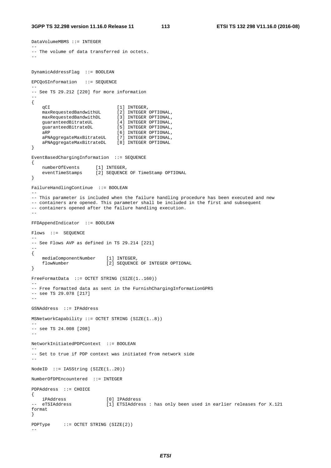DataVolumeMBMS ::= INTEGER

--

```
-- The volume of data transferred in octets. 
-DynamicAddressFlag ::= BOOLEAN 
EPCQoSInformation ::= SEQUENCE 
-- 
-- See TS 29.212 [220] for more information 
-- 
{ 
    qCI [1] INTEGER,
 maxRequestedBandwithUL [2] INTEGER OPTIONAL, 
 maxRequestedBandwithDL [3] INTEGER OPTIONAL, 
    maxRequestedBandwithDL [3] INTEGER OPTIONAL,<br>maxRequestedBandwithDL [3] INTEGER OPTIONAL,<br>quaranteedBitrateDL [5] INTEGER OPTIONAL,
    guaranteedBitrateDL<br>aRP
    aRP [6] INTEGER OPTIONAL,<br>aPNAggregateMaxBitrateUL [7] INTEGER OPTIONAL,
 aPNAggregateMaxBitrateUL [7] INTEGER OPTIONAL, 
 aPNAggregateMaxBitrateDL [8] INTEGER OPTIONAL 
} 
EventBasedChargingInformation ::= SEQUENCE 
{ 
 numberOfEvents [1] INTEGER, 
 eventTimeStamps [2] SEQUENCE OF TimeStamp OPTIONAL 
} 
FailureHandlingContinue ::= BOOLEAN 
-- 
-- This parameter is included when the failure handling procedure has been executed and new 
-- containers are opened. This parameter shall be included in the first and subsequent 
-- containers opened after the failure handling execution.
-- 
FFDAppendIndicator ::= BOOLEAN 
Flows ::= SEQUENCE 
-- 
-- See Flows AVP as defined in TS 29.214 [221] 
-- 
{ 
    mediaComponentNumber [1] INTEGER, 
    flowNumber [2] SEQUENCE OF INTEGER OPTIONAL 
} 
FreeFormatData ::= OCTET STRING (SIZE(1..160)) 
-- 
-- Free formatted data as sent in the FurnishChargingInformationGPRS 
-- see TS 29.078 [217] 
-- 
GSNAddress ::= IPAddress 
MSNetworkCapability ::= OCTET STRING (SIZE(1..8)) 
-- 
-- see TS 24.008 [208] 
-- 
NetworkInitiatedPDPContext ::= BOOLEAN 
-- 
-- Set to true if PDP context was initiated from network side 
-- 
NodeID ::= IA5String (SIZE(1..20)) 
NumberOfDPEncountered ::= INTEGER 
PDPAddress ::= CHOICE 
{ 
iPAddress [0] IPAddress [0] EXIADS == eTSIAddress [1] ETSIAddres
                             [1] ETSIAddress : has only been used in earlier releases for X.121
format 
} 
PDPType ::= OCTET STRING (SIZE(2)) 
--
```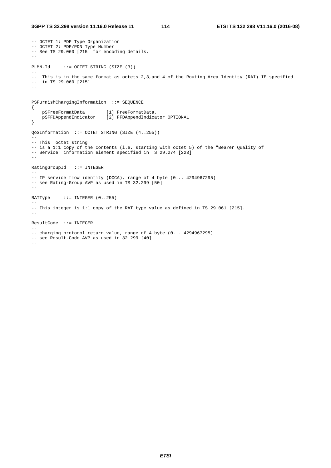-- OCTET 1: PDP Type Organization -- OCTET 2: PDP/PDN Type Number -- See TS 29.060 [215] for encoding details. -- PLMN-Id ::= OCTET STRING (SIZE (3))  $-$ -- This is in the same format as octets 2,3,and 4 of the Routing Area Identity (RAI) IE specified -- in TS 29.060 [215]  $-1$ PSFurnishChargingInformation ::= SEQUENCE { pSFreeFormatData [1] FreeFormatData, pSFFDAppendIndicator [2] FFDAppendIndicator OPTIONAL } QoSInformation ::= OCTET STRING (SIZE (4..255)) -- -- This octet string -- is a 1:1 copy of the contents (i.e. starting with octet 5) of the "Bearer Quality of -- Service" information element specified in TS 29.274 [223]. -- RatingGroupId ::= INTEGER -- -- IP service flow identity (DCCA), range of 4 byte (0... 4294967295) -- see Rating-Group AVP as used in TS 32.299 [50]  $-$ RATType  $::=$  INTEGER  $(0..255)$ -- -- Ihis integer is 1:1 copy of the RAT type value as defined in TS 29.061 [215].  $-$ ResultCode ::= INTEGER  $- -$ -- charging protocol return value, range of 4 byte (0... 4294967295) -- see Result-Code AVP as used in 32.299 [40] --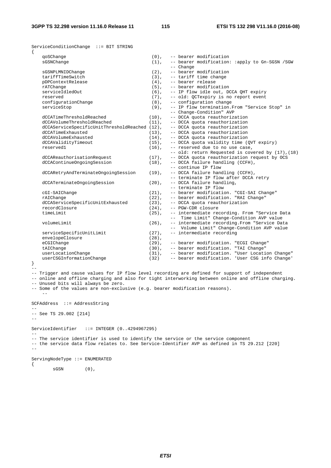ServiceConditionChange ::= BIT STRING { qoSChange (0), -- bearer modification sGSNChange  $(1)$ , -- bearer modification: :apply to Gn-SGSN /SGW  $\texttt{sGSNPLMNIDChange}$  (2), --  $\texttt{bearer}$ sGSNPLMNIDChange (2), -- bearer modification<br>tariffTimeSwitch (3), -- tariff time change -- tariff time change pDPContextRelease (4), -- bearer release rATChange (5), -- bearer modification<br>serviceIdledOut (6), -- IP flow idle out, D serviceIdledOut (6), -- IP flow idle out, DCCA QHT expiry reserved  $(7)$ , -- old: QCTexpiry is no report event configurationChange (8), -- configuration change serviceStop (9), -- IP flow termination.From "Service Stop" in change-Condition" AVP -- Change-Condition" AVP<br>dCCATimeThresholdReached (10), -- DCCA quota reauthoriza dCCATimeThresholdReached  $d$  (10), -- DCCA quota reauthorization<br>dCCAVolumeThresholdReached (11) -- DCCA quota reauthorization  $(11)$ , -- DCCA quota reauthorization dCCAServiceSpecificUnitThresholdReached  $(12)$ , -- DCCA quota reauthorization dCCATimeExhausted  $(13)$ , -- DCCA quota reauthorization dCCATimeExhausted (13), -- DCCA quota reauthorization<br>dCCAVolumeExhausted (14), -- DCCA quota reauthorization dCCAVolumeExhausted (14), -- DCCA quota reauthorization<br>dCCAValidityTimeout (15), -- DCCA quota validity time ( dCCAValidityTimeout (15), -- DCCA quota validity time (QVT expiry)<br>reserved1 (16), -- reserved due to no use case, -- reserved due to no use case, -- old: return Requested is covered by (17), (18)<br>(17), -- DCCA quota reauthorization request by OCS dCCAReauthorisationRequest (17), -- DCCA quota reauthorization request by OCS<br>dCCAContinueOngoingSession (18), -- DCCA failure handling (CCFH),  $(18)$ , -- DCCA failure handling (CCFH), -- continue IP flow dCCARetryAndTerminateOngoingSession (19), -- DCCA failure handling (CCFH), -- terminate IP flow after DCCA retry dCCATerminateOngoingSession (20), -- DCCA failure handling, -- terminate IP flow<br>
cGI-SAIChange (21), -- bearer modification (21), -- bearer modification. "CGI-SAI Change"<br>(22), -- bearer modification. "RAI Change" rAIChange<br>dCCAServiceSpecificUnitExhausted (23), -- bearer modification. "RAI Change"<br>(23), -- DCCA quota reauthorization dCCAServiceSpecificUnitExhausted (23),<br>recordClosure (24),  $(24)$ , -- PGW-CDR closure<br>(25), -- intermediate rec timeLimit (25), -- intermediate recording. From "Service Data<br>-- Time Limit" Change-Condition AVP value Time Limit" Change-Condition AVP value volumeLimit (26), -- intermediate recording.From "Service Data -- Volume Limit" Change-Condition AVP value<br>(27). -- intermediate recording serviceSpecificUnitLimit (27), -- intermediate recording envelopeClosure (28),<br>eCGIChange (29), eCGIChange (29), -- bearer modification. "ECGI Change" tAIChange (30), -- bearer modification. "TAI Change" userLocationChange (31), -- bearer modification. "User Location Change" userCSGInformationChange (32) -- bearer modification. 'User CSG info Change' } -- -- Trigger and cause values for IP flow level recording are defined for support of independent -- online and offline charging and also for tight interworking between online and offline charging. -- Unused bits will always be zero. -- Some of the values are non-exclusive (e.g. bearer modification reasons). -- SCFAddress ::= AddressString -- -- See TS 29.002 [214] --

ServiceIdentifier ::= INTEGER (0..4294967295) -- -- The service identifier is used to identify the service or the service component -- the service data flow relates to. See Service-Identifier AVP as defined in TS 29.212 [220] -- ServingNodeType ::= ENUMERATED

{

 $SGSN$  (0),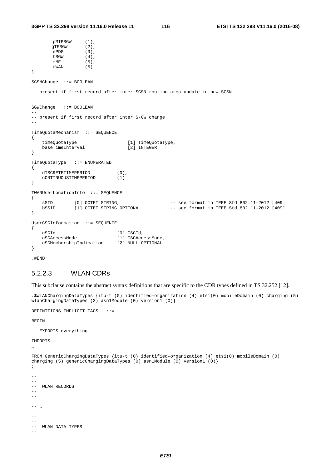```
pMIPSGW (1), 
      qTPSGW (2),
       ePDG (3),
       hSGW (4),
       mME (5),<br>tWAN (6)
       tWAN
} 
SGSNChange ::= BOOLEAN 
-- 
-- present if first record after inter SGSN routing area update in new SGSN 
-- 
SGWChange ::= BOOLEAN 
-- 
-- present if first record after inter S-GW change 
-TimeQuotaMechanism ::= SEQUENCE 
{ 
   timeQuotaType [1] TimeQuotaType,<br>baseTimeInterval [2] INTEGER
   baseTimeInterval
} 
TimeQuotaType ::= ENUMERATED 
{ 
    dISCRETETIMEPERIOD (0), 
    cONTINUOUSTIMEPERIOD (1) 
} 
TWANUserLocationInfo ::= SEQUENCE 
{ 
 sSID [0] OCTET STRING, -- see format in IEEE Std 802.11-2012 [409] 
 bSSID [1] OCTET STRING OPTIONAL -- see format in IEEE Std 802.11-2012 [409] 
} 
UserCSGInformation ::= SEQUENCE 
{ 
    cSGId [0] CSGId, 
    cSGAccessMode [1] CSGAccessMode, 
    cSGMembershipIndication [2] NULL OPTIONAL 
}
```
.#END

## 5.2.2.3 WLAN CDRs

This subclause contains the abstract syntax definitions that are specific to the CDR types defined in TS 32.252 [12].

.\$WLANChargingDataTypes {itu-t (0) identified-organization (4) etsi(0) mobileDomain (0) charging (5) wlanChargingDataTypes (3) asn1Module (0) version1 (0)}

DEFINITIONS IMPLICIT TAGS ::=

BEGIN

-- EXPORTS everything

IMPORTS

…

```
FROM GenericChargingDataTypes {itu-t (0) identified-organization (4) etsi(0) mobileDomain (0) 
charging (5) genericChargingDataTypes (0) asn1Module (0) version1 (0)} 
; 
--- 
-- WLAN RECORDS 
-- 
-- 
- --- 
-- 
-- WLAN DATA TYPES 
--
```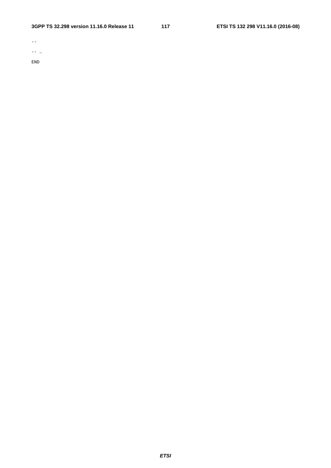## **3GPP TS 32.298 version 11.16.0 Release 11 117 ETSI TS 132 298 V11.16.0 (2016-08)**

 $\perp\perp$ 

-- …

END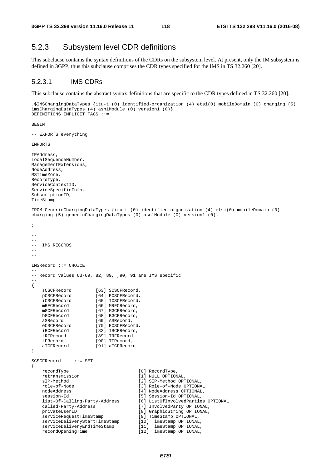# 5.2.3 Subsystem level CDR definitions

This subclause contains the syntax definitions of the CDRs on the subsystem level. At present, only the IM subsystem is defined in 3GPP, thus this subclause comprises the CDR types specified for the IMS in TS 32.260 [20].

### 5.2.3.1 IMS CDRs

This subclause contains the abstract syntax definitions that are specific to the CDR types defined in TS 32.260 [20].

```
.$IMSChargingDataTypes {itu-t (0) identified-organization (4) etsi(0) mobileDomain (0) charging (5) 
imsChargingDataTypes (4) asn1Module (0) version1 (0)} 
DEFINITIONS IMPLICIT TAGS ::=
```
BEGIN

-- EXPORTS everything

IMPORTS

```
IPAddress, 
LocalSequenceNumber, 
ManagementExtensions, 
NodeAddress, 
MSTimeZone, 
RecordType, 
ServiceContextID, 
ServiceSpecificInfo, 
SubscriptionID, 
TimeStamp 
FROM GenericChargingDataTypes {itu-t (0) identified-organization (4) etsi(0) mobileDomain (0) 
charging (5) genericChargingDataTypes (0) asn1Module (0) version1 (0)} 
; 
-- 
-- 
-- IMS RECORDS 
--IMSRecord ::= CHOICE 
-- 
-- Record values 63-69, 82, 89, ,90, 91 are IMS specific 
-- 
{ 
   sCSCFRecord [63] SCSCFRecord,<br>pCSCFRecord [64] PCSCFRecord,
                      [64] PCSCFRecord
   iCSCFRecord [65] ICSCFRecord,
   mRFCRecord [66] MRFCRecord,
   mGCFRecord [67] MGCFRecord,
   bGCFRecord [68] BGCFRecord,<br>aSRecord [69] ASRecord.
   aSRecord [69] ASRecord,<br>eCSCFRecord [70] ECSCFReco
   eCSCFRecord [70] ECSCFRecord,<br>iBCFRecord [82] IBCFRecord,
                      [82] IBCFRecord,
    tRFRecord [89] TRFRecord, 
    tFRecord [90] TFRecord, 
    aTCFRecord [91] aTCFRecord 
} 
SCSCFRecord ::= SET 
{ 
   recordType [0] RecordType,
    retransmission [1] NULL OPTIONAL, 
    sIP-Method [2] SIP-Method OPTIONAL, 
    role-of-Node [3] Role-of-Node OPTIONAL, 
                                     [4] NodeAddress OPTIONAL,
   session-Id
[5] Session-Id
OPTIONAL,
    list-Of-Calling-Party-Address [6] ListOfInvolvedParties OPTIONAL, 
    called-Party-Address [7] InvolvedParty OPTIONAL, 
    privateUserID [8] GraphicString OPTIONAL, 
   serviceRequestTimeStamp [9] TimeStamp OPTIONAL,
    serviceDeliveryStartTimeStamp [10] TimeStamp OPTIONAL, 
    serviceDeliveryEndTimeStamp [11] TimeStamp OPTIONAL, 
    recordOpeningTime [12] TimeStamp OPTIONAL,
```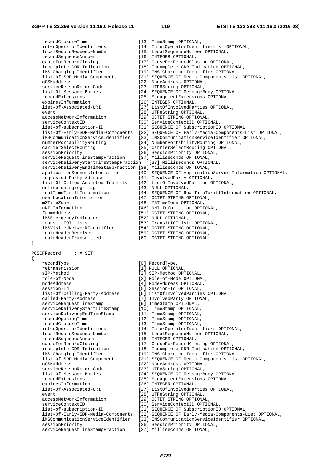{

recordClosureTime [13] TimeStamp OPTIONAL, interOperatorIdentifiers [14] InterOperatorIdentifierList OPTIONAL, localRecordSequenceNumber [15] LocalSequenceNumber OPTIONAL, recordSequenceNumber [16] INTEGER OPTIONAL, causeForRecordClosing [17] CauseForRecordClosing OPTIONAL, incomplete-CDR-Indication [18] Incomplete-CDR-Indication OPTIONAL, iMS-Charging-Identifier [19] IMS-Charging-Identifier OPTIONAL, list-Of-SDP-Media-Components [21] SEQUENCE OF Media-Components-List OPTIONAL, gGSNaddress [22] NodeAddress OPTIONAL, erviceReasonReturnCode [23] NodeAddress OPTIONAL,<br>serviceReasonReturnCode [23] UTF8String OPTIONAL, list-Of-Message-Bodies [24] SEQUENCE OF MessageBody OPTIONAL, recordExtensions [25] ManagementExtensions OPTIONAL, expiresInformation [26] INTEGER OPTIONAL, list-Of-Associated-URI [27] ListOfInvolvedParties OPTIONAL, event<br>
accessNetworkInformation<br>
[29] OCTET STRING OPTIONA [29] OCTET STRING OPTIONAL, serviceContextID [30] ServiceContextID OPTIONAL, list-of-subscription-ID [31] SEQUENCE OF SubscriptionID OPTIONAL, list-Of-Early-SDP-Media-Components [32] SEQUENCE OF Early-Media-Components-List OPTIONAL, iMSCommunicationServiceIdentifier [33] IMSCommunicationServiceIdentifier OPTIONAL, numberPortabilityRouting [34] NumberPortabilityRouting OPTIONAL, carrierSelectRouting [35] CarrierSelectRouting OPTIONAL, sessionPriority [36] SessionPriority OPTIONAL, serviceRequestTimeStampFraction [37] Milliseconds OPTIONAL, serviceDeliveryStartTimeStampFraction [38] Milliseconds OPTIONAL, serviceDeliveryEndTimeStampFraction [39] Milliseconds OPTIONAL, applicationServersInformation [40] SEQUENCE OF ApplicationServersInformation OPTIONAL, requested-Party-Address [41] InvolvedParty OPTIONAL, list-Of-Called-Asserted-Identity [42] ListOfInvolvedParties OPTIONAL, online-charging-flag [43] NULL OPTIONAL, online-charging-flag [43] NULL OPTIONAL,<br>
realTimeTariffInformation [44] SEQUENCE OF RealTimeTariffInformation OPTIONAL,<br>
userLocationInformation [47] OCTET STRING OPTIONAL, userLocationInformation [47] OCTET STRING OPTIONAL,<br>mSTimeZone [48] MSTimeZone OPTIONAL, mSTimeZone [48] MSTimeZone OPTIONAL,<br>nNI-Information [46] NNI-Information OPTI nNI-Information [46] NNI-Information OPTIONAL, [51] OCTET STRING OPTIONAL, iMSEmergencyIndicator [52] NULL OPTIONAL, transit-IOI-Lists [53] TransitIOILists OPTIONAL,<br>iMSVisitedNetworkIdentifier [54] OCTET STRING OPTIONAL, iMSVisitedNetworkIdentifier [54] OCTET STRING OPTIONAL, routeHeaderReceived [59] OCTET STRING OPTIONAL, routeHeaderTransmitted [60] OCTET STRING OPTIONAL PCSCFRecord ::= SET recordType [0] RecordType, retransmission [1] NULL OPTIONAL,<br>sIP-Method [2] SIP-Method OPT sIP-Method  $[2]$  SIP-Method OPTIONAL,<br>role-of-Node  $[3]$  Role-of-Node OPTIONA [3] Role-of-Node OPTIONAL, nodeAddress [4] NodeAddress OPTIONAL, session-Id
[5] Session-Id OPTIONAL, list-Of-Calling-Party-Address [6] ListOfInvolvedParties OPTIONAL, called-Party-Address [7] InvolvedParty OPTIONAL, serviceRequestTimeStamp [9] TimeStamp OPTIONAL, serviceDeliveryStartTimeStamp [10] TimeStamp OPTIONAL, serviceDeliveryEndTimeStamp [11] TimeStamp OPTIONAL, recordOpeningTime [12] TimeStamp OPTIONAL, recordOpeningTime [12] TimeStamp OPTIONAL,<br>recordClosureTime [13] TimeStamp OPTIONAL, interOperatorIdentifiers [14] InterOperatorIdentifiers OPTIONAL, localRecordSequenceNumber [15] LocalSequenceNumber OPTIONAL, recordSequenceNumber [16] INTEGER OPTIONAL, causeForRecordClosing [17] CauseForRecordClosing OPTIONAL, incomplete-CDR-Indication [18] Incomplete-CDR-Indication OPTIONAL, iMS-Charging-Identifier [19] IMS-Charging-Identifier OPTIONAL, list-Of-SDP-Media-Components [21] SEQUENCE OF Media-Components-List OPTIONAL, gGSNaddress [22] NodeAddress OPTIONAL, serviceReasonReturnCode [23] UTF8String OPTIONAL, list-Of-Message-Bodies [24] SEQUENCE OF MessageBody OPTIONAL, recordExtensions [25] ManagementExtensions OPTIONAL, expiresInformation [26] INTEGER OPTIONAL, list-Of-Associated-URI [27] ListOfInvolvedParties OPTIONAL, event [28] UTF8String OPTIONAL, accessNetworkInformation [29] OCTET STRING OPTIONAL, serviceContextID [30] ServiceContextID OPTIONAL, list-of-subscription-ID [31] SEQUENCE OF SubscriptionID OPTIONAL, list-Of-Early-SDP-Media-Components [32] SEQUENCE OF Early-Media-Components-List OPTIONAL, iMSCommunicationServiceIdentifier [33] IMSCommunicationServiceIdentifier OPTIONAL, sessionPriority [36] SessionPriority OPTIONAL,<br>serviceRequestTimeStampFraction [37] Milliseconds OPTIONAL, serviceRequestTimeStampFraction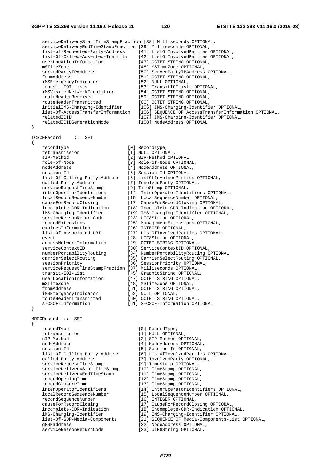serviceDeliveryStartTimeStampFraction [38] Milliseconds OPTIONAL, serviceDeliveryEndTimeStampFraction [39] Milliseconds OPTIONAL, list-of-Requested-Party-Address [41] ListOfInvolvedParties OPTIONAL, list-Of-Called-Asserted-Identity [42] ListOfInvolvedParties OPTIONAL, userLocationInformation [47] OCTET STRING OPTIONAL, mSTimeZone [48] MSTimeZone OPTIONAL,<br>servedPartyIPAddress [50] ServedPartyIPAddress servedPartyIPAddress [50] ServedPartyIPAddress OPTIONAL,<br>fromAddress [51] OCTET STRING OPTIONAL, from<br>[51] OCTET STRING OPTIONAL,<br>[52] NULL OPTIONAL, iMSEmergencyIndicator transit-IOI-Lists [53] TransitIOILists OPTIONAL, iMSVisitedNetworkIdentifier [54] OCTET STRING OPTIONAL, routeHeaderReceived [59] OCTET STRING OPTIONAL, routeHeaderTransmitted [60] OCTET STRING OPTIONAL, initialIMS-Charging-Identifier [105] IMS-Charging-Identifier OPTIONAL, list-Of-AccessTransferInformation [106] SEQUENCE OF AccessTransferInformation OPTIONAL, relatedICID [107] IMS-Charging-Identifier OPTIONAL, relatedICIDGenerationNode [108] NodeAddress OPTIONAL } ICSCFRecord ::= SET { recordType [0] RecordType, retransmission [1] NULL OPTIONAL, sIP-Method [2] SIP-Method OPTIONAL, role-of-Node [3] Role-of-Node OPTIONAL, nodeAddress [4] NodeAddress OPTIONAL, session-Id [5] Session-Id OPTIONAL, list-Of-Calling-Party-Address [6] ListOfInvolvedParties OPTIONAL, called-Party-Address [7] InvolvedParty OPTIONAL, serviceRequestTimeStamp [9] TimeStamp OPTIONAL, interOperatorIdentifiers [14] InterOperatorIdentifiers OPTIONAL, localRecordSequenceNumber [15] LocalSequenceNumber OPTIONAL, causeForRecordClosing [17] CauseForRecordClosing OPTIONAL, incomplete-CDR-Indication [18] Incomplete-CDR-Indication OPTIONAL, iMS-Charging-Identifier [19] IMS-Charging-Identifier OPTIONAL, serviceReasonReturnCode [23] UTF8String OPTIONAL, recordExtensions [25] ManagementExtensions OPTIONAL, expiresInformation [26] INTEGER OPTIONAL, list-Of-Associated-URI [27] ListOfInvolvedParties OPTIONAL, event [28] UTF8String OPTIONAL, accessNetworkInformation [29] OCTET STRING OPTIONAL, serviceContextID [30] ServiceContextID OPTIONAL, numberPortabilityRouting [34] NumberPortabilityRouting OPTIONAL, carrierSelectRouting [35] CarrierSelectRouting OPTIONAL, sessionPriority [36] SessionPriority OPTIONAL, serviceRequestTimeStampFraction [37] Milliseconds OPTIONAL, transit-IOI-List [17] [17] milliseconds OPTIONAL,<br>measit-IOI-List [15] GraphicString OPTIONAL, userLocationInformation [47] OCTET STRING OPTIONAL, mSTimeZone [48] MSTimeZone OPTIONAL, fromAddress [51] OCTET STRING OPTIONAL, iMSEmergencyIndicator [52] NULL OPTIONAL, routeHeaderTransmitted [60] OCTET STRING OPTIONAL, s-CSCF-Information [61] S-CSCF-Information OPTIONAL } MRFCRecord ::= SET { recordType [0] RecordType, retransmission [1] NULL OPTIONAL,<br>sIP-Method [2] SIP-Method OPT [2] SIP-Method OPTIONAL, nodeAddress [4] NodeAddress OPTIONAL, session-Id<br>
list-Of-Calling-Party-Address [5] Session-Id OPTIONAL,<br>
[6] ListOfInvolvedPartie list-Of-Calling-Party-Address [6] ListOfInvolvedParties OPTIONAL, called-Party-Address [7] InvolvedParty OPTIONAL,<br>serviceRequestTimeStamp [9] TimeStamp OPTIONAL. ervice<br>[9] TimeStamp OPTIONAL,<br>[10] TimeStamp OPTIONAL, serviceDeliveryStartTimeStamp [10] TimeStamp OPTIONAL, serviceDeliveryEndTimeStamp [11] TimeStamp OPTIONAL, recordOpeningTime [12] TimeStamp OPTIONAL,<br>recordClosureTime [13] TimeStamp OPTIONAL, recordClosureTime [13] TimeStamp OPTIONAL, interOperatorIdentifiers [14] InterOperatorIdentifiers OPTIONAL, localRecordSequenceNumber [15] LocalSequenceNumber OPTIONAL, recordSequenceNumber [16] INTEGER OPTIONAL, causeForRecordClosing [17] CauseForRecordClosing OPTIONAL, incomplete-CDR-Indication [18] Incomplete-CDR-Indication OPTIONAL, iMS-Charging-Identifier [19] IMS-Charging-Identifier OPTIONAL, list-Of-SDP-Media-Components [21] SEQUENCE OF Media-Components-List OPTIONAL, gGSNaddress [22] NodeAddress OPTIONAL, serviceReasonReturnCode [23] UTF8String OPTIONAL,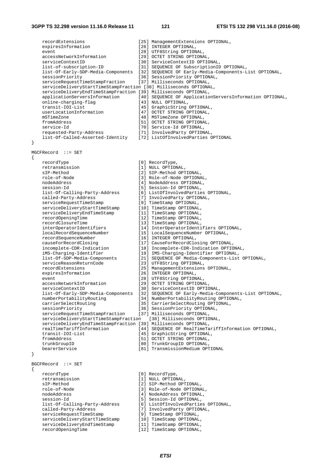recordExtensions [25] ManagementExtensions OPTIONAL, expiresInformation [26] INTEGER OPTIONAL, event  $[28]$  UTF8String OPTIONAL, accessNetworkInformation [29] OCTET STRING OPTIONAL, serviceContextID [30] ServiceContextID OPTIONAL,<br>list-of-subscription-ID [31] SEQUENCE OF SubscriptionID [31] SEQUENCE OF SubscriptionID OPTIONAL, list-Of-Early-SDP-Media-Components [32] SEQUENCE OF Early-Media-Components-List OPTIONAL, sessionPriority [36] SessionPriority OPTIONAL, serviceRequestTimeStampFraction [37] Milliseconds OPTIONAL, serviceDeliveryStartTimeStampFraction [38] Milliseconds OPTIONAL, serviceDeliveryEndTimeStampFraction [39] Milliseconds OPTIONAL, applicationServersInformation [40] SEQUENCE OF ApplicationServersInformation OPTIONAL, online-charging-flag [43] NULL OPTIONAL, transit-IOI-List [45] GraphicString OPTIONAL, userLocationInformation [47] OCTET STRING OPTIONAL,<br>mSTimeZone [48] MSTimeZone OPTIONAL, [48] MSTimeZone OPTIONAL, fromAddress [51] OCTET STRING OPTIONAL, service-Id<br>
requested-Party-Address [71] InvolvedParty OPTION<br>
[71] InvolvedParty OPTION [71] InvolvedParty OPTIONAL, list-Of-Called-Asserted-Identity [72] ListOfInvolvedParties OPTIONAL } MGCFRecord ::= SET { recordType [0] RecordType, retransmission [1] NULL OPTIONAL, sIP-Method [2] SIP-Method OPTIONAL, role-of-Node [3] Role-of-Node OPTIONAL, nodeAddress [4] NodeAddress OPTIONAL, session-Id [5] Session-Id OPTIONAL, list-Of-Calling-Party-Address [6] ListOfInvolvedParties OPTIONAL, called-Party-Address [7] InvolvedParty OPTIONAL, serviceRequestTimeStamp [9] TimeStamp OPTIONAL, serviceDeliveryStartTimeStamp [10] TimeStamp OPTIONAL, serviceDeliveryEndTimeStamp [11] TimeStamp OPTIONAL, recordOpeningTime [12] TimeStamp OPTIONAL, recordClosureTime [13] TimeStamp OPTIONAL, interOperatorIdentifiers [14] InterOperatorIdentifiers OPTIONAL, localRecordSequenceNumber [15] LocalSequenceNumber OPTIONAL, recordSequenceNumber [16] INTEGER OPTIONAL, causeForRecordClosing [17] CauseForRecordClosing OPTIONAL, incomplete-CDR-Indication [18] Incomplete-CDR-Indication OPTIONAL, iMS-Charging-Identifier [19] IMS-Charging-Identifier OPTIONAL, list-Of-SDP-Media-Components [21] SEQUENCE OF Media-Components-List OPTIONAL, serviceReasonReturnCode [23] UTF8String OPTIONAL, recordExtensions [25] ManagementExtensions OPTIONAL, [26] INTEGER OPTIONAL, event [28] UTF8String OPTIONAL, accessNetworkInformation [29] OCTET STRING OPTIONAL, serviceContextID [30] ServiceContextID OPTIONAL, list-Of-Early-SDP-Media-Components [32] SEQUENCE OF Early-Media-Components-List OPTIONAL, numberPortabilityRouting [34] NumberPortabilityRouting OPTIONAL, carrierSelectRouting [35] CarrierSelectRouting OPTIONAL, sessionPriority [36] SessionPriority OPTIONAL, serviceRequestTimeStampFraction [37] Milliseconds OPTIONAL, serviceDeliveryStartTimeStampFraction [38] Milliseconds OPTIONAL, serviceDeliveryEndTimeStampFraction [39] Milliseconds OPTIONAL, realTimeTariffInformation [44] SEQUENCE OF RealTimeTariffInformation OPTIONAL, transit-IOI-List [45] GraphicString OPTIONAL, fromAddress [51] OCTET STRING OPTIONAL, trunkGroupID [80] TrunkGroupID OPTIONAL, bearerService [81] TransmissionMedium OPTIONAL } BGCFRecord ::= SET { recordType [0] RecordType,<br>retransmission [1] NULL OPTION retransmission [1] NULL OPTIONAL,<br>sIP-Method [2] SIP-Method OPT [2] SIP-Method OPTIONAL, role-of-Node [3] Role-of-Node OPTIONAL, nodeAddress [4] NodeAddress OPTIONAL, session-Id
[5] Session-Id
OPTIONAL, list-Of-Calling-Party-Address [6] ListOfInvolvedParties OPTIONAL, called-Party-Address [7] InvolvedParty OPTIONAL, serviceRequestTimeStamp [9] TimeStamp OPTIONAL, serviceDeliveryStartTimeStamp [10] TimeStamp OPTIONAL, serviceDeliveryEndTimeStamp [11] TimeStamp OPTIONAL, recordOpeningTime [12] TimeStamp OPTIONAL,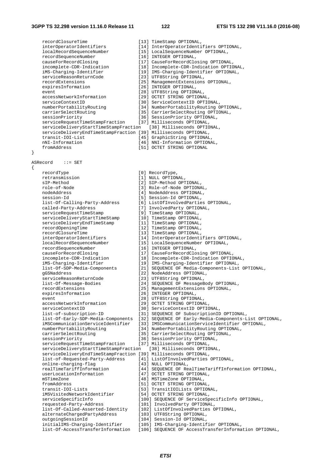{

recordClosureTime [13] TimeStamp OPTIONAL, interOperatorIdentifiers [14] InterOperatorIdentifiers OPTIONAL, localRecordSequenceNumber [15] LocalSequenceNumber OPTIONAL, recordSequenceNumber [16] INTEGER OPTIONAL, causeForRecordClosing [17] CauseForRecordClosing OPTIONAL,<br>incomplete-CDR-Indication [18] Incomplete-CDR-Indication OPTIC incomplete-CDR-Indication [18] Incomplete-CDR-Indication OPTIONAL,<br>iMS-Charging-Identifier [19] IMS-Charging-Identifier OPTIONAL, iMS-Charging-Identifier [19] IMS-Charging-Identifier OPTIONAL, serviceReasonReturnCode [23] UTF8String OPTIONAL, recordExtensions [25] ManagementExtensions OPTIONAL, expiresInformation [26] INTEGER OPTIONAL, event [28] UTF8String OPTIONAL, accessNetworkInformation [29] OCTET STRING OPTIONAL, serviceContextID [30] ServiceContextID OPTIONAL, numberPortabilityRouting [34] NumberPortabilityRouting OPTIONAL, carrierSelectRouting [35] CarrierSelectRouting OPTIONAL, sessionPriority [36] SessionPriority OPTIONAL,<br>serviceRequestTimeStampFraction [37] Milliseconds OPTIONAL, serviceRequestTimeStampFraction serviceDeliveryStartTimeStampFraction [38] Milliseconds OPTIONAL, serviceDeliveryEndTimeStampFraction [39] Milliseconds OPTIONAL, transit-IOI-List [45] GraphicString OPTIONAL,<br>nNI-Information [46] NNI-Information OPTION [46] NNI-Information OPTIONAL, fromAddress [51] OCTET STRING OPTIONAL ASRecord ::= SET recordType [0] RecordType, retransmission [1] NULL OPTIONAL, sIP-Method [2] SIP-Method OPTIONAL, role-of-Node [3] Role-of-Node OPTIONAL,<br>nodeAddress [4] NodeAddress OPTIONAL, nodeAddress [4] NodeAddress OPTIONAL,<br>session-Id [5] Session-Id OPTIONAL, session-Id<br>
list-Of-Calling-Party-Address [5] Session-Id OPTIONAL,<br>
[6] ListOfInvolvedPartie [6] ListOfInvolvedParties OPTIONAL, called-Party-Address [7] InvolvedParty OPTIONAL, serviceRequestTimeStamp [9] TimeStamp OPTIONAL, serviceDeliveryStartTimeStamp [10] TimeStamp OPTIONAL,<br>serviceDeliveryEndTimeStamp [11] TimeStamp OPTIONAL, serviceDeliveryEndTimeStamp<br>recordOpeningTime recordOpeningTime [12] TimeStamp OPTIONAL, recordClosureTime [13] TimeStamp OPTIONAL, interOperatorIdentifiers [14] InterOperatorIdentifiers OPTIONAL, localRecordSequenceNumber [15] LocalSequenceNumber OPTIONAL, recordSequenceNumber [16] INTEGER OPTIONAL,<br>
causeForRecordClosing [17] CauseForRecordClos causeForRecordClosing [17] CauseForRecordClosing OPTIONAL, incomplete-CDR-Indication [18] Incomplete-CDR-Indication OPTIONAL, iMS-Charging-Identifier [19] IMS-Charging-Identifier OPTIONAL,<br>list-Of-SDP-Media-Components [21] SEQUENCE OF Media-Components-List [21] SEQUENCE OF Media-Components-List OPTIONAL, qGSNaddress [22] NodeAddress OPTIONAL, serviceReasonReturnCode [23] UTF8String OPTIONAL, list-Of-Message-Bodies [24] SEQUENCE OF MessageBody OPTIONAL, recordExtensions [25] ManagementExtensions OPTIONAL, expiresInformation [26] INTEGER OPTIONAL, event [28] UTF8String OPTIONAL, accessNetworkInformation [29] OCTET STRING OPTIONAL,<br>serviceContextID [30] ServiceContextID OPTIO serviceContextID [30] ServiceContextID OPTIONAL,<br>list-of-subscription-ID [31] SEQUENCE OF SubscriptionID [31] SEQUENCE OF SubscriptionID OPTIONAL, list-Of-Early-SDP-Media-Components [32] SEQUENCE OF Early-Media-Components-List OPTIONAL, iMSCommunicationServiceIdentifier [33] IMSCommunicationServiceIdentifier OPTIONAL, numberPortabilityRouting [34] NumberPortabilityRouting OPTIONAL, carrierSelectRouting [35] CarrierSelectRouting OPTIONAL, sessionPriority [36] SessionPriority OPTIONAL, serviceRequestTimeStampFraction [37] Milliseconds OPTIONAL, serviceDeliveryStartTimeStampFraction [38] Milliseconds OPTIONAL, serviceDeliveryEndTimeStampFraction [39] Milliseconds OPTIONAL, list-of-Requested-Party-Address [41] ListOfInvolvedParties OPTIONAL, online-charging-flag [43] NULL OPTIONAL, realTimeTariffInformation [44] SEQUENCE OF RealTimeTariffInformation OPTIONAL,<br>userLocationInformation [47] OCTET STRING OPTIONAL, userLocationInformation [47] OCTET STRING OPTIONAL,<br>mSTimeZone [48] MSTimeZone OPTIONAL. mSTimeZone [48] MSTimeZone OPTIONAL,<br>fromAddress [51] OCTET STRING OPTIONA fromAddress [51] OCTET STRING OPTIONAL, to-T.<br>[53] TransitIOILists OPTIONAL, iMSVisitedNetworkIdentifier [54] OCTET STRING OPTIONAL, serviceSpecificInfo [100] SEQUENCE OF ServiceSpecificInfo OPTIONAL, requested-Party-Address [101] InvolvedParty OPTIONAL, list-Of-Called-Asserted-Identity [102] ListOfInvolvedParties OPTIONAL, alternateChargedPartyAddress [103] UTF8String OPTIONAL, outgoingSessionId [104] Session-Id OPTIONAL,<br>initialIMS-Charging-Identifier [105] IMS-Charging-Identif [105] IMS-Charging-Identifier OPTIONAL, list-Of-AccessTransferInformation [106] SEQUENCE OF AccessTransferInformation OPTIONAL,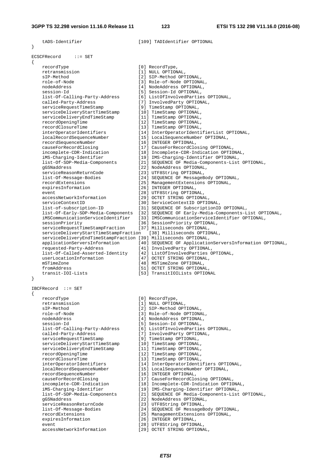| tADS-Identifier                                                 | [109] TADIdentifier OPTIONAL                                                 |
|-----------------------------------------------------------------|------------------------------------------------------------------------------|
| λ                                                               |                                                                              |
|                                                                 |                                                                              |
| ECSCFRecord<br>$\mathbf{f} := \mathbf{SET}$                     |                                                                              |
| $\{$<br>recordType                                              | [0] RecordType,                                                              |
| retransmission                                                  | [1] NULL OPTIONAL,                                                           |
| sIP-Method                                                      | [2] SIP-Method OPTIONAL,                                                     |
| role-of-Node                                                    | [3] Role-of-Node OPTIONAL,                                                   |
| nodeAddress                                                     | [4] NodeAddress OPTIONAL,                                                    |
| session-Id                                                      | [5] Session-Id OPTIONAL,                                                     |
| list-Of-Calling-Party-Address                                   | [6] ListOfInvolvedParties OPTIONAL,                                          |
| called-Party-Address                                            | [7] InvolvedParty OPTIONAL,                                                  |
| serviceRequestTimeStamp                                         | [9] TimeStamp OPTIONAL,                                                      |
| serviceDeliveryStartTimeStamp                                   | [10] TimeStamp OPTIONAL,                                                     |
| serviceDeliveryEndTimeStamp                                     | [11] TimeStamp OPTIONAL,                                                     |
| recordOpeningTime<br>recordClosureTime                          | [12] TimeStamp OPTIONAL,<br>[13] TimeStamp OPTIONAL,                         |
| interOperatorIdentifiers                                        | [14] InterOperatorIdentifierList OPTIONAL,                                   |
| localRecordSequenceNumber                                       | [15] LocalSequenceNumber OPTIONAL,                                           |
| recordSequenceNumber                                            | [16] INTEGER OPTIONAL,                                                       |
| causeForRecordClosing                                           | [17] CauseForRecordClosing OPTIONAL,                                         |
| incomplete-CDR-Indication                                       | [18] Incomplete-CDR-Indication OPTIONAL,                                     |
| iMS-Charging-Identifier                                         | [19] IMS-Charging-Identifier OPTIONAL,                                       |
| list-Of-SDP-Media-Components                                    | [21] SEQUENCE OF Media-Components-List OPTIONAL,                             |
| qGSNaddress                                                     | [22] NodeAddress OPTIONAL,                                                   |
| serviceReasonReturnCode                                         | [23] UTF8String OPTIONAL,                                                    |
| list-Of-Message-Bodies                                          | [24] SEQUENCE OF MessageBody OPTIONAL,                                       |
| recordExtensions                                                | [25] ManagementExtensions OPTIONAL,                                          |
| expiresInformation                                              | [26] INTEGER OPTIONAL,                                                       |
| event                                                           | [28] UTF8String OPTIONAL,                                                    |
| accessNetworkInformation<br>serviceContextID                    | [29] OCTET STRING OPTIONAL,                                                  |
| list-of-subscription-ID                                         | [30] ServiceContextID OPTIONAL,<br>[31] SEQUENCE OF SubscriptionID OPTIONAL, |
| list-Of-Early-SDP-Media-Components                              | [32] SEQUENCE OF Early-Media-Components-List OPTIONAL,                       |
| iMSCommunicationServiceIdentifier                               | [33] IMSCommunicationServiceIdentifier OPTIONAL,                             |
| sessionPriority                                                 | [36] SessionPriority OPTIONAL,                                               |
| serviceRequestTimeStampFraction                                 | [37] Milliseconds OPTIONAL,                                                  |
| serviceDeliveryStartTimeStampFraction                           | [38] Milliseconds OPTIONAL,                                                  |
| serviceDeliveryEndTimeStampFraction [39] Milliseconds OPTIONAL, |                                                                              |
| applicationServersInformation                                   | [40] SEQUENCE OF ApplicationServersInformation OPTIONAL,                     |
| requested-Party-Address                                         | [41] InvolvedParty OPTIONAL,                                                 |
| list-Of-Called-Asserted-Identity                                | [42] ListOfInvolvedParties OPTIONAL,                                         |
| userLocationInformation                                         | [47] OCTET STRING OPTIONAL,                                                  |
| mSTimeZone                                                      | [48] MSTimeZone OPTIONAL,                                                    |
| fromAddress                                                     | [51] OCTET STRING OPTIONAL,                                                  |
| transit-IOI-Lists<br>ł                                          | [53] TransitIOILists OPTIONAL                                                |
|                                                                 |                                                                              |
| IBCFRecord ::= SET                                              |                                                                              |
| ₹                                                               |                                                                              |
| recordType                                                      | [0] RecordType,                                                              |
| retransmission                                                  | [1] NULL OPTIONAL,                                                           |
| sIP-Method                                                      | [2] SIP-Method OPTIONAL,                                                     |
| role-of-Node                                                    | [3] Role-of-Node OPTIONAL,                                                   |
| nodeAddress                                                     | [4] NodeAddress OPTIONAL,                                                    |
| session-Id                                                      | [5] Session-Id OPTIONAL,                                                     |
| list-Of-Calling-Party-Address                                   | [6] ListOfInvolvedParties OPTIONAL,                                          |
| called-Party-Address<br>serviceRequestTimeStamp                 | [7] InvolvedParty OPTIONAL,<br>[9] TimeStamp OPTIONAL,                       |
| serviceDeliveryStartTimeStamp                                   | [10] TimeStamp OPTIONAL,                                                     |
| serviceDeliveryEndTimeStamp                                     | [11] TimeStamp OPTIONAL,                                                     |
| recordOpeningTime                                               | [12] TimeStamp OPTIONAL,                                                     |
| recordClosureTime                                               | [13] TimeStamp OPTIONAL,                                                     |
| interOperatorIdentifiers                                        | [14] InterOperatorIdentifiers OPTIONAL,                                      |
| localRecordSequenceNumber                                       | [15] LocalSequenceNumber OPTIONAL,                                           |
| recordSequenceNumber                                            | [16] INTEGER OPTIONAL,                                                       |
| causeForRecordClosing                                           | [17] CauseForRecordClosing OPTIONAL,                                         |
| incomplete-CDR-Indication                                       | [18] Incomplete-CDR-Indication OPTIONAL,                                     |
| iMS-Charging-Identifier                                         | [19] IMS-Charging-Identifier OPTIONAL,                                       |
| list-Of-SDP-Media-Components                                    | [21] SEQUENCE OF Media-Components-List OPTIONAL,                             |
| gGSNaddress                                                     | [22] NodeAddress OPTIONAL,                                                   |
| serviceReasonReturnCode                                         | [23] UTF8String OPTIONAL,                                                    |
| list-Of-Message-Bodies                                          | [24] SEQUENCE OF MessageBody OPTIONAL,                                       |
| recordExtensions                                                | [25] ManagementExtensions OPTIONAL,<br>[26] INTEGER OPTIONAL,                |
| expiresInformation<br>event                                     |                                                                              |
| accessNetworkInformation                                        | [28] UTF8String OPTIONAL,<br>[29] OCTET STRING OPTIONAL,                     |
|                                                                 |                                                                              |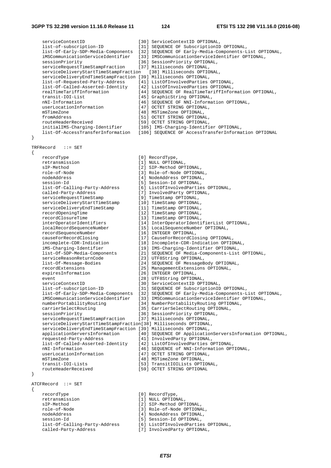serviceContextID [30] ServiceContextID OPTIONAL, list-of-subscription-ID [31] SEQUENCE OF SubscriptionID OPTIONAL, list-Of-Early-SDP-Media-Components [32] SEQUENCE OF Early-Media-Components-List OPTIONAL, iMSCommunicationServiceIdentifier [33] IMSCommunicationServiceIdentifier OPTIONAL, sessionPriority [36] SessionPriority OPTIONAL,<br>serviceRequestTimeStampFraction [37] Milliseconds OPTIONAL, serviceRequestTimeStampFraction serviceDeliveryStartTimeStampFraction [38] Milliseconds OPTIONAL, serviceDeliveryEndTimeStampFraction [39] Milliseconds OPTIONAL, list-of-Requested-Party-Address [41] ListOfInvolvedParties OPTIONAL, list-Of-Called-Asserted-Identity [42] ListOfInvolvedParties OPTIONAL, realTimeTariffInformation [44] SEQUENCE OF RealTimeTariffInformation OPTIONAL, transit-IOI-List [45] GraphicString OPTIONAL, nNI-Information [46] SEQUENCE OF NNI-Information OPTIONAL, userLocationInformation [47] OCTET STRING OPTIONAL, mSTimeZone [48] MSTimeZone OPTIONAL,<br>fromAddress [51] OCTET STRING OPTIONA [51] OCTET STRING OPTIONAL, routeHeaderReceived [59] OCTET STRING OPTIONAL, initialIMS-Charging-Identifier [105] IMS-Charging-Identifier OPTIONAL, list-Of-AccessTransferInformation [106] SEQUENCE OF AccessTransferInformation OPTIONAL } TRFRecord ::= SET { recordType [0] RecordType, retransmission [1] NULL OPTIONAL, sIP-Method [2] SIP-Method OPTIONAL, role-of-Node [3] Role-of-Node OPTIONAL, nodeAddress [4] NodeAddress OPTIONAL, session-Id [5] Session-Id OPTIONAL, list-Of-Calling-Party-Address [6] ListOfInvolvedParties OPTIONAL, called-Party-Address [7] InvolvedParty OPTIONAL,<br>serviceRequestTimeStamp [9] TimeStamp OPTIONAL, [9] TimeStamp OPTIONAL,<br>[10] TimeStamp OPTIONAL,<br>[11] TimeStamp OPTIONAL, serviceDeliveryStartTimeStamp serviceDeliveryEndTimeStamp recordOpeningTime [12] TimeStamp OPTIONAL, recordClosureTime [13] TimeStamp OPTIONAL, interOperatorIdentifiers [14] InterOperatorIdentifierList OPTIONAL,<br>localRecordSequenceNumber [15] LocalSequenceNumber OPTIONAL, localRecordSequenceNumber [15] LocalSequenceNumber OPTIONAL, recordSequenceNumber [16] INTEGER OPTIONAL, causeForRecordClosing [17] CauseForRecordClosing OPTIONAL,<br>incomplete-CDR-Indication [18] Incomplete-CDR-Indication OPTIC incomplete-CDR-Indication [18] Incomplete-CDR-Indication OPTIONAL,<br>iMS-Charging-Identifier [19] IMS-Charging-Identifier OPTIONAL, iMS-Charging-Identifier [19] IMS-Charging-Identifier OPTIONAL,<br>list-Of-SDP-Media-Components [21] SEQUENCE OF Media-Components-List [15] Indectating-Media-Components-List OPTIONAL,<br>[21] SEQUENCE OF Media-Components-List OPTIONAL, serviceReasonReturnCode list-Of-Message-Bodies [24] SEQUENCE OF MessageBody OPTIONAL, recordExtensions [25] ManagementExtensions OPTIONAL, [26] INTEGER OPTIONAL, event [28] UTF8String OPTIONAL, serviceContextID [30] ServiceContextID OPTIONAL, list-of-subscription-ID [31] SEQUENCE OF SubscriptionID OPTIONAL, list-Of-Early-SDP-Media-Components [32] SEQUENCE OF Early-Media-Components-List OPTIONAL, iMSCommunicationServiceIdentifier [33] IMSCommunicationServiceIdentifier OPTIONAL, numberPortabilityRouting [34] NumberPortabilityRouting OPTIONAL,<br>carrierSelectRouting [35] CarrierSelectRouting OPTIONAL, carrierSelectRouting [35] CarrierSelectRouting OPTIONAL,<br>sessionPriority [36] SessionPriority OPTIONAL, [36] SessionPriority OPTIONAL,<br>[37] Milliseconds OPTIONAL, serviceRequestTimeStampFraction serviceDeliveryStartTimeStampFraction[38] Milliseconds OPTIONAL, serviceDeliveryEndTimeStampFraction [39] Milliseconds OPTIONAL, applicationServersInformation [40] SEQUENCE OF ApplicationServersInformation OPTIONAL, requested-Party-Address [41] InvolvedParty OPTIONAL, list-Of-Called-Asserted-Identity [42] ListOfInvolvedParties OPTIONAL, nNI-Information [46] SEQUENCE of NNI-Information OPTIONAL, userLocationInformation [47] OCTET STRING OPTIONAL, mSTimeZone<br>
transit-IOI-Lists<br>
[53] TransitIOILists OPTI transit-IOI-Lists [53] TransitIOILists OPTIONAL, routeHeaderReceived [59] OCTET STRING OPTIONAL } ATCFRecord ::= SET { recordType [0] RecordType, retransmission [1] NULL OPTIONAL, sIP-Method [2] SIP-Method OPTIONAL, role-of-Node [3] Role-of-Node OPTIONAL, nodeAddress [4] NodeAddress OPTIONAL, session-Id [5] Session-Id OPTIONAL, list-Of-Calling-Party-Address [6] ListOfInvolvedParties OPTIONAL, [7] InvolvedParty OPTIONAL,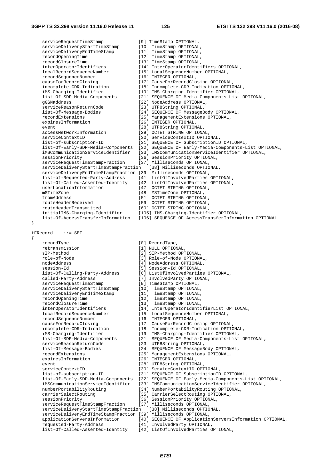{

serviceRequestTimeStamp [9] TimeStamp OPTIONAL, serviceDeliveryStartTimeStamp [10] TimeStamp OPTIONAL,<br>serviceDeliveryEndTimeStamp [11] TimeStamp OPTIONAL, serviceDeliveryEndTimeStamp recordOpeningTime [12] TimeStamp OPTIONAL, recordClosureTime [13] TimeStamp OPTIONAL,<br>interOperatorIdentifiers [14] InterOperatorIdenti interOperatorIdentifiers [14] InterOperatorIdentifiers OPTIONAL,<br>
localRecordSequenceNumber [15] LocalSequenceNumber OPTIONAL, localRecordSequenceNumber [15] LocalSequenceNumber OPTIONAL, [16] INTEGER OPTIONAL, causeForRecordClosing [17] CauseForRecordClosing OPTIONAL, incomplete-CDR-Indication [18] Incomplete-CDR-Indication OPTIONAL, iMS-Charging-Identifier [19] IMS-Charging-Identifier OPTIONAL, list-Of-SDP-Media-Components [21] SEQUENCE OF Media-Components-List OPTIONAL, gGSNaddress [22] NodeAddress OPTIONAL, serviceReasonReturnCode [23] UTF8String OPTIONAL, list-Of-Message-Bodies [24] SEQUENCE OF MessageBody OPTIONAL, recordExtensions [25] ManagementExtensions OPTIONAL, expiresInformation [26] INTEGER OPTIONAL, event<br>
event [28] UTF8String OPTIONAL,<br>
(29] OCTET STRING OPTION accessNetworkInformation [29] OCTET STRING OPTIONAL,<br>serviceContextID [30] ServiceContextID OPTIC serviceContextID [30] ServiceContextID OPTIONAL,<br>list-of-subscription-ID [31] SEQUENCE OF SubscriptionID [31] SEQUENCE OF SubscriptionID OPTIONAL, list-Of-Early-SDP-Media-Components [32] SEQUENCE OF Early-Media-Components-List OPTIONAL, [33] IMSCommunicationServiceIdentifier OPTIONAL, sessionPriority [36] SessionPriority OPTIONAL,<br>serviceRequestTimeStampFraction [37] Milliseconds OPTIONAL, serviceRequestTimeStampFraction serviceDeliveryStartTimeStampFraction [38] Milliseconds OPTIONAL, serviceDeliveryEndTimeStampFraction [39] Milliseconds OPTIONAL, list-of-Requested-Party-Address [41] ListOfInvolvedParties OPTIONAL, list-Of-Called-Asserted-Identity [42] ListOfInvolvedParties OPTIONAL, userLocationInformation [47] OCTET STRING OPTIONAL, mSTimeZone [48] MSTimeZone OPTIONAL,<br>fromAddress [51] OCTET STRING OPTIONA fromAddress [51] OCTET STRING OPTIONAL,<br>
routeHeaderReceived [59] OCTET STRING OPTIONAL. [59] OCTET STRING OPTIONAL, routeHeaderTransmitted [60] OCTET STRING OPTIONAL, [105] IMS-Charging-Identifier OPTIONAL, list-Of-AccessTransferInformation [106] SEQUENCE OF AccessTransferInformation OPTIONAL tFRecord ::= SET recordType [0] RecordType,<br>
retransmission [1] NULL OPTION retransmission [1] NULL OPTIONAL,<br>sIP-Method [2] SIP-Method OPT [2] SIP-Method OPTIONAL, role-of-Node [3] Role-of-Node OPTIONAL, nodeAddress [4] NodeAddress OPTIONAL, session-Id<br>
list-Of-Calling-Party-Address [5] Session-Id OPTIONAL,<br>
[6] ListOfInvolvedPartie [6] ListOfInvolvedParties OPTIONAL, called-Party-Address [7] InvolvedParty OPTIONAL,<br>serviceRequestTimeStamp [9] TimeStamp OPTIONAL, serviceRequestTimeStamp [9] TimeStamp OPTIONAL, serviceDeliveryStartTimeStamp [10] TimeStamp OPTIONAL,  $s$ erviceDeliveryEndTimeStamp  $\begin{minipage}[c]{0.9\linewidth} \begin{tabular}{l} \multicolumn{2}{l}{{\small\texttt{server}\texttt{F}}}{\small\texttt{R}}{\small\texttt{r}}{\small\texttt{r}}{\small\texttt{m}}{\small\texttt{c}}{\small\texttt{r}}{\small\texttt{r}}{\small\texttt{r}}{\small\texttt{c}}{\small\texttt{r}}{\small\texttt{r}}{\small\texttt{r}}{\small\texttt{c}}{\small\texttt{r}}{\small\texttt{r}}{\small\texttt{r}}{\small\texttt{r}}{\small\texttt{r}}{\small\texttt{r}}{\small\texttt{r}}{\small\texttt{r}}{\small\texttt{$ recordClosureTime [13] TimeStamp OPTIONAL,<br>interOperatorIdentifiers [14] InterOperatorIdenti interOperatorIdentifiers [14] InterOperatorIdentifierList OPTIONAL,<br>localRecordSequenceNumber [15] LocalSequenceNumber OPTIONAL, localRecordSequenceNumber [15] LocalSequenceNumber OPTIONAL, [16] INTEGER OPTIONAL, causeForRecordClosing [17] CauseForRecordClosing OPTIONAL, incomplete-CDR-Indication [18] Incomplete-CDR-Indication OPTIONAL, iMS-Charging-Identifier [19] IMS-Charging-Identifier OPTIONAL, list-Of-SDP-Media-Components [21] SEQUENCE OF Media-Components-List OPTIONAL, serviceReasonReturnCode [23] UTF8String OPTIONAL, list-Of-Message-Bodies [24] SEQUENCE OF MessageBody OPTIONAL, recordExtensions [25] ManagementExtensions OPTIONAL, [26] INTEGER OPTIONAL, event [28] UTF8String OPTIONAL,<br>serviceContextID [30] ServiceContextID [30] ServiceContextID serviceContextID [30] ServiceContextID OPTIONAL,<br>list-of-subscription-ID [31] SEQUENCE OF SubscriptionID [31] SEQUENCE OF SubscriptionID OPTIONAL, list-Of-Early-SDP-Media-Components [32] SEQUENCE OF Early-Media-Components-List OPTIONAL, iMSCommunicationServiceIdentifier [33] IMSCommunicationServiceIdentifier OPTIONAL, [34] NumberPortabilityRouting OPTIONAL, carrierSelectRouting [35] CarrierSelectRouting OPTIONAL, sessionPriority [36] SessionPriority OPTIONAL, serviceRequestTimeStampFraction [37] Milliseconds OPTIONAL, serviceDeliveryStartTimeStampFraction [38] Milliseconds OPTIONAL, serviceDeliveryEndTimeStampFraction [39] Milliseconds OPTIONAL, applicationServersInformation [40] SEQUENCE OF ApplicationServersInformation OPTIONAL, requested-Party-Address [41] InvolvedParty OPTIONAL, list-Of-Called-Asserted-Identity [42] ListOfInvolvedParties OPTIONAL,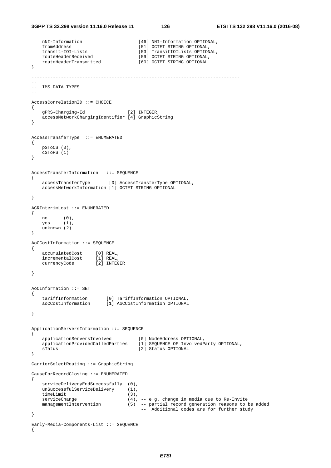```
 nNI-Information [46] NNI-Information OPTIONAL, 
    fromAddress [51] OCTET STRING OPTIONAL, 
   transit-IOI-Lists [53] TransitIOILists OPTIONAL,<br>routeHeaderReceived [59] OCTET STRING OPTIONAL,
                                     [59] OCTET STRING OPTIONAL,
    routeHeaderTransmitted [60] OCTET STRING OPTIONAL 
} 
------------------------------------------------------------------------------ 
-- 
-- IMS DATA TYPES 
-- 
------------------------------------------------------------------------------ 
AccessCorrelationID ::= CHOICE 
{ 
    gPRS-Charging-Id [2] INTEGER, 
    accessNetworkChargingIdentifier [4] GraphicString 
} 
AccessTransferType ::= ENUMERATED 
{ 
    pSToCS (0), 
    cSToPS (1) 
} 
AccessTransferInformation ::= SEQUENCE 
{ 
    accessTransferType [0] AccessTransferType OPTIONAL, 
    accessNetworkInformation [1] OCTET STRING OPTIONAL 
} 
ACRInterimLost ::= ENUMERATED 
{ 
 no (0), 
 yes (1), 
    unknown (2) 
} 
AoCCostInformation ::= SEQUENCE 
{ 
 accumulatedCost [0] REAL, 
 incrementalCost [1] REAL, 
 currencyCode [2] INTEGER 
} 
AoCInformation ::= SET 
{ 
 tariffInformation [0] TariffInformation OPTIONAL, 
 aoCCostInformation [1] AoCCostInformation OPTIONAL 
} 
ApplicationServersInformation ::= SEQUENCE 
{ 
    applicationServersInvolved [0] NodeAddress OPTIONAL, 
 applicationProvidedCalledParties [1] SEQUENCE OF InvolvedParty OPTIONAL, 
 sTatus [2] Status OPTIONAL 
} 
CarrierSelectRouting ::= GraphicString 
CauseForRecordClosing ::= ENUMERATED 
{ 
    serviceDeliveryEndSuccessfully (0), 
   unSuccessfulServiceDelivery (1),<br>timeLimit (3),
   timeLimit
   serviceChange (4), -- e.g. change in media due to Re-Invite
    managementIntervention (5) -- partial record generation reasons to be added 
                                       -- Additional codes are for further study 
} 
Early-Media-Components-List ::= SEQUENCE 
{
```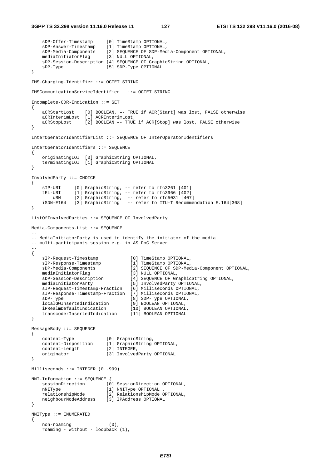```
 sDP-Offer-Timestamp [0] TimeStamp OPTIONAL, 
 sDP-Answer-Timestamp [1] TimeStamp OPTIONAL, 
 sDP-Media-Components [2] SEQUENCE OF SDP-Media-Component OPTIONAL, 
 mediaInitiatorFlag [3] NULL OPTIONAL, 
    sDP-Session-Description [4] SEQUENCE OF GraphicString OPTIONAL, 
   sDP-Type [5] SDP-Type OPTIONAL
} 
IMS-Charging-Identifier ::= OCTET STRING 
IMSCommunicationServiceIdentifier ::= OCTET STRING 
Incomplete-CDR-Indication ::= SET 
{ 
    aCRStartLost [0] BOOLEAN, –- TRUE if ACR[Start] was lost, FALSE otherwise 
    aCRInterimLost [1] ACRInterimLost, 
    aCRStopLost [2] BOOLEAN –- TRUE if ACR[Stop] was lost, FALSE otherwise 
} 
InterOperatorIdentifierList ::= SEQUENCE OF InterOperatorIdentifiers 
InterOperatorIdentifiers ::= SEQUENCE 
{ 
 originatingIOI [0] GraphicString OPTIONAL, 
 terminatingIOI [1] GraphicString OPTIONAL 
} 
InvolvedParty ::= CHOICE 
{ 
 sIP-URI [0] GraphicString, -- refer to rfc3261 [401] 
 tEL-URI [1] GraphicString, -- refer to rfc3966 [402] 
 uRN [2] GraphicString, -- refer to rfc5031 [407] 
 iSDN-E164 [3] GraphicString -- refer to ITU-T Recommendation E.164[308] 
} 
ListOfInvolvedParties ::= SEQUENCE OF InvolvedParty 
Media-Components-List ::= SEQUENCE 
-- 
-- MediaInitiatorParty is used to identify the initiator of the media 
-- multi-participants session e.g. in AS PoC Server 
-- 
{ 
 sIP-Request-Timestamp [0] TimeStamp OPTIONAL, 
 sIP-Response-Timestamp [1] TimeStamp OPTIONAL, 
 sDP-Media-Components [2] SEQUENCE OF SDP-Media-Component OPTIONAL, 
 mediaInitiatorFlag [3] NULL OPTIONAL, 
 sDP-Session-Description [4] SEQUENCE OF GraphicString OPTIONAL, 
 mediaInitiatorParty [5] InvolvedParty OPTIONAL, 
    sIP-Request-Timestamp-Fraction [6] Milliseconds OPTIONAL, 
    sIP-Response-Timestamp-Fraction [7] Milliseconds OPTIONAL, 
 sDP-Type [8] SDP-Type OPTIONAL, 
 localGWInsertedIndication [9] BOOLEAN OPTIONAL, 
 iPRealmDefaultIndication [10] BOOLEAN OPTIONAL, 
 transcoderInsertedIndication [11] BOOLEAN OPTIONAL 
} 
MessageBody ::= SEQUENCE 
{ 
 content-Type [0] GraphicString, 
 content-Disposition [1] GraphicString OPTIONAL, 
 content-Length [2] INTEGER, 
 originator [3] InvolvedParty OPTIONAL 
} 
Milliseconds ::= INTEGER (0..999) 
NNI-Information ::= SEQUENCE { 
   sessionDirection [0] SessionDirection OPTIONAL,
   nNIType [1] NNIType OPTIONAL ,
 relationshipMode [2] RelationshipMode OPTIONAL, 
 neighbourNodeAddress [3] IPAddress OPTIONAL 
} 
NNIType ::= ENUMERATED 
{ 
    non-roaming (0), 
   roaming - without - loopback (1),
```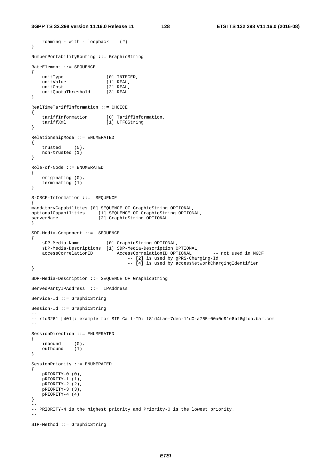roaming - with - loopback (2)

```
} 
NumberPortabilityRouting ::= GraphicString 
RateElement ::= SEQUENCE 
{ 
   unitType [0] INTEGER,
   unitValue [1] REAL,
   unitCost [2] REAL,
    unitQuotaThreshold [3] REAL 
} 
RealTimeTariffInformation ::= CHOICE 
{ 
 tariffInformation [0] TariffInformation, 
 tariffXml [1] UTF8String 
} 
RelationshipMode ::= ENUMERATED 
{ 
    trusted (0), 
    non-trusted (1) 
} 
Role-of-Node ::= ENUMERATED 
{ 
    originating (0), 
    terminating (1) 
} 
S-CSCF-Information ::= SEQUENCE 
{ 
mandatoryCapabilities [0] SEQUENCE OF GraphicString OPTIONAL, 
optionalCapabilities [1] SEQUENCE OF GraphicString OPTIONAL, 
serverName [2] GraphicString OPTIONAL
} 
SDP-Media-Component ::= SEQUENCE 
{ 
     sDP-Media-Name [0] GraphicString OPTIONAL, 
    sDP-Media-Descriptions [1] SDP-Media-Description OPTIONAL, 
                                AccessCorrelationID OPTIONAL -- not used in MGCF
                                     -- [2] is used by gPRS-Charging-Id 
                                     -- [4] is used by accessNetworkChargingIdentifier 
} 
SDP-Media-Description ::= SEQUENCE OF GraphicString 
ServedPartyIPAddress ::= IPAddress 
Service-Id ::= GraphicString 
Session-Id ::= GraphicString 
-- 
-- rfc3261 [401]: example for SIP Call-ID: f81d4fae-7dec-11d0-a765-00a0c91e6bf6@foo.bar.com 
-- 
SessionDirection ::= ENUMERATED 
{ 
   \begin{array}{ll} \text{inbound} & (0)\,, \text{outbound} \end{array}outbound
} 
SessionPriority ::= ENUMERATED 
{ 
    pRIORITY-0 (0), 
    pRIORITY-1 (1), 
    pRIORITY-2 (2), 
    pRIORITY-3 (3), 
    pRIORITY-4 (4) 
} 
-- 
-- PRIORITY-4 is the highest priority and Priority-0 is the lowest priority. 
-- 
SIP-Method ::= GraphicString
```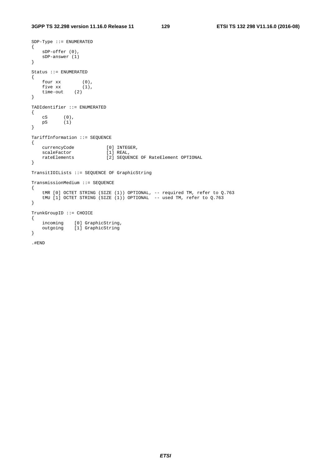```
SDP-Type ::= ENUMERATED 
{ 
    sDP-offer (0), 
    sDP-answer (1) 
} 
Status ::= ENUMERATED 
{ 
 four xx (0), 
 five xx (1), 
    time-out (2) 
} 
TADIdentifier ::= ENUMERATED 
{ 
 cS (0), 
 pS (1) 
} 
TariffInformation ::= SEQUENCE 
{ 
   currencyCode [0] INTEGER,
   scaleFactor [1] REAL,<br>rateElements [2] SEQUE
                         rational,<br>[2] SEQUENCE OF RateElement OPTIONAL
} 
TransitIOILists ::= SEQUENCE OF GraphicString 
TransmissionMedium ::= SEQUENCE 
{ 
 tMR [0] OCTET STRING (SIZE (1)) OPTIONAL, -- required TM, refer to Q.763 
 tMU [1] OCTET STRING (SIZE (1)) OPTIONAL -- used TM, refer to Q.763 
} 
TrunkGroupID ::= CHOICE 
{ 
 incoming [0] GraphicString, 
 outgoing [1] GraphicString 
} 
.#END
```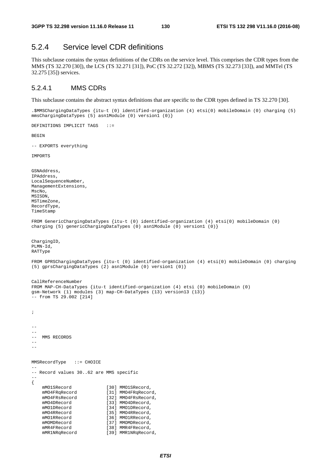# 5.2.4 Service level CDR definitions

This subclause contains the syntax definitions of the CDRs on the service level. This comprises the CDR types from the MMS (TS 32.270 [30]), the LCS (TS 32.271 [31]), PoC (TS 32.272 [32]), MBMS (TS 32.273 [33]), and MMTel (TS 32.275 [35]) services.

## 5.2.4.1 MMS CDRs

DEFINITIONS IMPLICIT TAGS ::=

This subclause contains the abstract syntax definitions that are specific to the CDR types defined in TS 32.270 [30].

.\$MMSChargingDataTypes {itu-t (0) identified-organization (4) etsi(0) mobileDomain (0) charging (5) mmsChargingDataTypes (5) asn1Module (0) version1 (0)}

```
BEGIN 
-- EXPORTS everything 
IMPORTS 
GSNAddress, 
IPAddress, 
LocalSequenceNumber, 
ManagementExtensions, 
MscNo, 
MSISDN, 
MSTimeZone, 
RecordType, 
TimeStamp 
FROM GenericChargingDataTypes {itu-t (0) identified-organization (4) etsi(0) mobileDomain (0) 
charging (5) genericChargingDataTypes (0) asn1Module (0) version1 (0)} 
ChargingID, 
PLMN-Id, 
RATType 
FROM GPRSChargingDataTypes {itu-t (0) identified-organization (4) etsi(0) mobileDomain (0) charging 
(5) gprsChargingDataTypes (2) asn1Module (0) version1 (0)} 
CallReferenceNumber 
FROM MAP-CH-DataTypes {itu-t identified-organization (4) etsi (0) mobileDomain (0) 
gsm-Network (1) modules (3) map-CH-DataTypes (13) version13 (13)} 
-- from TS 29.002 [214] 
; 
-- 
\equiv-- MMS RECORDS
--- 
MMSRecordType ::= CHOICE 
-- 
-- Record values 30..62 are MMS specific 
-- 
{ 
    mMO1SRecord [30] MMO1SRecord, 
   mMO4FRqRecord [31] MMO4FRqRecord,
    mMO4FRsRecord [32] MMO4FRsRecord, 
   mMO4DRecord [33] MMO4DRecord,
   mMO1DRecord [34] MMO1DRecord,
    mMO4RRecord [35] MMO4RRecord,
   mMO1RRecord [36] MMO1RRecord,<br>mMOMDRecord [37] MMOMDRecord,
    mMOMDRecord [37] MMOMDRecord,<br>mMR4FRecord [38] MMR4FRecord.
                            [38] MMR4FRecord,
    mMR1NRqRecord [39] MMR1NRqRecord,
```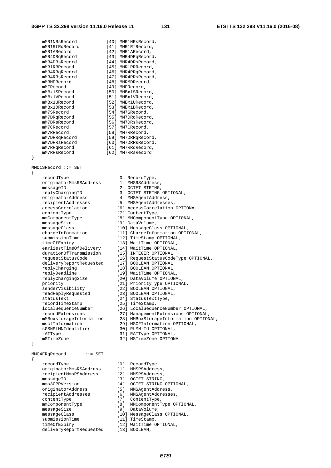mMR1NRsRecord [40] MMR1NRsRecord,<br>mMR1RtRqRecord [41] MMR1RtRecord,<br>mMR1ARecord [42] MMR1ARecord, mMR1RtRqRecord [41] MMR1RtRecord, mMR1ARecord [42] MMR1ARecord, mMR4DRqRecord [43] MMR4DRqRecord, mMR4DRsRecord [44] MMR4DRsRecord, mMR1RRRecord [45] MMR1RRRecord, mMR4RRqRecord [46] MMR4RRqRecord, mMR4RRsRecord [47] MMR4RRsRecord, mMRMDRecord [48] MMRMDRecord, mMFRecord [49] MMFRecord, mMBx1SRecord [50] MMBx1SRecord, mMBx1VRecord [51] MMBx1VRecord, mMBx1URecord [52] MMBx1URecord, mMBx1DRecord [53] MMBx1DRecord, mM7SRecord [54] MM7SRecord, mM7DRqRecord [55] MM7DRqRecord, mM7DRsRecord [56] MM7DRsRecord, mM7CRecord [57] MM7CRecord, mM7RRecord [58] MM7RRecord, mM7DRRqRecord [59] MM7DRRqRecord, mM7DRRsRecord [60] MM7DRRsRecord, mM7RRqRecord [61] MM7RRqRecord, mM7RRsRecord [62] MM7RRsRecord MMO1SRecord ::= SET recordType [0] RecordType, originatorMmsRSAddress [1] MMSRSAddress, messageID [2] OCTET STRING, originatorAddress [4] MMSAgentAddress, contentType [7] ContentType, messageSize [9] DataVolume, timeOfExpiry [13] WaitTime OPTIONAL, earliestTimeOfDelivery [14] WaitTime OPTIONAL, durationOfTransmission [15] INTEGER OPTIONAL, deliveryReportRequested [17] BOOLEAN OPTIONAL, replyCharging [18] BOOLEAN OPTIONAL, replyDeadline [19] WaitTime OPTIONAL, replyChargingSize [20] DataVolume OPTIONAL, priority [21] PriorityType OPTIONAL, senderVisibility [22] BOOLEAN OPTIONAL, readReplyRequested [23] BOOLEAN OPTIONAL, statusText [24] StatusTextType, recordTimeStamp [25] TimeStamp, localSequenceNumber [26] LocalSequenceNumber OPTIONAL, recordExtensions [27] ManagementExtensions OPTIONAL, mscfInformation [29] MSCFInformation OPTIONAL, sGSNPLMNIdentifier [30] PLMN-Id OPTIONAL, rATType  $[31]$  RATType OPTIONAL, mSTimeZone [32] MSTimeZone OPTIONAL MMO4FRqRecord ::= SET

}

{

}

{

 replyChargingID [3] OCTET STRING OPTIONAL, recipientAddresses [5] MMSAgentAddresses, accessCorrelation [6] AccessCorrelation OPTIONAL, mmComponentType [8] MMComponentType OPTIONAL, submissionTime [12] TimeStamp OPTIONAL,

 messageClass [10] MessageClass OPTIONAL, chargeInformation [11] ChargeInformation OPTIONAL, requestStatusCode [16] RequestStatusCodeType OPTIONAL,

mMBoxstorageInformation [28] MMBoxStorageInformation OPTIONAL,

 recordType [0] RecordType, originatorMmsRSAddress [1] MMSRSAddress, recipientMmsRSAddress [2] MMSRSAddress, messageID [3] OCTET STRING, mms3GPPVersion [4] OCTET STRING OPTIONAL, originatorAddress [5] MMSAgentAddress, recipientAddresses [6] MMSAgentAddresses, contentType [7] ContentType, mmComponentType [8] MMComponentType OPTIONAL, messageSize [9] DataVolume, messageClass [10] MessageClass OPTIONAL, submissionTime [11] TimeStamp, timeOfExpiry [12] WaitTime OPTIONAL, deliveryReportRequested [13] BOOLEAN,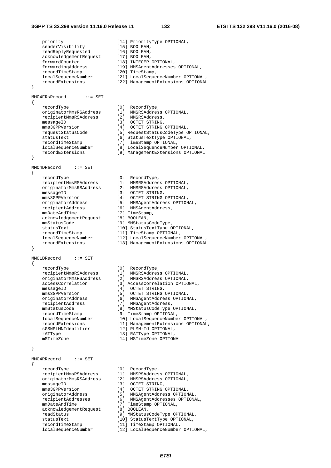### **3GPP TS 32.298 version 11.16.0 Release 11 132 ETSI TS 132 298 V11.16.0 (2016-08)**

| priority<br>senderVisibility<br>readReplyRequested<br>acknowledgementRequest<br>forwardCounter<br>forwardingAddress<br>recordTimeStamp<br>localSequenceNumber<br>recordExtensions<br>ł                                                                                                  | [14] PriorityType OPTIONAL,<br>[15] BOOLEAN,<br>[16] BOOLEAN,<br>$[17]$ BOOLEAN,<br>[18] INTEGER OPTIONAL,<br>[19] MMSAgentAddresses OPTIONAL,<br>[20] TimeStamp,<br>[21] LocalSequenceNumber OPTIONAL,<br>[22] ManagementExtensions OPTIONAL                                                                                                                                                                                                                             |
|-----------------------------------------------------------------------------------------------------------------------------------------------------------------------------------------------------------------------------------------------------------------------------------------|---------------------------------------------------------------------------------------------------------------------------------------------------------------------------------------------------------------------------------------------------------------------------------------------------------------------------------------------------------------------------------------------------------------------------------------------------------------------------|
| MM04FRsRecord<br>$\cdots$ SET                                                                                                                                                                                                                                                           |                                                                                                                                                                                                                                                                                                                                                                                                                                                                           |
| ₹                                                                                                                                                                                                                                                                                       |                                                                                                                                                                                                                                                                                                                                                                                                                                                                           |
| recordType<br>originatorMmsRSAddress<br>recipientMmsRSAddress<br>messageID<br>mms3GPPVersion<br>requestStatusCode<br>statusText<br>recordTimeStamp<br>localSequenceNumber<br>recordExtensions<br>ł                                                                                      | [0]<br>RecordType,<br>$[1]$<br>MMSRSAddress OPTIONAL,<br>[2]<br>MMSRSAddress,<br>$\begin{bmatrix} 3 \end{bmatrix}$<br>OCTET STRING,<br>[4]<br>OCTET STRING OPTIONAL,<br>[5] RequestStatusCodeType OPTIONAL,<br>[6] StatusTextType OPTIONAL,<br>[7] TimeStamp OPTIONAL,<br>[8] LocalSequenceNumber OPTIONAL,<br>[9] ManagementExtensions OPTIONAL                                                                                                                          |
|                                                                                                                                                                                                                                                                                         |                                                                                                                                                                                                                                                                                                                                                                                                                                                                           |
| MM04DRecord<br>$\cdots$ SET<br>$\{$                                                                                                                                                                                                                                                     |                                                                                                                                                                                                                                                                                                                                                                                                                                                                           |
| recordType<br>recipientMmsRSAddress<br>originatorMmsRSAddress<br>messageID<br>mms3GPPVersion<br>originatorAddress<br>recipientAddress<br>mmDateAndTime<br>acknowledgementRequest<br>mmStatusCode<br>statusText<br>recordTimeStamp<br>localSequenceNumber<br>recordExtensions            | [0]<br>RecordType,<br>[1]<br>MMSRSAddress OPTIONAL,<br>[2]<br>MMSRSAddress OPTIONAL,<br>[3]<br>OCTET STRING,<br>[4]<br>OCTET STRING OPTIONAL,<br>[5]<br>MMSAgentAddress OPTIONAL,<br>[6]<br>MMSAgentAddress,<br>[7] TimeStamp,<br>[8] BOOLEAN,<br>[9] MMStatusCodeType,<br>[10] StatusTextType OPTIONAL,<br>[11] TimeStamp OPTIONAL,<br>[12] LocalSequenceNumber OPTIONAL,<br>[13] ManagementExtensions OPTIONAL                                                          |
| }                                                                                                                                                                                                                                                                                       |                                                                                                                                                                                                                                                                                                                                                                                                                                                                           |
| MMO1DRecord<br>$: :=$ SET<br>$\left\{ \right.$                                                                                                                                                                                                                                          |                                                                                                                                                                                                                                                                                                                                                                                                                                                                           |
| recordType<br>recipientMmsRSAddress<br>originatorMmsRSAddress<br>accessCorrelation<br>messageID<br>mms3GPPVersion<br>originatorAddress<br>recipientAddress<br>mmStatusCode<br>recordTimeStamp<br>localSequenceNumber<br>recordExtensions<br>sGSNPLMNIdentifier<br>rATType<br>mSTimeZone | [0]<br>RecordType,<br>[1]<br>MMSRSAddress OPTIONAL,<br>[2]<br>MMSRSAddress OPTIONAL,<br>[3] AccessCorrelation OPTIONAL,<br>OCTET STRING,<br>[4]<br>[5]<br>OCTET STRING OPTIONAL,<br>[6]<br>MMSAgentAddress OPTIONAL,<br>MMSAgentAddress,<br>[7]<br>[8] MMStatusCodeType OPTIONAL,<br>[9] TimeStamp OPTIONAL,<br>[10] LocalSequenceNumber OPTIONAL,<br>[11] ManagementExtensions OPTIONAL,<br>[12] PLMN-Id OPTIONAL,<br>[13] RATType OPTIONAL,<br>[14] MSTimeZone OPTIONAL |
| ł                                                                                                                                                                                                                                                                                       |                                                                                                                                                                                                                                                                                                                                                                                                                                                                           |
| MM04RRecord<br>$\cdots$ SET<br>₹                                                                                                                                                                                                                                                        |                                                                                                                                                                                                                                                                                                                                                                                                                                                                           |
| recordType<br>recipientMmsRSAddress<br>originatorMmsRSAddress<br>messageID<br>mms3GPPVersion<br>originatorAddress<br>recipientAddresses<br>mmDateAndTime<br>acknowledgementRequest<br>readStatus<br>statusText<br>recordTimeStamp                                                       | [0]<br>RecordType,<br>$[1]$<br>MMSRSAddress OPTIONAL,<br>[2]<br>MMSRSAddress OPTIONAL,<br>$[3]$<br>OCTET STRING,<br>[4]<br>OCTET STRING OPTIONAL,<br>[5]<br>MMSAgentAddress OPTIONAL,<br>[6]<br>MMSAgentAddresses OPTIONAL,<br>[7] TimeStamp OPTIONAL,<br>[8] BOOLEAN,<br>[9] MMStatusCodeType OPTIONAL,<br>[10] StatusTextType OPTIONAL,<br>[11] TimeStamp OPTIONAL,                                                                                                     |

| 100010177077              |
|---------------------------|
| MMSRSAddress OPTIONAL,    |
| MMSRSAddress OPTIONAL,    |
| OCTET STRING,             |
| OCTET STRING OPTIONAL,    |
| MMSAgentAddress OPTIONAL, |
| MMSAgentAddress,          |
| TimeStamp,                |
| BOOLEAN,                  |
|                           |

- ,<br>DPTIONAL,<br>NAL,
- 
- 
- mber OPTIONAL,
- sions OPTIONAL
- 
- n<br>Moral,
- OPTIONAL,
- 
- OPTIONAL,
- .<br>OPTIONAL,<br>AL,
- 
- nber OPTIONAL,
- ecord<br>Extens OPTIONAL,
- 

rional, rional, TIONAL, OPTIONAL, es OPTIONAL, OPTIONAL, OPTIONAL<mark>,</mark><br>NAL, localSequenceNumber [12] LocalSequenceNumber OPTIONAL,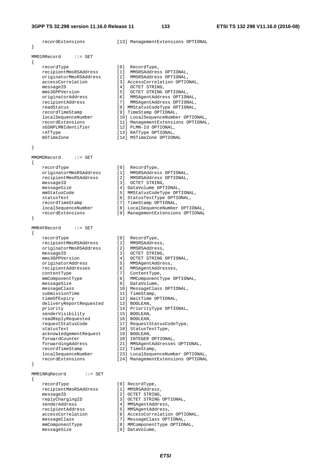| recordExtensions<br>}                                                                                                                                                                                                                                                                                                                                                                                                                                                                              | [13] ManagementExtensions OPTIONAL                                                                                                                                                                                                                                                                                                                                                                                                                                                                                                                                                                                                                                         |
|----------------------------------------------------------------------------------------------------------------------------------------------------------------------------------------------------------------------------------------------------------------------------------------------------------------------------------------------------------------------------------------------------------------------------------------------------------------------------------------------------|----------------------------------------------------------------------------------------------------------------------------------------------------------------------------------------------------------------------------------------------------------------------------------------------------------------------------------------------------------------------------------------------------------------------------------------------------------------------------------------------------------------------------------------------------------------------------------------------------------------------------------------------------------------------------|
| MMO1RRecord<br>$\cdots$ SET                                                                                                                                                                                                                                                                                                                                                                                                                                                                        |                                                                                                                                                                                                                                                                                                                                                                                                                                                                                                                                                                                                                                                                            |
| {<br>recordType<br>recipientMmsRSAddress<br>originatorMmsRSAddress<br>accessCorrelation<br>messageID<br>mms3GPPVersion<br>originatorAddress<br>recipientAddress<br>readStatus<br>recordTimeStamp<br>localSequenceNumber<br>recordExtensions<br>sGSNPLMNIdentifier<br>rATType<br>mSTimeZone                                                                                                                                                                                                         | [0]<br>RecordType,<br>[1]<br>MMSRSAddress OPTIONAL,<br>[2] MMSRSAddress OPTIONAL,<br>[3] AccessCorrelation OPTIONAL,<br>OCTET STRING,<br>[4]<br>$[5]$<br>OCTET STRING OPTIONAL,<br>[6]<br>MMSAgentAddress OPTIONAL,<br>$[7]$<br>MMSAgentAddress OPTIONAL,<br>[8] MMStatusCodeType OPTIONAL,<br>[9] TimeStamp OPTIONAL,<br>[10] LocalSequenceNumber OPTIONAL,<br>[11] ManagementExtensions OPTIONAL,<br>[12] PLMN-Id OPTIONAL,<br>[13] RATType OPTIONAL,<br>[14] MSTimeZone OPTIONAL                                                                                                                                                                                        |
| }                                                                                                                                                                                                                                                                                                                                                                                                                                                                                                  |                                                                                                                                                                                                                                                                                                                                                                                                                                                                                                                                                                                                                                                                            |
| MMOMDRecord<br>$\cdots$ SET<br>€                                                                                                                                                                                                                                                                                                                                                                                                                                                                   |                                                                                                                                                                                                                                                                                                                                                                                                                                                                                                                                                                                                                                                                            |
| recordType<br>originatorMmsRSAddress<br>recipientMmsRSAddress<br>messageID<br>messageSize<br>mmStatusCode<br>statusText<br>recordTimeStamp<br>localSequenceNumber<br>recordExtensions<br>ł                                                                                                                                                                                                                                                                                                         | [0]<br>RecordType,<br>[1]<br>MMSRSAddress OPTIONAL,<br>$\left[\begin{array}{c} 2 \end{array}\right]$<br>MMSRSAddress OPTIONAL,<br>$\begin{bmatrix} 3 \end{bmatrix}$<br>OCTET STRING,<br>[4] DataVolume OPTIONAL,<br>[5] MMStatusCodeType OPTIONAL,<br>[6] StatusTextType OPTIONAL,<br>[7] TimeStamp OPTIONAL,<br>[8] LocalSequenceNumber OPTIONAL,<br>[9] ManagementExtensions OPTIONAL                                                                                                                                                                                                                                                                                    |
| MMR4FRecord<br>$\cdots$ SET<br>{                                                                                                                                                                                                                                                                                                                                                                                                                                                                   |                                                                                                                                                                                                                                                                                                                                                                                                                                                                                                                                                                                                                                                                            |
| recordType<br>recipientMmsRSAddress<br>originatorMmsRSAddress<br>messageID<br>mms3GPPVersion<br>originatorAddress<br>recipientAddresses<br>contentType<br>mmComponentType<br>messageSize<br>messageClass<br>submissionTime<br>timeOfExpiry<br>deliveryReportRequested<br>priority<br>senderVisibility<br>readReplyRequested<br>requestStatusCode<br>statusText<br>acknowledgementRequest<br>forwardCounter<br>forwardingAddress<br>recordTimeStamp<br>localSequenceNumber<br>recordExtensions<br>} | [0]<br>RecordType,<br>[1]<br>MMSRSAddress,<br>[2]<br>MMSRSAddress,<br>[3]<br>OCTET STRING,<br>[4]<br>OCTET STRING OPTIONAL,<br>[5]<br>MMSAgentAddress,<br>MMSAgentAddresses,<br>[6]<br>$[7]$<br>ContentType,<br>[8]<br>MMComponentType OPTIONAL,<br>[9]<br>DataVolume,<br>[10] MessageClass OPTIONAL,<br>[11] TimeStamp,<br>[12] WaitTime OPTIONAL,<br>[13] BOOLEAN,<br>[14] PriorityType OPTIONAL,<br>[15] BOOLEAN,<br>[16] BOOLEAN,<br>[17] RequestStatusCodeType,<br>[18] StatusTextType,<br>[19] BOOLEAN,<br>[20] INTEGER OPTIONAL,<br>[21] MMSAgentAddresses OPTIONAL,<br>[22] TimeStamp,<br>[23] LocalSequenceNumber OPTIONAL,<br>[24] ManagementExtensions OPTIONAL |
| MMR1NRqRecord<br>$\mathbf{f} := \mathbf{SET}$<br>₹                                                                                                                                                                                                                                                                                                                                                                                                                                                 |                                                                                                                                                                                                                                                                                                                                                                                                                                                                                                                                                                                                                                                                            |
| recordType<br>recipientMmsRSAddress<br>messageID                                                                                                                                                                                                                                                                                                                                                                                                                                                   | [0] RecordType,<br>[1] MMSRSAddress,<br>[2] OCTET STRING,                                                                                                                                                                                                                                                                                                                                                                                                                                                                                                                                                                                                                  |

 replyChargingID [3] OCTET STRING OPTIONAL, senderAddress [4] MMSAgentAddress, recipientAddress [5] MMSAgentAddress, accessCorrelation [6] AccessCorrelation OPTIONAL, messageClass [7] MessageClass OPTIONAL, mmComponentType [8] MMComponentType OPTIONAL, messageSize [9] DataVolume,

- 
- 
- 
- 
- 
- 
- 
-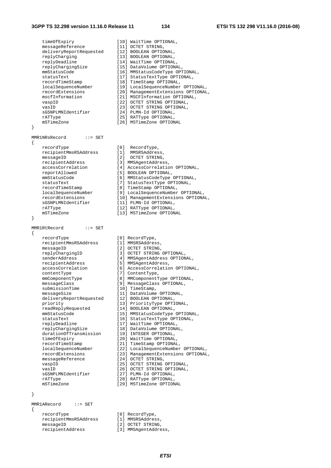{

}

{

}

 timeOfExpiry [10] WaitTime OPTIONAL, messageReference [11] OCTET STRING, deliveryReportRequested [12] BOOLEAN OPTIONAL, replyCharging [13] BOOLEAN OPTIONAL, replyDeadline [14] WaitTime OPTIONAL, replyChargingSize [15] DataVolume OPTIONAL, mmStatusCode [16] MMStatusCodeType OPTIONAL, statusText [17] StatusTextType OPTIONAL, recordTimeStamp [18] TimeStamp OPTIONAL, localSequenceNumber [19] LocalSequenceNumber OPTIONAL, recordExtensions [20] ManagementExtensions OPTIONAL, mscfInformation [21] MSCFInformation OPTIONAL, vaspID [22] OCTET STRING OPTIONAL, vasID [23] OCTET STRING OPTIONAL, sGSNPLMNIdentifier [24] PLMN-Id OPTIONAL, rATType  $[25]$  RATType OPTIONAL, mSTimeZone [26] MSTimeZone OPTIONAL MMR1NRsRecord ::= SET recordType [0] RecordType,<br>recipientMmsRSAddress [1] MMSRSAddress,<br>messageID [2] OCTET STRING, recipientMmsRSAddress [1] MMSRSAddress, messageID [2] OCTET STRING, recipientAddress [3] MMSAgentAddress, accessCorrelation [4] AccessCorrelation OPTIONAL, reportAllowed [5] BOOLEAN OPTIONAL, mmStatusCode [6] MMStatusCodeType OPTIONAL, statusText [7] StatusTextType OPTIONAL, recordTimeStamp [8] TimeStamp OPTIONAL, localSequenceNumber [9] LocalSequenceNumber OPTIONAL, recordExtensions [10] ManagementExtensions OPTIONAL, sGSNPLMNIdentifier [11] PLMN-Id OPTIONAL, rATType  $[12]$  RATType OPTIONAL, mSTimeZone [13] MSTimeZone OPTIONAL MMR1RtRecord ::= SET recordType [0] RecordType, recipientMmsRSAddress [1] MMSRSAddress, messageID [2] OCTET STRING, replyChargingID [3] OCTET STRING OPTIONAL, senderAddress [4] MMSAgentAddress OPTIONAL, recipientAddress [5] MMSAgentAddress, accessCorrelation [6] AccessCorrelation OPTIONAL, contentType [7] ContentType, mmComponentType [8] MMComponentType OPTIONAL, messageClass [9] MessageClass OPTIONAL, submissionTime [10] TimeStamp, messageSize [11] DataVolume OPTIONAL, deliveryReportRequested [12] BOOLEAN OPTIONAL, priority [13] PriorityType OPTIONAL, readReplyRequested [14] BOOLEAN OPTIONAL, mmStatusCode [15] MMStatusCodeType OPTIONAL, statusText [16] StatusTextType OPTIONAL, replyDeadline [17] WaitTime OPTIONAL, replyChargingSize [18] DataVolume OPTIONAL, durationOfTransmission [19] INTEGER OPTIONAL, timeOfExpiry [20] WaitTime OPTIONAL, recordTimeStamp [21] TimeStamp OPTIONAL, localSequenceNumber [22] LocalSequenceNumber OPTIONAL, recordExtensions [23] ManagementExtensions OPTIONAL, messageReference [24] OCTET STRING, vaspID [25] OCTET STRING OPTIONAL, vasID  $[26]$  OCTET STRING OPTIONAL, sGSNPLMNIdentifier [27] PLMN-Id OPTIONAL, ration (2011)<br>
SGSNPLMNIdentifier [27] PLMM-Id OPTIONAL,<br>
rATType OPTIONAL,<br>
mSTimeZone [29] MSTimeZone OPTION<br>
COMPLIS [29] MSTimeZone OPTIONAL

MMR1ARecord ::= SET {

 recordType [0] RecordType, recipientMmsRSAddress [1] MMSRSAddress, messageID [2] OCTET STRING,  $[2]$  OCTET STRING,<br>recipientAddress  $[3]$  MMSAgentAddress,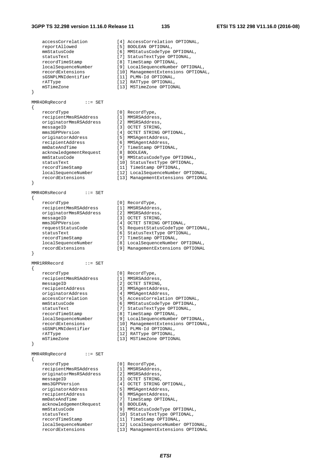#### **3GPP TS 32.298 version 11.16.0 Release 11 135 ETSI TS 132 298 V11.16.0 (2016-08)**

}

{

}

 $\{$ 

}

{

}

{

accessCorrelation [4] AccessCorrelation OPTIONAL,<br>reportAllowed [5] BOOLEAN OPTIONAL, [5] BOOLEAN OPTIONAL,<br>[6] MMStatusCodeType OPTIONAL, mmStatusCode [6] MMStatusCodeType OPTIONAL, statusText [7] StatusTextType OPTIONAL, recordTimeStamp [8] TimeStamp OPTIONAL, localSequenceNumber [9] LocalSequenceNumber OPTIONAL, recordExtensions [10] ManagementExtensions OPTIONAL, sGSNPLMNIdentifier [11] PLMN-Id OPTIONAL, rATType  $[12]$  RATType OPTIONAL, mSTimeZone [13] MSTimeZone OPTIONAL MMR4DRqRecord ::= SET recordType [0] RecordType, recipientMmsRSAddress [1] MMSRSAddress, originatorMmsRSAddress [2] MMSRSAddress, messageID [3] OCTET STRING, mms3GPPVersion [4] OCTET STRING OPTIONAL, originatorAddress [5] MMSAgentAddress, recipientAddress [6] MMSAgentAddress, mmDateAndTime [7] TimeStamp OPTIONAL, acknowledgementRequest [8] BOOLEAN, mmStatusCode [9] MMStatusCodeType OPTIONAL, statusText [10] StatusTextType OPTIONAL, recordTimeStamp [11] TimeStamp OPTIONAL, localSequenceNumber [12] LocalSequenceNumber OPTIONAL, recordExtensions [13] ManagementExtensions OPTIONAL MMR4DRsRecord ::= SET recordType [0] RecordType, recipientMmsRSAddress [1] MMSRSAddress, originatorMmsRSAddress [2] MMSRSAddress, messageID [3] OCTET STRING, mms3GPPVersion [4] OCTET STRING OPTIONAL, requestStatusCode [5] RequestStatusCodeType OPTIONAL, statusText [6] StatusTextType OPTIONAL, recordTimeStamp [7] TimeStamp OPTIONAL, localSequenceNumber [8] LocalSequenceNumber OPTIONAL, recordExtensions [9] ManagementExtensions OPTIONAL MMR1RRRecord ::= SET recordType [0] RecordType,<br>recipientMmsRSAddress [1] MMSRSAddress,<br>- [3] COTET STRING recipientMmsRSAddress messageID [2] OCTET STRING, recipientAddress [3] MMSAgentAddress, originatorAddress [4] MMSAgentAddress, accessCorrelation [5] AccessCorrelation OPTIONAL, mmStatusCode [6] MMStatusCodeType OPTIONAL, statusText [7] StatusTextType OPTIONAL, recordTimeStamp [8] TimeStamp OPTIONAL, localSequenceNumber [9] LocalSequenceNumber OPTIONAL, recordExtensions [10] ManagementExtensions OPTIONAL, sGSNPLMNIdentifier [11] PLMN-Id OPTIONAL, rATType  $[12]$  RATType OPTIONAL, mSTimeZone [13] MSTimeZone OPTIONAL MMR4RRqRecord ::= SET recordType [0] RecordType, recipientMmsRSAddress [1] MMSRSAddress, originatorMmsRSAddress [2] MMSRSAddress, messageID [3] OCTET STRING, mms3GPPVersion [4] OCTET STRING OPTIONAL, originatorAddress [5] MMSAgentAddress, recipientAddress [6] MMSAgentAddress, mmDateAndTime [7] TimeStamp OPTIONAL, acknowledgementRequest [8] BOOLEAN, mmStatusCode [9] MMStatusCodeType OPTIONAL, statusText [10] StatusTextType OPTIONAL, recordTimeStamp [11] TimeStamp OPTIONAL, localSequenceNumber [12] LocalSequenceNumber OPTIONAL, recordExtensions [13] ManagementExtensions OPTIONAL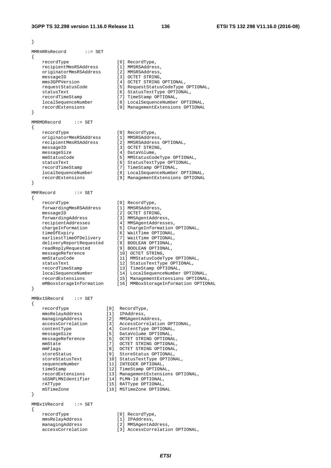```
MMR4RRsRecord ::= SET 
{ 
 recordType [0] RecordType, 
 recipientMmsRSAddress [1] MMSRSAddress, 
 originatorMmsRSAddress [2] MMSRSAddress, 
messageID [3] OCTET STRING,
 mms3GPPVersion [4] OCTET STRING OPTIONAL, 
 requestStatusCode [5] RequestStatusCodeType OPTIONAL, 
 statusText [6] StatusTextType OPTIONAL, 
 recordTimeStamp [7] TimeStamp OPTIONAL, 
 localSequenceNumber [8] LocalSequenceNumber OPTIONAL, 
 recordExtensions [9] ManagementExtensions OPTIONAL 
} 
MMRMDRecord ::= SET 
{ 
 recordType [0] RecordType, 
 originatorMmsRSAddress [1] MMSRSAddress, 
 recipientMmsRSAddress [2] MMSRSAddress OPTIONAL, 
messageID [3] OCTET STRING,
messageSize [4] DataVolume,
 mmStatusCode [5] MMStatusCodeType OPTIONAL, 
 statusText [6] StatusTextType OPTIONAL, 
 recordTimeStamp [7] TimeStamp OPTIONAL, 
 localSequenceNumber [8] LocalSequenceNumber OPTIONAL, 
 recordExtensions [9] ManagementExtensions OPTIONAL 
} 
MMFRecord ::= SET 
{ 
 recordType [0] RecordType, 
 forwardingMmsRSAddress [1] MMSRSAddress, 
messageID [2] OCTET STRING,
 forwardingAddress [3] MMSAgentAddress, 
 recipientAddresses [4] MMSAgentAddresses, 
 chargeInformation [5] ChargeInformation OPTIONAL, 
 timeOfExpiry [6] WaitTime OPTIONAL, 
 earliestTimeOfDelivery [7] WaitTime OPTIONAL, 
 deliveryReportRequested [8] BOOLEAN OPTIONAL, 
 readReplyRequested [9] BOOLEAN OPTIONAL, 
messageReference [10] OCTET STRING,
 mmStatusCode [11] MMStatusCodeType OPTIONAL, 
 statusText [12] StatusTextType OPTIONAL, 
 recordTimeStamp [13] TimeStamp OPTIONAL, 
 localSequenceNumber [14] LocalSequenceNumber OPTIONAL, 
 recordExtensions [15] ManagementExtensions OPTIONAL, 
 mMBoxstorageInformation [16] MMBoxStorageInformation OPTIONAL 
} 
MMBx1SRecord ::= SET 
{ 
 recordType [0] RecordType, 
 mmsRelayAddress [1] IPAddress, 
 managingAddress [2] MMSAgentAddress, 
 accessCorrelation [3] AccessCorrelation OPTIONAL, 
 contentType [4] ContentType OPTIONAL, 
 messageSize [5] DataVolume OPTIONAL, 
 messageReference [6] OCTET STRING OPTIONAL, 
 mmState [7] OCTET STRING OPTIONAL, 
 mmFlags [8] OCTET STRING OPTIONAL, 
 storeStatus [9] StoreStatus OPTIONAL, 
 storeStatusText [10] StatusTextType OPTIONAL, 
sequenceNumber [11] INTEGER OPTIONAL,
 timeStamp [12] TimeStamp OPTIONAL, 
 recordExtensions [13] ManagementExtensions OPTIONAL, 
 sGSNPLMNIdentifier [14] PLMN-Id OPTIONAL, 
 rATType [15] RATType OPTIONAL, 
 mSTimeZone [16] MSTimeZone OPTIONAL 
} 
MMBx1VRecord ::= SET 
{ 
   recordType [0] RecordType,<br>mmsRelayAddress [1] IPAddress,<br>managings.ddu.
 mmsRelayAddress [1] IPAddress, 
 managingAddress [2] MMSAgentAddress, 
                         accessCorrelation [3] AccessCorrelation OPTIONAL,
```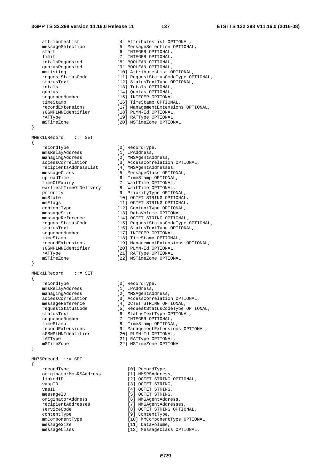{

}

{

}

{

 attributesList [4] AttributesList OPTIONAL, messageSelection [5] MessageSelection OPTIONAL, start [6] INTEGER OPTIONAL, limit  $[7]$  INTEGER OPTIONAL, totalsRequested [8] BOOLEAN OPTIONAL, quotasRequested [9] BOOLEAN OPTIONAL, mmListing [10] AttributesList OPTIONAL, requestStatusCode [11] RequestStatusCodeType OPTIONAL, statusText [12] StatusTextType OPTIONAL, totals [13] Totals OPTIONAL, quotas [14] Quotas OPTIONAL, sequenceNumber [15] INTEGER OPTIONAL, timeStamp [16] TimeStamp OPTIONAL, recordExtensions [17] ManagementExtensions OPTIONAL, sGSNPLMNIdentifier [18] PLMN-Id OPTIONAL, rATType  $[19]$  RATType OPTIONAL, mSTimeZone [20] MSTimeZone OPTIONAL MMBx1URecord ::= SET recordType [0] RecordType, mmsRelayAddress [1] IPAddress, managingAddress [2] MMSAgentAddress, accessCorrelation [3] AccessCorrelation OPTIONAL, recipientsAddressList [4] MMSAgentAddresses, messageClass [5] MessageClass OPTIONAL, uploadTime [6] TimeStamp OPTIONAL, timeOfExpiry [7] WaitTime OPTIONAL, earliestTimeOfDelivery [8] WaitTime OPTIONAL, priority [9] PriorityType OPTIONAL, mmState [10] OCTET STRING OPTIONAL,<br>mmFlags [11] OCTET STRING OPTIONAL, [11] OCTET STRING OPTIONAL,<br>[12] ContentType OPTIONAL, contentType [12] ContentType OPTIONAL, messageSize [13] DataVolume OPTIONAL, messageReference [14] OCTET STRING OPTIONAL, requestStatusCode [15] RequestStatusCodeType OPTIONAL, statusText [16] StatusTextType OPTIONAL, sequenceNumber [17] INTEGER OPTIONAL, timeStamp [18] TimeStamp OPTIONAL, recordExtensions [19] ManagementExtensions OPTIONAL, sGSNPLMNIdentifier [20] PLMN-Id OPTIONAL, rATType [21] RATType OPTIONAL, mSTimeZone [22] MSTimeZone OPTIONAL MMBx1DRecord ::= SET recordType [0] RecordType, mmsRelayAddress [1] IPAddress, managingAddress [2] MMSAgentAddress, accessCorrelation [3] AccessCorrelation OPTIONAL, messageReference [4] OCTET STRING OPTIONAL, requestStatusCode [5] RequestStatusCodeType OPTIONAL, statusText [6] StatusTextType OPTIONAL, sequenceNumber [7] INTEGER OPTIONAL, timeStamp [8] TimeStamp OPTIONAL, recordExtensions [9] ManagementExtensions OPTIONAL, sGSNPLMNIdentifier [20] PLMN-Id OPTIONAL, rATType  $[21]$  RATType OPTIONAL, mSTimeZone [22] MSTimeZone OPTIONAL MM7SRecord ::= SET recordType [0] RecordType,<br>originatorMmsRSAddress [1] MMSRSAddress, originatorMmsRSAddress<br>linkedID [2] OCTET STRING OPTIONAL, vaspID [3] OCTET STRING,<br>vasID [4] OCTET STRING. vasID  $[4]$  OCTET STRING, messageID [5] OCTET STRING, originatorAddress [6] MMSAgentAddress, recipientAddresses [7] MMSAgentAddresses, serviceCode [8] OCTET STRING OPTIONAL, contentType [9] ContentType, mmComponentType [10] MMComponentType OPTIONAL, messageSize **busines** [11] DataVolume, messageClass [12] MessageClass OPTIONAL,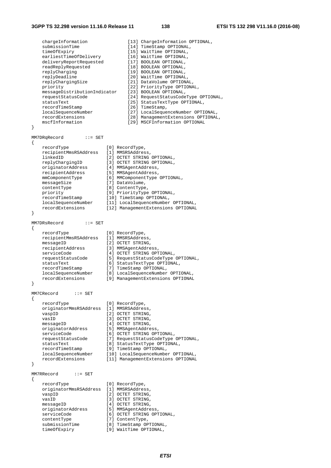```
 chargeInformation [13] ChargeInformation OPTIONAL, 
   submissionTime [14] TimeStamp OPTIONAL,<br>timeOfExpiry [15] WaitTime OPTIONAL,
 timeOfExpiry [15] WaitTime OPTIONAL, 
 earliestTimeOfDelivery [16] WaitTime OPTIONAL, 
 deliveryReportRequested [17] BOOLEAN OPTIONAL, 
 readReplyRequested [18] BOOLEAN OPTIONAL, 
 replyCharging [19] BOOLEAN OPTIONAL, 
   replyCharging (19) 800LEAN OPTIONAL,<br>replyDeadline [20] WaitTime OPTIONAL,<br>replyChargingSize [21] DataVolume OPTIONAL,
                              [21] DataVolume OPTIONAL,
   priority [22] PriorityType OPTIONAL,
   messageDistributionIndicator [23] BOOLEAN OPTIONAL,<br>requestStatusCode [24] RequestStatusCode
 requestStatusCode [24] RequestStatusCodeType OPTIONAL, 
 statusText [25] StatusTextType OPTIONAL, 
recordTimeStamp [26] TimeStamp,
 localSequenceNumber [27] LocalSequenceNumber OPTIONAL, 
 recordExtensions [28] ManagementExtensions OPTIONAL, 
    mscfInformation [29] MSCFInformation OPTIONAL 
} 
MM7DRqRecord ::= SET 
{ 
 recordType [0] RecordType, 
 recipientMmsRSAddress [1] MMSRSAddress, 
 linkedID [2] OCTET STRING OPTIONAL, 
 replyChargingID [3] OCTET STRING OPTIONAL, 
 originatorAddress [4] MMSAgentAddress, 
 recipientAddress [5] MMSAgentAddress, 
 mmComponentType [6] MMComponentType OPTIONAL, 
messageSize [7] DataVolume,
 contentType [8] ContentType, 
 priority [9] PriorityType OPTIONAL, 
 recordTimeStamp [10] TimeStamp OPTIONAL, 
 localSequenceNumber [11] LocalSequenceNumber OPTIONAL, 
 recordExtensions [12] ManagementExtensions OPTIONAL 
} 
MM7DRsRecord ::= SET 
{ 
   recordType [0] RecordType,
    recipientMmsRSAddress [1] MMSRSAddress, 
   messageID [2] OCTET STRING,<br>recipientAddress [3] MMSAgentAddress,
 recipientAddress [3] MMSAgentAddress, 
serviceCode [4] OCTET STRING OPTIONAL,
 requestStatusCode [5] RequestStatusCodeType OPTIONAL, 
 statusText [6] StatusTextType OPTIONAL, 
 recordTimeStamp [7] TimeStamp OPTIONAL, 
 localSequenceNumber [8] LocalSequenceNumber OPTIONAL, 
 recordExtensions [9] ManagementExtensions OPTIONAL 
} 
MM7CRecord ::= SET 
{ 
 recordType [0] RecordType, 
 originatorMmsRSAddress [1] MMSRSAddress, 
vaspID [2] OCTET STRING,
vasID [3] OCTET STRING,
messageID [4] OCTET STRING,
 originatorAddress [5] MMSAgentAddress, 
serviceCode [6] OCTET STRING OPTIONAL,
 requestStatusCode [7] RequestStatusCodeType OPTIONAL, 
 statusText [8] StatusTextType OPTIONAL, 
 recordTimeStamp [9] TimeStamp OPTIONAL, 
 localSequenceNumber [10] LocalSequenceNumber OPTIONAL, 
 recordExtensions [11] ManagementExtensions OPTIONAL 
} 
MM7RRecord ::= SET 
{ 
    recordType [0] RecordType, 
    originatorMmsRSAddress [1] MMSRSAddress, 
   vaspID [2] OCTET STRING,
   vasID [3] OCTET STRING,<br>messageID [4] OCTET STRING,
   messageID [4] OCTET STRING,<br>originatorAddress [5] MMSAgentAddress,<br>serviceCode [6] OCTET STRING OPT
 originatorAddress [5] MMSAgentAddress, 
serviceCode [6] OCTET STRING OPTIONAL,
 contentType [7] ContentType, 
 submissionTime [8] TimeStamp OPTIONAL, 
 timeOfExpiry [9] WaitTime OPTIONAL,
```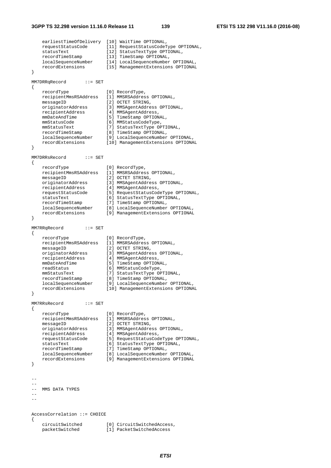earliestTimeOfDelivery [10] WaitTime OPTIONAL, requestStatusCode [11] RequestStatusCodeType OPTIONAL, statusText [12] StatusTextType OPTIONAL, recordTimeStamp [13] TimeStamp OPTIONAL, localSequenceNumber [14] LocalSequenceNumber OPTIONAL, recordExtensions [15] ManagementExtensions OPTIONAL } MM7DRRqRecord ::= SET { recordType [0] RecordType, recipientMmsRSAddress [1] MMSRSAddress OPTIONAL, messageID [2] OCTET STRING, originatorAddress [3] MMSAgentAddress OPTIONAL, recipientAddress [4] MMSAgentAddress, mmDateAndTime [5] TimeStamp OPTIONAL, mmStatusCode [6] MMStatusCodeType, mmStatusText [7] StatusTextType OPTIONAL, recordTimeStamp [8] TimeStamp OPTIONAL, localSequenceNumber [9] LocalSequenceNumber OPTIONAL, recordExtensions [10] ManagementExtensions OPTIONAL } MM7DRRsRecord ::= SET { recordType [0] RecordType, recipientMmsRSAddress [1] MMSRSAddress OPTIONAL, messageID [2] OCTET STRING, originatorAddress [3] MMSAgentAddress OPTIONAL, recipientAddress [4] MMSAgentAddress, requestStatusCode [5] RequestStatusCodeType OPTIONAL, statusText [6] StatusTextType OPTIONAL, recordTimeStamp [7] TimeStamp OPTIONAL, localSequenceNumber [8] LocalSequenceNumber OPTIONAL, recordExtensions [9] ManagementExtensions OPTIONAL } MM7RRqRecord ::= SET { recordType [0] RecordType, recipientMmsRSAddress [1] MMSRSAddress OPTIONAL, messageID [2] OCTET STRING, originatorAddress [3] MMSAgentAddress OPTIONAL, recipientAddress [4] MMSAgentAddress, mmDateAndTime [5] TimeStamp OPTIONAL, readStatus [6] MMStatusCodeType, mmStatusText [7] StatusTextType OPTIONAL, recordTimeStamp [8] TimeStamp OPTIONAL, localSequenceNumber [9] LocalSequenceNumber OPTIONAL, recordExtensions [10] ManagementExtensions OPTIONAL } MM7RRsRecord ::= SET { recordType [0] RecordType,<br>recipientMmsRSAddress [1] MMSRSAddress OPTIONAL, recipientMmsRSAddress [1] MMSRSAddress OPTIONAL, messageID [2] OCTET STRING, originatorAddress [3] MMSAgentAddress OPTIONAL, recipientAddress [4] MMSAgentAddress, requestStatusCode [5] RequestStatusCodeType OPTIONAL, statusText [6] StatusTextType OPTIONAL, recordTimeStamp [7] TimeStamp OPTIONAL, localSequenceNumber [8] LocalSequenceNumber OPTIONAL, recordExtensions [9] ManagementExtensions OPTIONAL } -- -- -- MMS DATA TYPES  $-$ -- AccessCorrelation ::= CHOICE { circuitSwitched [0] CircuitSwitchedAccess, [1] PacketSwitchedAccess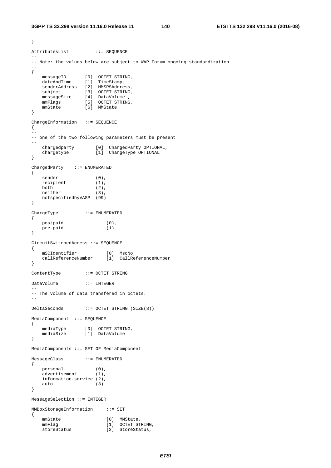```
} 
AttributesList ::= SEQUENCE
-- 
-- Note: the values below are subject to WAP Forum ongoing standardization 
-- 
{ 
 messageID [0] OCTET STRING, 
 dateAndTime [1] TimeStamp, 
 senderAddress [2] MMSRSAddress, 
 subject [3] OCTET STRING, 
 messageSize [4] DataVolume , 
 mmFlags [5] OCTET STRING, 
 mmState [6] MMState 
} 
ChargeInformation ::= SEQUENCE 
{ 
-- 
-- one of the two following parameters must be present 
-- 
 chargedparty [0] ChargedParty OPTIONAL, 
 chargetype [1] ChargeType OPTIONAL 
} 
ChargedParty ::= ENUMERATED 
{ 
sender (0),
recipient (1),
both (2),
neither (3),
   notspecifiedbyVASP (99) 
} 
ChargeType ::= ENUMERATED 
{ 
    postpaid (0), 
   pre-paid (1) 
} 
CircuitSwitchedAccess ::= SEQUENCE 
{ 
 mSCIdentifier [0] MscNo, 
 callReferenceNumber [1] CallReferenceNumber 
} 
ContentType ::= OCTET STRING 
DataVolume ::= INTEGER 
-- 
-- The volume of data transfered in octets. 
-- 
DeltaSeconds ::= OCTET STRING (SIZE(8)) 
MediaComponent ::= SEQUENCE 
{ 
 mediaType [0] OCTET STRING, 
 mediaSize [1] DataVolume 
} 
MediaComponents ::= SET OF MediaComponent 
MessageClass ::= ENUMERATED 
{ 
 personal (0), 
 advertisement (1), 
   information-service (2),<br>auto (3)
   auto
} 
MessageSelection ::= INTEGER 
MMBoxStorageInformation ::= SET 
{ 
mmState [0] MMState,
mmFlag [1] OCTET STRING,
storeStatus [2] StoreStatus,
```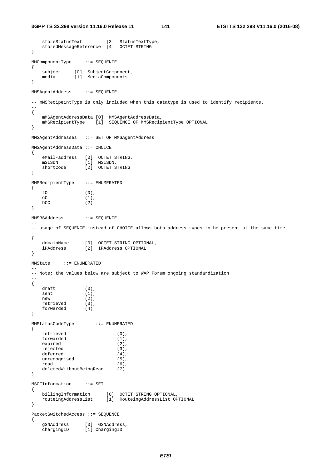storeStatusText [3] StatusTextType,

```
 storedMessageReference [4] OCTET STRING 
} 
MMComponentType ::= SEQUENCE 
{ 
 subject [0] SubjectComponent, 
 media [1] MediaComponents 
} 
MMSAgentAddress ::= SEQUENCE 
-- 
-- mMSRecipeintType is only included when this datatype is used to identify recipients. 
-- 
{ 
    mMSAgentAddressData [0] MMSAgentAddressData, 
    mMSRecipientType [1] SEQUENCE OF MMSRecipientType OPTIONAL 
} 
MMSAgentAddresses ::= SET OF MMSAgentAddress 
MMSAgentAddressData ::= CHOICE 
{ 
    eMail-address [0] OCTET STRING, 
 mSISDN [1] MSISDN, 
 shortCode [2] OCTET STRING 
} 
MMSRecipientType ::= ENUMERATED 
{ 
   tO (0),<br>cC (1).\begin{array}{cc} cC & (1), \\ bCC & (2) \end{array}(2)} 
MMSRSAddress ::= SEQUENCE 
-- 
-- usage of SEQUENCE instead of CHOICE allows both address types to be present at the same time 
-{ 
 domainName [0] OCTET STRING OPTIONAL, 
 iPAddress [2] IPAddress OPTIONAL 
} 
MMState ::= ENUMERATED 
-- 
-- Note: the values below are subject to WAP Forum ongoing standardization 
-{ 
   draff (0),
   sent (1),
new (2),
 retrieved (3), 
 forwarded (4) 
} 
MMStatusCodeType ::= ENUMERATED 
{ 
   retrieved (0),
   forwarded (1),
    expired (2), 
    rejected (3), 
   deferred (4),<br>unrecognised (5),
   unrecognised
   read (6),
    deletedWithoutBeingRead (7) 
} 
MSCFInformation ::= SET 
{ 
 billingInformation [0] OCTET STRING OPTIONAL, 
 routeingAddressList [1] RouteingAddressList OPTIONAL 
} 
PacketSwitchedAccess ::= SEQUENCE 
{ 
 gSNAddress [0] GSNAddress, 
 chargingID [1] ChargingID
```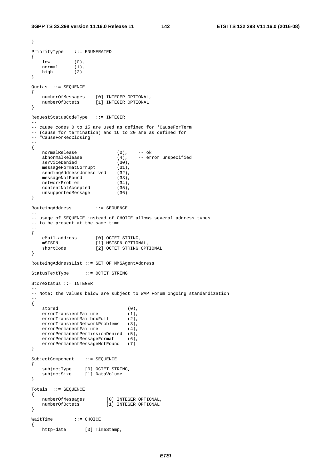```
PriorityType ::= ENUMERATED 
{ 
 low (0), 
 normal (1), 
 high (2) 
} 
Quotas ::= SEQUENCE 
{ 
 numberOfMessages [0] INTEGER OPTIONAL, 
 numberOfOctets [1] INTEGER OPTIONAL 
} 
RequestStatusCodeType ::= INTEGER 
-- 
-- cause codes 0 to 15 are used as defined for 'CauseForTerm' 
-- (cause for termination) and 16 to 20 are as defined for 
-- "CauseForRecClosing" 
-- 
{ 
  normalRelease (0),<br>abnormalRelease (4),
                          (0), -- ok<br>(4), -- error unspecified<br>(30),serviceDenied (30),
messageFormatCorrupt (31),
   sendingAddressUnresolved (32),
messageNotFound (33),
networkProblem (34),
 contentNotAccepted (35), 
 unsupportedMessage (36) 
} 
RouteingAddress ::= SEQUENCE 
-- 
-- usage of SEQUENCE instead of CHOICE allows several address types 
-- to be present at the same time 
-{ 
 eMail-address [0] OCTET STRING, 
 mSISDN [1] MSISDN OPTIONAL, 
    shortCode [2] OCTET STRING OPTIONAL 
} 
RouteingAddressList ::= SET OF MMSAgentAddress 
StatusTextType ::= OCTET STRING 
StoreStatus ::= INTEGER 
-- 
-- Note: the values below are subject to WAP Forum ongoing standardization 
-- 
{ 
stored (0),
errorTransientFailure (1),
 errorTransientMailboxFull (2), 
   errorTransientNetworkProblems (3),
   errorPermanentFailure (4),
    errorPermanentPermissionDenied (5), 
   errorPermanentMessageFormat (6),
   errorPermanentMessageNotFound (7)
} 
SubjectComponent ::= SEQUENCE
{ 
 subjectType [0] OCTET STRING, 
 subjectSize [1] DataVolume 
} 
Totals ::= SEQUENCE 
{ 
 numberOfMessages [0] INTEGER OPTIONAL, 
 numberOfOctets [1] INTEGER OPTIONAL 
} 
WaitTime ::= CHOICE 
{ 
   http-date [0] TimeStamp,
```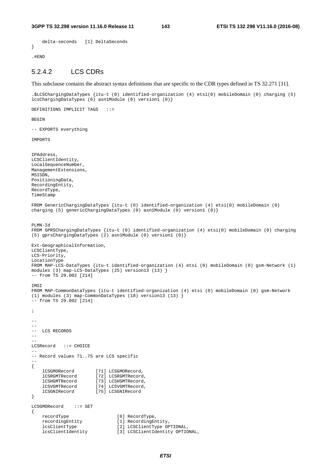```
 delta-seconds [1] DeltaSeconds 
}
```
.#END

## 5.2.4.2 LCS CDRs

This subclause contains the abstract syntax definitions that are specific to the CDR types defined in TS 32.271 [31].

.\$LCSChargingDataTypes {itu-t (0) identified-organization (4) etsi(0) mobileDomain (0) charging (5) lcsChargingDataTypes (6) asn1Module (0) version1 (0)}

DEFINITIONS IMPLICIT TAGS ::=

**BEGIN** 

-- EXPORTS everything

IMPORTS

```
IPAddress, 
LCSClientIdentity, 
LocalSequenceNumber, 
ManagementExtensions, 
MSISDN, 
PositioningData, 
RecordingEntity, 
RecordType, 
TimeStamp 
FROM GenericChargingDataTypes {itu-t (0) identified-organization (4) etsi(0) mobileDomain (0) 
charging (5) genericChargingDataTypes (0) asn1Module (0) version1 (0)} 
PLMN-Id 
FROM GPRSChargingDataTypes {itu-t (0) identified-organization (4) etsi(0) mobileDomain (0) charging 
(5) gprsChargingDataTypes (2) asn1Module (0) version1 (0)} 
Ext-GeographicalInformation, 
LCSClientType, 
LCS-Priority, 
LocationType 
FROM MAP-LCS-DataTypes {itu-t identified-organization (4) etsi (0) mobileDomain (0) gsm-Network (1) 
modules (3) map-LCS-DataTypes (25) version13 (13) } 
-- from TS 29.002 [214] 
TMST
FROM MAP-CommonDataTypes {itu-t identified-organization (4) etsi (0) mobileDomain (0) gsm-Network 
(1) modules (3) map-CommonDataTypes (18) version13 (13) } 
-- from TS 29.002 [214] 
; 
-- 
-- 
-- LCS RECORDS 
--LCSRecord ::= CHOICE 
-- 
-- Record values 71..75 are LCS specific 
-- 
{ 
 lCSGMORecord [71] LCSGMORecord, 
 lCSRGMTRecord [72] LCSRGMTRecord, 
    lCSHGMTRecord [73] LCSHGMTRecord,
    lCSVGMTRecord [74] LCSVGMTRecord<br>lCSGNIRecord [75] LCSGNIRecord
                         lCSGNIRecord [75] LCSGNIRecord 
} 
LCSGMORecord ::= SET 
{ 
    recordType [0] RecordType,<br>recordingEntity [1] RecordingEntity [1] RecordingEntity
                                 [1] RecordingEntity,
     lcsClientType [2] LCSClientType OPTIONAL, 
     lcsClientIdentity [3] LCSClientIdentity OPTIONAL,
```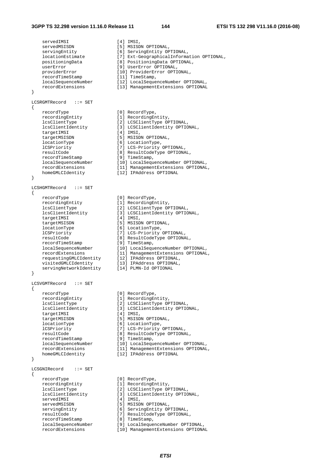#### **3GPP TS 32.298 version 11.16.0 Release 11 144 ETSI TS 132 298 V11.16.0 (2016-08)**

```
servedIMSI [4] IMSI,<br>servedMSISDN [5] MSISDN OPTIONAL,
servedMSISDN [5] MSISDN OPTIONAL,
 servingEntity [6] ServingEntity OPTIONAL, 
 positioningData [8] PositioningData OPTIONAL, 
 userError [9] UserError OPTIONAL, 
 providerError [10] ProviderError OPTIONAL, 
 recordTimeStamp [11] TimeStamp, 
} 
LCSRGMTRecord ::= SET 
{ 
 recordType [0] RecordType, 
 recordingEntity [1] RecordingEntity, 
 lcsClientType [2] LCSClientType OPTIONAL, 
 targetIMSI [4] IMSI, 
 targetMSISDN [5] MSISDN OPTIONAL, 
 locationType [6] LocationType, 
 lCSPriority [7] LCS-Priority OPTIONAL, 
 resultCode [8] ResultCodeType OPTIONAL, 
recordTimeStamp [9] TimeStamp,
 homeGMLCIdentity [12] IPAddress OPTIONAL 
} 
LCSHGMTRecord ::= SET 
{ 
 recordType [0] RecordType, 
 recordingEntity [1] RecordingEntity, 
 lcsClientType [2] LCSClientType OPTIONAL, 
 targetIMSI [4] IMSI, 
 targetMSISDN [5] MSISDN OPTIONAL, 
 locationType [6] LocationType, 
 lCSPriority [7] LCS-Priority OPTIONAL, 
 resultCode [8] ResultCodeType OPTIONAL, 
recordTimeStamp [9] TimeStamp,
 requestingGMLCIdentity [12] IPAddress OPTIONAL, 
 visitedGMLCIdentity [13] IPAddress OPTIONAL, 
 servingNetworkIdentity [14] PLMN-Id OPTIONAL 
} 
LCSVGMTRecord ::= SET 
{ 
 recordType [0] RecordType, 
 recordingEntity [1] RecordingEntity, 
 lcsClientType [2] LCSClientType OPTIONAL, 
 targetIMSI [4] IMSI, 
 targetMSISDN [5] MSISDN OPTIONAL, 
 locationType [6] LocationType, 
 lCSPriority [7] LCS-Priority OPTIONAL, 
 resultCode [8] ResultCodeType OPTIONAL, 
recordTimeStamp [9] TimeStamp,
 homeGMLCIdentity [12] IPAddress OPTIONAL 
} 
LCSGNIRecord ::= SET 
{ 
 recordType [0] RecordType, 
 recordingEntity [1] RecordingEntity, 
 lcsClientType [2] LCSClientType OPTIONAL, 
   lcsClientType [2] LCSClientType OPTIONAL,<br>lcsClientIdentity [3] LCSClientIdentity OPTIONAL,<br>servedIMSISDN [4] IMSI,<br>servedMSISDN [5] MSISDN OPTIONAL,
  1<br>CSC ILENTER<br>ServedMSISDN<br>Serving Entity<br>COMBISTIE
servedMSISDN [5] MSISDN OPTIONAL,
 servingEntity [6] ServingEntity OPTIONAL, 
 resultCode [7] ResultCodeType OPTIONAL, 
 recordTimeStamp [8] TimeStamp, 
 localSequenceNumber [9] LocalSequenceNumber OPTIONAL, 
 recordExtensions [10] ManagementExtensions OPTIONAL
```

```
 locationEstimate [7] Ext-GeographicalInformation OPTIONAL, 
 localSequenceNumber [12] LocalSequenceNumber OPTIONAL, 
 recordExtensions [13] ManagementExtensions OPTIONAL 
 lcsClientIdentity [3] LCSClientIdentity OPTIONAL, 
 localSequenceNumber [10] LocalSequenceNumber OPTIONAL, 
 recordExtensions [11] ManagementExtensions OPTIONAL, 
 lcsClientIdentity [3] LCSClientIdentity OPTIONAL, 
 localSequenceNumber [10] LocalSequenceNumber OPTIONAL, 
 recordExtensions [11] ManagementExtensions OPTIONAL, 
 lcsClientIdentity [3] LCSClientIdentity OPTIONAL, 
 localSequenceNumber [10] LocalSequenceNumber OPTIONAL, 
 recordExtensions [11] ManagementExtensions OPTIONAL,
```
- 
- 
- 
- 
- 
- 
- 
- 
- 
-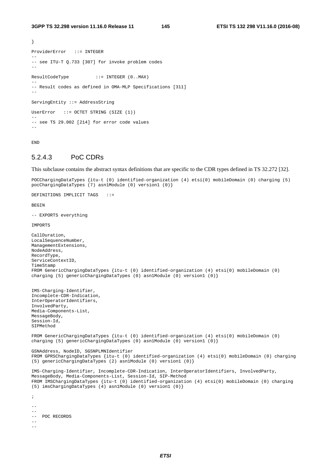```
} 
ProviderError ::= INTEGER 
-- 
-- see ITU-T Q.733 [307] for invoke problem codes 
-- 
ResultCodeType ::= INTEGER (0..MAX) 
-- 
-- Result codes as defined in OMA-MLP Specifications [311] 
-- 
ServingEntity ::= AddressString 
UserError ::= OCTET STRING (SIZE (1)) 
-- 
-- see TS 29.002 [214] for error code values
```
END

## 5.2.4.3 PoC CDRs

This subclause contains the abstract syntax definitions that are specific to the CDR types defined in TS 32.272 [32].

```
POCChargingDataTypes {itu-t (0) identified-organization (4) etsi(0) mobileDomain (0) charging (5) 
pocChargingDataTypes (7) asn1Module (0) version1 (0)} 
DEFINITIONS IMPLICIT TAGS ::= 
BEGIN
-- EXPORTS everything 
IMPORTS 
CallDuration, 
LocalSequenceNumber, 
ManagementExtensions, 
NodeAddress, 
RecordType, 
ServiceContextID, 
TimeStamp 
FROM GenericChargingDataTypes {itu-t (0) identified-organization (4) etsi(0) mobileDomain (0) 
charging (5) genericChargingDataTypes (0) asn1Module (0) version1 (0)} 
IMS-Charging-Identifier, 
Incomplete-CDR-Indication, 
InterOperatorIdentifiers, 
InvolvedParty, 
Media-Components-List, 
MessageBody, 
Session-Id, 
SIPMethod 
FROM GenericChargingDataTypes {itu-t (0) identified-organization (4) etsi(0) mobileDomain (0) 
charging (5) genericChargingDataTypes (0) asn1Module (0) version1 (0)} 
GSNAddress, NodeID, SGSNPLMNIdentifier 
FROM GPRSChargingDataTypes {itu-t (0) identified-organization (4) etsi(0) mobileDomain (0) charging 
(5) genericChargingDataTypes (2) asn1Module (0) version1 (0)} 
IMS-Charging-Identifier, Incomplete-CDR-Indication, InterOperatorIdentifiers, InvolvedParty, 
MessageBody, Media-Components-List, Session-Id, SIP-Method 
FROM IMSChargingDataTypes {itu-t (0) identified-organization (4) etsi(0) mobileDomain (0) charging 
(5) imsChargingDataTypes (4) asn1Module (0) version1 (0)} 
; 
--- 
-- POC RECORDS 
---
```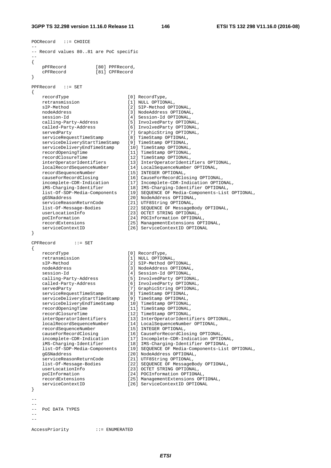```
3GPP TS 32.298 version 11.16.0 Release 11 146 ETSI TS 132 298 V11.16.0 (2016-08)
```

```
POCRecord ::= CHOICE 
-- 
-- Record values 80..81 are PoC specific 
-- 
{ 
    pPFRecord [80] PPFRecord, 
                    [81] CPFRecord
} 
PPFRecord ::= SET 
{ 
    recordType [0] RecordType, 
    retransmission [1] NULL OPTIONAL, 
    sIP-Method [2] SIP-Method OPTIONAL, 
   nodeAddress [3] NodeAddress OPTIONAL,
   session-Id [4] Session-Id OPTIONAL,
 calling-Party-Address [5] InvolvedParty OPTIONAL, 
 called-Party-Address [6] InvolvedParty OPTIONAL, 
 servedParty [7] GraphicString OPTIONAL, 
 serviceRequestTimeStamp [8] TimeStamp OPTIONAL, 
 serviceDeliveryStartTimeStamp [9] TimeStamp OPTIONAL, 
 serviceDeliveryEndTimeStamp [10] TimeStamp OPTIONAL, 
 recordOpeningTime [11] TimeStamp OPTIONAL, 
 recordClosureTime [12] TimeStamp OPTIONAL, 
 interOperatorIdentifiers [13] InterOperatorIdentifiers OPTIONAL, 
 localRecordSequenceNumber [14] LocalSequenceNumber OPTIONAL, 
 recordSequenceNumber [15] INTEGER OPTIONAL, 
 causeForRecordClosing [16] CauseForRecordClosing OPTIONAL, 
 incomplete-CDR-Indication [17] Incomplete-CDR-Indication OPTIONAL, 
 iMS-Charging-Identifier [18] IMS-Charging-Identifier OPTIONAL, 
 list-Of-SDP-Media-Components [19] SEQUENCE OF Media-Components-List OPTIONAL, 
 gGSNaddress [20] NodeAddress OPTIONAL, 
 serviceReasonReturnCode [21] UTF8String OPTIONAL, 
 list-Of-Message-Bodies [22] SEQUENCE OF MessageBody OPTIONAL, 
 userLocationInfo [23] OCTET STRING OPTIONAL, 
 poCInformation [24] POCInformation OPTIONAL, 
 recordExtensions [25] ManagementExtensions OPTIONAL, 
 serviceContextID [26] ServiceContextID OPTIONAL 
} 
CPFRecord ::= SET 
{ 
   recordType [0] RecordType,
   retransmission [1] NULL OPTIONAL,
    sIP-Method [2] SIP-Method OPTIONAL, 
                             [3] NodeAddress OPTIONAL,<br>[4] Session-Id OPTIONAL,
 session-Id [4] Session-Id OPTIONAL, 
 calling-Party-Address [5] InvolvedParty OPTIONAL, 
 called-Party-Address [6] InvolvedParty OPTIONAL, 
 servedParty [7] GraphicString OPTIONAL, 
 serviceRequestTimeStamp [8] TimeStamp OPTIONAL, 
   serviceDeliveryStartTimeStamp [9] TimeStamp OPTIONAL,<br>serviceDeliveryStartTimeStamp [9] TimeStamp OPTIONAL,<br>serviceDeliveryEndTimeStamp [10] TimeStamp OPTIONAL,<br>recordOpeningTime
 serviceDeliveryEndTimeStamp [10] TimeStamp OPTIONAL, 
 recordOpeningTime [11] TimeStamp OPTIONAL, 
 recordClosureTime [12] TimeStamp OPTIONAL, 
 interOperatorIdentifiers [13] InterOperatorIdentifiers OPTIONAL, 
 localRecordSequenceNumber [14] LocalSequenceNumber OPTIONAL, 
 recordSequenceNumber [15] INTEGER OPTIONAL, 
 causeForRecordClosing [16] CauseForRecordClosing OPTIONAL, 
 incomplete-CDR-Indication [17] Incomplete-CDR-Indication OPTIONAL, 
 iMS-Charging-Identifier [18] IMS-Charging-Identifier OPTIONAL, 
 list-Of-SDP-Media-Components [19] SEQUENCE OF Media-Components-List OPTIONAL, 
 gGSNaddress [20] NodeAddress OPTIONAL, 
 serviceReasonReturnCode [21] UTF8String OPTIONAL, 
 list-Of-Message-Bodies [22] SEQUENCE OF MessageBody OPTIONAL, 
 userLocationInfo [23] OCTET STRING OPTIONAL, 
 poCInformation [24] POCInformation OPTIONAL, 
 recordExtensions [25] ManagementExtensions OPTIONAL, 
   serviceContextID [26] ServiceContextID OPTIONAL
} 
-- 
-- 
-- PoC DATA TYPES 
-- 
--
```

```
AccessPriority ::= ENUMERATED
```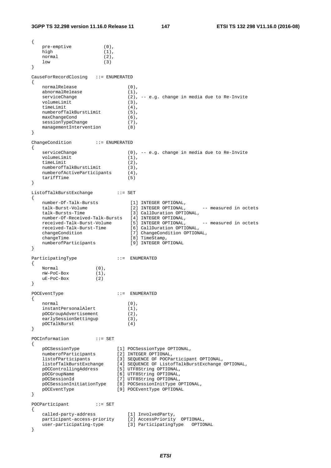```
{ 
    pre-emptive (0), 
   high (1),
    normal (2), 
low (3)
} 
CauseForRecordClosing ::= ENUMERATED 
{ 
   normalRelease (0),<br>abnormalRelease (1),
  abnormalRelease
   serviceChange (2), -- e.g. change in media due to Re-Invite
   volumeLimit (3),
   timeLimit (4),
   numberofTalkBurstLimit (5),
   maxChangeCond (6),
   sessionTypeChange (7),
   managementIntervention (8)
} 
ChangeCondition ::= ENUMERATED 
{ 
   serviceChange (0), -- e.g. change in media due to Re-Invite
   volumeLimit (1),
timeLimit (2),
 numberofTalkBurstLimit (3), 
   numberofActiveParticipants (4),
    tariffTime (5) 
} 
ListofTalkBurstExchange ::= SET 
{ 
   number-Of-Talk-Bursts [1] INTEGER OPTIONAL,<br>
talk-Burst-Volume [2] INTEGER OPTIONAL,<br>
talk-Bursts-Time [3] CallDuration OPTIO
talk-Burst-Volume [2] INTEGER OPTIONAL, -- measured in octets
 talk-Bursts-Time [3] CallDuration OPTIONAL, 
 number-Of-Received-Talk-Bursts [4] INTEGER OPTIONAL, 
received-Talk-Burst-Volume [5] INTEGER OPTIONAL, -- measured in octets
 received-Talk-Burst-Time [6] CallDuration OPTIONAL, 
 changeCondition [7] ChangeCondition OPTIONAL, 
changeTime [8] TimeStamp,
 numberofParticipants [9] INTEGER OPTIONAL 
} 
ParticipatingType ::= ENUMERATED 
{ 
   \begin{aligned} &\text{Normal} \qquad \qquad (0)\,,\\ &\text{nW-PoC-Box} \qquad \qquad (1)\,, \end{aligned} nW-PoC-Box (1), 
    uE-PoC-Box (2) 
} 
POCEventType ::= ENUMERATED 
{ 
   normal (0),<br>instantPersonalAlert (1),
   instantPersonalAlert (1),<br>pOCGroupAdvertisement (2),
  pOCGroupAdvertisement
   earlySessionSettingup (3),
    pOCTalkBurst (4) 
} 
POCInformation ::= SET
{ 
 pOCSessionType [1] POCSessionType OPTIONAL, 
 numberofParticipants [2] INTEGER OPTIONAL, 
 listofParticipants [3] SEQUENCE OF POCParticipant OPTIONAL, 
 listofTalkBurstExchange [4] SEQUENCE OF ListofTalkBurstExchange OPTIONAL, 
 pOCControllingAddress [5] UTF8String OPTIONAL, 
 pOCGroupName [6] UTF8String OPTIONAL, 
 pOCSessionId [7] UTF8String OPTIONAL, 
 pOCSessionInitiationType [8] POCSessionInitType OPTIONAL, 
 pOCEventType [9] POCEventType OPTIONAL 
} 
POCParticipant ::= SET
{ 
 called-party-address [1] InvolvedParty, 
 participant-access-priority [2] AccessPriority OPTIONAL, 
 user-participating-type [3] ParticipatingType OPTIONAL 
}
```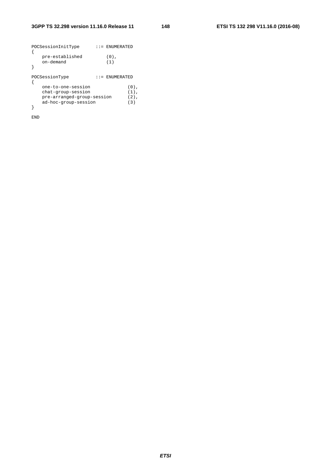|  | POCSessionInitType         |         | $: :=$ ENUMERATED |         |
|--|----------------------------|---------|-------------------|---------|
|  | pre-established            |         | $(0)$ .           |         |
|  | on-demand                  |         | (1)               |         |
|  |                            |         |                   |         |
|  | POCSessionType             | $: z =$ | ENUMERATED        |         |
|  | one-to-one-session         |         |                   | $(0)$ , |
|  | chat-group-session         |         |                   | $(1)$ . |
|  | pre-arranged-group-session | $(2)$ , |                   |         |
|  | ad-hoc-group-session       |         |                   | (3)     |
|  |                            |         |                   |         |

END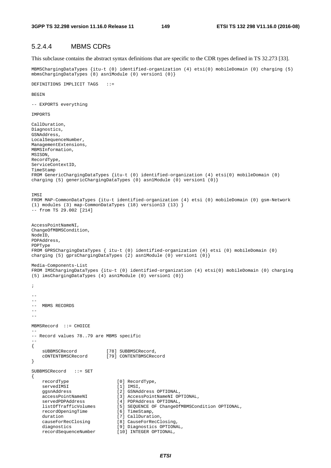## 5.2.4.4 MBMS CDRs

This subclause contains the abstract syntax definitions that are specific to the CDR types defined in TS 32.273 [33].

MBMSChargingDataTypes {itu-t (0) identified-organization (4) etsi(0) mobileDomain (0) charging (5) mbmsChargingDataTypes (8) asn1Module (0) version1 (0)}

DEFINITIONS IMPLICIT TAGS ::=

**BEGIN** 

-- EXPORTS everything

IMPORTS

```
CallDuration, 
Diagnostics, 
GSNAddress, 
LocalSequenceNumber, 
ManagementExtensions, 
MBMSInformation, 
MSISDN, 
RecordType, 
ServiceContextID, 
TimeStamp 
FROM GenericChargingDataTypes {itu-t (0) identified-organization (4) etsi(0) mobileDomain (0) 
charging (5) genericChargingDataTypes (0) asn1Module (0) version1 (0)} 
TMST
FROM MAP-CommonDataTypes {itu-t identified-organization (4) etsi (0) mobileDomain (0) gsm-Network 
(1) modules (3) map-CommonDataTypes (18) version13 (13) } 
-- from TS 29.002 [214] 
AccessPointNameNI, 
ChangeOfMBMSCondition, 
NodeID, 
PDPAddress, 
PDPType 
FROM GPRSChargingDataTypes { itu-t (0) identified-organization (4) etsi (0) mobileDomain (0) 
charging (5) gprsChargingDataTypes (2) asn1Module (0) version1 (0)} 
Media-Components-List 
FROM IMSChargingDataTypes {itu-t (0) identified-organization (4) etsi(0) mobileDomain (0) charging 
(5) imsChargingDataTypes (4) asn1Module (0) version1 (0)} 
; 
-- 
-- 
-- MBMS RECORDS
--- 
MBMSRecord ::= CHOICE 
- -
-- Record values 78..79 are MBMS specific 
-- 
{ 
    sUBBMSCRecord [78] SUBBMSCRecord,<br>cONTENTBMSCRecord [79] CONTENTBMSCRec
                              cONTENTBMSCRecord [79] CONTENTBMSCRecord 
} 
SUBBMSCRecord ::= SET 
{ 
    recordType [0] RecordType,
    servedIMSI [1] IMSI,
     ggsnAddress [2] GSNAddress OPTIONAL, 
     accessPointNameNI [3] AccessPointNameNI OPTIONAL, 
     servedPDPAddress [4] PDPAddress OPTIONAL, 
    listOfTrafficVolumes [5] SEQUENCE OF ChangeOfMBMSCondition OPTIONAL,<br>recordOpeningTime [6] TimeStamp,
    recordOpeningTime<br>duration
    duration [7] CallDuration,<br>causeForRecClosing [8] CauseForRecCl
                                  causeForRecClosing [8] CauseForRecClosing, 
    diagnostics [9] Diagnostics OPTIONAL,
     recordSequenceNumber [10] INTEGER OPTIONAL,
```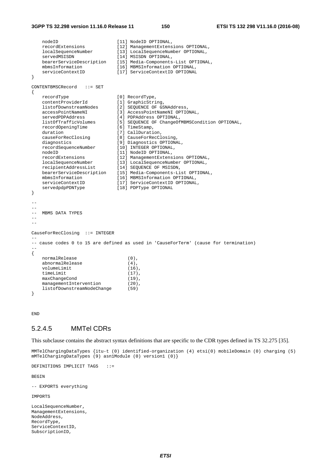#### **3GPP TS 32.298 version 11.16.0 Release 11 150 ETSI TS 132 298 V11.16.0 (2016-08)**

```
nodeID [11] NodeID OPTIONAL,
    recordExtensions [12] ManagementExtensions OPTIONAL, 
                              localSequenceNumber [13] LocalSequenceNumber OPTIONAL, 
   servedMSISDN [14] MSISDN OPTIONAL,
    bearerServiceDescription [15] Media-Components-List OPTIONAL, 
   mbmsInformation [16] MBMSInformation OPTIONAL,<br>serviceContextID [17] ServiceContextID OPTIONAL
                             [17] ServiceContextID OPTIONAL
} 
CONTENTBMSCRecord ::= SET 
{ 
    recordType [0] RecordType, 
   contentProviderId [1] GraphicString,
    listofDownstreamNodes [2] SEQUENCE OF GSNAddress, 
    accessPointNameNI [3] AccessPointNameNI OPTIONAL, 
   servedPDPAddress [4] PDPAddress OPTIONAL,<br>listOfTrafficVolumes [5] SEOUENCE OF ChangeOf
                             listoffragence of ChangeOfMBMSCondition OPTIONAL,<br>[6] TimeStamp,
   recordOpeningTime<br>duration
   duration [7] CallDuration,<br>causeForRecClosing [8] CauseForRecCl
                              [8] CauseForRecClosing,
   diagnostics [9] Diagnostics OPTIONAL,
    recordSequenceNumber [10] INTEGER OPTIONAL, 
   nodeID [11] NodeID OPTIONAL,
    recordExtensions [12] ManagementExtensions OPTIONAL, 
 localSequenceNumber [13] LocalSequenceNumber OPTIONAL, 
 recipientAddressList [14] SEQUENCE OF MSISDN, 
   bearerServiceDescription [15] Media-Components-List OPTIONAL,
 mbmsInformation [16] MBMSInformation OPTIONAL, 
 serviceContextID [17] ServiceContextID OPTIONAL, 
   servedpdpPDNType [18] PDPType OPTIONAL
} 
-- 
-- 
-- MRMS DATA TYPES
-- 
-- 
CauseForRecClosing ::= INTEGER 
-- 
-- cause codes 0 to 15 are defined as used in 'CauseForTerm' (cause for termination) 
-- 
{ 
    normalRelease (0), 
   abnormalRelease (4),
   volumeLimit (16),<br>timeLimit (17),
   timeLimit
   maxChangeCond (19),
   managementIntervention (20),
    listofDownstreamNodeChange (59) 
}
```
END

## 5.2.4.5 MMTel CDRs

This subclause contains the abstract syntax definitions that are specific to the CDR types defined in TS 32.275 [35].

MMTelChargingDataTypes {itu-t (0) identified-organization (4) etsi(0) mobileDomain (0) charging (5) mMTelChargingDataTypes (9) asn1Module (0) version1 (0)}

DEFINITIONS IMPLICIT TAGS ::=

**BEGIN** 

-- EXPORTS everything

IMPORTS

LocalSequenceNumber, ManagementExtensions, NodeAddress, RecordType, ServiceContextID, SubscriptionID,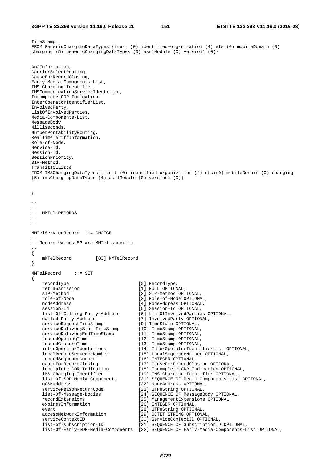```
TimeStamp 
FROM GenericChargingDataTypes {itu-t (0) identified-organization (4) etsi(0) mobileDomain (0) 
charging (5) genericChargingDataTypes (0) asn1Module (0) version1 (0)} 
AoCInformation, 
CarrierSelectRouting, 
CauseForRecordClosing, 
Early-Media-Components-List, 
IMS-Charging-Identifier, 
IMSCommunicationServiceIdentifier, 
Incomplete-CDR-Indication, 
InterOperatorIdentifierList, 
InvolvedParty, 
ListOfInvolvedParties, 
Media-Components-List, 
MessageBody, 
Milliseconds, 
NumberPortabilityRouting, 
RealTimeTariffInformation, 
Role-of-Node, 
Service-Id, 
Session-Id, 
SessionPriority, 
SIP-Method, 
TransitIOILists 
FROM IMSChargingDataTypes {itu-t (0) identified-organization (4) etsi(0) mobileDomain (0) charging 
(5) imsChargingDataTypes (4) asn1Module (0) version1 (0)} 
; 
-- 
-- 
-- MMTel RECORDS 
-- 
-- 
MMTelServiceRecord ::= CHOICE 
-- 
-- Record values 83 are MMTel specific 
-- 
{ 
    mMTelRecord [83] MMTelRecord 
} 
MMTelRecord ::= SET 
{ 
    recordType [0] RecordType, 
    retransmission [1] NULL OPTIONAL, 
   sIP-Method [2] SIP-Method OPTIONAL,
    role-of-Node [3] Role-of-Node OPTIONAL, 
   nodeAddress (4) NodeAddress OPTIONAL,<br>session-Id (5) Session-Id OPTIONAL,
 session-Id [5] Session-Id OPTIONAL, 
 list-Of-Calling-Party-Address [6] ListOfInvolvedParties OPTIONAL, 
 called-Party-Address [7] InvolvedParty OPTIONAL, 
 serviceRequestTimeStamp [9] TimeStamp OPTIONAL, 
 serviceDeliveryStartTimeStamp [10] TimeStamp OPTIONAL, 
 serviceDeliveryEndTimeStamp [11] TimeStamp OPTIONAL, 
 recordOpeningTime [12] TimeStamp OPTIONAL, 
 recordClosureTime [13] TimeStamp OPTIONAL, 
    interOperatorIdentifiers [14] InterOperatorIdentifierList OPTIONAL, 
 localRecordSequenceNumber [15] LocalSequenceNumber OPTIONAL, 
 recordSequenceNumber [16] INTEGER OPTIONAL, 
 causeForRecordClosing [17] CauseForRecordClosing OPTIONAL, 
 incomplete-CDR-Indication [18] Incomplete-CDR-Indication OPTIONAL, 
 iMS-Charging-Identifier [19] IMS-Charging-Identifier OPTIONAL, 
 list-Of-SDP-Media-Components [21] SEQUENCE OF Media-Components-List OPTIONAL, 
 gGSNaddress [22] NodeAddress OPTIONAL, 
 serviceReasonReturnCode [23] UTF8String OPTIONAL, 
    list-Of-Message-Bodies [24] SEQUENCE OF MessageBody OPTIONAL, 
    recordExtensions [25] ManagementExtensions OPTIONAL, 
   expiresInformation [26] INTEGER OPTIONAL,
   event [28] UTF8String OPTIONAL,
 accessNetworkInformation [29] OCTET STRING OPTIONAL, 
 serviceContextID [30] ServiceContextID OPTIONAL, 
 list-of-subscription-ID [31] SEQUENCE OF SubscriptionID OPTIONAL, 
    list-Of-Early-SDP-Media-Components [32] SEQUENCE OF Early-Media-Components-List OPTIONAL,
```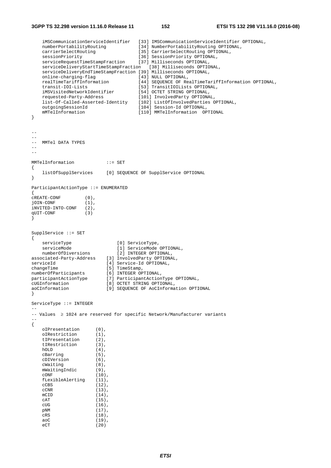### **3GPP TS 32.298 version 11.16.0 Release 11 152 ETSI TS 132 298 V11.16.0 (2016-08)**

```
 iMSCommunicationServiceIdentifier [33] IMSCommunicationServiceIdentifier OPTIONAL, 
 numberPortabilityRouting [34] NumberPortabilityRouting OPTIONAL, 
 carrierSelectRouting [35] CarrierSelectRouting OPTIONAL, 
 sessionPriority [36] SessionPriority OPTIONAL, 
 serviceRequestTimeStampFraction [37] Milliseconds OPTIONAL, 
    serviceDeliveryStartTimeStampFraction [38] Milliseconds OPTIONAL, 
    serviceDeliveryEndTimeStampFraction [39] Milliseconds OPTIONAL, 
   online-charging-flag<br>realTimeTariffInformation
 realTimeTariffInformation [44] SEQUENCE OF RealTimeTariffInformation OPTIONAL, 
 transit-IOI-Lists [53] TransitIOILists OPTIONAL, 
    iMSVisitedNetworkIdentifier [54] OCTET STRING OPTIONAL, 
 requested-Party-Address [101] InvolvedParty OPTIONAL, 
 list-Of-Called-Asserted-Identity [102] ListOfInvolvedParties OPTIONAL, 
 outgoingSessionId [104] Session-Id OPTIONAL, 
    mMTelInformation [110] MMTelInformation OPTIONAL 
} 
--- 
-- MMTel DATA TYPES 
-- 
-- 
MMTelInformation ::= SET 
{ 
    listOfSupplServices [0] SEQUENCE OF SupplService OPTIONAL 
} 
ParticipantActionType ::= ENUMERATED 
{ 
cREATE-CONF (0),<br>jOIN-CONF (1),
101N-CONFiNVITED-INTO-CONF (2),<br>qUIT-CONF (3)
qUIT-CONF} 
SupplService ::= SET 
{ 
   serviceType [0] ServiceType,<br>serviceMode [1] ServiceMode OPTIONAL,
 serviceMode [1] ServiceMode OPTIONAL, 
 numberOfDiversions [2] INTEGER OPTIONAL, 
associated-Party-Address [3] InvolvedParty OPTIONAL,
serviceId [4] Service-Id OPTIONAL,<br>
changeTime [5] TimeStamp,
changeTime [5] TimeStamp,
numberOfParticipants [6] INTEGER OPTIONAL, 
participantActionType [7] ParticipantActionType OPTIONAL, 
cUGInformation [8] OCTET STRING OPTIONAL, 
aoCInformation [9] SEQUENCE OF AoCInformation OPTIONAL 
} 
ServiceType ::= INTEGER 
-- 
-- Values ≥ 1024 are reserved for specific Network/Manufacturer variants 
-- 
{ 
    oIPresentation (0), 
   oIRestriction (1),<br>tIPresentation (2),
   tIPresentation (2),<br>tIRestriction (3),
   tIRestriction
   hOLD (4),
    cBarring (5), 
    cDIVersion (6), 
    cWaiting (8), 
   mWaitingIndic (9),<br>
\text{CONF} (10)(10).
   fLexibleAlerting (11),<br>cCBS (12),
                      (12),
   cCNR (13), mCID (14),
                     (14),
   \overline{CAT} (15),
    cUG (16), 
    pNM (17), 
    cRS (18), 
    aoC (19), 
    eCT (20)
```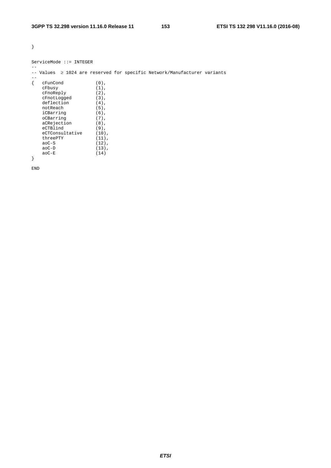}

--

| $ServiceMode :: = INTERGER$ |  |
|-----------------------------|--|
|                             |  |

-- Values ≥ 1024 are reserved for specific Network/Manufacturer variants

| cFunCond        | $(0)$ ,  |
|-----------------|----------|
| cFbusy          | $(1)$ ,  |
| cFnoReply       | $(2)$ ,  |
| cFnotLogged     | $(3)$ ,  |
| deflection      | $(4)$ ,  |
| notReach        | $(5)$ ,  |
| iCBarring       | $(6)$ ,  |
| oCBarring       | $(7)$ ,  |
| aCRejection     | $(8)$ ,  |
| eCTBlind        | $(9)$ ,  |
| eCTConsultative | $(10)$ , |
| threePTY        | $(11)$ , |
| $a_0C-S$        | $(12)$ , |
| $a_0C-D$        | $(13)$ , |
| aoC-E           | (14)     |
|                 |          |

END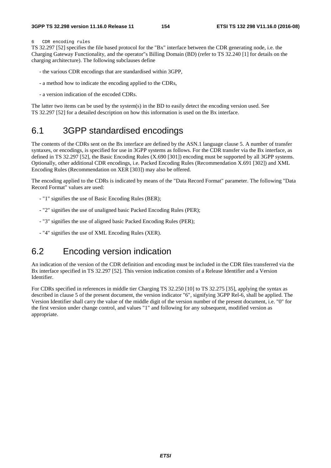## 6 CDR encoding rules

TS 32.297 [52] specifies the file based protocol for the "Bx" interface between the CDR generating node, i.e. the Charging Gateway Functionality, and the operator"s Billing Domain (BD) (refer to TS 32.240 [1] for details on the charging architecture). The following subclauses define

- the various CDR encodings that are standardised within 3GPP,
- a method how to indicate the encoding applied to the CDRs,
- a version indication of the encoded CDRs.

The latter two items can be used by the system(s) in the BD to easily detect the encoding version used. See TS 32.297 [52] for a detailed description on how this information is used on the Bx interface.

## 6.1 3GPP standardised encodings

The contents of the CDRs sent on the Bx interface are defined by the ASN.1 language clause 5. A number of transfer syntaxes, or encodings, is specified for use in 3GPP systems as follows. For the CDR transfer via the Bx interface, as defined in TS 32.297 [52], the Basic Encoding Rules (X.690 [301]) encoding must be supported by all 3GPP systems. Optionally, other additional CDR encodings, i.e. Packed Encoding Rules (Recommendation X.691 [302]) and XML Encoding Rules (Recommendation on XER [303]) may also be offered.

The encoding applied to the CDRs is indicated by means of the "Data Record Format" parameter. The following "Data Record Format" values are used:

- "1" signifies the use of Basic Encoding Rules (BER);
- "2" signifies the use of unaligned basic Packed Encoding Rules (PER);
- "3" signifies the use of aligned basic Packed Encoding Rules (PER);
- "4" signifies the use of XML Encoding Rules (XER).

## 6.2 Encoding version indication

An indication of the version of the CDR definition and encoding must be included in the CDR files transferred via the Bx interface specified in TS 32.297 [52]. This version indication consists of a Release Identifier and a Version Identifier.

For CDRs specified in references in middle tier Charging TS 32.250 [10] to TS 32.275 [35], applying the syntax as described in clause 5 of the present document, the version indicator "6", signifying 3GPP Rel-6, shall be applied. The Version Identifier shall carry the value of the middle digit of the version number of the present document, i.e. "0" for the first version under change control, and values "1" and following for any subsequent, modified version as appropriate.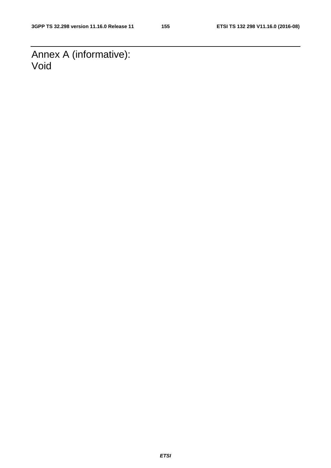Annex A (informative): Void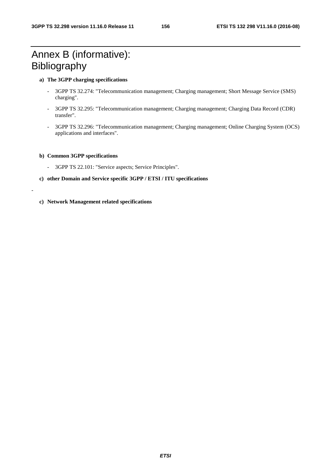# Annex B (informative): Bibliography

## **a) The 3GPP charging specifications**

- 3GPP TS 32.274: "Telecommunication management; Charging management; Short Message Service (SMS) charging".
- 3GPP TS 32.295: "Telecommunication management; Charging management; Charging Data Record (CDR) transfer".
- 3GPP TS 32.296: "Telecommunication management; Charging management; Online Charging System (OCS) applications and interfaces".

## **b) Common 3GPP specifications**

-

- 3GPP TS 22.101: "Service aspects; Service Principles".
- **c) other Domain and Service specific 3GPP / ETSI / ITU specifications**
- **c) Network Management related specifications**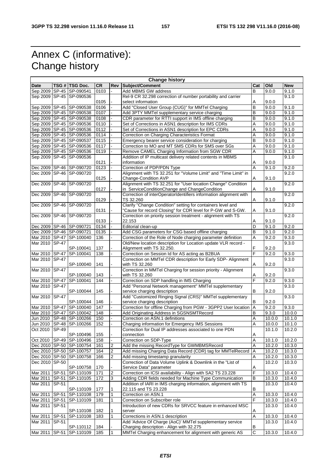# Annex C (informative): Change history

| <b>Change history</b> |              |                              |           |                |                                                                   |                |        |            |
|-----------------------|--------------|------------------------------|-----------|----------------|-------------------------------------------------------------------|----------------|--------|------------|
| Date                  |              | TSG # TSG Doc.               | <b>CR</b> | Rev            | Subject/Comment                                                   | Cat            | Old    | <b>New</b> |
| Sep 2009              |              | SP-45 SP-090541              | 0103      |                | Add MBMS GW address                                               | B              | 9.0.0  | 9.1.0      |
|                       |              | Sep 2009 SP-45 SP-090536     |           |                | Rel-9 CR 32.298 correction of number portability and carrier      |                |        | 9.1.0      |
|                       |              |                              | 0105      |                | select information                                                | Α              | 9.0.0  |            |
| Sep 2009              |              | SP-45 SP-090538              | 0106      |                | Add "Closed User Group (CUG)" for MMTel Charging                  | B              | 9.0.0  | 9.1.0      |
|                       |              | Sep 2009 SP-45 SP-090538     | 0107      |                | Add 3PTY MMTel supplementary service charging                     | B              | 9.0.0  | 9.1.0      |
|                       |              | Sep 2009 SP-45 SP-090538     | 0108      |                | CDR parameter for RTTI support in IMS offline charging            | B              | 9.0.0  | 9.1.0      |
|                       |              | Sep 2009 SP-45 SP-090536     | 0110      |                | Set of Corrections in ASN1 description for IMS CDRs               | Α              | 9.0.0  | 9.1.0      |
|                       |              | Sep 2009 SP-45 SP-090536     | 0112      |                | Set of Corrections in ASN1 description for EPC CDRs               | Α              | 9.0.0  | 9.1.0      |
|                       |              | Sep 2009 SP-45 SP-090536     | 0114      |                | Correction on Charging Characteristics Format                     | Α              | 9.0.0  | 9.1.0      |
|                       |              | Sep 2009 SP-45 SP-090537     | 0115      |                | Emergency bearer service consideration for charging               | B              | 9.0.0  | 9.1.0      |
|                       |              | Sep 2009 SP-45 SP-090536     | 0117      |                | Correction to MO and MT SMS CDRs for SMS over SGs                 | Α              | 9.0.0  | 9.1.0      |
|                       |              | Sep 2009 SP-45 SP-090536     | 0119      |                | Remove CAMEL Charging Information from SGW CDR                    |                |        |            |
|                       |              |                              |           |                |                                                                   | A              | 9.0.0  | 9.1.0      |
|                       |              | Sep 2009 SP-45 SP-090536     |           |                | Addition of IP multicast delivery related contents in MBMS        |                |        | 9.1.0      |
|                       |              |                              | 0121      |                | information                                                       | Α              | 9.0.0  |            |
|                       |              | Dec 2009 SP-46 SP-090720     | 0123      |                | Correction of PDP/PDN Type                                        | A              | 9.1.0  | 9.2.0      |
|                       |              | Dec 2009 SP-46 SP-090720     |           |                | Alignment with TS 32.251 for "Volume Limit" and "Time Limit" in   |                |        | 9.2.0      |
|                       |              |                              | 0125      |                | Change-Condition AVP                                              | Α              | 9.1.0  |            |
| Dec 2009              |              | SP-46 SP-090720              |           |                | Alignment with TS 32.251 for "User location Change" Condition     |                |        | 9.2.0      |
|                       |              |                              | 0127      |                | in ServiceConditionChange and ChangeCondition                     | Α              | 9.1.0  |            |
| Dec 2009              |              | SP-46 SP-090720              |           |                | Correction of interOperatorIdentifiers information alignment with |                |        | 9.2.0      |
|                       |              |                              | 0129      |                | TS 32.260                                                         | Α              | 9.1.0  |            |
|                       |              | Dec 2009 SP-46 SP-090720     |           |                | Clarify "Change Condition" setting for containers level and       |                |        | 9.2.0      |
|                       |              |                              | 0131      |                | "Cause for record Closing" for CDR level for P-GW and S-GW.       | Α              | 9.1.0  |            |
|                       |              | Dec 2009 SP-46 SP-090720     |           |                | Correction on priority session treatment - alignment with TS      |                |        | 9.2.0      |
|                       |              |                              | 0133      |                | 22.153                                                            | Α              | 9.1.0  |            |
| Dec 2009              |              | SP-46 SP-090721              | 0134      |                | Editorial clean-up                                                | D              | 9.1.0  | 9.2.0      |
|                       |              | Dec 2009 SP-46 SP-090721     | 0135      |                | Add CSG parameters for CSG based offline charging                 | B              | 9.1.0  | 9.2.0      |
|                       |              | Mar 2010   SP-47   SP-100040 | 136       |                | Correction of the Role of Node charging parameter definition      | A              | 9.2.0  | 9.3.0      |
| Mar 2010 SP-47        |              |                              |           |                | Old/New location description for Location update VLR record -     |                |        | 9.3.0      |
|                       |              | SP-100041                    | 137       |                | Alignment with TS 32.250.                                         | F              | 9.2.0  |            |
| Mar 2010              | <b>SP-47</b> | SP-100041                    | 138       |                | Correction on Session Id for AS acting as B2BUA                   | F              | 9.2.0  | 9.3.0      |
| Mar 2010              | <b>SP-47</b> |                              |           |                | Correction on MMTel CDR description for Early SDP- Alignment      |                |        | 9.3.0      |
|                       |              | SP-100040                    | 141       |                | with TS 32.260                                                    | Α              | 9.2.0  |            |
| Mar 2010              | <b>SP-47</b> |                              |           |                | Correction in MMTel Charging for session priority - Alignment     |                |        | 9.3.0      |
|                       |              | SP-100040                    | 143       |                | with TS 32.260                                                    | Α              | 9.2.0  |            |
| Mar 2010              | <b>SP-47</b> | SP-100041                    | 144       |                | Correction on SDP handling in IMS Charging                        | F              | 9.2.0  | 9.3.0      |
| Mar 2010              | <b>SP-47</b> |                              |           |                | Add "Personal Network management" MMTel supplementary             |                |        | 9.3.0      |
|                       |              | SP-100044                    | 145       |                | service charging description                                      | В              | 9.2.0  |            |
| Mar 2010              | $SP-47$      |                              |           |                | Add "Customized Ringing Signal (CRS)" MMTel supplementary         |                |        | 9.3.0      |
|                       |              | SP-100044                    | 146       |                | service charging description                                      | B              | 9.2.0  |            |
| Mar 2010              |              | SP-47 SP-100040              | 147       |                | Correction for offline Charging from PGW - 3GPP2 User location    | $\overline{A}$ | 9.2.0  | 9.3.0      |
|                       |              | Mar 2010 SP-47 SP-100042     | 148       |                | Add Originating Address in SGSNSMTRecord                          | B              | 9.3.0  | 10.0.0     |
|                       |              | Jun 2010   SP-48   SP-100266 | 150       |                | Correction on ASN.1 definitions                                   | Α              | 10.0.0 | 10.1.0     |
|                       |              | Jun 2010   SP-48   SP-100266 | 152       |                | Charging information for Emergency IMS Sessions                   | Α              | 10.0.0 | 10.1.0     |
| Oct 2010 SP-49        |              |                              |           |                | Correction for Dual IP addresses associated to one PDN            |                | 10.1.0 | 10.2.0     |
|                       |              | SP-100496                    | 155       |                | connection                                                        | A              |        |            |
|                       |              | Oct 2010 SP-49 SP-100496     | 158       | $\overline{a}$ | Correction on SDP-Type                                            | Α              | 10.1.0 | 10.2.0     |
|                       |              | Dec 2010 SP-50 SP-100754     | 161       | 2              | Add the missing RecordType for GWMBMSRecord                       | Α              | 10.2.0 | 10.3.0     |
|                       |              | Dec 2010 SP-50 SP-100757     | 164       | 2              | Add missing Charging Data Record (CDR) tag for MMTelRecord        | $\overline{A}$ | 10.2.0 | 10.3.0     |
|                       |              | SP-100758                    |           | $\overline{2}$ |                                                                   |                |        |            |
| Dec 2010 SP-50        |              |                              | 166       |                | Add missing timestamp granularity                                 | A              | 10.2.0 | 10.3.0     |
| Dec 2010              | SP-50        |                              |           |                | Correction of Data Volume Uplink & Downlink in the "List of       |                | 10.2.0 | 10.3.0     |
|                       |              | SP-100758                    | 170       |                | Service Data" parameter                                           | Α              |        |            |
| Mar 2011 SP-51        |              | SP-110109                    | 171       | 2              | Correction on ICSI availability - Align with SA2 TS 23.228        | F              | 10.3.0 | 10.4.0     |
| Mar 2011 SP-51        |              | SP-110105                    | 172       | 3              | Adding CDR fields needed for Machine Type Communication           | B              | 10.3.0 | 10.4.0     |
| Mar 2011 SP-51        |              |                              |           |                | Addition of IARI in IMS charging information, alignment with TS   |                | 10.3.0 | 10.4.0     |
|                       |              | SP-110109                    | 177       | 1              | 22.115 and TS 23.228                                              | В              |        |            |
| Mar 2011 SP-51        |              | SP-110108                    | 179       | 1              | Correction on ASN.1                                               | A              | 10.3.0 | 10.4.0     |
| Mar 2011 SP-51        |              | SP-110109                    | 181       | $\mathbf{1}$   | Correction on Subscriber role                                     | F              | 10.3.0 | 10.4.0     |
| Mar 2011 SP-51        |              |                              |           |                | Introduction of new CDRs for SRVCC feature in enhanced MSC        |                | 10.3.0 | 10.4.0     |
|                       |              | SP-110108                    | 182       | 1              | server                                                            | Α              |        |            |
| Mar 2011              | <b>SP-51</b> | SP-110108                    | 183       | $\mathbf{1}$   | Corrections in ASN.1 description                                  | A              | 10.3.0 | 10.4.0     |
| Mar 2011              | SP-51        |                              |           |                | Add 'Advice Of Charge (AoC)' MMTel supplementary service          |                | 10.3.0 | 10.4.0     |
|                       |              | SP-110112                    | 184       |                | Charging description - Align with 32.275                          | B              |        |            |
|                       |              | Mar 2011 SP-51 SP-110109     | 185       | 1              | MMTel Charging enhancement for alignment with generic AS          | $\overline{C}$ | 10.3.0 | 10.4.0     |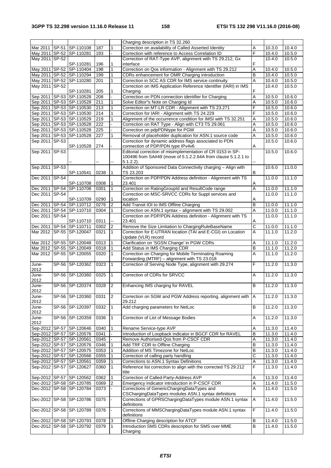|                |                                                      |                  |                          | Charging description in TS 32.260                                                           |        |                     |                  |
|----------------|------------------------------------------------------|------------------|--------------------------|---------------------------------------------------------------------------------------------|--------|---------------------|------------------|
|                | Mar 2011   SP-51   SP-110108                         | 187              | $\mathbf{1}$             | Correction on availability of Called Asserted Identity                                      | A      | 10.3.0              | 10.4.0           |
|                | May 2011 SP-52 SP-110281                             | 193              | ä,                       | Correction with reference to Access Correlation ID                                          | F      | 10.4.0              | 10.5.0           |
| May 2011 SP-52 |                                                      |                  |                          | Correction of RAT-Type AVP, alignment with TS 29.212, Gx                                    |        | 10.4.0              | 10.5.0           |
|                | SP-110281                                            | 196              | $\mathbf{1}$             | interface                                                                                   | F      |                     |                  |
|                | May 2011 SP-52 SP-110404                             | 198              | $\mathbf{1}$             | Correction on Qos information - Alignment with TS 29.212                                    | Α      | 10.4.0              | 10.5.0           |
|                | May 2011 SP-52 SP-110294                             | 199              | 1                        | CDRs enhancement for OMR Charging introduction                                              | B      | 10.4.0              | 10.5.0           |
|                | May 2011 SP-52 SP-110280                             | 201              | 1                        | Correction in SCC AS CDR for IMS service continuity                                         | A      | 10.4.0              | 10.5.0           |
| May 2011 SP-52 |                                                      |                  |                          | Correction on IMS Application Reference Identifier (IARI) in IMS                            |        | 10.4.0              | 10.5.0           |
|                | SP-110281                                            | 205              | 1                        | Charging                                                                                    | F      |                     |                  |
|                | Sep 2011 SP-53 SP-110528                             | 208              | $\overline{\phantom{0}}$ | Correction on PDN connection identifier for Charging                                        | Α      | 10.5.0              | 10.6.0           |
|                | Sep 2011 SP-53 SP-110528                             | 211              | 1                        | Solve Editor"s Note on Charging Id                                                          | Α      | 10.5.0              | 10.6.0           |
|                | Sep 2011   SP-53   SP-110530                         | 213              | $\mathbf{1}$             | Correction on MT-LR CDR - Alignment with TS 23.271                                          | F      | 10.5.0              | 10.6.0           |
|                | Sep 2011   SP-53   SP-110530                         | 214              | $\mathbf{1}$             | Correction for IARI - Alignment with TS 24.229                                              | F      | 10.5.0              | 10.6.0           |
|                | Sep 2011 SP-53 SP-110529                             | 219              | 1                        | Alignment of the occurrence condition for IMSI with TS 32.251                               | Α      | 10.5.0              | 10.6.0           |
|                | Sep 2011 SP-53 SP-110528                             | 222              |                          | Correction on RAT Type - Align with CT3 TS 29.061                                           | Α      | 10.5.0              | 10.6.0           |
|                | Sep 2011   SP-53   SP-110528                         | 225              |                          | Correction on pdpPDNtype for PGW                                                            | Α      | 10.5.0              | 10.6.0           |
|                | Sep 2011   SP-53   SP-110528                         | 227              | 1                        | Removal of placeholder duplication for ASN.1 source code                                    | Α      | 10.5.0              | 10.6.0           |
| Sep 2011 SP-53 |                                                      |                  |                          | Correction for dynamic address flags associated to PDN                                      |        | 10.5.0              | 10.6.0           |
|                | SP-110528                                            | 274              |                          | connection of PDP/PDN type IPv4v6                                                           | Α      |                     |                  |
| Sep 2011 SP-53 |                                                      |                  |                          | Editorial correction of misimplementation of CR 0153 in SP-                                 |        | 10.5.0              | 10.6.0           |
|                |                                                      |                  |                          | 100496 from SA#49 (move of 5.1.2.2.64A from clause 5.1.2.1 to                               |        |                     |                  |
|                |                                                      |                  | --                       | $5.1.2.2$ ).                                                                                |        |                     |                  |
| Sep 2011 SP-53 |                                                      |                  |                          | Addition of Sponsored Data Connectivity charging - Align with                               |        | 10.6.0              | 11.0.0           |
|                | SP-110541                                            | 0238             | 1                        | TS 23.203                                                                                   | в      |                     |                  |
| Dec 2011 SP-54 |                                                      |                  |                          | Correction on PDP/PDN Address definition - Alignment with TS                                |        | 11.0.0              | 11.1.0           |
|                | SP-110708                                            | 0308             |                          | 23.401                                                                                      | Α      |                     |                  |
|                | Dec 2011 SP-54 SP-110708                             | 0301             | 1                        | Correction on RatingGroupId and ResultCode range                                            | A      | 11.0.0              | 11.1.0           |
| Dec 2011 SP-54 |                                                      |                  |                          | Correction on MSC-SRVCC CDRs for Suppl services and                                         |        | 11.0.0              | 11.1.0           |
|                | SP-110709                                            | 0290             | 1                        | location                                                                                    | A      |                     |                  |
|                | Dec 2011 SP-54 SP-110712                             | 0276             | $\overline{2}$           | Add Transit IOI to IMS Offline Charging                                                     | B      | 11.0.0              | 11.1.0           |
|                | Dec 2011   SP-54   SP-110710                         | 0304             | 1                        | Correction on ASN.1 syntax - alignment with TS 29.002                                       | Α      | 11.0.0              | 11.1.0           |
| Dec 2011 SP-54 |                                                      |                  |                          | Correction on PDP/PDN Address definition - Alignment with TS                                |        | 11.0.0              | 11.1.0           |
|                | SP-110710                                            | 0311             |                          | 23.401                                                                                      | Α      |                     |                  |
|                | Dec 2011   SP-54   SP-110711                         | 0302             | 2                        | Remove the Size Limitation to ChargingRuleBaseName                                          | С      | 11.0.0              | 11.1.0           |
|                | Mar 2012 SP-55 SP-120047                             | 0321             |                          | Correction for E-UTRAN location (TAI and E-CGI) on Location                                 | A      | 11.1.0              | 11.2.0           |
|                |                                                      |                  |                          | Update (VLR) record                                                                         |        |                     |                  |
|                | Mar 2012 SP-55 SP-120048                             | 0313             |                          | Clarification on 'SGSN Change' in PGW CDRs                                                  | Α      | 11.1.0              | 11.2.0           |
|                | Mar 2012 SP-55 SP-120049                             | 0318             |                          | Add Status in IMS Charging CDR                                                              | B      | 11.1.0              | 11.2.0           |
|                | Mar 2012 SP-55 SP-120055                             | 0320             | $\mathbf{1}$             | Correction on Charging for Mobile Terminating Roaming                                       | A      | $\overline{11.1.0}$ | 11.2.0           |
|                |                                                      |                  |                          | Forwarding (MTRF) - alignment with TS 23.018                                                |        |                     |                  |
| June-          | SP-56 SP-120362                                      | 0323             | $\mathbf{1}$             | Correction of Serving Node Type, alignment with 29.274                                      | F      | 11.2.0              | 11.3.0           |
| 2012           |                                                      |                  |                          |                                                                                             |        |                     |                  |
| June-          |                                                      |                  |                          | Correction of CDRs for SRVCC                                                                |        |                     |                  |
|                |                                                      |                  | 1                        |                                                                                             | A      |                     |                  |
|                | SP-56 SP-120360                                      | 0325             |                          |                                                                                             |        | 11.2.0              | 11.3.0           |
| 2012           |                                                      |                  |                          |                                                                                             |        |                     |                  |
| June-          | SP-56 SP-120374                                      | $\frac{1}{0328}$ | 2                        | Enhancing IMS charging for RAVEL                                                            | в      | 11.2.0              | 11.3.0           |
| 2012<br>June-  |                                                      | 0331             |                          |                                                                                             | IА     | 11.2.0              |                  |
|                | SP-56 SP-120360                                      |                  | $\overline{2}$           | Correction on SGW and PGW Address reporting, alignment with<br>29.212                       |        |                     | 11.3.0           |
| 2012<br>June-  | SP-56 SP-120397                                      | 0332             | $\mathbf{1}$             | Add charging parameters for NetLoc                                                          | В      | 11.2.0              | 11.3.0           |
| 2012           |                                                      |                  |                          |                                                                                             |        |                     |                  |
| June-          | SP-56 SP-120359                                      | 0336             | $\mathbf{1}$             | Correction of List of Message Bodies                                                        | Α      | 11.2.0              | 11.3.0           |
| 2012           |                                                      |                  |                          |                                                                                             |        |                     |                  |
|                | Sep-2012 SP-57 SP-120646                             | 0340             | 1                        | Rename Service-type AVP                                                                     | Α      | 11.3.0              | 11.4.0           |
|                | Sep-2012 SP-57 SP-120576                             | 0341             |                          | Introduction of Loopback indicator in BGCF CDR for RAVEL                                    | B      | 11.3.0              | 11.4.0           |
|                | Sep-2012 SP-57 SP-120561                             | 0345             |                          | Remove Authorised-Qos from P-CSCF CDR                                                       | Α      | 11.3.0              | 11.4.0           |
|                |                                                      |                  |                          |                                                                                             | B      |                     |                  |
|                | Sep-2012 SP-57 SP-120576                             | 0346             |                          | Add TRF CDR to Offline Charging                                                             | B      | 11.3.0<br>11.3.0    | 11.4.0           |
|                | Sep-2012 SP-57 SP-120575                             | 0353             |                          | Addition of MS Timezone for NetLoc                                                          |        |                     | 11.4.0           |
|                | Sep-2012 SP-57 SP-120566                             | 0355             |                          | Correction of calling party handling                                                        | C<br>Α | 11.3.0              | 11.4.0           |
|                | Sep-2012 SP-57 SP-120561                             | 0359             |                          | Corrections to ASN.1 Syntax Definitions                                                     |        | 11.3.0              | 11.4.0           |
|                | Sep-2012 SP-57 SP-120627                             | 0360             | $\mathbf{1}$             | Reference list correction to align with the corrected TS 29.212<br>title                    | F      | 11.3.0              | 11.4.0           |
|                |                                                      |                  | $\mathbf{1}$             |                                                                                             | Α      |                     |                  |
|                | Sep-2012 SP-57 SP-120562                             | 0362             |                          | Correction of Called-Party-Address AVP                                                      |        | 11.3.0              | 11.4.0           |
|                | Dec-2012 SP-58 SP-120785                             | 0369             | 2                        | Emergency Indicator introduction in P-CSCF CDR                                              | Α      | 11.4.0              | 11.5.0           |
|                | Dec-2012 SP-58 SP-120784                             | 0373             |                          | Corrections of GenericChargingDataTypes and                                                 | Α      | 11.4.0              | 11.5.0           |
|                |                                                      |                  |                          | CSChargingDataTypes modules ASN.1 syntax definitions                                        |        |                     |                  |
|                | Dec-2012 SP-58 SP-120786                             | 0375             |                          | Corrections of GPRSChargingDataTypes module ASN.1 syntax<br>definitions                     | Α      | 11.4.0              | 11.5.0           |
|                |                                                      | 0376             |                          |                                                                                             | F      |                     |                  |
|                | Dec-2012 SP-58 SP-120789                             |                  |                          | Corrections of MMSChargingDataTypes module ASN.1 syntax<br>definitions                      |        | 11.4.0              | 11.5.0           |
|                |                                                      |                  | 3                        |                                                                                             | В      | 11.4.0              |                  |
|                | Dec-2012 SP-58 SP-120793<br>Dec-2012 SP-58 SP-120792 | 0378<br>0379     | 1                        | Offline Charging description for ATCF<br>Introduction SMS CDRs description for SMS over MME | B      | 11.4.0              | 11.5.0<br>11.5.0 |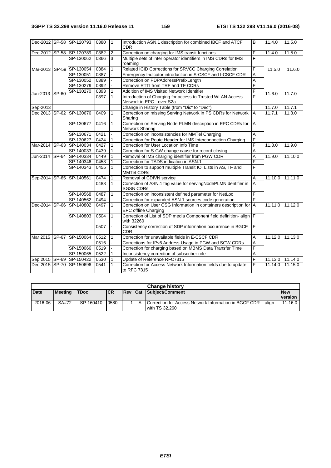|                | Dec-2012 SP-58 SP-120793     | 0380 | $\mathbf{1}$   | Introduction ASN.1 description for combined IBCF and ATCF<br><b>CDR</b>                    | B              | 11.4.0          | 11.5.0  |
|----------------|------------------------------|------|----------------|--------------------------------------------------------------------------------------------|----------------|-----------------|---------|
|                | Dec-2012 SP-58 SP-120789     | 0382 | $\overline{2}$ | Correction on charging for IMS transit functions                                           | F              | 11.4.0          | 11.5.0  |
|                | SP-130062                    | 0366 | 3              | Multiple sets of inter operator identifiers in IMS CDRs for IMS<br>roaming                 | F              |                 |         |
|                | Mar-2013 SP-59 SP-130054     | 0384 | $\mathbf{1}$   | Related ICID Corrections for SRVCC Charging Correlation                                    | F              | 11.5.0          | 11.6.0  |
|                | SP-130051                    | 0387 |                | Emergency Indicator introduction in S-CSCF and I-CSCF CDR                                  | A              |                 |         |
|                | SP-130052                    | 0389 |                | Correction on PDPAddressPrefixLength                                                       | A              |                 |         |
|                | SP-130279                    | 0392 |                | Remove RTTI from TRF and TF CDRs                                                           | F              |                 |         |
| Jun-2013 SP-60 | SP-130270                    | 0393 |                | Addition of IMS Visited Network Identifier                                                 | F              | 11.6.0          | 11.7.0  |
|                |                              | 0397 | $\mathbf{1}$   | Introduction of Charging for access to Trusted WLAN Access<br>Network in EPC - over S2a    | F              |                 |         |
| Sep-2013       |                              |      |                | Change in History Table (from "Dic" to "Dec")                                              |                | 11.7.0          | 11.7.1  |
|                | Dec 2013 SP-62 SP-130676     | 0409 | $\mathbf{1}$   | Correction on missing Serving Network in PS CDRs for Network<br>Sharing                    | $\overline{A}$ | 11.7.1          | 11.8.0  |
|                | SP-130677                    | 0416 | $\overline{1}$ | Correction on Serving Node PLMN description in EPC CDRs for<br>Network Sharing             | $\overline{A}$ |                 |         |
|                | SP-130671                    | 0421 |                | Correction on inconsistencies for MMTel Charging                                           | A              |                 |         |
|                | SP-130627                    | 0424 |                | Correction for Route Header for IMS Interconnection Charging                               | F              |                 |         |
|                | Mar-2014 SP-63 SP-140034     | 0427 |                | Correction for User Location Info Time                                                     | F              | 11.8.0          | 11.9.0  |
|                | SP-140033                    | 0439 |                | Correction for S-GW change cause for record closing                                        | A              |                 |         |
|                | Jun-2014 SP-64 SP-140334     | 0449 |                | Removal of IMS charging identifier from PGW CDR                                            | A              | 11.9.0          | 11.10.0 |
|                | SP-140346                    | 0453 |                | Correction for TADS indication in ASN.1                                                    | F              |                 |         |
|                | SP-140343                    | 0455 |                | Correction to support multiple Transit IOI Lists in AS, TF and<br><b>MMTel CDRs</b>        | F              |                 |         |
|                | Sep-2014 SP-65 SP-140561     | 0474 |                | Removal of CDIVN service                                                                   | A              | 11.10.0         | 11.11.0 |
|                |                              | 0483 | $\mathbf{1}$   | Correction of ASN.1 tag value for servingNodePLMNIdentifier in<br><b>SGSN CDRs</b>         | A              |                 |         |
|                | SP-140568                    | 0487 |                | Correction on inconsistent defined parameter for NetLoc                                    | F              |                 |         |
|                | SP-140562                    | 0494 |                | Correction for expanded ASN.1 sources code generation                                      | $\overline{F}$ |                 |         |
|                | Dec-2014 SP-66 SP-140802     | 0497 |                | Correction on User CSG Information in containers description for A<br>EPC offline Charging |                | 11.11.0         | 11.12.0 |
|                | SP-140803                    | 0504 | $\mathbf{1}$   | Correction of List of SDP media Component field definition-align   F<br>with 32260         |                |                 |         |
|                |                              | 0507 | $\mathbf{r}$   | Consistency correction of SDP information occurrence in BGCF<br><b>CDR</b>                 | F              |                 |         |
|                | Mar 2015 SP-67 SP-150064     | 0512 |                | Correction for unavailable fields in E-CSCF CDR                                            | A              | 11.12.0 11.13.0 |         |
|                |                              | 0516 |                | Corrections for IPv6 Address Usage in PGW and SGW CDRs                                     | A              |                 |         |
|                | SP-150066                    | 0519 |                | Correction for charging based on MBMS Data Transfer Time                                   | F              |                 |         |
|                | SP-150065                    | 0522 |                | Inconsistency correction of subscriber role                                                | A              |                 |         |
|                | Sep 2015 SP-69 SP-150422     | 0530 |                | Update of Reference RFC7315                                                                | F              | 11.13.0 11.14.0 |         |
|                | Dec 2015   SP-70   SP-150696 | 0541 |                | Correction for Access Network Information fields due to update<br>to RFC 7315              | F              | 11.14.0         | 11.15.0 |
|                |                              |      |                |                                                                                            |                |                 |         |

| <b>Change history</b> |                |             |            |  |  |                                                                                 |            |  |
|-----------------------|----------------|-------------|------------|--|--|---------------------------------------------------------------------------------|------------|--|
| <b>Date</b>           | <b>Meeting</b> | <b>TDoc</b> | <b>ICR</b> |  |  | <b>Rev Cat Subiect/Comment</b>                                                  | <b>New</b> |  |
|                       |                |             |            |  |  |                                                                                 | version    |  |
| 2016-06               | SA#72          | SP-160410   | 0580       |  |  | Correction for Access Network Information in BGCF CDR – align<br>with TS 32,260 | 11.16.0    |  |